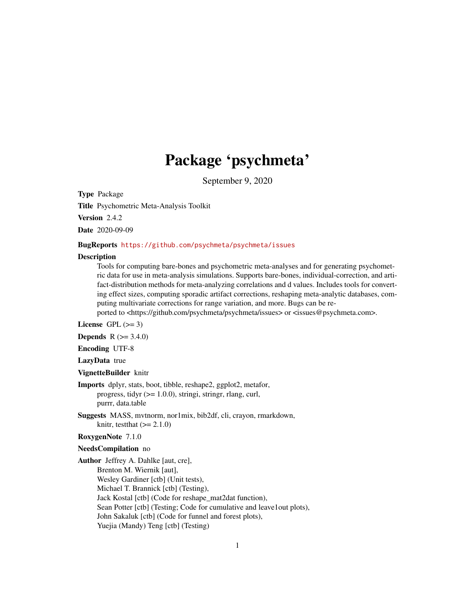# Package 'psychmeta'

September 9, 2020

Type Package Title Psychometric Meta-Analysis Toolkit Version 2.4.2 Date 2020-09-09

## BugReports <https://github.com/psychmeta/psychmeta/issues>

#### **Description**

Tools for computing bare-bones and psychometric meta-analyses and for generating psychometric data for use in meta-analysis simulations. Supports bare-bones, individual-correction, and artifact-distribution methods for meta-analyzing correlations and d values. Includes tools for converting effect sizes, computing sporadic artifact corrections, reshaping meta-analytic databases, computing multivariate corrections for range variation, and more. Bugs can be reported to <https://github.com/psychmeta/psychmeta/issues> or <issues@psychmeta.com>.

License GPL  $(>= 3)$ 

**Depends**  $R$  ( $> = 3.4.0$ )

Encoding UTF-8

LazyData true

VignetteBuilder knitr

Imports dplyr, stats, boot, tibble, reshape2, ggplot2, metafor, progress, tidyr (>= 1.0.0), stringi, stringr, rlang, curl, purrr, data.table

Suggests MASS, mvtnorm, nor1mix, bib2df, cli, crayon, rmarkdown, knitr, testthat  $(>= 2.1.0)$ 

#### RoxygenNote 7.1.0

## NeedsCompilation no

Author Jeffrey A. Dahlke [aut, cre], Brenton M. Wiernik [aut], Wesley Gardiner [ctb] (Unit tests), Michael T. Brannick [ctb] (Testing), Jack Kostal [ctb] (Code for reshape\_mat2dat function), Sean Potter [ctb] (Testing; Code for cumulative and leave1out plots), John Sakaluk [ctb] (Code for funnel and forest plots), Yuejia (Mandy) Teng [ctb] (Testing)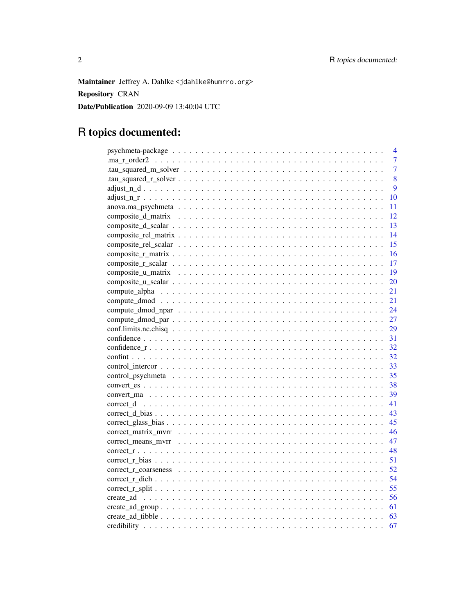Maintainer Jeffrey A. Dahlke <jdahlke@humrro.org> Repository CRAN Date/Publication 2020-09-09 13:40:04 UTC

# R topics documented:

|                                                                                                                        | 4              |
|------------------------------------------------------------------------------------------------------------------------|----------------|
|                                                                                                                        | $\overline{7}$ |
|                                                                                                                        | $\overline{7}$ |
|                                                                                                                        | 8              |
|                                                                                                                        | $\overline{9}$ |
|                                                                                                                        | 10             |
|                                                                                                                        | 11             |
|                                                                                                                        | 12             |
|                                                                                                                        | 13             |
|                                                                                                                        | 14             |
|                                                                                                                        | 15             |
|                                                                                                                        | -16            |
|                                                                                                                        | 17             |
|                                                                                                                        |                |
|                                                                                                                        | 20             |
|                                                                                                                        | 21             |
|                                                                                                                        | 21             |
|                                                                                                                        | 24             |
|                                                                                                                        | 27             |
|                                                                                                                        | 29             |
|                                                                                                                        | 31             |
|                                                                                                                        | 32             |
|                                                                                                                        | 32             |
|                                                                                                                        | 33             |
|                                                                                                                        | 35             |
|                                                                                                                        |                |
|                                                                                                                        |                |
|                                                                                                                        | 41             |
|                                                                                                                        |                |
|                                                                                                                        | 45             |
|                                                                                                                        | 46             |
|                                                                                                                        | 47             |
|                                                                                                                        | 48             |
| $correct_r_bias \dots \dots \dots \dots \dots \dots \dots \dots \dots \dots \dots \dots \dots \dots \dots \dots \dots$ | 51             |
|                                                                                                                        | 52             |
|                                                                                                                        | 54             |
|                                                                                                                        |                |
|                                                                                                                        |                |
|                                                                                                                        |                |
|                                                                                                                        |                |
|                                                                                                                        | 67             |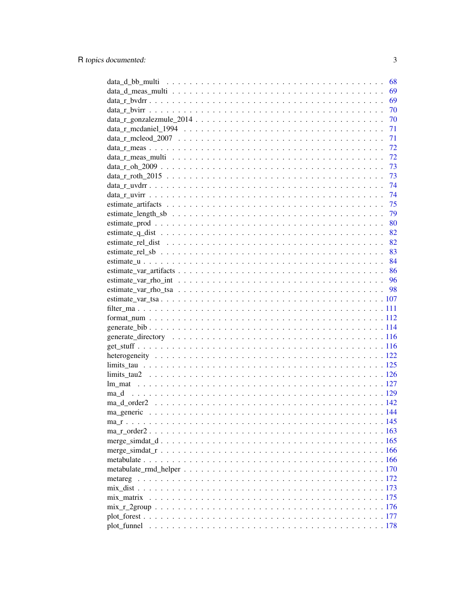|                  | 68 |
|------------------|----|
|                  | 69 |
|                  | 69 |
|                  | 70 |
|                  | 70 |
|                  | 71 |
|                  | 71 |
|                  | 72 |
|                  | 72 |
|                  |    |
|                  |    |
|                  |    |
|                  |    |
|                  |    |
|                  | 79 |
|                  |    |
|                  |    |
|                  |    |
|                  |    |
|                  |    |
|                  |    |
|                  |    |
|                  |    |
|                  |    |
|                  |    |
|                  |    |
|                  |    |
|                  |    |
|                  |    |
|                  |    |
|                  |    |
|                  |    |
|                  |    |
|                  |    |
| $ma_d$ order2142 |    |
|                  |    |
|                  |    |
|                  |    |
|                  |    |
|                  |    |
|                  |    |
|                  |    |
|                  |    |
|                  |    |
| mix matrix       |    |
|                  |    |
|                  |    |
|                  |    |
|                  |    |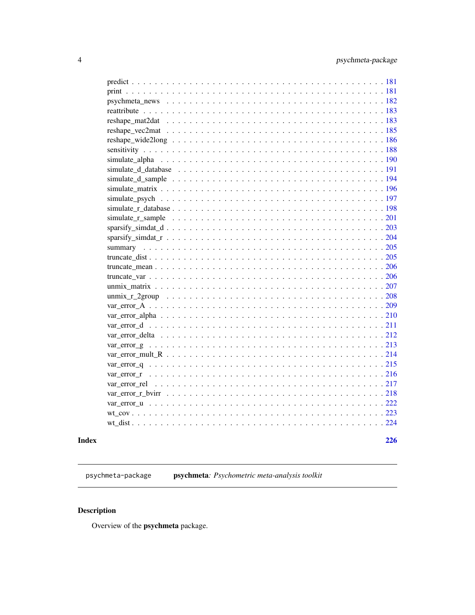<span id="page-3-0"></span>

| psychmeta news $\dots \dots \dots \dots \dots \dots \dots \dots \dots \dots \dots \dots \dots \dots \dots 182$ |
|----------------------------------------------------------------------------------------------------------------|
|                                                                                                                |
|                                                                                                                |
|                                                                                                                |
|                                                                                                                |
|                                                                                                                |
|                                                                                                                |
|                                                                                                                |
|                                                                                                                |
|                                                                                                                |
|                                                                                                                |
|                                                                                                                |
|                                                                                                                |
|                                                                                                                |
|                                                                                                                |
|                                                                                                                |
|                                                                                                                |
|                                                                                                                |
|                                                                                                                |
|                                                                                                                |
|                                                                                                                |
|                                                                                                                |
|                                                                                                                |
|                                                                                                                |
|                                                                                                                |
|                                                                                                                |
|                                                                                                                |
|                                                                                                                |
|                                                                                                                |
|                                                                                                                |
|                                                                                                                |
|                                                                                                                |
|                                                                                                                |
|                                                                                                                |
|                                                                                                                |

## **Index** [226](#page-225-0)

psychmeta-package psychmeta*: Psychometric meta-analysis toolkit*

# Description

Overview of the psychmeta package.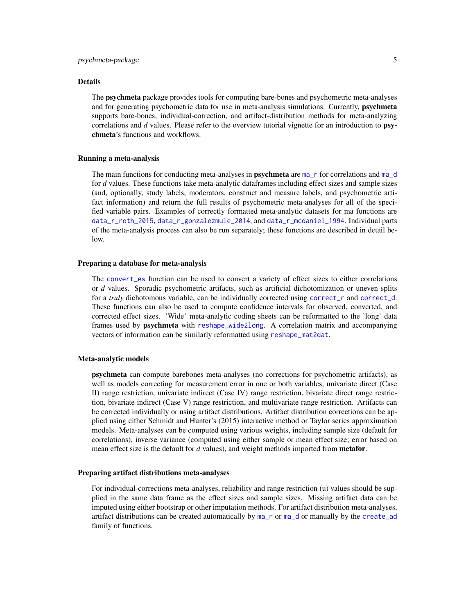#### Details

The psychmeta package provides tools for computing bare-bones and psychometric meta-analyses and for generating psychometric data for use in meta-analysis simulations. Currently, **psychmeta** supports bare-bones, individual-correction, and artifact-distribution methods for meta-analyzing correlations and *d* values. Please refer to the overview tutorial vignette for an introduction to psychmeta's functions and workflows.

### Running a meta-analysis

The main functions for conducting meta-analyses in **psychmeta** are  $ma<sub>r</sub>$  for correlations and  $ma<sub>r</sub>$ d for *d* values. These functions take meta-analytic dataframes including effect sizes and sample sizes (and, optionally, study labels, moderators, construct and measure labels, and psychometric artifact information) and return the full results of psychometric meta-analyses for all of the specified variable pairs. Examples of correctly formatted meta-analytic datasets for ma functions are [data\\_r\\_roth\\_2015](#page-72-1), [data\\_r\\_gonzalezmule\\_2014](#page-69-1), and [data\\_r\\_mcdaniel\\_1994](#page-70-1). Individual parts of the meta-analysis process can also be run separately; these functions are described in detail below.

#### Preparing a database for meta-analysis

The convert es function can be used to convert a variety of effect sizes to either correlations or *d* values. Sporadic psychometric artifacts, such as artificial dichotomization or uneven splits for a *truly* dichotomous variable, can be individually corrected using [correct\\_r](#page-47-1) and [correct\\_d](#page-40-1). These functions can also be used to compute confidence intervals for observed, converted, and corrected effect sizes. 'Wide' meta-analytic coding sheets can be reformatted to the 'long' data frames used by psychmeta with [reshape\\_wide2long](#page-185-1). A correlation matrix and accompanying vectors of information can be similarly reformatted using [reshape\\_mat2dat](#page-182-1).

## Meta-analytic models

psychmeta can compute barebones meta-analyses (no corrections for psychometric artifacts), as well as models correcting for measurement error in one or both variables, univariate direct (Case II) range restriction, univariate indirect (Case IV) range restriction, bivariate direct range restriction, bivariate indirect (Case V) range restriction, and multivariate range restriction. Artifacts can be corrected individually or using artifact distributions. Artifact distribution corrections can be applied using either Schmidt and Hunter's (2015) interactive method or Taylor series approximation models. Meta-analyses can be computed using various weights, including sample size (default for correlations), inverse variance (computed using either sample or mean effect size; error based on mean effect size is the default for *d* values), and weight methods imported from metafor.

#### Preparing artifact distributions meta-analyses

For individual-corrections meta-analyses, reliability and range restriction (u) values should be supplied in the same data frame as the effect sizes and sample sizes. Missing artifact data can be imputed using either bootstrap or other imputation methods. For artifact distribution meta-analyses, artifact distributions can be created automatically by [ma\\_r](#page-144-1) or [ma\\_d](#page-128-1) or manually by the [create\\_ad](#page-55-1) family of functions.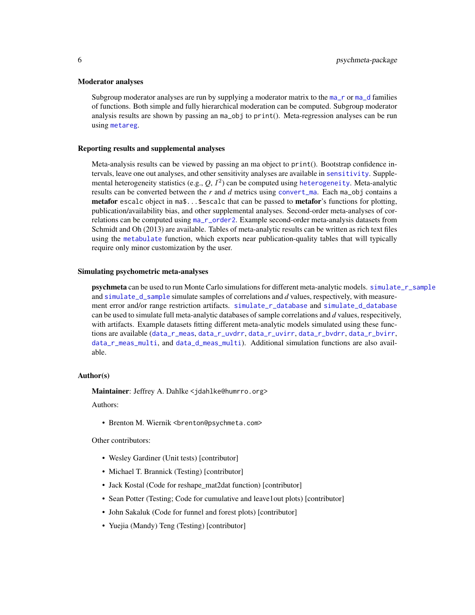#### Moderator analyses

Subgroup moderator analyses are run by supplying a moderator matrix to the  $ma<sub>-</sub>r$  or  $ma<sub>-</sub>d$  families of functions. Both simple and fully hierarchical moderation can be computed. Subgroup moderator analysis results are shown by passing an ma\_obj to print(). Meta-regression analyses can be run using [metareg](#page-171-1).

#### Reporting results and supplemental analyses

Meta-analysis results can be viewed by passing an ma object to print(). Bootstrap confidence intervals, leave one out analyses, and other sensitivity analyses are available in [sensitivity](#page-187-1). Supplemental heterogeneity statistics (e.g., *Q*, I 2 ) can be computed using [heterogeneity](#page-121-1). Meta-analytic results can be converted between the *r* and *d* metrics using [convert\\_ma](#page-38-1). Each ma\_obj contains a metafor escalc object in ma\$...\$escalc that can be passed to metafor's functions for plotting, publication/availability bias, and other supplemental analyses. Second-order meta-analyses of correlations can be computed using [ma\\_r\\_order2](#page-162-1). Example second-order meta-analysis datasets from Schmidt and Oh (2013) are available. Tables of meta-analytic results can be written as rich text files using the [metabulate](#page-165-1) function, which exports near publication-quality tables that will typically require only minor customization by the user.

#### Simulating psychometric meta-analyses

**psychmeta** can be used to run Monte Carlo simulations for different meta-analytic models. [simulate\\_r\\_sample](#page-200-1) and [simulate\\_d\\_sample](#page-193-1) simulate samples of correlations and *d* values, respectively, with measurement error and/or range restriction artifacts. [simulate\\_r\\_database](#page-197-1) and [simulate\\_d\\_database](#page-190-1) can be used to simulate full meta-analytic databases of sample correlations and *d* values, respecitively, with artifacts. Example datasets fitting different meta-analytic models simulated using these functions are available ([data\\_r\\_meas](#page-71-1), [data\\_r\\_uvdrr](#page-73-1), [data\\_r\\_uvirr](#page-73-2), [data\\_r\\_bvdrr](#page-68-1), [data\\_r\\_bvirr](#page-69-2), [data\\_r\\_meas\\_multi](#page-71-2), and [data\\_d\\_meas\\_multi](#page-68-2)). Additional simulation functions are also available.

#### Author(s)

Maintainer: Jeffrey A. Dahlke <jdahlke@humrro.org>

Authors:

• Brenton M. Wiernik <brenton@psychmeta.com>

Other contributors:

- Wesley Gardiner (Unit tests) [contributor]
- Michael T. Brannick (Testing) [contributor]
- Jack Kostal (Code for reshape mat2dat function) [contributor]
- Sean Potter (Testing; Code for cumulative and leave1out plots) [contributor]
- John Sakaluk (Code for funnel and forest plots) [contributor]
- Yuejia (Mandy) Teng (Testing) [contributor]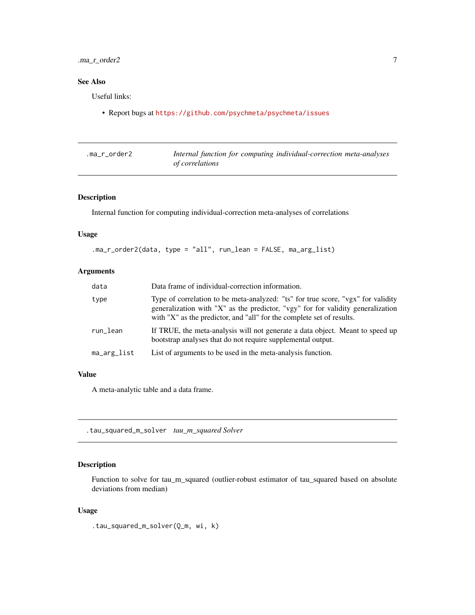# <span id="page-6-0"></span>.ma\_r\_order2 7

# See Also

Useful links:

• Report bugs at <https://github.com/psychmeta/psychmeta/issues>

| .ma_r_order2 |                        | Internal function for computing individual-correction meta-analyses |  |
|--------------|------------------------|---------------------------------------------------------------------|--|
|              | <i>of correlations</i> |                                                                     |  |

## Description

Internal function for computing individual-correction meta-analyses of correlations

## Usage

```
.ma_r_order2(data, type = "all", run_lean = FALSE, ma_arg_list)
```
## Arguments

| data        | Data frame of individual-correction information.                                                                                                                                                                                             |
|-------------|----------------------------------------------------------------------------------------------------------------------------------------------------------------------------------------------------------------------------------------------|
| type        | Type of correlation to be meta-analyzed: "ts" for true score, "vgx" for validity<br>generalization with "X" as the predictor, "vgy" for for validity generalization<br>with "X" as the predictor, and "all" for the complete set of results. |
| run_lean    | If TRUE, the meta-analysis will not generate a data object. Meant to speed up<br>bootstrap analyses that do not require supplemental output.                                                                                                 |
| ma_arg_list | List of arguments to be used in the meta-analysis function.                                                                                                                                                                                  |

## Value

A meta-analytic table and a data frame.

.tau\_squared\_m\_solver *tau\_m\_squared Solver*

## Description

Function to solve for tau\_m\_squared (outlier-robust estimator of tau\_squared based on absolute deviations from median)

## Usage

.tau\_squared\_m\_solver(Q\_m, wi, k)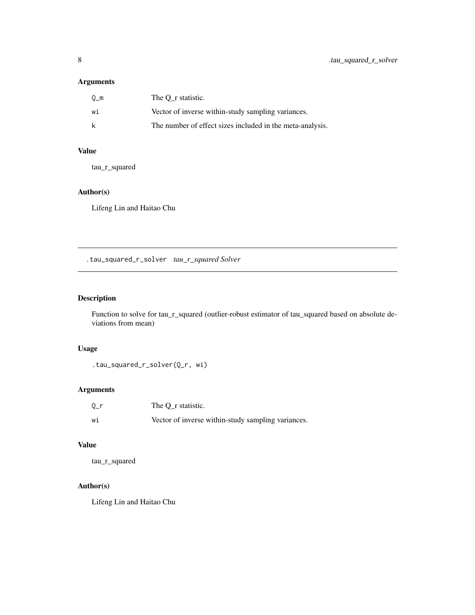# <span id="page-7-0"></span>Arguments

| Om  | The O r statistic.                                        |
|-----|-----------------------------------------------------------|
| wi  | Vector of inverse within-study sampling variances.        |
| – k | The number of effect sizes included in the meta-analysis. |

# Value

tau\_r\_squared

# Author(s)

Lifeng Lin and Haitao Chu

.tau\_squared\_r\_solver *tau\_r\_squared Solver*

## Description

Function to solve for tau\_r\_squared (outlier-robust estimator of tau\_squared based on absolute deviations from mean)

## Usage

.tau\_squared\_r\_solver(Q\_r, wi)

## Arguments

| $0_r$ | The O r statistic.                                 |
|-------|----------------------------------------------------|
| wi    | Vector of inverse within-study sampling variances. |

## Value

tau\_r\_squared

# Author(s)

Lifeng Lin and Haitao Chu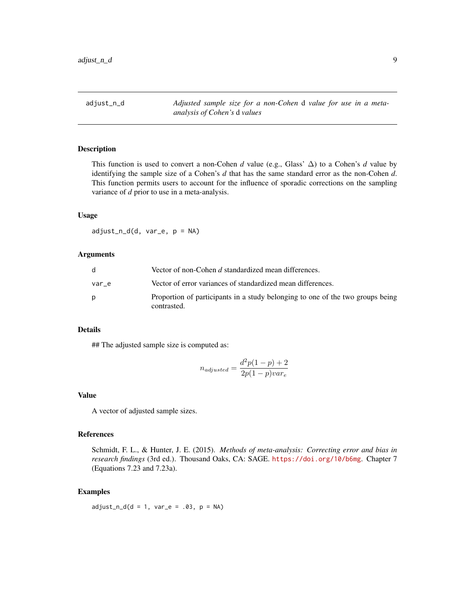<span id="page-8-0"></span>adjust\_n\_d *Adjusted sample size for a non-Cohen* d *value for use in a metaanalysis of Cohen's* d *values*

## Description

This function is used to convert a non-Cohen *d* value (e.g., Glass'  $\Delta$ ) to a Cohen's *d* value by identifying the sample size of a Cohen's *d* that has the same standard error as the non-Cohen *d*. This function permits users to account for the influence of sporadic corrections on the sampling variance of *d* prior to use in a meta-analysis.

## Usage

adjust\_n\_d(d, var\_e, p = NA)

## Arguments

|       | Vector of non-Cohen d standardized mean differences.                                          |
|-------|-----------------------------------------------------------------------------------------------|
| var e | Vector of error variances of standardized mean differences.                                   |
|       | Proportion of participants in a study belonging to one of the two groups being<br>contrasted. |

## Details

## The adjusted sample size is computed as:

$$
n_{adjusted} = \frac{d^2p(1-p)+2}{2p(1-p)var_e}
$$

## Value

A vector of adjusted sample sizes.

#### References

Schmidt, F. L., & Hunter, J. E. (2015). *Methods of meta-analysis: Correcting error and bias in research findings* (3rd ed.). Thousand Oaks, CA: SAGE. <https://doi.org/10/b6mg>. Chapter 7 (Equations 7.23 and 7.23a).

# Examples

 $adjust_n_d(d = 1, var_e = .03, p = NA)$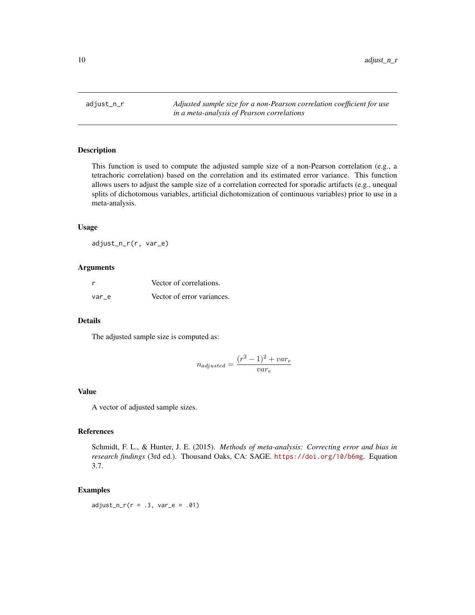<span id="page-9-0"></span>adjust\_n\_r *Adjusted sample size for a non-Pearson correlation coefficient for use in a meta-analysis of Pearson correlations*

## Description

This function is used to compute the adjusted sample size of a non-Pearson correlation (e.g., a tetrachoric correlation) based on the correlation and its estimated error variance. This function allows users to adjust the sample size of a correlation corrected for sporadic artifacts (e.g., unequal splits of dichotomous variables, artificial dichotomization of continuous variables) prior to use in a meta-analysis.

#### Usage

adjust\_n\_r(r, var\_e)

## Arguments

| r     | Vector of correlations.    |
|-------|----------------------------|
| var e | Vector of error variances. |

## Details

The adjusted sample size is computed as:

$$
n_{adjusted} = \frac{(r^2 - 1)^2 + var_e}{var_e}
$$

#### Value

A vector of adjusted sample sizes.

# References

Schmidt, F. L., & Hunter, J. E. (2015). *Methods of meta-analysis: Correcting error and bias in research findings* (3rd ed.). Thousand Oaks, CA: SAGE. <https://doi.org/10/b6mg>. Equation 3.7.

#### Examples

 $adjust_n_r(r = .3, var_e = .01)$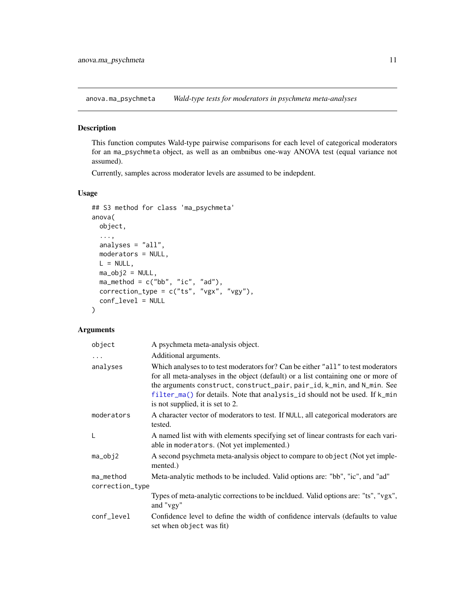<span id="page-10-0"></span>anova.ma\_psychmeta *Wald-type tests for moderators in psychmeta meta-analyses*

## Description

This function computes Wald-type pairwise comparisons for each level of categorical moderators for an ma\_psychmeta object, as well as an ombnibus one-way ANOVA test (equal variance not assumed).

Currently, samples across moderator levels are assumed to be indepdent.

## Usage

```
## S3 method for class 'ma_psychmeta'
anova(
 object,
  ...,
 analyses = "all",
 moderators = NULL,
 L = NULL,ma_obj2 = NULL,ma_method = c("bb", "ic", "ad"),
 correction_type = c("ts", "vgx", "vgy"),conf_level = NULL
)
```

| object          | A psychmeta meta-analysis object.                                                                                                                                                                                                                                                                                                                                   |
|-----------------|---------------------------------------------------------------------------------------------------------------------------------------------------------------------------------------------------------------------------------------------------------------------------------------------------------------------------------------------------------------------|
| $\ddots$        | Additional arguments.                                                                                                                                                                                                                                                                                                                                               |
| analyses        | Which analyses to to test moderators for? Can be either "all" to test moderators<br>for all meta-analyses in the object (default) or a list containing one or more of<br>the arguments construct, construct_pair, pair_id, k_min, and N_min. See<br>filter_ma() for details. Note that analysis_id should not be used. If k_min<br>is not supplied, it is set to 2. |
| moderators      | A character vector of moderators to test. If NULL, all categorical moderators are<br>tested.                                                                                                                                                                                                                                                                        |
| L               | A named list with with elements specifying set of linear contrasts for each vari-<br>able in moderators. (Not yet implemented.)                                                                                                                                                                                                                                     |
| $ma_obj2$       | A second psychmeta meta-analysis object to compare to object (Not yet imple-<br>mented.)                                                                                                                                                                                                                                                                            |
| ma_method       | Meta-analytic methods to be included. Valid options are: "bb", "ic", and "ad"                                                                                                                                                                                                                                                                                       |
| correction_type |                                                                                                                                                                                                                                                                                                                                                                     |
|                 | Types of meta-analytic corrections to be incldued. Valid options are: "ts", "vgx",<br>and "vgy"                                                                                                                                                                                                                                                                     |
| conf_level      | Confidence level to define the width of confidence intervals (defaults to value<br>set when object was fit)                                                                                                                                                                                                                                                         |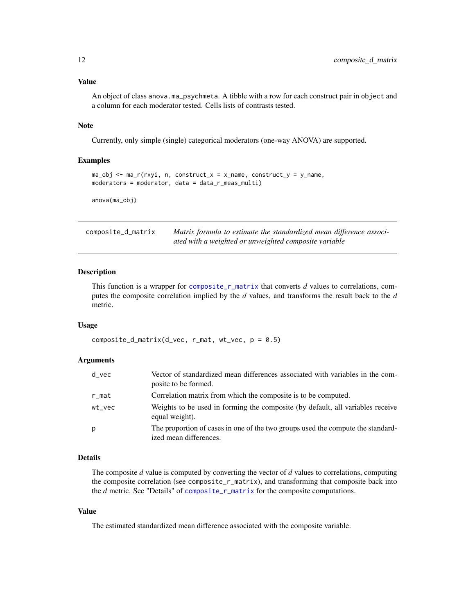## <span id="page-11-0"></span>Value

An object of class anova.ma\_psychmeta. A tibble with a row for each construct pair in object and a column for each moderator tested. Cells lists of contrasts tested.

#### Note

Currently, only simple (single) categorical moderators (one-way ANOVA) are supported.

## Examples

```
ma_obj \leq ma_r(rxyi, n, construct_x = x_name, construct_y = y_name,moderators = moderator, data = data_r_meas_multi)
```
anova(ma\_obj)

composite\_d\_matrix *Matrix formula to estimate the standardized mean difference associated with a weighted or unweighted composite variable*

## Description

This function is a wrapper for [composite\\_r\\_matrix](#page-15-1) that converts *d* values to correlations, computes the composite correlation implied by the *d* values, and transforms the result back to the *d* metric.

#### Usage

```
composite_d_matrix(d_vec, r_mat, wt_vec, p = 0.5)
```
## Arguments

| $d$ vec   | Vector of standardized mean differences associated with variables in the com-<br>posite to be formed.     |
|-----------|-----------------------------------------------------------------------------------------------------------|
| $r$ _mat  | Correlation matrix from which the composite is to be computed.                                            |
| $wt\_vec$ | Weights to be used in forming the composite (by default, all variables receive<br>equal weight).          |
| р         | The proportion of cases in one of the two groups used the compute the standard-<br>ized mean differences. |

## Details

The composite *d* value is computed by converting the vector of *d* values to correlations, computing the composite correlation (see composite\_r\_matrix), and transforming that composite back into the *d* metric. See "Details" of [composite\\_r\\_matrix](#page-15-1) for the composite computations.

#### Value

The estimated standardized mean difference associated with the composite variable.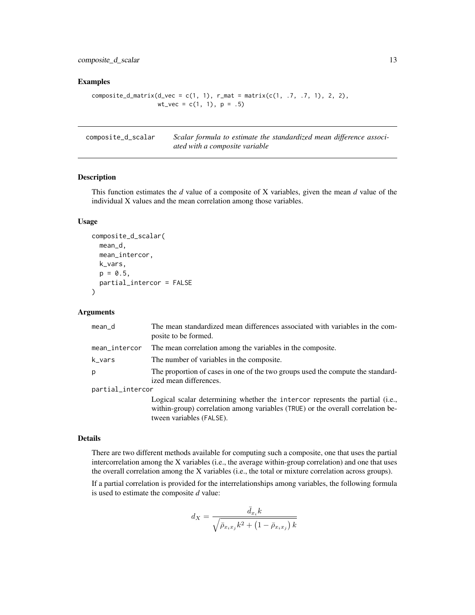<span id="page-12-0"></span>composite\_d\_scalar 13

## Examples

```
composite_d_matrix(d\_vec = c(1, 1), r_matrix = matrix(c(1, .7, .7, 1), 2, 2),wt\_vec = c(1, 1), p = .5)
```
composite\_d\_scalar *Scalar formula to estimate the standardized mean difference associated with a composite variable*

## Description

This function estimates the *d* value of a composite of X variables, given the mean *d* value of the individual X values and the mean correlation among those variables.

## Usage

```
composite_d_scalar(
  mean_d,
 mean_intercor,
 k_vars,
  p = 0.5,
  partial_intercor = FALSE
\lambda
```
## Arguments

| mean_d           | The mean standardized mean differences associated with variables in the com-<br>posite to be formed.                                                             |
|------------------|------------------------------------------------------------------------------------------------------------------------------------------------------------------|
| mean_intercor    | The mean correlation among the variables in the composite.                                                                                                       |
| k_vars           | The number of variables in the composite.                                                                                                                        |
| p                | The proportion of cases in one of the two groups used the compute the standard-<br>ized mean differences.                                                        |
| partial_intercor |                                                                                                                                                                  |
|                  | Logical scalar determining whether the intercor represents the partial (i.e.,<br>within-group) correlation among variables (TRUE) or the overall correlation be- |

within-group) correlation among variables (TRUE) or the overall correlation between variables (FALSE).

#### Details

There are two different methods available for computing such a composite, one that uses the partial intercorrelation among the X variables (i.e., the average within-group correlation) and one that uses the overall correlation among the X variables (i.e., the total or mixture correlation across groups).

If a partial correlation is provided for the interrelationships among variables, the following formula is used to estimate the composite *d* value:

$$
d_X=\frac{\bar d_{x_i}k}{\sqrt{\bar\rho_{x_ix_j}k^2+\left(1-\bar\rho_{x_ix_j}\right)k}}
$$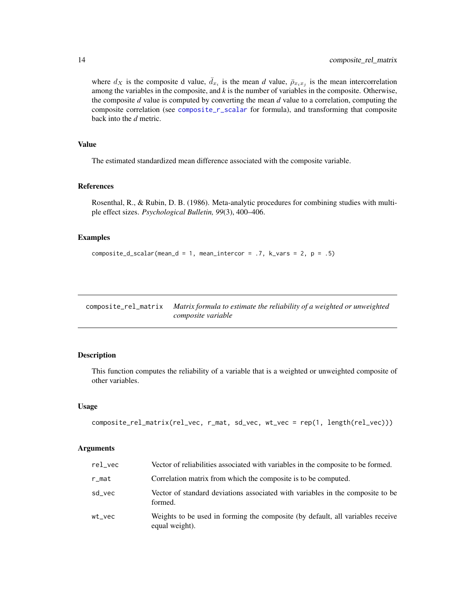<span id="page-13-0"></span>where  $d_X$  is the composite d value,  $\bar{d}_{x_i}$  is the mean *d* value,  $\bar{p}_{x_ix_j}$  is the mean intercorrelation among the variables in the composite, and *k* is the number of variables in the composite. Otherwise, the composite *d* value is computed by converting the mean *d* value to a correlation, computing the composite correlation (see [composite\\_r\\_scalar](#page-16-1) for formula), and transforming that composite back into the *d* metric.

## Value

The estimated standardized mean difference associated with the composite variable.

## References

Rosenthal, R., & Rubin, D. B. (1986). Meta-analytic procedures for combining studies with multiple effect sizes. *Psychological Bulletin, 99*(3), 400–406.

## Examples

```
composite_d_scalar(mean_d = 1, mean_intercor = .7, k_vars = 2, p = .5)
```
composite\_rel\_matrix *Matrix formula to estimate the reliability of a weighted or unweighted composite variable*

## Description

This function computes the reliability of a variable that is a weighted or unweighted composite of other variables.

## Usage

```
composite_rel_matrix(rel_vec, r_mat, sd_vec, wt_vec = rep(1, length(rel_vec)))
```

| rel_vec   | Vector of reliabilities associated with variables in the composite to be formed.                 |
|-----------|--------------------------------------------------------------------------------------------------|
| r_mat     | Correlation matrix from which the composite is to be computed.                                   |
| sd vec    | Vector of standard deviations associated with variables in the composite to be<br>formed.        |
| $wt\_vec$ | Weights to be used in forming the composite (by default, all variables receive<br>equal weight). |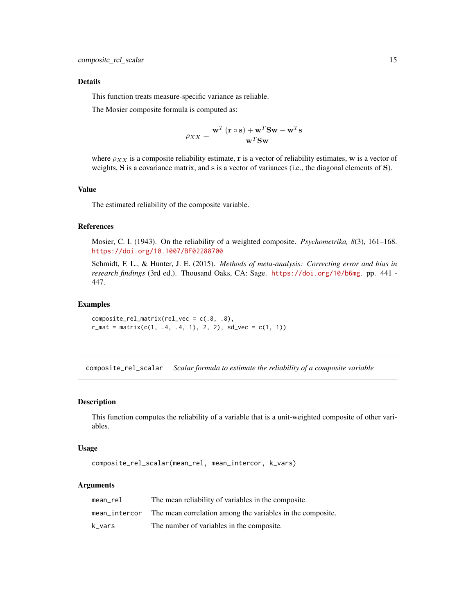## <span id="page-14-0"></span>Details

This function treats measure-specific variance as reliable.

The Mosier composite formula is computed as:

$$
\rho_{XX} = \frac{\mathbf{w}^T (\mathbf{r} \circ \mathbf{s}) + \mathbf{w}^T \mathbf{S} \mathbf{w} - \mathbf{w}^T \mathbf{s}}{\mathbf{w}^T \mathbf{S} \mathbf{w}}
$$

where  $\rho_{XX}$  is a composite reliability estimate, r is a vector of reliability estimates, w is a vector of weights, S is a covariance matrix, and s is a vector of variances (i.e., the diagonal elements of S).

## Value

The estimated reliability of the composite variable.

## References

Mosier, C. I. (1943). On the reliability of a weighted composite. *Psychometrika, 8*(3), 161–168. <https://doi.org/10.1007/BF02288700>

Schmidt, F. L., & Hunter, J. E. (2015). *Methods of meta-analysis: Correcting error and bias in research findings* (3rd ed.). Thousand Oaks, CA: Sage. <https://doi.org/10/b6mg>. pp. 441 - 447.

## Examples

composite\_rel\_matrix(rel\_vec = c(.8, .8),  $r_m$ at = matrix(c(1, .4, .4, 1), 2, 2), sd\_vec = c(1, 1))

composite\_rel\_scalar *Scalar formula to estimate the reliability of a composite variable*

## Description

This function computes the reliability of a variable that is a unit-weighted composite of other variables.

#### Usage

composite\_rel\_scalar(mean\_rel, mean\_intercor, k\_vars)

| mean rel      | The mean reliability of variables in the composite.        |
|---------------|------------------------------------------------------------|
| mean intercor | The mean correlation among the variables in the composite. |
| k vars        | The number of variables in the composite.                  |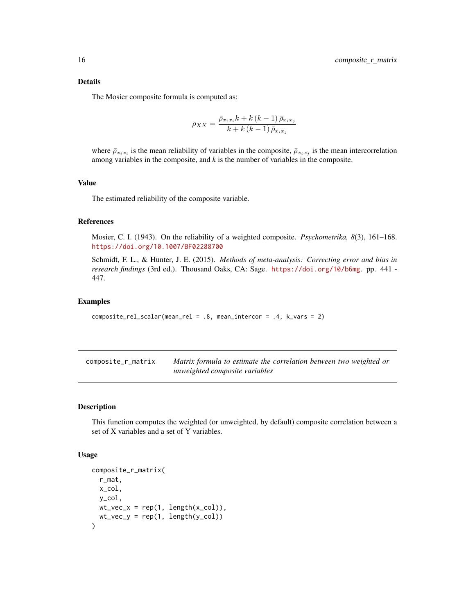## <span id="page-15-0"></span>Details

The Mosier composite formula is computed as:

$$
\rho_{XX} = \frac{\bar{\rho}_{x_ix_i}k + k(k-1)\,\bar{\rho}_{x_ix_j}}{k + k(k-1)\,\bar{\rho}_{x_ix_j}}
$$

where  $\bar{\rho}_{x_ix_i}$  is the mean reliability of variables in the composite,  $\bar{\rho}_{x_ix_j}$  is the mean intercorrelation among variables in the composite, and *k* is the number of variables in the composite.

## Value

The estimated reliability of the composite variable.

## References

Mosier, C. I. (1943). On the reliability of a weighted composite. *Psychometrika, 8*(3), 161–168. <https://doi.org/10.1007/BF02288700>

Schmidt, F. L., & Hunter, J. E. (2015). *Methods of meta-analysis: Correcting error and bias in research findings* (3rd ed.). Thousand Oaks, CA: Sage. <https://doi.org/10/b6mg>. pp. 441 - 447.

## Examples

```
composite_rel_scalar(mean_rel = .8, mean_intercor = .4, k_vars = 2)
```
<span id="page-15-1"></span>

| composite_r_matrix | Matrix formula to estimate the correlation between two weighted or |
|--------------------|--------------------------------------------------------------------|
|                    | unweighted composite variables                                     |

## Description

This function computes the weighted (or unweighted, by default) composite correlation between a set of X variables and a set of Y variables.

#### Usage

```
composite_r_matrix(
  r_mat,
 x_col,
 y_col,
 wt\_vec_x = rep(1, length(x_col)),wt\_vec_y = rep(1, length(y_col)))
```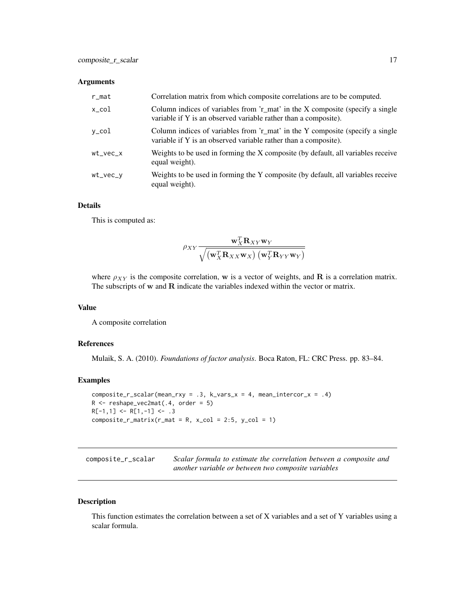## <span id="page-16-0"></span>Arguments

| $r$ _mat | Correlation matrix from which composite correlations are to be computed.                                                                         |
|----------|--------------------------------------------------------------------------------------------------------------------------------------------------|
| x_col    | Column indices of variables from 'r_mat' in the X composite (specify a single<br>variable if Y is an observed variable rather than a composite). |
| y_col    | Column indices of variables from 'r_mat' in the Y composite (specify a single<br>variable if Y is an observed variable rather than a composite). |
| wt_vec_x | Weights to be used in forming the X composite (by default, all variables receive<br>equal weight).                                               |
| wt_vec_v | Weights to be used in forming the Y composite (by default, all variables receive<br>equal weight).                                               |

## Details

This is computed as:

$$
\rho_{XY}\frac{\mathbf{w}_X^T\mathbf{R}_{XY}\mathbf{w}_Y}{\sqrt{\left(\mathbf{w}_X^T\mathbf{R}_{XX}\mathbf{w}_X\right)\left(\mathbf{w}_Y^T\mathbf{R}_{YY}\mathbf{w}_Y\right)}}
$$

where  $\rho_{XY}$  is the composite correlation, w is a vector of weights, and R is a correlation matrix. The subscripts of w and R indicate the variables indexed within the vector or matrix.

#### Value

A composite correlation

#### References

Mulaik, S. A. (2010). *Foundations of factor analysis*. Boca Raton, FL: CRC Press. pp. 83–84.

## Examples

```
composite_r_scalar(mean_rxy = .3, k_vars_x = 4, mean_intercor_x = .4)
R <- reshape_vec2mat(.4, order = 5)
R[-1,1] <- R[1,-1] <- .3
composite_r_matrix(r_matrix = R, x_col = 2:5, y_col = 1)
```
<span id="page-16-1"></span>

| composite_r_scalar | Scalar formula to estimate the correlation between a composite and |
|--------------------|--------------------------------------------------------------------|
|                    | another variable or between two composite variables                |

## Description

This function estimates the correlation between a set of X variables and a set of Y variables using a scalar formula.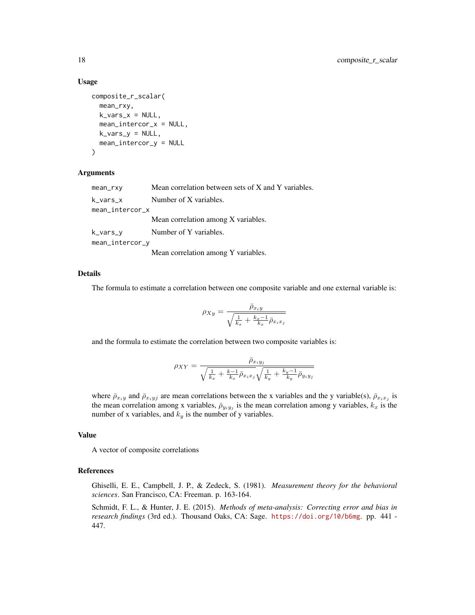## Usage

```
composite_r_scalar(
 mean_rxy,
 k_vars_x = NULL,mean_intercor_x = NULL,
 k_vars_y = NULL,mean_intercor_y = NULL
)
```
#### Arguments

| mean_rxy        | Mean correlation between sets of X and Y variables. |  |  |
|-----------------|-----------------------------------------------------|--|--|
| k_vars_x        | Number of X variables.                              |  |  |
| mean_intercor_x |                                                     |  |  |
|                 | Mean correlation among X variables.                 |  |  |
| k_vars_y        | Number of Y variables.                              |  |  |
| mean_intercor_y |                                                     |  |  |
|                 | Mean correlation among Y variables.                 |  |  |

## Details

The formula to estimate a correlation between one composite variable and one external variable is:

$$
\rho_{Xy} = \frac{\bar{\rho}_{x_iy}}{\sqrt{\frac{1}{k_x} + \frac{k_x - 1}{k_x} \bar{\rho}_{x_i x_j}}}
$$

and the formula to estimate the correlation between two composite variables is:

$$
\rho_{XY} = \frac{\bar{\rho}_{x_i y_j}}{\sqrt{\frac{1}{k_x} + \frac{k-1}{k_x} \bar{\rho}_{x_i x_j}} \sqrt{\frac{1}{k_y} + \frac{k_y - 1}{k_y} \bar{\rho}_{y_i y_j}}}
$$

where  $\bar{\rho}_{x_iy}$  and  $\bar{\rho}_{x_iy_j}$  are mean correlations between the x variables and the y variable(s),  $\bar{\rho}_{x_ix_j}$  is the mean correlation among x variables,  $\bar{\rho}_{y_i y_j}$  is the mean correlation among y variables,  $k_x$  is the number of x variables, and  $k_y$  is the number of y variables.

## Value

A vector of composite correlations

#### References

Ghiselli, E. E., Campbell, J. P., & Zedeck, S. (1981). *Measurement theory for the behavioral sciences*. San Francisco, CA: Freeman. p. 163-164.

Schmidt, F. L., & Hunter, J. E. (2015). *Methods of meta-analysis: Correcting error and bias in research findings* (3rd ed.). Thousand Oaks, CA: Sage. <https://doi.org/10/b6mg>. pp. 441 - 447.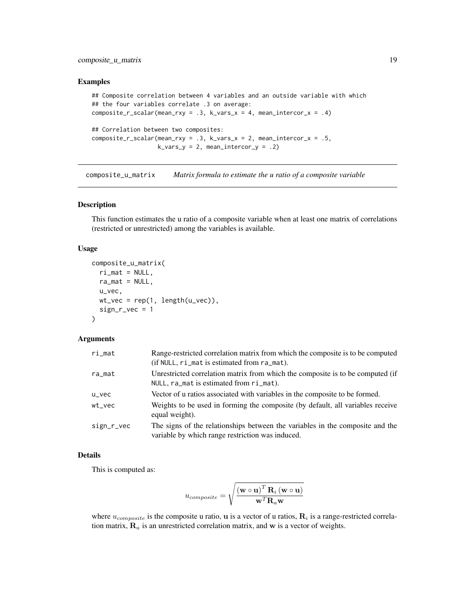## <span id="page-18-0"></span>composite\_u\_matrix 19

#### Examples

```
## Composite correlation between 4 variables and an outside variable with which
## the four variables correlate .3 on average:
composite_r_scalar(mean_rxy = .3, k_vars_x = 4, mean_intercor_x = .4)
## Correlation between two composites:
composition(mean_rxy = .3, k_vars_x = 2, mean_intercor_x = .5,k_vars_y = 2, mean_intercor_y = .2)
```
composite\_u\_matrix *Matrix formula to estimate the u ratio of a composite variable*

## Description

This function estimates the u ratio of a composite variable when at least one matrix of correlations (restricted or unrestricted) among the variables is available.

#### Usage

```
composite_u_matrix(
  ri\_mat = NULL,ra_mat = NULL,
 u_vec,
 wt\_vec = rep(1, length(u\_vec)),sign_r\_vec = 1\lambda
```
## Arguments

| ri_mat               | Range-restricted correlation matrix from which the composite is to be computed<br>$(i$ f NULL, $ri$ mat is estimated from $ra$ mat). |
|----------------------|--------------------------------------------------------------------------------------------------------------------------------------|
| ra_mat               | Unrestricted correlation matrix from which the composite is to be computed (if<br>NULL, ra_mat is estimated from ri_mat).            |
| $u$ <sub>_</sub> vec | Vector of u ratios associated with variables in the composite to be formed.                                                          |
| $wt\_vec$            | Weights to be used in forming the composite (by default, all variables receive<br>equal weight).                                     |
| sign_r_vec           | The signs of the relationships between the variables in the composite and the<br>variable by which range restriction was induced.    |

#### Details

This is computed as:

$$
u_{composite} = \sqrt {{{\left( {\mathbf{w} \circ \mathbf{u}} \right)}^T}\mathbf{R}_i \left( {\mathbf{w} \circ \mathbf{u}} \right)} \over {\mathbf{w}^T\mathbf{R}_a \mathbf{w}}}
$$

where  $u_{composite}$  is the composite u ratio, u is a vector of u ratios,  $\mathbf{R}_i$  is a range-restricted correlation matrix,  $\mathbf{R}_a$  is an unrestricted correlation matrix, and w is a vector of weights.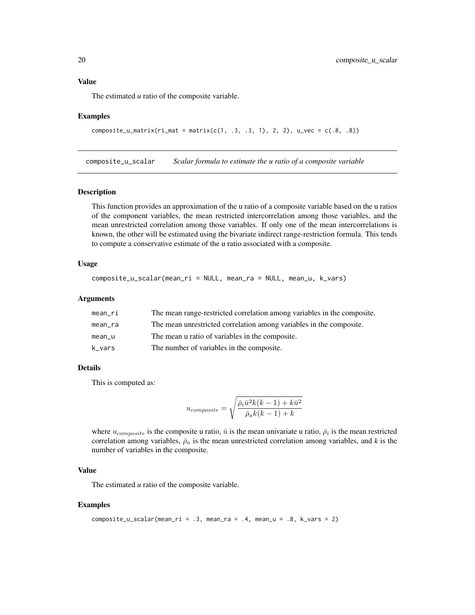## <span id="page-19-0"></span>Value

The estimated *u* ratio of the composite variable.

#### Examples

```
composite_u_matrix(ri_mat = matrix(c(1, .3, .3, 1), 2, 2), u_vec = c(.8, .8))
```
composite\_u\_scalar *Scalar formula to estimate the u ratio of a composite variable*

#### Description

This function provides an approximation of the u ratio of a composite variable based on the u ratios of the component variables, the mean restricted intercorrelation among those variables, and the mean unrestricted correlation among those variables. If only one of the mean intercorrelations is known, the other will be estimated using the bivariate indirect range-restriction formula. This tends to compute a conservative estimate of the u ratio associated with a composite.

#### Usage

```
composite_u_scalar(mean_ri = NULL, mean_ra = NULL, mean_u, k_vars)
```
## Arguments

| mean ri | The mean range-restricted correlation among variables in the composite. |
|---------|-------------------------------------------------------------------------|
| mean ra | The mean unrestricted correlation among variables in the composite.     |
| mean u  | The mean u ratio of variables in the composite.                         |
| k_vars  | The number of variables in the composite.                               |

## Details

This is computed as:

$$
u_{composite} = \sqrt{\frac{\bar{\rho}_i \bar{u}^2 k(k-1) + k \bar{u}^2}{\bar{\rho}_a k(k-1) + k}}
$$

where  $u_{composite}$  is the composite u ratio,  $\bar{u}$  is the mean univariate u ratio,  $\bar{\rho}_i$  is the mean restricted correlation among variables,  $\bar{\rho}_a$  is the mean unrestricted correlation among variables, and *k* is the number of variables in the composite.

## Value

The estimated *u* ratio of the composite variable.

#### Examples

```
composition\_u\_scalar(mean\_ri = .3, mean\_ra = .4, mean_u = .8, k\_vars = 2)
```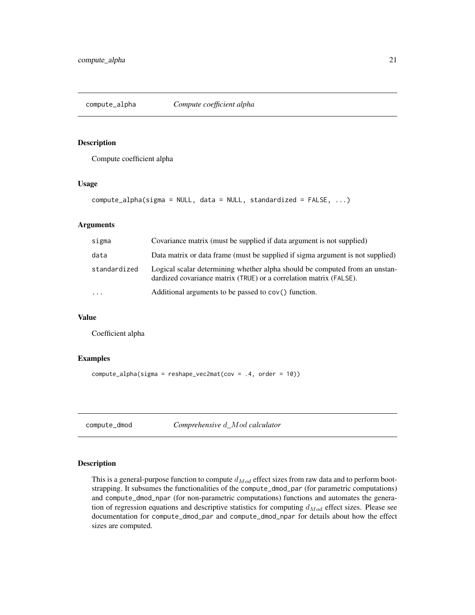<span id="page-20-0"></span>

Compute coefficient alpha

#### Usage

```
compute_alpha(sigma = NULL, data = NULL, standardized = FALSE, ...)
```
## Arguments

| sigma        | Covariance matrix (must be supplied if data argument is not supplied)                                                                             |
|--------------|---------------------------------------------------------------------------------------------------------------------------------------------------|
| data         | Data matrix or data frame (must be supplied if sigma argument is not supplied)                                                                    |
| standardized | Logical scalar determining whether alpha should be computed from an unstan-<br>dardized covariance matrix (TRUE) or a correlation matrix (FALSE). |
| $\cdots$     | Additional arguments to be passed to cov() function.                                                                                              |

## Value

Coefficient alpha

## Examples

```
compute_alpha(sigma = reshape_vec2mat(cov = .4, order = 10))
```
compute\_dmod *Comprehensive* d*\_*Mod *calculator*

## Description

This is a general-purpose function to compute  $d_{Mod}$  effect sizes from raw data and to perform bootstrapping. It subsumes the functionalities of the compute\_dmod\_par (for parametric computations) and compute\_dmod\_npar (for non-parametric computations) functions and automates the generation of regression equations and descriptive statistics for computing  $d_{Mod}$  effect sizes. Please see documentation for compute\_dmod\_par and compute\_dmod\_npar for details about how the effect sizes are computed.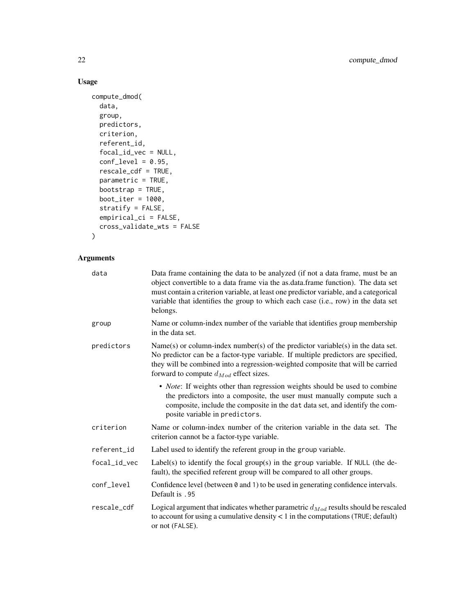# Usage

```
compute_dmod(
  data,
 group,
 predictors,
 criterion,
  referent_id,
  focal_id_vec = NULL,
  conf\_level = 0.95,
 rescale_cdf = TRUE,
 parametric = TRUE,
 bootstrap = TRUE,
 boot_iter = 1000,
  stratify = FALSE,
 empirical_ci = FALSE,
 cross_validate_wts = FALSE
\mathcal{L}
```

| data         | Data frame containing the data to be analyzed (if not a data frame, must be an<br>object convertible to a data frame via the as data frame function). The data set<br>must contain a criterion variable, at least one predictor variable, and a categorical<br>variable that identifies the group to which each case (i.e., row) in the data set<br>belongs. |
|--------------|--------------------------------------------------------------------------------------------------------------------------------------------------------------------------------------------------------------------------------------------------------------------------------------------------------------------------------------------------------------|
| group        | Name or column-index number of the variable that identifies group membership<br>in the data set.                                                                                                                                                                                                                                                             |
| predictors   | Name(s) or column-index number(s) of the predictor variable(s) in the data set.<br>No predictor can be a factor-type variable. If multiple predictors are specified,<br>they will be combined into a regression-weighted composite that will be carried<br>forward to compute $d_{Mod}$ effect sizes.                                                        |
|              | • Note: If weights other than regression weights should be used to combine<br>the predictors into a composite, the user must manually compute such a<br>composite, include the composite in the dat data set, and identify the com-<br>posite variable in predictors.                                                                                        |
| criterion    | Name or column-index number of the criterion variable in the data set. The<br>criterion cannot be a factor-type variable.                                                                                                                                                                                                                                    |
| referent_id  | Label used to identify the referent group in the group variable.                                                                                                                                                                                                                                                                                             |
| focal_id_vec | Label(s) to identify the focal group(s) in the group variable. If NULL (the de-<br>fault), the specified referent group will be compared to all other groups.                                                                                                                                                                                                |
| conf_level   | Confidence level (between $\theta$ and 1) to be used in generating confidence intervals.<br>Default is .95                                                                                                                                                                                                                                                   |
| rescale_cdf  | Logical argument that indicates whether parametric $d_{Mod}$ results should be rescaled<br>to account for using a cumulative density $< 1$ in the computations (TRUE; default)<br>or not (FALSE).                                                                                                                                                            |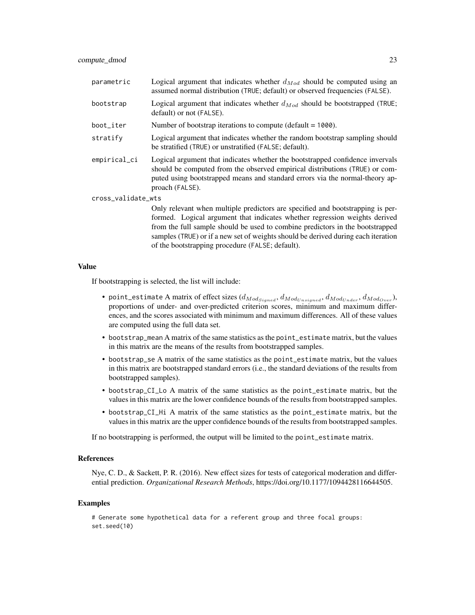| parametric         | Logical argument that indicates whether $d_{Mod}$ should be computed using an<br>assumed normal distribution (TRUE; default) or observed frequencies (FALSE).                                                                                                                                                                      |
|--------------------|------------------------------------------------------------------------------------------------------------------------------------------------------------------------------------------------------------------------------------------------------------------------------------------------------------------------------------|
| bootstrap          | Logical argument that indicates whether $d_{Mod}$ should be bootstrapped (TRUE;<br>default) or not (FALSE).                                                                                                                                                                                                                        |
| boot_iter          | Number of bootstrap iterations to compute (default $= 1000$ ).                                                                                                                                                                                                                                                                     |
| stratify           | Logical argument that indicates whether the random bootstrap sampling should<br>be stratified (TRUE) or unstratified (FALSE; default).                                                                                                                                                                                             |
| empirical_ci       | Logical argument that indicates whether the bootstrapped confidence invervals<br>should be computed from the observed empirical distributions (TRUE) or com-<br>puted using bootstrapped means and standard errors via the normal-theory ap-<br>proach (FALSE).                                                                    |
| cross_validate_wts |                                                                                                                                                                                                                                                                                                                                    |
|                    | Only relevant when multiple predictors are specified and bootstrapping is per-<br>formed. Logical argument that indicates whether regression weights derived<br>from the full sample should be used to combine predictors in the bootstrapped<br>samples (TRUE) or if a new set of weights should be derived during each iteration |

of the bootstrapping procedure (FALSE; default).

#### Value

If bootstrapping is selected, the list will include:

- point\_estimate A matrix of effect sizes  $(d_{Mod_{Signed}}, d_{Mod_{Unsigned}}, d_{Mod_{Under}}, d_{Mod_{Over}})$ , proportions of under- and over-predicted criterion scores, minimum and maximum differences, and the scores associated with minimum and maximum differences. All of these values are computed using the full data set.
- bootstrap\_mean A matrix of the same statistics as the point\_estimate matrix, but the values in this matrix are the means of the results from bootstrapped samples.
- bootstrap\_se A matrix of the same statistics as the point\_estimate matrix, but the values in this matrix are bootstrapped standard errors (i.e., the standard deviations of the results from bootstrapped samples).
- bootstrap\_CI\_Lo A matrix of the same statistics as the point\_estimate matrix, but the values in this matrix are the lower confidence bounds of the results from bootstrapped samples.
- bootstrap\_CI\_Hi A matrix of the same statistics as the point\_estimate matrix, but the values in this matrix are the upper confidence bounds of the results from bootstrapped samples.

If no bootstrapping is performed, the output will be limited to the point\_estimate matrix.

## References

Nye, C. D., & Sackett, P. R. (2016). New effect sizes for tests of categorical moderation and differential prediction. *Organizational Research Methods*, https://doi.org/10.1177/1094428116644505.

#### Examples

# Generate some hypothetical data for a referent group and three focal groups: set.seed(10)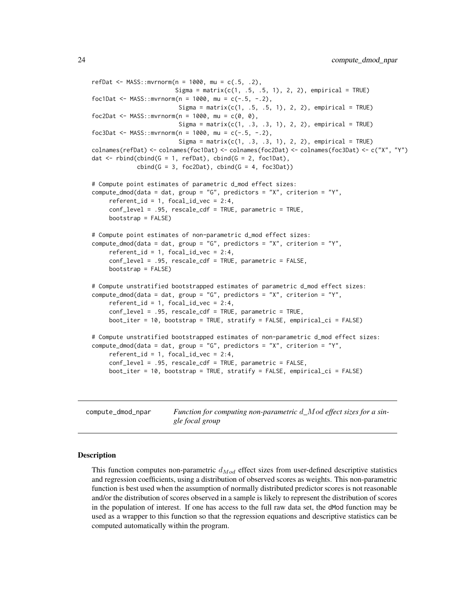```
refDat <- MASS::mvrnorm(n = 1000, \text{mu} = c(.5, .2),Sigma = matrix(c(1, .5, .5, 1), 2, 2), empirical = TRUE)
foc1Dat <- MASS::mvrnorm(n = 1000, mu = c(-.5, -.2),
                        Sigma = matrix(c(1, .5, .5, 1), 2, 2), empirical = TRUE)
foc2Dat <- MASS::mvrnorm(n = 1000, mu = c(0, 0),
                         Sigma = matrix(c(1, .3, .3, 1), 2, 2), empirical = TRUE)
foc3Dat <- MASS::mvrnorm(n = 1000, mu = c(-.5, -.2),
                         Sigma = matrix(c(1, .3, .3, 1), 2, 2), empirical = TRUE)
colnames(refDat) <- colnames(foc1Dat) <- colnames(foc2Dat) <- colnames(foc3Dat) <- c("X", "Y")
dat \le rbind(cbind(G = 1, refDat), cbind(G = 2, foc1Dat),
            cbind(G = 3, foc2 Dat), cbind(G = 4, foc3 Dat))# Compute point estimates of parametric d_mod effect sizes:
compute_dmod(data = dat, group = "G", predictors = "X", criterion = "Y",
    referent_id = 1, focal_id\_vec = 2:4,
    conf_level = .95, rescale_cdf = TRUE, parametric = TRUE,
    bootstrap = FALSE)
# Compute point estimates of non-parametric d_mod effect sizes:
compute_dmod(data = dat, group = "G", predictors = "X", criterion = "Y",
     referent_id = 1, focal_id\_vec = 2:4,
    conf_level = .95, rescale_cdf = TRUE, parametric = FALSE,
    bootstrap = FALSE)
# Compute unstratified bootstrapped estimates of parametric d_mod effect sizes:
compute_dmod(data = dat, group = "G", predictors = "X", criterion = "Y",
     referent_id = 1, focal_id\_vec = 2:4,
     conf_level = .95, rescale_cdf = TRUE, parametric = TRUE,
    boot_iter = 10, bootstrap = TRUE, stratify = FALSE, empirical_ci = FALSE)
# Compute unstratified bootstrapped estimates of non-parametric d_mod effect sizes:
compute_dmod(data = dat, group = "G", predictors = "X", criterion = "Y",
    referent_id = 1, focal_id\_vec = 2:4,
     conf_level = .95, rescale_cdf = TRUE, parametric = FALSE,
    boot_iter = 10, bootstrap = TRUE, stratify = FALSE, empirical_ci = FALSE)
```
compute\_dmod\_npar *Function for computing non-parametric* d*\_*Mod *effect sizes for a single focal group*

## **Description**

This function computes non-parametric  $d_{Mod}$  effect sizes from user-defined descriptive statistics and regression coefficients, using a distribution of observed scores as weights. This non-parametric function is best used when the assumption of normally distributed predictor scores is not reasonable and/or the distribution of scores observed in a sample is likely to represent the distribution of scores in the population of interest. If one has access to the full raw data set, the dMod function may be used as a wrapper to this function so that the regression equations and descriptive statistics can be computed automatically within the program.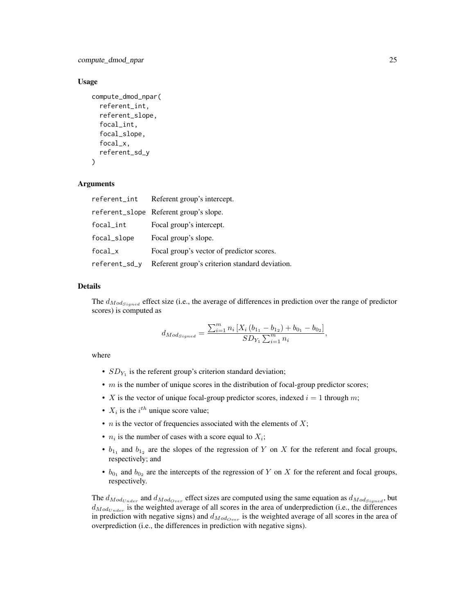compute\_dmod\_npar 25

#### Usage

```
compute_dmod_npar(
  referent_int,
  referent_slope,
  focal_int,
  focal_slope,
  focal_x,
  referent_sd_y
\lambda
```
## Arguments

| referent_int  | Referent group's intercept.                    |
|---------------|------------------------------------------------|
|               | referent_slope Referent group's slope.         |
| focal_int     | Focal group's intercept.                       |
| focal_slope   | Focal group's slope.                           |
| $focal_x$     | Focal group's vector of predictor scores.      |
| referent_sd_y | Referent group's criterion standard deviation. |

# Details

The  $d_{ModS_{signed}}$  effect size (i.e., the average of differences in prediction over the range of predictor scores) is computed as

$$
d_{Mod_{Signed}} = \frac{\sum_{i=1}^{m} n_i \left[ X_i \left( b_{11} - b_{12} \right) + b_{01} - b_{02} \right]}{SD_{Y_1} \sum_{i=1}^{m} n_i},
$$

where

- $SD_{Y_1}$  is the referent group's criterion standard deviation;
- $\bullet$  m is the number of unique scores in the distribution of focal-group predictor scores;
- X is the vector of unique focal-group predictor scores, indexed  $i = 1$  through m;
- $X_i$  is the  $i^{th}$  unique score value;
- *n* is the vector of frequencies associated with the elements of  $X$ ;
- $n_i$  is the number of cases with a score equal to  $X_i$ ;
- $b_{1_1}$  and  $b_{1_2}$  are the slopes of the regression of Y on X for the referent and focal groups, respectively; and
- $b_{0_1}$  and  $b_{0_2}$  are the intercepts of the regression of Y on X for the referent and focal groups, respectively.

The  $d_{ModUnder}$  and  $d_{ModOver}$  effect sizes are computed using the same equation as  $d_{ModSingle}$ , but  $d_{Mod_{Under}}$  is the weighted average of all scores in the area of underprediction (i.e., the differences in prediction with negative signs) and  $d_{Mod_{Over}}$  is the weighted average of all scores in the area of overprediction (i.e., the differences in prediction with negative signs).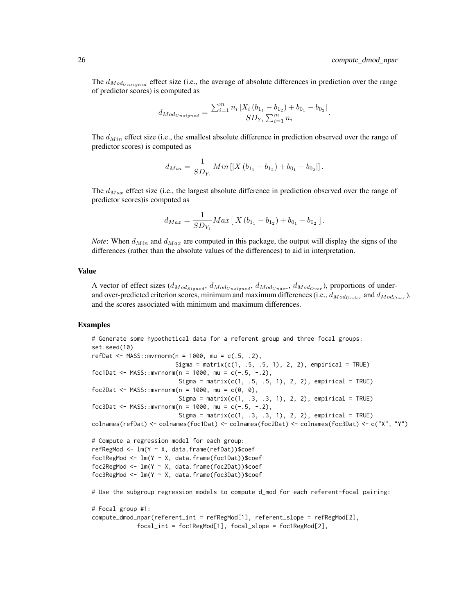The  $d_{Mod_{Unsigned}}$  effect size (i.e., the average of absolute differences in prediction over the range of predictor scores) is computed as

$$
d_{Mod_{Unsigned}} = \frac{\sum_{i=1}^{m} n_i |X_i (b_{1_1} - b_{1_2}) + b_{0_1} - b_{0_2}|}{SD_{Y_1} \sum_{i=1}^{m} n_i}.
$$

The  $d_{Min}$  effect size (i.e., the smallest absolute difference in prediction observed over the range of predictor scores) is computed as

$$
d_{Min} = \frac{1}{SD_{Y_1}} Min\left[|X(b_{1_1} - b_{1_2}) + b_{0_1} - b_{0_2}|\right].
$$

The  $d_{Max}$  effect size (i.e., the largest absolute difference in prediction observed over the range of predictor scores)is computed as

$$
d_{Max} = \frac{1}{SD_{Y_1}} Max \left[ |X (b_{1_1} - b_{1_2}) + b_{0_1} - b_{0_2}| \right].
$$

*Note*: When  $d_{Min}$  and  $d_{Max}$  are computed in this package, the output will display the signs of the differences (rather than the absolute values of the differences) to aid in interpretation.

## Value

A vector of effect sizes  $(d_{ModSignal}, d_{Modএ_{Unsigned}}, d_{Mod_{Under}}, d_{Mod_{Over}})$ , proportions of underand over-predicted criterion scores, minimum and maximum differences (i.e.,  $d_{Mod}_{{Under}}$  and  $d_{Mod}_{{Over}}$ ), and the scores associated with minimum and maximum differences.

## Examples

```
# Generate some hypothetical data for a referent group and three focal groups:
set.seed(10)
refDat <- MASS::mvrnorm(n = 1000, \text{mu} = c(.5, .2),Sigma = matrix(c(1, .5, .5, 1), 2, 2), empirical = TRUE)
foc1Dat <- MASS::mvrnorm(n = 1000, mu = c(-.5, -.2),
                         Sigma = matrix(c(1, .5, .5, 1), 2, 2), empirical = TRUE)
foc2Dat <- MASS::mvrnorm(n = 1000, mu = c(0, 0),
                         Sigma = matrix(c(1, .3, .3, 1), 2, 2), empirical = TRUE)
foc3Dat <- MASS::mvrnorm(n = 1000, mu = c(-.5, -.2),
                         Sigma = matrix(c(1, .3, .3, 1), 2, 2), empirical = TRUE)
colnames(refDat) <- colnames(foc1Dat) <- colnames(foc2Dat) <- colnames(foc3Dat) <- c("X", "Y")
# Compute a regression model for each group:
refRegMod <- lm(Y ~ X, data.frame(refDat))$coef
foc1RegMod <- lm(Y ~ X, data.frame(foc1Dat))$coef
foc2RegMod <- lm(Y ~ X, data.frame(foc2Dat))$coef
foc3RegMod <- lm(Y ~ X, data.frame(foc3Dat))$coef
# Use the subgroup regression models to compute d_mod for each referent-focal pairing:
# Focal group #1:
compute_dmod_npar(referent_int = refRegMod[1], referent_slope = refRegMod[2],
```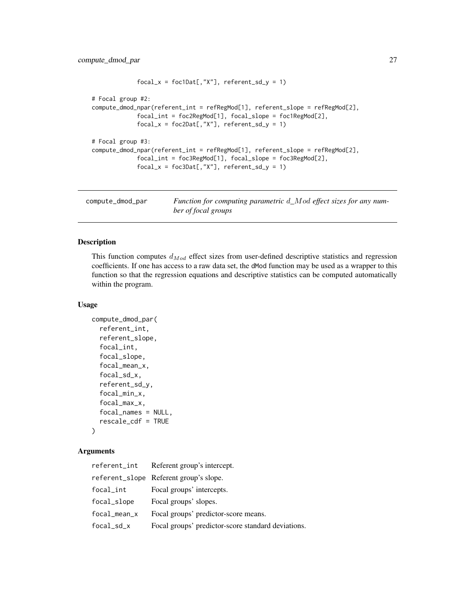```
focal_x = foc1Dat[, "X"], referent_sd_y = 1)
# Focal group #2:
compute_dmod_npar(referent_int = refRegMod[1], referent_slope = refRegMod[2],
             focal_int = foc2RegMod[1], focal_slope = foc1RegMod[2],
             focal_x = foc2Dat[, "X"], referent_sd_y = 1)
# Focal group #3:
compute_dmod_npar(referent_int = refRegMod[1], referent_slope = refRegMod[2],
             focal_int = foc3RegMod[1], focal_slope = foc3RegMod[2],
             focal_x = foc3Dat[, "X"], referent_sd_y = 1)
```
compute\_dmod\_par *Function for computing parametric* d*\_*Mod *effect sizes for any number of focal groups*

## Description

This function computes  $d_{Mod}$  effect sizes from user-defined descriptive statistics and regression coefficients. If one has access to a raw data set, the dMod function may be used as a wrapper to this function so that the regression equations and descriptive statistics can be computed automatically within the program.

#### Usage

```
compute_dmod_par(
  referent_int,
  referent_slope,
  focal_int,
  focal_slope,
  focal_mean_x,
  focal_sd_x,
  referent_sd_y,
  focal_min_x,
  focal_max_x,
  focal_names = NULL,
  rescale_cdf = TRUE
)
```

| referent_int | Referent group's intercept.                        |
|--------------|----------------------------------------------------|
|              | referent_slope Referent group's slope.             |
| focal_int    | Focal groups' intercepts.                          |
| focal_slope  | Focal groups' slopes.                              |
| focal_mean_x | Focal groups' predictor-score means.               |
| focal_sd_x   | Focal groups' predictor-score standard deviations. |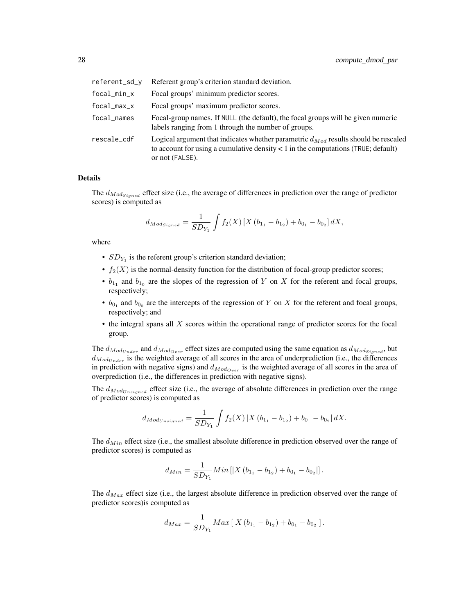| referent_sd_v | Referent group's criterion standard deviation.                                                                                                                                                      |
|---------------|-----------------------------------------------------------------------------------------------------------------------------------------------------------------------------------------------------|
| focal_min_x   | Focal groups' minimum predictor scores.                                                                                                                                                             |
| focal_max_x   | Focal groups' maximum predictor scores.                                                                                                                                                             |
| focal_names   | Focal-group names. If NULL (the default), the focal groups will be given numeric<br>labels ranging from 1 through the number of groups.                                                             |
| rescale_cdf   | Logical argument that indicates whether parametric $d_{Mod}$ results should be rescaled<br>to account for using a cumulative density $\lt 1$ in the computations (TRUE; default)<br>or not (FALSE). |

#### Details

The  $d_{Mod_{Signed}}$  effect size (i.e., the average of differences in prediction over the range of predictor scores) is computed as

$$
d_{Mod_{Signed}} = \frac{1}{SD_{Y_1}} \int f_2(X) \left[ X (b_{1_1} - b_{1_2}) + b_{0_1} - b_{0_2} \right] dX,
$$

where

- $SD_{Y_1}$  is the referent group's criterion standard deviation;
- $f_2(X)$  is the normal-density function for the distribution of focal-group predictor scores;
- $b_{1_1}$  and  $b_{1_0}$  are the slopes of the regression of Y on X for the referent and focal groups, respectively;
- $b_{0_1}$  and  $b_{0_0}$  are the intercepts of the regression of Y on X for the referent and focal groups, respectively; and
- the integral spans all X scores within the operational range of predictor scores for the focal group.

The  $d_{Mod_{Under}}$  and  $d_{Mod_{Over}}$  effect sizes are computed using the same equation as  $d_{Mod_{Single}}$ , but  $d_{Mod}_{Under}$  is the weighted average of all scores in the area of underprediction (i.e., the differences in prediction with negative signs) and  $d_{Mod_{Over}}$  is the weighted average of all scores in the area of overprediction (i.e., the differences in prediction with negative signs).

The  $d_{ModUnsigned}$  effect size (i.e., the average of absolute differences in prediction over the range of predictor scores) is computed as

$$
d_{Mod_{Unsigned}} = \frac{1}{SD_{Y_1}} \int f_2(X) \left| X(b_{1_1} - b_{1_2}) + b_{0_1} - b_{0_2} \right| dX.
$$

The  $d_{Min}$  effect size (i.e., the smallest absolute difference in prediction observed over the range of predictor scores) is computed as

$$
d_{Min} = \frac{1}{SD_{Y_1}} Min\left[|X(b_{1_1} - b_{1_2}) + b_{0_1} - b_{0_2}|\right].
$$

The  $d_{Max}$  effect size (i.e., the largest absolute difference in prediction observed over the range of predictor scores)is computed as

$$
d_{Max} = \frac{1}{SD_{Y_1}} Max \left[ |X (b_{1_1} - b_{1_2}) + b_{0_1} - b_{0_2}| \right].
$$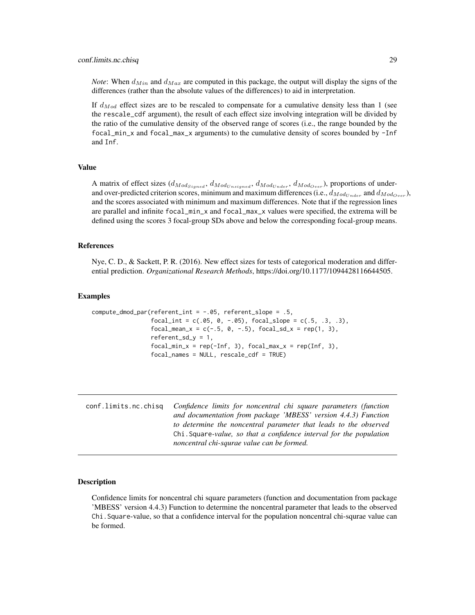<span id="page-28-0"></span>*Note*: When  $d_{Min}$  and  $d_{Max}$  are computed in this package, the output will display the signs of the differences (rather than the absolute values of the differences) to aid in interpretation.

If  $d_{Mod}$  effect sizes are to be rescaled to compensate for a cumulative density less than 1 (see the rescale\_cdf argument), the result of each effect size involving integration will be divided by the ratio of the cumulative density of the observed range of scores (i.e., the range bounded by the focal\_min\_x and focal\_max\_x arguments) to the cumulative density of scores bounded by -Inf and Inf.

## Value

A matrix of effect sizes  $(d_{Mod_{Signed}}, d_{Mod_{Unsigned}}, d_{Mod_{Under}}, d_{Mod_{Over}})$ , proportions of underand over-predicted criterion scores, minimum and maximum differences (i.e.,  $d_{Mod_{Under}}$  and  $d_{Mod_{Over}}$ ), and the scores associated with minimum and maximum differences. Note that if the regression lines are parallel and infinite focal\_min\_x and focal\_max\_x values were specified, the extrema will be defined using the scores 3 focal-group SDs above and below the corresponding focal-group means.

#### References

Nye, C. D., & Sackett, P. R. (2016). New effect sizes for tests of categorical moderation and differential prediction. *Organizational Research Methods*, https://doi.org/10.1177/1094428116644505.

#### Examples

```
compute_dmod_par(referent_int = -.05, referent_slope = .5,
                 focal(int = c(.05, 0, -.05), focal_slope = c(.5, .3, .3),focal_mean_x = c(-.5, 0, -.5), focal_sdx = rep(1, 3),referent_s d_y = 1,
                 focal\_min_x = rep(-Inf, 3), focal\_max_x = rep(Inf, 3),focal_names = NULL, rescale_cdf = TRUE)
```
conf.limits.nc.chisq *Confidence limits for noncentral chi square parameters (function and documentation from package 'MBESS' version 4.4.3) Function to determine the noncentral parameter that leads to the observed* Chi.Square*-value, so that a confidence interval for the population noncentral chi-squrae value can be formed.*

## Description

Confidence limits for noncentral chi square parameters (function and documentation from package 'MBESS' version 4.4.3) Function to determine the noncentral parameter that leads to the observed Chi.Square-value, so that a confidence interval for the population noncentral chi-squrae value can be formed.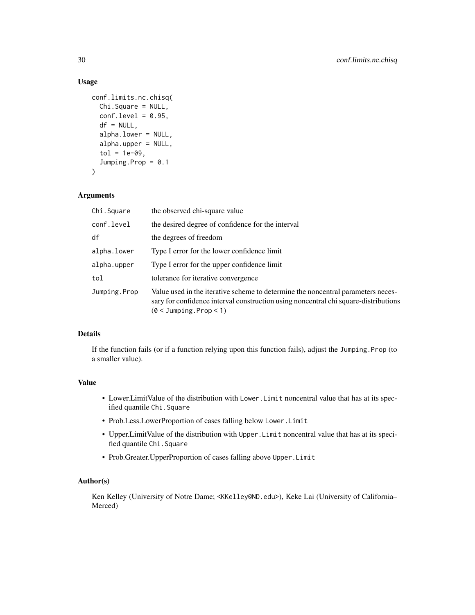## Usage

```
conf.limits.nc.chisq(
  Chi.Square = NULL,
  conf. level = 0.95,df = NULL,alpha.lower = NULL,
  alpha.upper = NULL,
  tol = 1e-09,Jumping.Prop = 0.1
\mathcal{L}
```
## Arguments

| Chi.Square   | the observed chi-square value                                                                                                                                                                           |  |  |
|--------------|---------------------------------------------------------------------------------------------------------------------------------------------------------------------------------------------------------|--|--|
| conf.level   | the desired degree of confidence for the interval                                                                                                                                                       |  |  |
| df           | the degrees of freedom                                                                                                                                                                                  |  |  |
| alpha.lower  | Type I error for the lower confidence limit                                                                                                                                                             |  |  |
| alpha.upper  | Type I error for the upper confidence limit                                                                                                                                                             |  |  |
| tol          | tolerance for iterative convergence                                                                                                                                                                     |  |  |
| Jumping.Prop | Value used in the iterative scheme to determine the noncentral parameters neces-<br>sary for confidence interval construction using noncentral chi square-distributions<br>$(0 < J$ umping.Prop $< 1$ ) |  |  |

## Details

If the function fails (or if a function relying upon this function fails), adjust the Jumping.Prop (to a smaller value).

## Value

- Lower.LimitValue of the distribution with Lower.Limit noncentral value that has at its specified quantile Chi.Square
- Prob.Less.LowerProportion of cases falling below Lower.Limit
- Upper.LimitValue of the distribution with Upper.Limit noncentral value that has at its specified quantile Chi.Square
- Prob.Greater.UpperProportion of cases falling above Upper.Limit

## Author(s)

Ken Kelley (University of Notre Dame; <KKelley@ND.edu>), Keke Lai (University of California– Merced)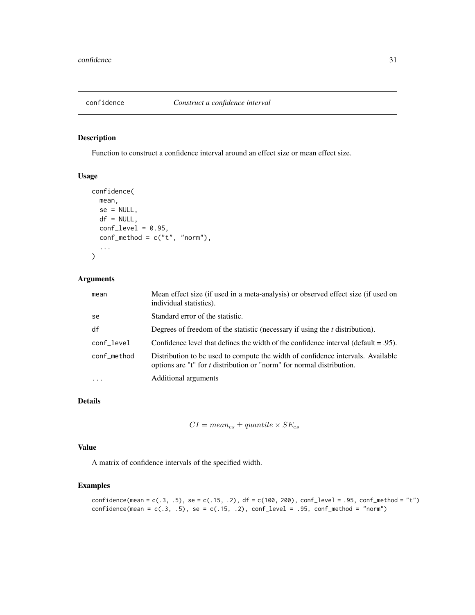<span id="page-30-0"></span>

Function to construct a confidence interval around an effect size or mean effect size.

## Usage

```
confidence(
  mean,
  se = NULL,df = NULL,
  conf\_level = 0.95,
  conf\_method = c("t", "norm"),...
\mathcal{L}
```
## Arguments

| mean        | Mean effect size (if used in a meta-analysis) or observed effect size (if used on<br>individual statistics).                                                    |
|-------------|-----------------------------------------------------------------------------------------------------------------------------------------------------------------|
| se          | Standard error of the statistic.                                                                                                                                |
| df          | Degrees of freedom of the statistic (necessary if using the $t$ distribution).                                                                                  |
| conf_level  | Confidence level that defines the width of the confidence interval (default $= .95$ ).                                                                          |
| conf_method | Distribution to be used to compute the width of confidence intervals. Available<br>options are "t" for <i>t</i> distribution or "norm" for normal distribution. |
| $\ddotsc$   | Additional arguments                                                                                                                                            |

# Details

```
CI = mean_{es} \pm quantile \times SE_{es}
```
## Value

A matrix of confidence intervals of the specified width.

## Examples

```
confidence(mean = c(.3, .5), se = c(.15, .2), df = c(100, 200), conf\_level = .95, conf\_method = "t")confidence(mean = c(.3, .5), se = c(.15, .2), conf\_level = .95, conf\_method = "norm")
```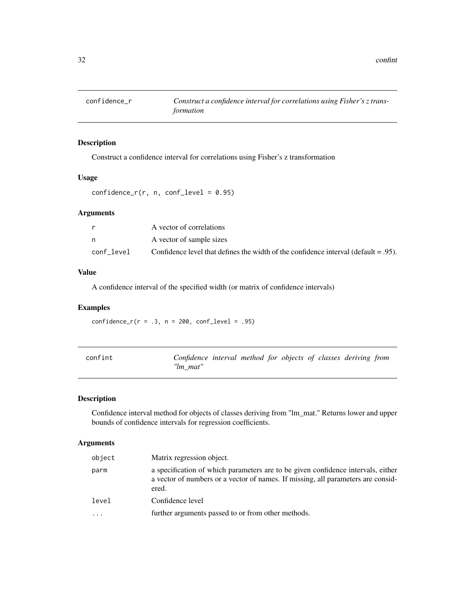<span id="page-31-0"></span>

Construct a confidence interval for correlations using Fisher's z transformation

## Usage

```
confidence_r(r, n, conf\_level = 0.95)
```
## Arguments

|            | A vector of correlations                                                               |
|------------|----------------------------------------------------------------------------------------|
|            | A vector of sample sizes                                                               |
| conf level | Confidence level that defines the width of the confidence interval (default $= .95$ ). |

#### Value

A confidence interval of the specified width (or matrix of confidence intervals)

## Examples

 $confidence_r(r = .3, n = 200, conf\_level = .95)$ 

| confint | Confidence interval method for objects of classes deriving from |  |  |  |  |
|---------|-----------------------------------------------------------------|--|--|--|--|
|         | "lm mat"                                                        |  |  |  |  |

# Description

Confidence interval method for objects of classes deriving from "lm\_mat." Returns lower and upper bounds of confidence intervals for regression coefficients.

| object | Matrix regression object.                                                                                                                                                     |
|--------|-------------------------------------------------------------------------------------------------------------------------------------------------------------------------------|
| parm   | a specification of which parameters are to be given confidence intervals, either<br>a vector of numbers or a vector of names. If missing, all parameters are consid-<br>ered. |
| level  | Confidence level                                                                                                                                                              |
|        | further arguments passed to or from other methods.                                                                                                                            |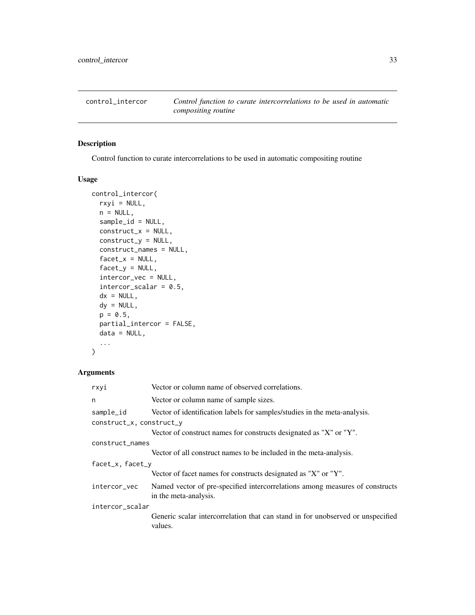<span id="page-32-0"></span>

Control function to curate intercorrelations to be used in automatic compositing routine

# Usage

```
control_intercor(
  rxyi = NULL,n = NULL,sample_id = NULL,
 construct_x = NULL,construct_y = NULL,
  construct_names = NULL,
  factor_x = NULL,factor_y = NULL,intercor_vec = NULL,
  intercor\_scalar = 0.5,
  dx = NULL,dy = NULL,p = 0.5,
 partial_intercor = FALSE,
 data = NULL,...
\mathcal{L}
```

| rxyi                     | Vector or column name of observed correlations.                                                       |  |  |
|--------------------------|-------------------------------------------------------------------------------------------------------|--|--|
| n                        | Vector or column name of sample sizes.                                                                |  |  |
| sample_id                | Vector of identification labels for samples/studies in the meta-analysis.                             |  |  |
| construct_x, construct_y |                                                                                                       |  |  |
|                          | Vector of construct names for constructs designated as "X" or "Y".                                    |  |  |
| construct_names          |                                                                                                       |  |  |
|                          | Vector of all construct names to be included in the meta-analysis.                                    |  |  |
| facet_x, facet_y         |                                                                                                       |  |  |
|                          | Vector of facet names for constructs designated as "X" or "Y".                                        |  |  |
| intercor_vec             | Named vector of pre-specified intercorrelations among measures of constructs<br>in the meta-analysis. |  |  |
| intercor_scalar          |                                                                                                       |  |  |
|                          | Generic scalar intercorrelation that can stand in for unobserved or unspecified<br>values.            |  |  |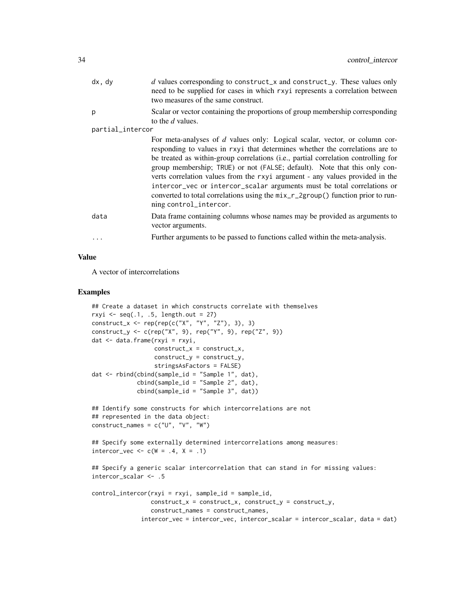| dx, dy           | d values corresponding to construct_x and construct_y. These values only<br>need to be supplied for cases in which rxyi represents a correlation between<br>two measures of the same construct.                                                                                                                                                                                                                                                                                                                                                                                                       |
|------------------|-------------------------------------------------------------------------------------------------------------------------------------------------------------------------------------------------------------------------------------------------------------------------------------------------------------------------------------------------------------------------------------------------------------------------------------------------------------------------------------------------------------------------------------------------------------------------------------------------------|
| p                | Scalar or vector containing the proportions of group membership corresponding<br>to the d values.                                                                                                                                                                                                                                                                                                                                                                                                                                                                                                     |
| partial_intercor |                                                                                                                                                                                                                                                                                                                                                                                                                                                                                                                                                                                                       |
|                  | For meta-analyses of d values only: Logical scalar, vector, or column cor-<br>responding to values in rxyi that determines whether the correlations are to<br>be treated as within-group correlations (i.e., partial correlation controlling for<br>group membership; TRUE) or not (FALSE; default). Note that this only con-<br>verts correlation values from the rxyi argument - any values provided in the<br>intercor_vec or intercor_scalar arguments must be total correlations or<br>converted to total correlations using the mix_r_2group() function prior to run-<br>ning control_intercor. |
| data             | Data frame containing columns whose names may be provided as arguments to<br>vector arguments.                                                                                                                                                                                                                                                                                                                                                                                                                                                                                                        |
| .                | Further arguments to be passed to functions called within the meta-analysis.                                                                                                                                                                                                                                                                                                                                                                                                                                                                                                                          |
|                  |                                                                                                                                                                                                                                                                                                                                                                                                                                                                                                                                                                                                       |

## Value

A vector of intercorrelations

#### Examples

```
## Create a dataset in which constructs correlate with themselves
rxyi \leq seq(.1, .5, length.out = 27)
construct_x <- rep(rep(c("X", "Y", "Z"), 3), 3)
construct_y <- c(rep("X", 9), rep("Y", 9), rep("Z", 9))
dat <- data.frame(rxyi = rxyi,
                  construct_x = construct_x,construct_y = construct_y,
                  stringsAsFactors = FALSE)
dat <- rbind(cbind(sample_id = "Sample 1", dat),
             cbind(sample_id = "Sample 2", dat),
             cbind(sample_id = "Sample 3", dat))
## Identify some constructs for which intercorrelations are not
## represented in the data object:
construct_names = c("U", "V", "W")## Specify some externally determined intercorrelations among measures:
intercor\_vec \leftarrow c(W = .4, X = .1)## Specify a generic scalar intercorrelation that can stand in for missing values:
intercor_scalar <- .5
control_intercor(rxyi = rxyi, sample_id = sample_id,
                 construct_x = construct_x, construct_y = construct_y,construct_names = construct_names,
              intercor_vec = intercor_vec, intercor_scalar = intercor_scalar, data = dat)
```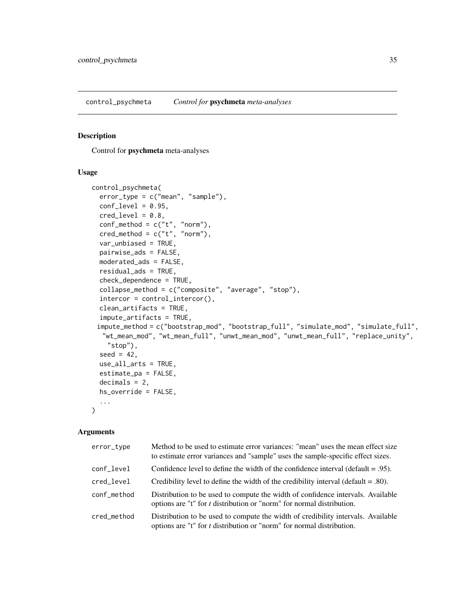<span id="page-34-0"></span>control\_psychmeta *Control for* psychmeta *meta-analyses*

## Description

Control for psychmeta meta-analyses

#### Usage

```
control_psychmeta(
  error_type = c("mean", "sample"),
  conf\_level = 0.95,
  cred\_level = 0.8,
  conf\_method = c("t", "norm"),
  \text{cred\_method} = c("t", "norm"),var_unbiased = TRUE,
 pairwise_ads = FALSE,
 moderated_ads = FALSE,
  residual_ads = TRUE,
  check_dependence = TRUE,
  collapse_method = c("composite", "average", "stop"),
  intercor = control_intercor(),
  clean_artifacts = TRUE,
  impute_artifacts = TRUE,
 impute_method = c("bootstrap_mod", "bootstrap_full", "simulate_mod", "simulate_full",
  "wt_mean_mod", "wt_mean_full", "unwt_mean_mod", "unwt_mean_full", "replace_unity",
    "stop"),
  seed = 42,
  use_all_arts = TRUE,
  estimate_pa = FALSE,
  decimals = 2,hs_override = FALSE,
  ...
)
```

| error_type  | Method to be used to estimate error variances: "mean" uses the mean effect size<br>to estimate error variances and "sample" uses the sample-specific effect sizes. |
|-------------|--------------------------------------------------------------------------------------------------------------------------------------------------------------------|
| conf_level  | Confidence level to define the width of the confidence interval (default $= .95$ ).                                                                                |
| cred_level  | Credibility level to define the width of the credibility interval (default $= .80$ ).                                                                              |
| conf_method | Distribution to be used to compute the width of confidence intervals. Available<br>options are "t" for <i>t</i> distribution or "norm" for normal distribution.    |
| cred method | Distribution to be used to compute the width of credibility intervals. Available<br>options are "t" for $t$ distribution or "norm" for normal distribution.        |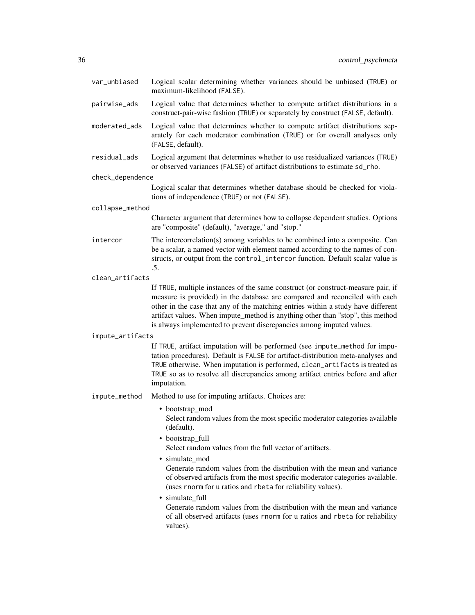| var_unbiased     | Logical scalar determining whether variances should be unbiased (TRUE) or<br>maximum-likelihood (FALSE).                                                                                                                                                                                                                                                                                                                                                                                                                                                                                                                         |
|------------------|----------------------------------------------------------------------------------------------------------------------------------------------------------------------------------------------------------------------------------------------------------------------------------------------------------------------------------------------------------------------------------------------------------------------------------------------------------------------------------------------------------------------------------------------------------------------------------------------------------------------------------|
| pairwise_ads     | Logical value that determines whether to compute artifact distributions in a<br>construct-pair-wise fashion (TRUE) or separately by construct (FALSE, default).                                                                                                                                                                                                                                                                                                                                                                                                                                                                  |
| moderated_ads    | Logical value that determines whether to compute artifact distributions sep-<br>arately for each moderator combination (TRUE) or for overall analyses only<br>(FALSE, default).                                                                                                                                                                                                                                                                                                                                                                                                                                                  |
| residual_ads     | Logical argument that determines whether to use residualized variances (TRUE)<br>or observed variances (FALSE) of artifact distributions to estimate sd_rho.                                                                                                                                                                                                                                                                                                                                                                                                                                                                     |
| check_dependence |                                                                                                                                                                                                                                                                                                                                                                                                                                                                                                                                                                                                                                  |
|                  | Logical scalar that determines whether database should be checked for viola-<br>tions of independence (TRUE) or not (FALSE).                                                                                                                                                                                                                                                                                                                                                                                                                                                                                                     |
| collapse_method  |                                                                                                                                                                                                                                                                                                                                                                                                                                                                                                                                                                                                                                  |
|                  | Character argument that determines how to collapse dependent studies. Options<br>are "composite" (default), "average," and "stop."                                                                                                                                                                                                                                                                                                                                                                                                                                                                                               |
| intercor         | The intercorrelation(s) among variables to be combined into a composite. Can<br>be a scalar, a named vector with element named according to the names of con-<br>structs, or output from the control_intercor function. Default scalar value is<br>.5.                                                                                                                                                                                                                                                                                                                                                                           |
| clean_artifacts  |                                                                                                                                                                                                                                                                                                                                                                                                                                                                                                                                                                                                                                  |
|                  | If TRUE, multiple instances of the same construct (or construct-measure pair, if<br>measure is provided) in the database are compared and reconciled with each<br>other in the case that any of the matching entries within a study have different<br>artifact values. When impute_method is anything other than "stop", this method<br>is always implemented to prevent discrepancies among imputed values.                                                                                                                                                                                                                     |
| impute_artifacts |                                                                                                                                                                                                                                                                                                                                                                                                                                                                                                                                                                                                                                  |
|                  | If TRUE, artifact imputation will be performed (see impute_method for impu-<br>tation procedures). Default is FALSE for artifact-distribution meta-analyses and<br>TRUE otherwise. When imputation is performed, clean_artifacts is treated as<br>TRUE so as to resolve all discrepancies among artifact entries before and after<br>imputation.                                                                                                                                                                                                                                                                                 |
| impute_method    | Method to use for imputing artifacts. Choices are:                                                                                                                                                                                                                                                                                                                                                                                                                                                                                                                                                                               |
|                  | • bootstrap_mod<br>Select random values from the most specific moderator categories available<br>(default).<br>• bootstrap_full<br>Select random values from the full vector of artifacts.<br>• simulate_mod<br>Generate random values from the distribution with the mean and variance<br>of observed artifacts from the most specific moderator categories available.<br>(uses rnorm for u ratios and rbeta for reliability values).<br>· simulate_full<br>Generate random values from the distribution with the mean and variance<br>of all observed artifacts (uses rnorm for u ratios and rbeta for reliability<br>values). |
|                  |                                                                                                                                                                                                                                                                                                                                                                                                                                                                                                                                                                                                                                  |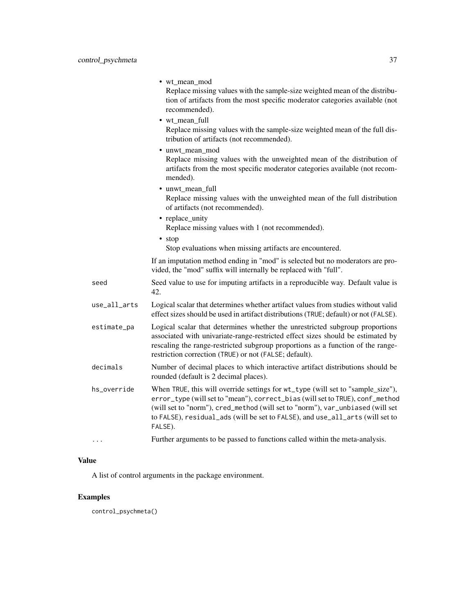|              | • wt_mean_mod<br>Replace missing values with the sample-size weighted mean of the distribu-<br>tion of artifacts from the most specific moderator categories available (not<br>recommended).                                                                                                                                                   |
|--------------|------------------------------------------------------------------------------------------------------------------------------------------------------------------------------------------------------------------------------------------------------------------------------------------------------------------------------------------------|
|              | • wt_mean_full<br>Replace missing values with the sample-size weighted mean of the full dis-<br>tribution of artifacts (not recommended).                                                                                                                                                                                                      |
|              | • unwt_mean_mod<br>Replace missing values with the unweighted mean of the distribution of<br>artifacts from the most specific moderator categories available (not recom-<br>mended).                                                                                                                                                           |
|              | • unwt_mean_full<br>Replace missing values with the unweighted mean of the full distribution<br>of artifacts (not recommended).                                                                                                                                                                                                                |
|              | • replace_unity<br>Replace missing values with 1 (not recommended).<br>• stop                                                                                                                                                                                                                                                                  |
|              | Stop evaluations when missing artifacts are encountered.                                                                                                                                                                                                                                                                                       |
|              | If an imputation method ending in "mod" is selected but no moderators are pro-<br>vided, the "mod" suffix will internally be replaced with "full".                                                                                                                                                                                             |
| seed         | Seed value to use for imputing artifacts in a reproducible way. Default value is<br>42.                                                                                                                                                                                                                                                        |
| use_all_arts | Logical scalar that determines whether artifact values from studies without valid<br>effect sizes should be used in artifact distributions (TRUE; default) or not (FALSE).                                                                                                                                                                     |
| estimate_pa  | Logical scalar that determines whether the unrestricted subgroup proportions<br>associated with univariate-range-restricted effect sizes should be estimated by<br>rescaling the range-restricted subgroup proportions as a function of the range-<br>restriction correction (TRUE) or not (FALSE; default).                                   |
| decimals     | Number of decimal places to which interactive artifact distributions should be<br>rounded (default is 2 decimal places).                                                                                                                                                                                                                       |
| hs_override  | When TRUE, this will override settings for wt_type (will set to "sample_size"),<br>error_type (will set to "mean"), correct_bias (will set to TRUE), conf_method<br>(will set to "norm"), cred_method (will set to "norm"), var_unbiased (will set<br>to FALSE), residual_ads (will be set to FALSE), and use_all_arts (will set to<br>FALSE). |
| $\cdots$     | Further arguments to be passed to functions called within the meta-analysis.                                                                                                                                                                                                                                                                   |

## Value

A list of control arguments in the package environment.

# Examples

control\_psychmeta()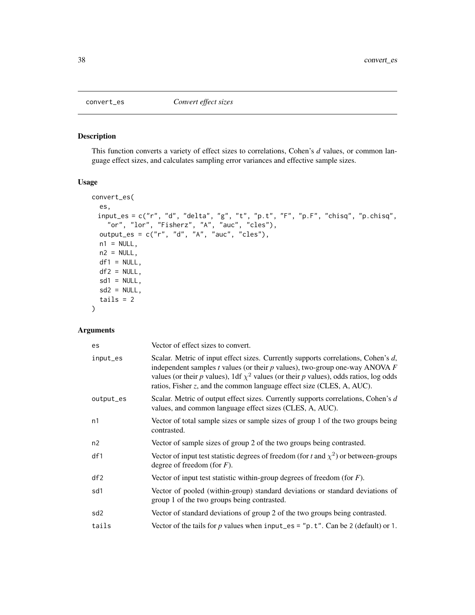## Description

This function converts a variety of effect sizes to correlations, Cohen's *d* values, or common language effect sizes, and calculates sampling error variances and effective sample sizes.

### Usage

```
convert_es(
 es,
  input_es = c("r", "d", "delta", "g", "t", "p.t", "F", "p.F", "chisq", "p.chisq",
    "or", "lor", "Fisherz", "A", "auc", "cles"),
 output_es = c("r", "d", "A", "auc", "cles"),
 n1 = NULL,n2 = NULL,df1 = NULL,
 df2 = NULL,sd1 = NULL,sd2 = NULL,tails = 2\mathcal{L}
```
## Arguments

| Vector of effect sizes to convert.                                                                                                                                                                                                                                                                                                            |  |
|-----------------------------------------------------------------------------------------------------------------------------------------------------------------------------------------------------------------------------------------------------------------------------------------------------------------------------------------------|--|
| Scalar. Metric of input effect sizes. Currently supports correlations, Cohen's d,<br>independent samples $t$ values (or their $p$ values), two-group one-way ANOVA $F$<br>values (or their p values), 1df $\chi^2$ values (or their p values), odds ratios, log odds<br>ratios, Fisher z, and the common language effect size (CLES, A, AUC). |  |
| Scalar. Metric of output effect sizes. Currently supports correlations, Cohen's d<br>values, and common language effect sizes (CLES, A, AUC).                                                                                                                                                                                                 |  |
| Vector of total sample sizes or sample sizes of group 1 of the two groups being<br>contrasted.                                                                                                                                                                                                                                                |  |
| Vector of sample sizes of group 2 of the two groups being contrasted.                                                                                                                                                                                                                                                                         |  |
| Vector of input test statistic degrees of freedom (for t and $\chi^2$ ) or between-groups<br>degree of freedom (for $F$ ).                                                                                                                                                                                                                    |  |
| Vector of input test statistic within-group degrees of freedom (for $F$ ).                                                                                                                                                                                                                                                                    |  |
| Vector of pooled (within-group) standard deviations or standard deviations of<br>group 1 of the two groups being contrasted.                                                                                                                                                                                                                  |  |
| Vector of standard deviations of group 2 of the two groups being contrasted.                                                                                                                                                                                                                                                                  |  |
| Vector of the tails for $p$ values when input_es = " $p.t$ ". Can be 2 (default) or 1.                                                                                                                                                                                                                                                        |  |
|                                                                                                                                                                                                                                                                                                                                               |  |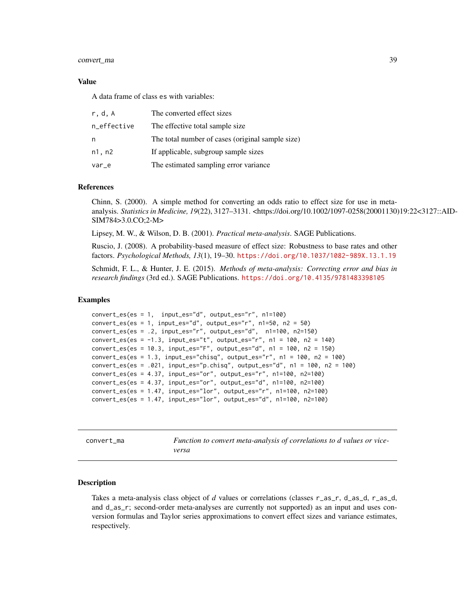### convert\_ma 39

#### Value

A data frame of class es with variables:

| r.d.A       | The converted effect sizes                       |
|-------------|--------------------------------------------------|
| n_effective | The effective total sample size.                 |
| n           | The total number of cases (original sample size) |
| n1, n2      | If applicable, subgroup sample sizes             |
| $var_e$     | The estimated sampling error variance            |

### References

Chinn, S. (2000). A simple method for converting an odds ratio to effect size for use in metaanalysis. *Statistics in Medicine, 19*(22), 3127–3131. <https://doi.org/10.1002/1097-0258(20001130)19:22<3127::AID-SIM784>3.0.CO;2-M>

Lipsey, M. W., & Wilson, D. B. (2001). *Practical meta-analysis*. SAGE Publications.

Ruscio, J. (2008). A probability-based measure of effect size: Robustness to base rates and other factors. *Psychological Methods, 13*(1), 19–30. <https://doi.org/10.1037/1082-989X.13.1.19>

Schmidt, F. L., & Hunter, J. E. (2015). *Methods of meta-analysis: Correcting error and bias in research findings* (3rd ed.). SAGE Publications. <https://doi.org/10.4135/9781483398105>

### Examples

```
convert_es(es = 1, input_es="d", output_es="r", n1=100)
convert\_es(es = 1, input\_es='d", output\_es='r", n1=50, n2 = 50)convert_es(es = .2, input_es="r", output_es="d", n1=100, n2=150)
convert_es(es = -1.3, input_es="t", output_es="r", n1 = 100, n2 = 140)
convert_es(es = 10.3, input_es="F", output_es="d", n1 = 100, n2 = 150)
convert\_es(es = 1.3, input\_es="chisq", output\_es="r", n1 = 100, n2 = 100)convert_es(es = .021, input_es="p.chisq", output_es="d", n1 = 100, n2 = 100)
convert_es(es = 4.37, input_es="or", output_es="r", n1=100, n2=100)
convert_es(es = 4.37, input_es="or", output_es="d", n1=100, n2=100)
convert_es(es = 1.47, input_es="lor", output_es="r", n1=100, n2=100)
convert_es(es = 1.47, input_es="lor", output_es="d", n1=100, n2=100)
```
convert\_ma *Function to convert meta-analysis of correlations to d values or viceversa*

#### Description

Takes a meta-analysis class object of *d* values or correlations (classes r\_as\_r, d\_as\_d, r\_as\_d, and d\_as\_r; second-order meta-analyses are currently not supported) as an input and uses conversion formulas and Taylor series approximations to convert effect sizes and variance estimates, respectively.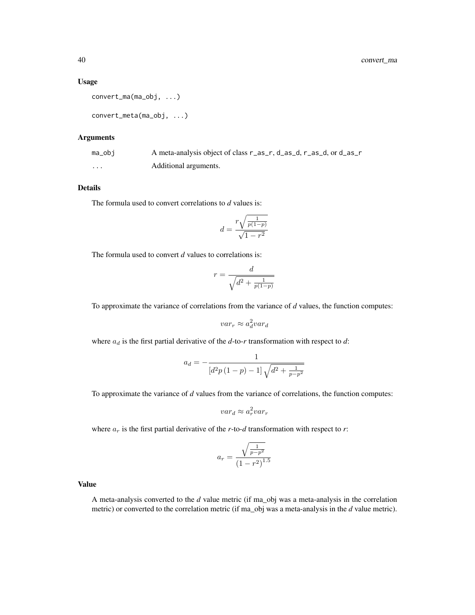#### Usage

```
convert_ma(ma_obj, ...)
```

```
convert_meta(ma_obj, ...)
```
### Arguments

| ma_obj | A meta-analysis object of class r_as_r, d_as_d, r_as_d, or d_as_r |
|--------|-------------------------------------------------------------------|
| .      | Additional arguments.                                             |

## Details

The formula used to convert correlations to *d* values is:

$$
d = \frac{r\sqrt{\frac{1}{p(1-p)}}}{\sqrt{1-r^2}}
$$

The formula used to convert *d* values to correlations is:

$$
r = \frac{d}{\sqrt{d^2 + \frac{1}{p(1-p)}}}
$$

To approximate the variance of correlations from the variance of *d* values, the function computes:

$$
var_r \approx a_d^2 var_d
$$

where  $a_d$  is the first partial derivative of the  $d$ -to- $r$  transformation with respect to  $d$ :

$$
a_d = -\frac{1}{[d^2p(1-p)-1]\sqrt{d^2+\frac{1}{p-p^2}}}
$$

To approximate the variance of *d* values from the variance of correlations, the function computes:

$$
var_d \approx a_r^2 var_r
$$

where  $a_r$  is the first partial derivative of the *r*-to-*d* transformation with respect to *r*:

$$
a_r = \frac{\sqrt{\frac{1}{p - p^2}}}{\left(1 - r^2\right)^{1.5}}
$$

Value

A meta-analysis converted to the *d* value metric (if ma\_obj was a meta-analysis in the correlation metric) or converted to the correlation metric (if ma\_obj was a meta-analysis in the *d* value metric).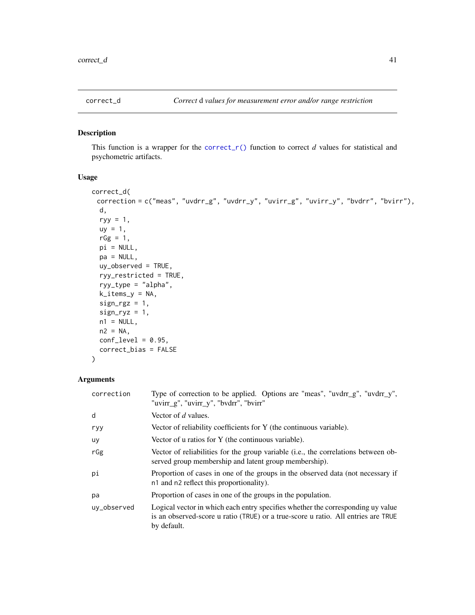## Description

This function is a wrapper for the correct<sub>r</sub>() function to correct *d* values for statistical and psychometric artifacts.

### Usage

```
correct_d(
 correction = c("meas", "uvdrr_g", "uvdrr_y", "uvirr_g", "uvirr_y", "bvdrr", "bvirr"),
 d,
  ryy = 1,
 uy = 1,
  rGg = 1,
 pi = NULL,
 pa = NULL,uy_observed = TRUE,
  ryy_restricted = TRUE,
  ryy_type = "alpha",
  k_items_y = NA,
  sign\_rgz = 1,
  sign_ryz = 1,
 n1 = NULL,n2 = NA,
 conf\_level = 0.95,
 correct_bias = FALSE
\mathcal{L}
```
## Arguments

| correction  | Type of correction to be applied. Options are "meas", "uvdrr_g", "uvdrr_y",<br>"uvirr_g", "uvirr_y", "bvdrr", "bvirr"                                                               |
|-------------|-------------------------------------------------------------------------------------------------------------------------------------------------------------------------------------|
| d           | Vector of d values.                                                                                                                                                                 |
| ryy         | Vector of reliability coefficients for Y (the continuous variable).                                                                                                                 |
| uy          | Vector of u ratios for Y (the continuous variable).                                                                                                                                 |
| rGg         | Vector of reliabilities for the group variable ( <i>i.e.</i> , the correlations between ob-<br>served group membership and latent group membership).                                |
| рi          | Proportion of cases in one of the groups in the observed data (not necessary if<br>n1 and n2 reflect this proportionality).                                                         |
| pa          | Proportion of cases in one of the groups in the population.                                                                                                                         |
| uy_observed | Logical vector in which each entry specifies whether the corresponding uy value<br>is an observed-score u ratio (TRUE) or a true-score u ratio. All entries are TRUE<br>by default. |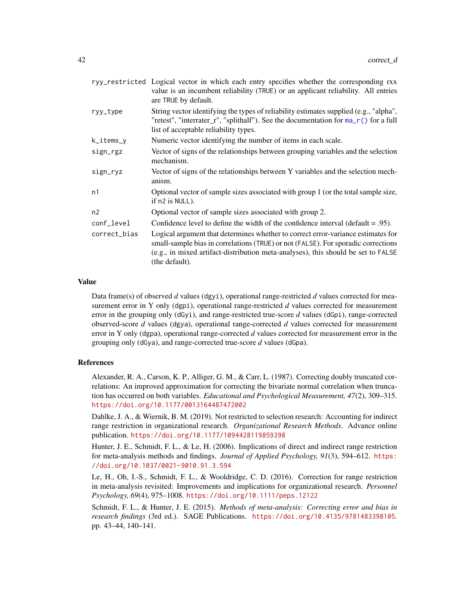|              | ryy_restricted Logical vector in which each entry specifies whether the corresponding rxx<br>value is an incumbent reliability (TRUE) or an applicant reliability. All entries<br>are TRUE by default.                                                                       |  |
|--------------|------------------------------------------------------------------------------------------------------------------------------------------------------------------------------------------------------------------------------------------------------------------------------|--|
| ryy_type     | String vector identifying the types of reliability estimates supplied (e.g., "alpha",<br>"retest", "interrater_r", "splithalf"). See the documentation for ma_r() for a full<br>list of acceptable reliability types.                                                        |  |
| k_items_y    | Numeric vector identifying the number of items in each scale.                                                                                                                                                                                                                |  |
| sign_rgz     | Vector of signs of the relationships between grouping variables and the selection<br>mechanism.                                                                                                                                                                              |  |
| sign_ryz     | Vector of signs of the relationships between Y variables and the selection mech-<br>anism.                                                                                                                                                                                   |  |
| n1           | Optional vector of sample sizes associated with group 1 (or the total sample size,<br>$if n2 is NULL$ ).                                                                                                                                                                     |  |
| n2           | Optional vector of sample sizes associated with group 2.                                                                                                                                                                                                                     |  |
| conf_level   | Confidence level to define the width of the confidence interval (default $= .95$ ).                                                                                                                                                                                          |  |
| correct_bias | Logical argument that determines whether to correct error-variance estimates for<br>small-sample bias in correlations (TRUE) or not (FALSE). For sporadic corrections<br>(e.g., in mixed artifact-distribution meta-analyses), this should be set to FALSE<br>(the default). |  |

## Value

Data frame(s) of observed *d* values (dgyi), operational range-restricted *d* values corrected for measurement error in Y only (dgpi), operational range-restricted *d* values corrected for measurement error in the grouping only (dGyi), and range-restricted true-score *d* values (dGpi), range-corrected observed-score *d* values (dgya), operational range-corrected *d* values corrected for measurement error in Y only (dgpa), operational range-corrected *d* values corrected for measurement error in the grouping only (dGya), and range-corrected true-score *d* values (dGpa).

### References

Alexander, R. A., Carson, K. P., Alliger, G. M., & Carr, L. (1987). Correcting doubly truncated correlations: An improved approximation for correcting the bivariate normal correlation when truncation has occurred on both variables. *Educational and Psychological Measurement, 47*(2), 309–315. <https://doi.org/10.1177/0013164487472002>

Dahlke, J. A., & Wiernik, B. M. (2019). Not restricted to selection research: Accounting for indirect range restriction in organizational research. *Organizational Research Methods*. Advance online publication. <https://doi.org/10.1177/1094428119859398>

Hunter, J. E., Schmidt, F. L., & Le, H. (2006). Implications of direct and indirect range restriction for meta-analysis methods and findings. *Journal of Applied Psychology, 91*(3), 594–612. [https:](https://doi.org/10.1037/0021-9010.91.3.594) [//doi.org/10.1037/0021-9010.91.3.594](https://doi.org/10.1037/0021-9010.91.3.594)

Le, H., Oh, I.-S., Schmidt, F. L., & Wooldridge, C. D. (2016). Correction for range restriction in meta-analysis revisited: Improvements and implications for organizational research. *Personnel Psychology, 69*(4), 975–1008. <https://doi.org/10.1111/peps.12122>

Schmidt, F. L., & Hunter, J. E. (2015). *Methods of meta-analysis: Correcting error and bias in research findings* (3rd ed.). SAGE Publications. <https://doi.org/10.4135/9781483398105>. pp. 43–44, 140–141.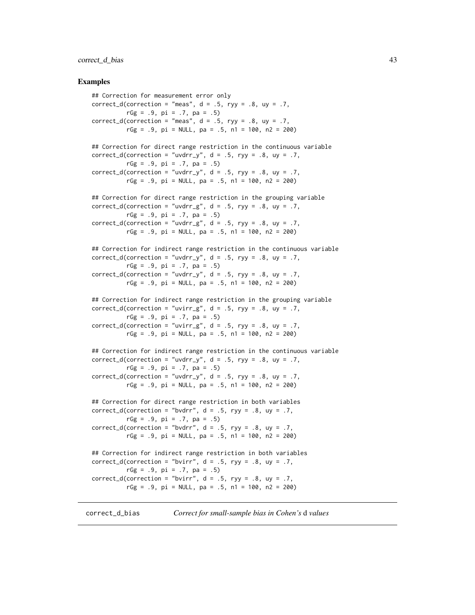### correct\_d\_bias 43

#### Examples

```
## Correction for measurement error only
correct_d(correction = "meas", d = .5, ryy = .8, uy = .7,
          rGg = .9, pi = .7, pa = .5)
correct_d(correction = "meas", d = .5, ryy = .8, uy = .7,rGg = .9, pi = NULL, pa = .5, n1 = 100, n2 = 200)
## Correction for direct range restriction in the continuous variable
correct_d(correction = "uvdrr_y", d = .5, ryy = .8, uy = .7,rGg = .9, pi = .7, pa = .5)
correct_d(correction = "uvdrr_y", d = .5, ryy = .8, uy = .7,rGg = .9, pi = NULL, pa = .5, n1 = 100, n2 = 200)
## Correction for direct range restriction in the grouping variable
correct_d(correction = "uvdrr_g", d = .5, ryy = .8, uy = .7,rGg = .9, pi = .7, pa = .5)
correct_d(correction = "uvdrr_g", d = .5, ryy = .8, uy = .7,
         rGg = .9, pi = NULL, pa = .5, n1 = 100, n2 = 200)
## Correction for indirect range restriction in the continuous variable
correct_d(correction = "uvdrr_y", d = .5, ryy = .8, uy = .7,rGg = .9, pi = .7, pa = .5)
correct_d(correction = "uvdrr_y", d = .5, ryy = .8, uy = .7,rGg = .9, pi = NULL, pa = .5, n1 = 100, n2 = 200)
## Correction for indirect range restriction in the grouping variable
correct_d(correction = "uvirr_g", d = .5, ryy = .8, uy = .7,rGg = .9, pi = .7, pa = .5)
correct_d(correction = "uvirr_g", d = .5, ryy = .8, uy = .7,
          rGg = .9, pi = NULL, pa = .5, n1 = 100, n2 = 200)
## Correction for indirect range restriction in the continuous variable
correct_d(correction = "uvdrr_y", d = .5, ryy = .8, uy = .7,
         rGg = .9, pi = .7, pa = .5)
correct_d(correction = "uvdrr_y", d = .5, ryy = .8, uy = .7,rGg = .9, pi = NULL, pa = .5, n1 = 100, n2 = 200)
## Correction for direct range restriction in both variables
correct_d(correction = "bvdrr", d = .5, ryy = .8, uy = .7,
         rGg = .9, pi = .7, pa = .5)
correct_d(correction = "bvdrr", d = .5, ryy = .8, uy = .7,rGg = .9, pi = NULL, pa = .5, n1 = 100, n2 = 200)
## Correction for indirect range restriction in both variables
correct_d(correction = "bvirr", d = .5, ryy = .8, uy = .7,rGg = .9, pi = .7, pa = .5)
correct_d(correction = "bvirr", d = .5, ryy = .8, uy = .7,rGg = .9, pi = NULL, pa = .5, n1 = 100, n2 = 200)
```
correct\_d\_bias *Correct for small-sample bias in Cohen's* d *values*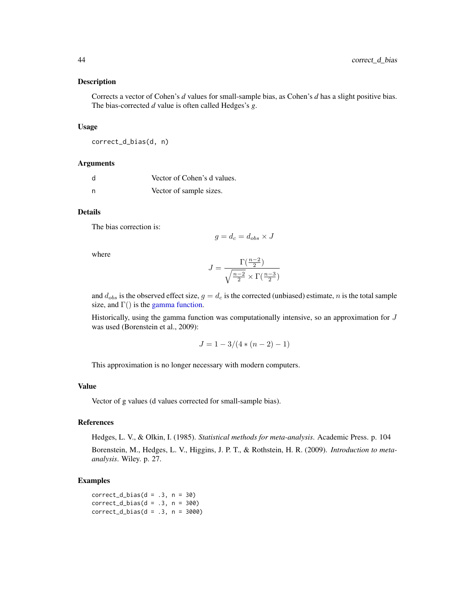#### Description

Corrects a vector of Cohen's *d* values for small-sample bias, as Cohen's *d* has a slight positive bias. The bias-corrected *d* value is often called Hedges's *g*.

### Usage

correct\_d\_bias(d, n)

#### Arguments

| d | Vector of Cohen's d values. |
|---|-----------------------------|
| n | Vector of sample sizes.     |

### Details

The bias correction is:

$$
g=d_c=d_{obs}\times J
$$

where

$$
J = \frac{\Gamma(\frac{n-2}{2})}{\sqrt{\frac{n-2}{2}} \times \Gamma(\frac{n-3}{2})}
$$

and  $d_{obs}$  is the observed effect size,  $g = d_c$  is the corrected (unbiased) estimate, n is the total sample size, and  $\Gamma$ () is the [gamma function.](#page-0-0)

Historically, using the gamma function was computationally intensive, so an approximation for  $J$ was used (Borenstein et al., 2009):

$$
J = 1 - 3/(4*(n-2) - 1)
$$

This approximation is no longer necessary with modern computers.

### Value

Vector of g values (d values corrected for small-sample bias).

## References

Hedges, L. V., & Olkin, I. (1985). *Statistical methods for meta-analysis*. Academic Press. p. 104

Borenstein, M., Hedges, L. V., Higgins, J. P. T., & Rothstein, H. R. (2009). *Introduction to metaanalysis*. Wiley. p. 27.

### Examples

 $correct_d_bias(d = .3, n = 30)$  $correct_d_bias(d = .3, n = 300)$  $correct_d_bias(d = .3, n = 3000)$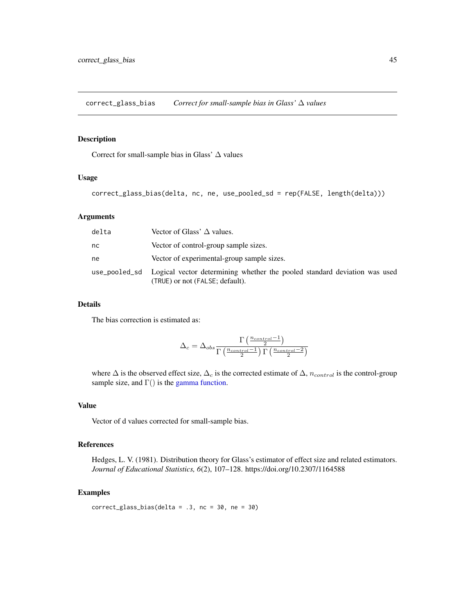correct\_glass\_bias *Correct for small-sample bias in Glass'* ∆ *values*

#### Description

Correct for small-sample bias in Glass' ∆ values

#### Usage

correct\_glass\_bias(delta, nc, ne, use\_pooled\_sd = rep(FALSE, length(delta)))

#### Arguments

| delta | Vector of Glass' $\Delta$ values.                                                                                          |
|-------|----------------------------------------------------------------------------------------------------------------------------|
| nc    | Vector of control-group sample sizes.                                                                                      |
| ne    | Vector of experimental-group sample sizes.                                                                                 |
|       | use_pooled_sd Logical vector determining whether the pooled standard deviation was used<br>(TRUE) or not (FALSE; default). |

## Details

The bias correction is estimated as:

$$
\Delta_c = \Delta_{obs} \frac{\Gamma\left(\frac{n_{control}-1}{2}\right)}{\Gamma\left(\frac{n_{control}-1}{2}\right)\Gamma\left(\frac{n_{control}-2}{2}\right)}
$$

where  $\Delta$  is the observed effect size,  $\Delta_c$  is the corrected estimate of  $\Delta$ ,  $n_{control}$  is the control-group sample size, and  $\Gamma()$  is the [gamma function.](#page-0-0)

### Value

Vector of d values corrected for small-sample bias.

### References

Hedges, L. V. (1981). Distribution theory for Glass's estimator of effect size and related estimators. *Journal of Educational Statistics, 6*(2), 107–128. https://doi.org/10.2307/1164588

### Examples

```
correct_glass_bias(delta = .3, nc = 30, ne = 30)
```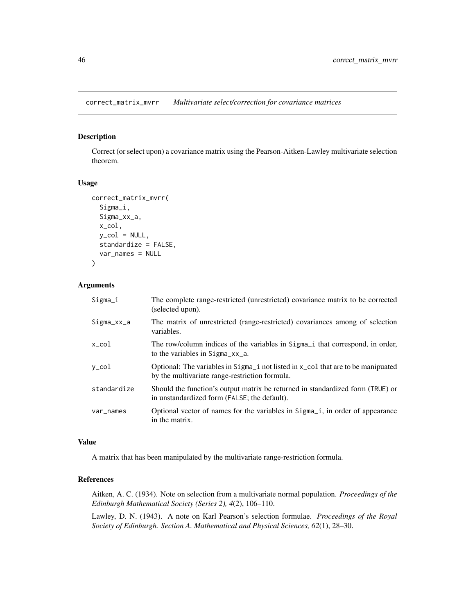correct\_matrix\_mvrr *Multivariate select/correction for covariance matrices*

## Description

Correct (or select upon) a covariance matrix using the Pearson-Aitken-Lawley multivariate selection theorem.

## Usage

```
correct_matrix_mvrr(
  Sigma_i,
  Sigma_xx_a,
  x_col,
 y_{col} = NULL,standardize = FALSE,
  var_names = NULL
)
```
### Arguments

| Sigma_i     | The complete range-restricted (unrestricted) covariance matrix to be corrected<br>(selected upon).                                                       |
|-------------|----------------------------------------------------------------------------------------------------------------------------------------------------------|
| Sigma_xx_a  | The matrix of unrestricted (range-restricted) covariances among of selection<br>variables.                                                               |
| x_col       | The row/column indices of the variables in Sigma <sub>ri</sub> that correspond, in order,<br>to the variables in $Sigma_{\text{Z}X \text{}}$ .           |
| y_col       | Optional: The variables in Sigma <sub>i</sub> not listed in x <sub>col</sub> that are to be manipuated<br>by the multivariate range-restriction formula. |
| standardize | Should the function's output matrix be returned in standardized form (TRUE) or<br>in unstandardized form (FALSE; the default).                           |
| var_names   | Optional vector of names for the variables in Sigma <sub>l</sub> , in order of appearance<br>in the matrix.                                              |

#### Value

A matrix that has been manipulated by the multivariate range-restriction formula.

## References

Aitken, A. C. (1934). Note on selection from a multivariate normal population. *Proceedings of the Edinburgh Mathematical Society (Series 2), 4*(2), 106–110.

Lawley, D. N. (1943). A note on Karl Pearson's selection formulae. *Proceedings of the Royal Society of Edinburgh. Section A. Mathematical and Physical Sciences, 62*(1), 28–30.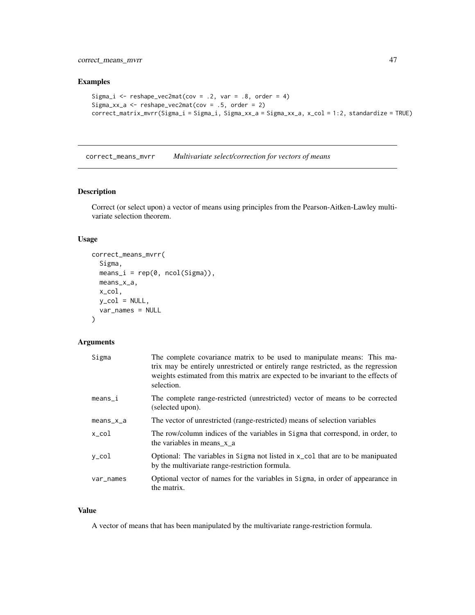correct\_means\_mvrr 47

#### Examples

```
Sigma_i <- reshape_vec2mat(cov = .2, var = .8, order = 4)
Sigma_xx_a <- reshape_vec2mat(cov = .5, order = 2)
correct_matrix_mvrr(Sigma_i = Sigma_i, Sigma_xx_a = Sigma_xx_a, x_col = 1:2, standardize = TRUE)
```
correct\_means\_mvrr *Multivariate select/correction for vectors of means*

## Description

Correct (or select upon) a vector of means using principles from the Pearson-Aitken-Lawley multivariate selection theorem.

### Usage

```
correct_means_mvrr(
  Sigma,
 means_i = rep(0, ncol(Sigma)),means_x_a,
 x_col,
 y_{col} = NULL,var_names = NULL
)
```
## Arguments

| Sigma     | The complete covariance matrix to be used to manipulate means: This ma-<br>trix may be entirely unrestricted or entirely range restricted, as the regression<br>weights estimated from this matrix are expected to be invariant to the effects of<br>selection. |
|-----------|-----------------------------------------------------------------------------------------------------------------------------------------------------------------------------------------------------------------------------------------------------------------|
| means_i   | The complete range-restricted (unrestricted) vector of means to be corrected<br>(selected upon).                                                                                                                                                                |
| means_x_a | The vector of unrestricted (range-restricted) means of selection variables                                                                                                                                                                                      |
| x_col     | The row/column indices of the variables in Sigma that correspond, in order, to<br>the variables in means x a                                                                                                                                                    |
| y_col     | Optional: The variables in Sigma not listed in $x_{\text{col}}$ that are to be manipuated<br>by the multivariate range-restriction formula.                                                                                                                     |
| var_names | Optional vector of names for the variables in Sigma, in order of appearance in<br>the matrix.                                                                                                                                                                   |

#### Value

A vector of means that has been manipulated by the multivariate range-restriction formula.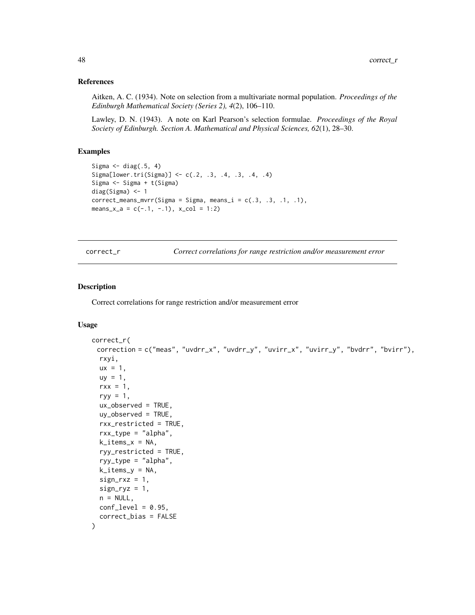#### References

Aitken, A. C. (1934). Note on selection from a multivariate normal population. *Proceedings of the Edinburgh Mathematical Society (Series 2), 4*(2), 106–110.

Lawley, D. N. (1943). A note on Karl Pearson's selection formulae. *Proceedings of the Royal Society of Edinburgh. Section A. Mathematical and Physical Sciences, 62*(1), 28–30.

### Examples

```
Sigma \leq diag(.5, 4)
Sigma[lower.tri(Sigma)] <- c(.2, .3, .4, .3, .4, .4)
Sigma <- Sigma + t(Sigma)
diag(Sigma) <- 1
correct\_means\_mvrr(Sigma = Sigma, means_i = c(.3, .3, .1, .1),means_x_a = c(-.1, -.1), x_col = 1:2)
```
<span id="page-47-0"></span>correct\_r *Correct correlations for range restriction and/or measurement error*

#### Description

Correct correlations for range restriction and/or measurement error

### Usage

```
correct_r(
 correction = c("meas", "uvdrr_x", "uvdrr_y", "uvirr_x", "uvirr_y", "bvdrr", "bvirr"),
  rxyi,
  ux = 1,
  uy = 1,
  rxx = 1,
  ryy = 1,
  ux_observed = TRUE,
  uy_observed = TRUE,
  rxx_restricted = TRUE,
  rxx_type = "alpha",
  k\_items_x = NA,
  ryy_restricted = TRUE,
  ryy_type = "alpha",
  k\_items_y = NA,
  sign_r xz = 1,
  sign_{ryz} = 1,
  n = NULL,conf\_level = 0.95,
  correct_bias = FALSE
)
```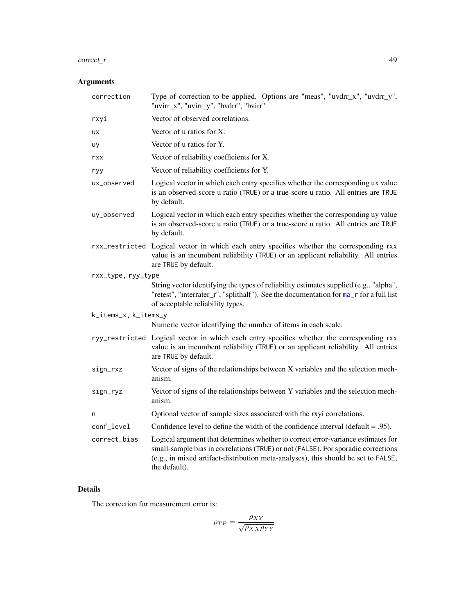#### correct\_r 49

# Arguments

| correction                                                                                             | Type of correction to be applied. Options are "meas", "uvdrr_x", "uvdrr_y",<br>"uvirr_x", "uvirr_y", "bvdrr", "bvirr"                                                                                                                                                        |  |
|--------------------------------------------------------------------------------------------------------|------------------------------------------------------------------------------------------------------------------------------------------------------------------------------------------------------------------------------------------------------------------------------|--|
| rxyi                                                                                                   | Vector of observed correlations.                                                                                                                                                                                                                                             |  |
| <b>UX</b>                                                                                              | Vector of u ratios for X.                                                                                                                                                                                                                                                    |  |
| uy                                                                                                     | Vector of u ratios for Y.                                                                                                                                                                                                                                                    |  |
| rxx                                                                                                    | Vector of reliability coefficients for X.                                                                                                                                                                                                                                    |  |
| ryy                                                                                                    | Vector of reliability coefficients for Y.                                                                                                                                                                                                                                    |  |
| ux_observed                                                                                            | Logical vector in which each entry specifies whether the corresponding ux value<br>is an observed-score u ratio (TRUE) or a true-score u ratio. All entries are TRUE<br>by default.                                                                                          |  |
| uy_observed                                                                                            | Logical vector in which each entry specifies whether the corresponding uy value<br>is an observed-score u ratio (TRUE) or a true-score u ratio. All entries are TRUE<br>by default.                                                                                          |  |
|                                                                                                        | rxx_restricted Logical vector in which each entry specifies whether the corresponding rxx<br>value is an incumbent reliability (TRUE) or an applicant reliability. All entries<br>are TRUE by default.                                                                       |  |
| rxx_type, ryy_type                                                                                     |                                                                                                                                                                                                                                                                              |  |
|                                                                                                        | String vector identifying the types of reliability estimates supplied (e.g., "alpha",<br>"retest", "interrater_r", "splithalf"). See the documentation for ma_r for a full list<br>of acceptable reliability types.                                                          |  |
| k_items_x, k_items_y                                                                                   |                                                                                                                                                                                                                                                                              |  |
|                                                                                                        | Numeric vector identifying the number of items in each scale.                                                                                                                                                                                                                |  |
|                                                                                                        | ryy_restricted Logical vector in which each entry specifies whether the corresponding rxx<br>value is an incumbent reliability (TRUE) or an applicant reliability. All entries<br>are TRUE by default.                                                                       |  |
| sign_rxz                                                                                               | Vector of signs of the relationships between X variables and the selection mech-<br>anism.                                                                                                                                                                                   |  |
| Vector of signs of the relationships between Y variables and the selection mech-<br>sign_ryz<br>anism. |                                                                                                                                                                                                                                                                              |  |
| n                                                                                                      | Optional vector of sample sizes associated with the rxyi correlations.                                                                                                                                                                                                       |  |
| conf_level                                                                                             | Confidence level to define the width of the confidence interval (default $= .95$ ).                                                                                                                                                                                          |  |
| correct_bias                                                                                           | Logical argument that determines whether to correct error-variance estimates for<br>small-sample bias in correlations (TRUE) or not (FALSE). For sporadic corrections<br>(e.g., in mixed artifact-distribution meta-analyses), this should be set to FALSE,<br>the default). |  |

## Details

The correction for measurement error is:

$$
\rho_{TP} = \frac{\rho_{XY}}{\sqrt{\rho_{XX}\rho_{YY}}}
$$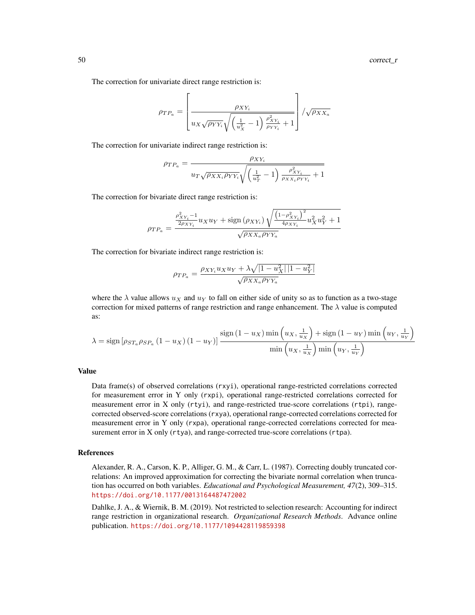The correction for univariate direct range restriction is:

$$
\rho_{TP_a} = \left[ \frac{\rho_{XY_i}}{u_X \sqrt{\rho_{YY_i}} \sqrt{\left(\frac{1}{u_X^2} - 1\right) \frac{\rho_{XY_i}^2}{\rho_{YY_i}} + 1}} \right] / \sqrt{\rho_{XX_a}}
$$

The correction for univariate indirect range restriction is:

$$
\rho_{TP_a} = \frac{\rho_{XY_i}}{u_T \sqrt{\rho_{XX_i} \rho_{YY_i}} \sqrt{\left(\frac{1}{u_T^2} - 1\right) \frac{\rho_{XY_i}^2}{\rho_{XX_i} \rho_{YY_i}} + 1}}
$$

The correction for bivariate direct range restriction is:

$$
\rho_{TP_a} = \frac{\frac{\rho_{XY_i}^2 - 1}{2\rho_{XY_i}} u_X u_Y + \text{sign}\left(\rho_{XY_i}\right) \sqrt{\frac{\left(1 - \rho_{XY_i}^2\right)^2}{4\rho_{XY_i}} u_X^2 u_Y^2 + 1}}{\sqrt{\rho_{XX_a}\rho_{YY_a}}}
$$

The correction for bivariate indirect range restriction is:

$$
\rho_{TP_a} = \frac{\rho_{XY_i} u_X u_Y + \lambda \sqrt{|1 - u_X^2| |1 - u_Y^2|}}{\sqrt{\rho_{XX_a} \rho_{YY_a}}}
$$

where the  $\lambda$  value allows  $u_x$  and  $u_y$  to fall on either side of unity so as to function as a two-stage correction for mixed patterns of range restriction and range enhancement. The  $\lambda$  value is computed as:

$$
\lambda = \text{sign}\left[\rho_{ST_a}\rho_{SP_a}\left(1-u_X\right)\left(1-u_Y\right)\right] \frac{\text{sign}\left(1-u_X\right) \min\left(u_X, \frac{1}{u_X}\right) + \text{sign}\left(1-u_Y\right) \min\left(u_Y, \frac{1}{u_Y}\right)}{\min\left(u_X, \frac{1}{u_X}\right) \min\left(u_Y, \frac{1}{u_Y}\right)}
$$

#### Value

Data frame(s) of observed correlations (rxyi), operational range-restricted correlations corrected for measurement error in Y only (rxpi), operational range-restricted correlations corrected for measurement error in X only (rtyi), and range-restricted true-score correlations (rtpi), rangecorrected observed-score correlations (rxya), operational range-corrected correlations corrected for measurement error in Y only (rxpa), operational range-corrected correlations corrected for measurement error in X only (rtya), and range-corrected true-score correlations (rtpa).

### References

Alexander, R. A., Carson, K. P., Alliger, G. M., & Carr, L. (1987). Correcting doubly truncated correlations: An improved approximation for correcting the bivariate normal correlation when truncation has occurred on both variables. *Educational and Psychological Measurement, 47*(2), 309–315. <https://doi.org/10.1177/0013164487472002>

Dahlke, J. A., & Wiernik, B. M. (2019). Not restricted to selection research: Accounting for indirect range restriction in organizational research. *Organizational Research Methods*. Advance online publication. <https://doi.org/10.1177/1094428119859398>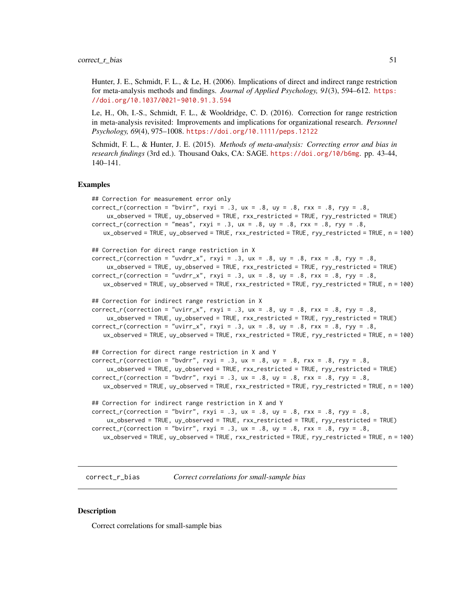Hunter, J. E., Schmidt, F. L., & Le, H. (2006). Implications of direct and indirect range restriction for meta-analysis methods and findings. *Journal of Applied Psychology, 91*(3), 594–612. [https:](https://doi.org/10.1037/0021-9010.91.3.594) [//doi.org/10.1037/0021-9010.91.3.594](https://doi.org/10.1037/0021-9010.91.3.594)

Le, H., Oh, I.-S., Schmidt, F. L., & Wooldridge, C. D. (2016). Correction for range restriction in meta-analysis revisited: Improvements and implications for organizational research. *Personnel Psychology, 69*(4), 975–1008. <https://doi.org/10.1111/peps.12122>

Schmidt, F. L., & Hunter, J. E. (2015). *Methods of meta-analysis: Correcting error and bias in research findings* (3rd ed.). Thousand Oaks, CA: SAGE. <https://doi.org/10/b6mg>. pp. 43-44, 140–141.

#### Examples

```
## Correction for measurement error only
correct_r(correction = "bvirr", rxyi = .3, ux = .8, uy = .8, rxx = .8, ryy = .8,
    ux_observed = TRUE, uy_observed = TRUE, rxx_restricted = TRUE, ryy_restricted = TRUE)
correct_r(correctin = "meas", rxyi = .3, ux = .8, uy = .8, rxx = .8, ryy = .8,ux_observed = TRUE, uy_observed = TRUE, rxx_restricted = TRUE, ryy_restricted = TRUE, n = 100)
## Correction for direct range restriction in X
correct_r(correction = "uvdrr_x", rxyi = .3, ux = .8, uy = .8, rxx = .8, ryy = .8,ux_observed = TRUE, uy_observed = TRUE, rxx_restricted = TRUE, ryy_restricted = TRUE)
correct_r(correction = "uvdrr_x", rxyi = .3, ux = .8, uy = .8, rxx = .8, ryy = .8,ux_observed = TRUE, uy_observed = TRUE, rxx_restricted = TRUE, ryy_restricted = TRUE, n = 100)
## Correction for indirect range restriction in X
correct_r(correction = "uvirr_x", rxyi = .3, ux = .8, uy = .8, rxx = .8, ryy = .8.
    ux_observed = TRUE, uy_observed = TRUE, rxx_restricted = TRUE, ryy_restricted = TRUE)
correct_r(correction = "uvirr_x", rxyi = .3, ux = .8, uy = .8, rxx = .8, ryy = .8,ux_observed = TRUE, uy_observed = TRUE, rxx_restricted = TRUE, ryy_restricted = TRUE, n = 100)
## Correction for direct range restriction in X and Y
correct_r(correctin = "bvdrr", rxyi = .3, ux = .8, uy = .8, rxx = .8, ryy = .8,ux_observed = TRUE, uy_observed = TRUE, rxx_restricted = TRUE, ryy_restricted = TRUE)
correct_r(correction = "bvdrr", rxyi = .3, ux = .8, uy = .8, rxx = .8, ryy = .8,
   ux_observed = TRUE, uy_observed = TRUE, rxx_restricted = TRUE, ryy_restricted = TRUE, n = 100)
## Correction for indirect range restriction in X and Y
correct_r(correction = "bvirr", rxyi = .3, ux = .8, uy = .8, rxx = .8, ryy = .8,
    ux_observed = TRUE, uy_observed = TRUE, rxx_restricted = TRUE, ryy_restricted = TRUE)
correct_r(correction = "bvirr", rxyi = .3, ux = .8, uy = .8, rxx = .8, ryy = .8,
   ux_observed = TRUE, uy_observed = TRUE, rxx_restricted = TRUE, ryy_restricted = TRUE, n = 100)
```
correct\_r\_bias *Correct correlations for small-sample bias*

### Description

Correct correlations for small-sample bias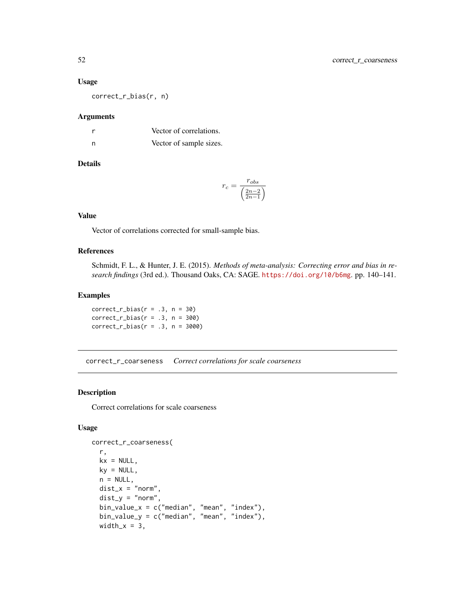#### Usage

correct\_r\_bias(r, n)

#### Arguments

| r | Vector of correlations. |
|---|-------------------------|
| n | Vector of sample sizes. |

### Details

$$
r_c = \frac{r_{obs}}{\left(\frac{2n-2}{2n-1}\right)}
$$

## Value

Vector of correlations corrected for small-sample bias.

## References

Schmidt, F. L., & Hunter, J. E. (2015). *Methods of meta-analysis: Correcting error and bias in research findings* (3rd ed.). Thousand Oaks, CA: SAGE. <https://doi.org/10/b6mg>. pp. 140–141.

### Examples

 $correct_r\_bias(r = .3, n = 30)$ correct\_r\_bias( $r = .3$ ,  $n = 300$ )  $correct_r\_bias(r = .3, n = 3000)$ 

correct\_r\_coarseness *Correct correlations for scale coarseness*

## Description

Correct correlations for scale coarseness

#### Usage

```
correct_r_coarseness(
  r,
 kx = NULL,ky = NULL,n = NULL,
 dist_x = "norm",dist_y = "norm",bin_value_x = c("median", "mean", "index"),
 bin_value_y = c("median", "mean", "index"),
 width_x = 3,
```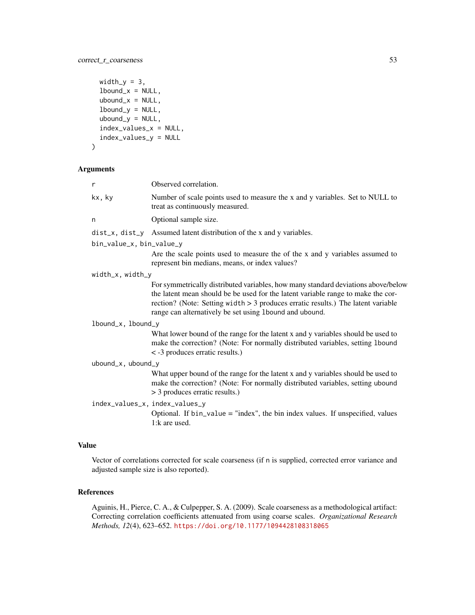```
width_y = 3,
  1bound_x = NULL,
 ubound_x = NULL,1bound_y = NULL,
  ubound_y = NULL,index_values_x = NULL,
  index_values_y = NULL
\mathcal{L}
```
## Arguments

| $\mathsf{r}$                   | Observed correlation.                                                                                                                                                                                                                                                                                                  |  |
|--------------------------------|------------------------------------------------------------------------------------------------------------------------------------------------------------------------------------------------------------------------------------------------------------------------------------------------------------------------|--|
| kx, ky                         | Number of scale points used to measure the x and y variables. Set to NULL to<br>treat as continuously measured.                                                                                                                                                                                                        |  |
| n                              | Optional sample size.                                                                                                                                                                                                                                                                                                  |  |
|                                | $dist_x$ , $dist_y$ Assumed latent distribution of the x and y variables.                                                                                                                                                                                                                                              |  |
| bin_value_x, bin_value_y       |                                                                                                                                                                                                                                                                                                                        |  |
|                                | Are the scale points used to measure the of the x and y variables assumed to<br>represent bin medians, means, or index values?                                                                                                                                                                                         |  |
| width_x, width_y               |                                                                                                                                                                                                                                                                                                                        |  |
|                                | For symmetrically distributed variables, how many standard deviations above/below<br>the latent mean should be be used for the latent variable range to make the cor-<br>rection? (Note: Setting width $> 3$ produces erratic results.) The latent variable<br>range can alternatively be set using 1bound and ubound. |  |
| lbound_x, lbound_y             |                                                                                                                                                                                                                                                                                                                        |  |
|                                | What lower bound of the range for the latent x and y variables should be used to<br>make the correction? (Note: For normally distributed variables, setting 1bound<br>< -3 produces erratic results.)                                                                                                                  |  |
| ubound_x, ubound_y             |                                                                                                                                                                                                                                                                                                                        |  |
|                                | What upper bound of the range for the latent x and y variables should be used to<br>make the correction? (Note: For normally distributed variables, setting ubound<br>> 3 produces erratic results.)                                                                                                                   |  |
| index_values_x, index_values_y | Optional. If $bin_value = "index", the bin index values. If unspecified, values$<br>1:k are used.                                                                                                                                                                                                                      |  |

## Value

Vector of correlations corrected for scale coarseness (if n is supplied, corrected error variance and adjusted sample size is also reported).

### References

Aguinis, H., Pierce, C. A., & Culpepper, S. A. (2009). Scale coarseness as a methodological artifact: Correcting correlation coefficients attenuated from using coarse scales. *Organizational Research Methods, 12*(4), 623–652. <https://doi.org/10.1177/1094428108318065>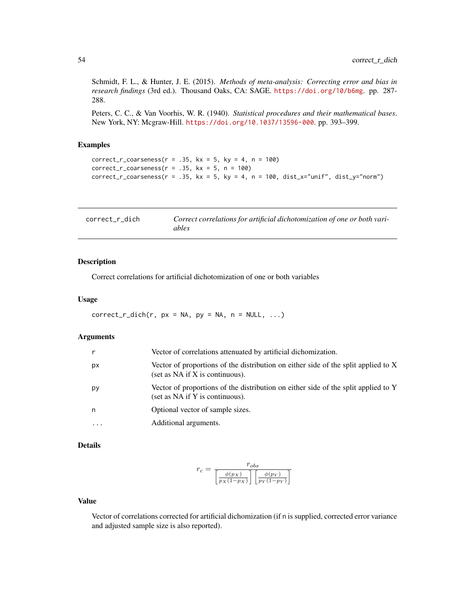Schmidt, F. L., & Hunter, J. E. (2015). *Methods of meta-analysis: Correcting error and bias in research findings* (3rd ed.). Thousand Oaks, CA: SAGE. <https://doi.org/10/b6mg>. pp. 287- 288.

Peters, C. C., & Van Voorhis, W. R. (1940). *Statistical procedures and their mathematical bases*. New York, NY: Mcgraw-Hill. <https://doi.org/10.1037/13596-000>. pp. 393–399.

### Examples

```
correct_r_coarseness(r = .35, kx = 5, ky = 4, n = 100)
correct_r\_\text{coarseness}(r = .35, kx = 5, n = 100)correct_r\_\text{coarseness}(r = .35, kx = 5, ky = 4, n = 100, dist_r\_\text{v} = 'max', dist_y="norm")
```

| correct_r_dich | Correct correlations for artificial dichotomization of one or both vari- |
|----------------|--------------------------------------------------------------------------|
|                | ables                                                                    |

#### Description

Correct correlations for artificial dichotomization of one or both variables

#### Usage

 $correct_r\_dich(r, px = NA, py = NA, n = NULL, ...)$ 

## Arguments

|         | Vector of correlations attenuated by artificial dichomization.                                                        |
|---------|-----------------------------------------------------------------------------------------------------------------------|
| px      | Vector of proportions of the distribution on either side of the split applied to X<br>(set as NA if X is continuous). |
| рy      | Vector of proportions of the distribution on either side of the split applied to Y<br>(set as NA if Y is continuous). |
| n       | Optional vector of sample sizes.                                                                                      |
| $\cdot$ | Additional arguments.                                                                                                 |

## Details

$$
r_c = \frac{r_{obs}}{\left[\frac{\phi(p_X)}{p_X(1-p_X)}\right]\left[\frac{\phi(p_Y)}{p_Y(1-p_Y)}\right]}
$$

#### Value

Vector of correlations corrected for artificial dichomization (if n is supplied, corrected error variance and adjusted sample size is also reported).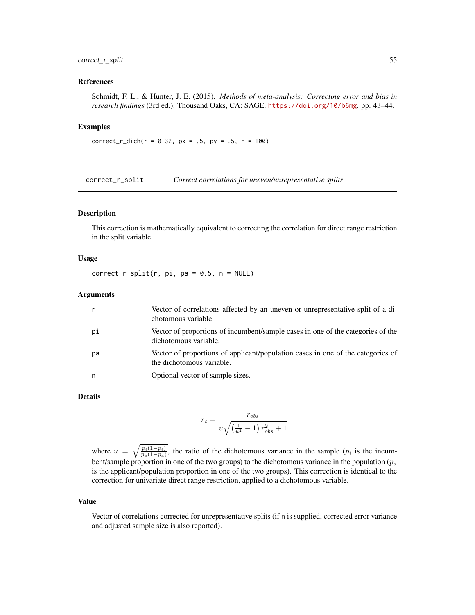### correct\_r\_split 55

### References

Schmidt, F. L., & Hunter, J. E. (2015). *Methods of meta-analysis: Correcting error and bias in research findings* (3rd ed.). Thousand Oaks, CA: SAGE. <https://doi.org/10/b6mg>. pp. 43–44.

#### Examples

```
correct_r\_dich(r = 0.32, px = .5, py = .5, n = 100)
```
correct\_r\_split *Correct correlations for uneven/unrepresentative splits*

## Description

This correction is mathematically equivalent to correcting the correlation for direct range restriction in the split variable.

### Usage

 $correct_r_split(r, pi, pa = 0.5, n = NULL)$ 

### **Arguments**

|    | Vector of correlations affected by an uneven or unrepresentative split of a di-<br>chotomous variable.       |
|----|--------------------------------------------------------------------------------------------------------------|
| рi | Vector of proportions of incumbent/sample cases in one of the categories of the<br>dichotomous variable.     |
| рa | Vector of proportions of applicant/population cases in one of the categories of<br>the dichotomous variable. |
| n  | Optional vector of sample sizes.                                                                             |

#### Details

$$
r_c = \frac{r_{obs}}{u\sqrt{\left(\frac{1}{u^2}-1\right)r_{obs}^2+1}}
$$

where  $u = \sqrt{\frac{p_i(1-p_i)}{p_a(1-p_a)}}$ , the ratio of the dichotomous variance in the sample ( $p_i$  is the incumbent/sample proportion in one of the two groups) to the dichotomous variance in the population ( $p_a$ ) is the applicant/population proportion in one of the two groups). This correction is identical to the correction for univariate direct range restriction, applied to a dichotomous variable.

#### Value

Vector of correlations corrected for unrepresentative splits (if n is supplied, corrected error variance and adjusted sample size is also reported).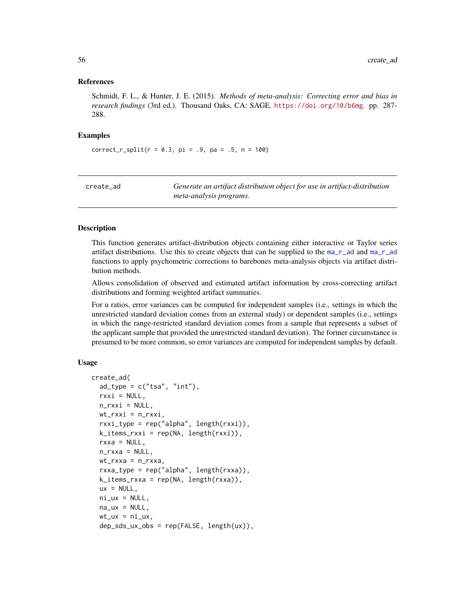### References

Schmidt, F. L., & Hunter, J. E. (2015). *Methods of meta-analysis: Correcting error and bias in research findings* (3rd ed.). Thousand Oaks, CA: SAGE. <https://doi.org/10/b6mg>. pp. 287- 288.

### Examples

 $correct_r_split(r = 0.3, pi = .9, pa = .5, n = 100)$ 

| create ad | Generate an artifact distribution object for use in artifact-distribution |
|-----------|---------------------------------------------------------------------------|
|           | meta-analysis programs.                                                   |

#### Description

This function generates artifact-distribution objects containing either interactive or Taylor series artifact distributions. Use this to create objects that can be supplied to the  $ma_r$  and  $ma_r$  and functions to apply psychometric corrections to barebones meta-analysis objects via artifact distribution methods.

Allows consolidation of observed and estimated artifact information by cross-correcting artifact distributions and forming weighted artifact summaries.

For u ratios, error variances can be computed for independent samples (i.e., settings in which the unrestricted standard deviation comes from an external study) or dependent samples (i.e., settings in which the range-restricted standard deviation comes from a sample that represents a subset of the applicant sample that provided the unrestricted standard deviation). The former circumstance is presumed to be more common, so error variances are computed for independent samples by default.

### Usage

```
create_ad(
  ad_type = c("tsa", "int"),rxxi = NULL,n_rxxi = NULL,wt_rxxi = n_rxxi,rxxi_type = rep('alpha', length(rxxi)),k_items_rxxi = rep(NA, length(rxxi)),
  rxxa = NULL,n_rxxa = NULL,
  wt_rxxa = n_rxxa,
  rxxa_type = rep("alpha", length(rxxa)),
  k_iitems_rxxa = rep(NA, length(rxxa)),
  ux = NULL,ni_{ux} = NULL,
  na_ux = NULL,wt_u x = ni_u x,
  dep_sds_ux_obs = rep(FALSE, length(ux)),
```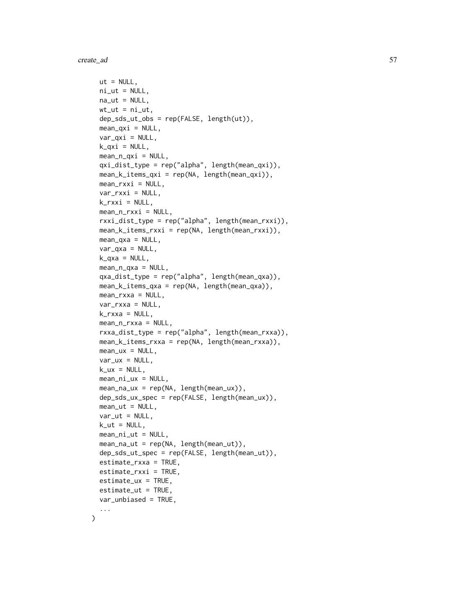create\_ad 57

```
ut = NULL,ni\_ut = NULL,na_{-}ut = NULL,wt_{-}ut = ni_{-}ut,dep_sds_ut_obs = rep(FALSE, length(ut)),
 mean_qxi = NULL,var_qxi = NULL,k_qxi = NULL,mean_n_qxi = NULL,qxi_dist_type = rep("alpha", length(mean_qxi)),
 mean_k_items_qxi = rep(NA, length(mean_qxi)),
 mean_rxxi = NULL,var_rxxi = NULL,
 k_r rxxi = NULL,
 mean_n_rxxi = NULL,
  rxxi_dist_type = rep("alpha", length(mean_rxxi)),
 mean_k_items_rxxi = rep(NA, length(mean_rxxi)),
 mean_{\text{axa}} = NULL,var_qxa = NULL,
 k_{axa} = NULL,
 mean_n_qxa = NULL,qxa_dist_type = rep("alpha", length(mean_qxa)),
 mean_k_items_qxa = rep(NA, length(mean_qxa)),
 mean_rxxa = NULL,
 var_rxxa = NULL,
 k_rrxxa = NULL,
 mean_n_rxxa = NULL,
  rxxa_dist_type = rep("alpha", length(mean_rxxa)),
 mean_k_items_rxxa = rep(NA, length(mean_rxxa)),
 mean_u x = NULL,var_{ux} = NULL,
 k_ux = NULL,mean_ini_ux = NULL,mean_na_ux = rep(NA, length(mean_ux)),
  dep_sds_ux_spec = rep(FALSE, length(mean_ux)),
 mean\_ut = NULL,var_{ut} = NULL,
  k_{-}ut = NULL,mean\_ni\_ut = NULL,mean_na_ut = rep(NA, length(mean_ut)),
  dep_sds_ut_spec = rep(FALSE, length(mean_ut)),
  estimate_rxxa = TRUE,
 estimate_rxxi = TRUE,
  estimate_ux = TRUE,
 estimate_ut = TRUE,
  var_unbiased = TRUE,
  ...
\mathcal{L}
```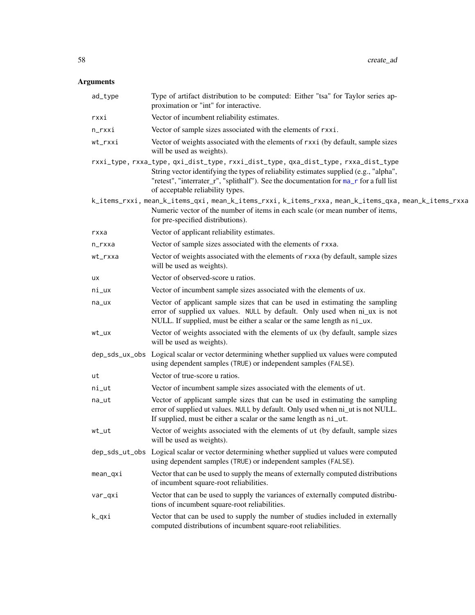# Arguments

| ad_type    | Type of artifact distribution to be computed: Either "tsa" for Taylor series ap-<br>proximation or "int" for interactive.                                                                                                                                                                                 |
|------------|-----------------------------------------------------------------------------------------------------------------------------------------------------------------------------------------------------------------------------------------------------------------------------------------------------------|
| rxxi       | Vector of incumbent reliability estimates.                                                                                                                                                                                                                                                                |
| n_rxxi     | Vector of sample sizes associated with the elements of rxxi.                                                                                                                                                                                                                                              |
| wt_rxxi    | Vector of weights associated with the elements of rxxi (by default, sample sizes<br>will be used as weights).                                                                                                                                                                                             |
|            | rxxi_type, rxxa_type, qxi_dist_type, rxxi_dist_type, qxa_dist_type, rxxa_dist_type<br>String vector identifying the types of reliability estimates supplied (e.g., "alpha",<br>"retest", "interrater_r", "splithalf"). See the documentation for ma_r for a full list<br>of acceptable reliability types. |
|            | k_items_rxxi, mean_k_items_qxi, mean_k_items_rxxi, k_items_rxxa, mean_k_items_qxa, mean_k_items_rxxa<br>Numeric vector of the number of items in each scale (or mean number of items,<br>for pre-specified distributions).                                                                                |
| rxxa       | Vector of applicant reliability estimates.                                                                                                                                                                                                                                                                |
| n_rxxa     | Vector of sample sizes associated with the elements of rxxa.                                                                                                                                                                                                                                              |
| wt_rxxa    | Vector of weights associated with the elements of rxxa (by default, sample sizes<br>will be used as weights).                                                                                                                                                                                             |
| ux         | Vector of observed-score u ratios.                                                                                                                                                                                                                                                                        |
| ni_ux      | Vector of incumbent sample sizes associated with the elements of ux.                                                                                                                                                                                                                                      |
| na_ux      | Vector of applicant sample sizes that can be used in estimating the sampling<br>error of supplied ux values. NULL by default. Only used when ni_ux is not<br>NULL. If supplied, must be either a scalar or the same length as ni_ux.                                                                      |
| wt_ux      | Vector of weights associated with the elements of ux (by default, sample sizes<br>will be used as weights).                                                                                                                                                                                               |
|            | dep_sds_ux_obs Logical scalar or vector determining whether supplied ux values were computed<br>using dependent samples (TRUE) or independent samples (FALSE).                                                                                                                                            |
| ut         | Vector of true-score u ratios.                                                                                                                                                                                                                                                                            |
| ni_ut      | Vector of incumbent sample sizes associated with the elements of ut.                                                                                                                                                                                                                                      |
| na_ut      | Vector of applicant sample sizes that can be used in estimating the sampling<br>error of supplied ut values. NULL by default. Only used when ni_ut is not NULL.<br>If supplied, must be either a scalar or the same length as ni_ut.                                                                      |
| wt_ut      | Vector of weights associated with the elements of ut (by default, sample sizes<br>will be used as weights).                                                                                                                                                                                               |
|            | dep_sds_ut_obs Logical scalar or vector determining whether supplied ut values were computed<br>using dependent samples (TRUE) or independent samples (FALSE).                                                                                                                                            |
| $mean_qxi$ | Vector that can be used to supply the means of externally computed distributions<br>of incumbent square-root reliabilities.                                                                                                                                                                               |
| var_qxi    | Vector that can be used to supply the variances of externally computed distribu-<br>tions of incumbent square-root reliabilities.                                                                                                                                                                         |
| k_qxi      | Vector that can be used to supply the number of studies included in externally<br>computed distributions of incumbent square-root reliabilities.                                                                                                                                                          |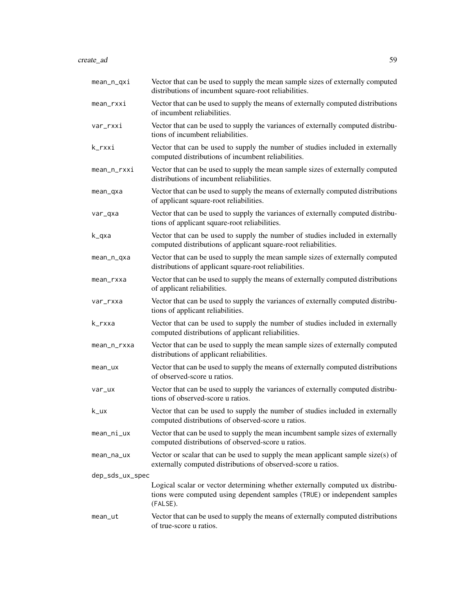create\_ad 59

| mean_n_qxi       | Vector that can be used to supply the mean sample sizes of externally computed<br>distributions of incumbent square-root reliabilities.                                |
|------------------|------------------------------------------------------------------------------------------------------------------------------------------------------------------------|
| mean_rxxi        | Vector that can be used to supply the means of externally computed distributions<br>of incumbent reliabilities.                                                        |
| var_rxxi         | Vector that can be used to supply the variances of externally computed distribu-<br>tions of incumbent reliabilities.                                                  |
| k_rxxi           | Vector that can be used to supply the number of studies included in externally<br>computed distributions of incumbent reliabilities.                                   |
| mean_n_rxxi      | Vector that can be used to supply the mean sample sizes of externally computed<br>distributions of incumbent reliabilities.                                            |
| mean_qxa         | Vector that can be used to supply the means of externally computed distributions<br>of applicant square-root reliabilities.                                            |
| var_qxa          | Vector that can be used to supply the variances of externally computed distribu-<br>tions of applicant square-root reliabilities.                                      |
| k_qxa            | Vector that can be used to supply the number of studies included in externally<br>computed distributions of applicant square-root reliabilities.                       |
| mean_n_qxa       | Vector that can be used to supply the mean sample sizes of externally computed<br>distributions of applicant square-root reliabilities.                                |
| mean_rxxa        | Vector that can be used to supply the means of externally computed distributions<br>of applicant reliabilities.                                                        |
| var_rxxa         | Vector that can be used to supply the variances of externally computed distribu-<br>tions of applicant reliabilities.                                                  |
| k_rxxa           | Vector that can be used to supply the number of studies included in externally<br>computed distributions of applicant reliabilities.                                   |
| mean_n_rxxa      | Vector that can be used to supply the mean sample sizes of externally computed<br>distributions of applicant reliabilities.                                            |
| mean_ux          | Vector that can be used to supply the means of externally computed distributions<br>of observed-score u ratios.                                                        |
| var_ux           | Vector that can be used to supply the variances of externally computed distribu-<br>tions of observed-score u ratios.                                                  |
| $k_{\text{-}ux}$ | Vector that can be used to supply the number of studies included in externally<br>computed distributions of observed-score u ratios.                                   |
| mean_ni_ux       | Vector that can be used to supply the mean incumbent sample sizes of externally<br>computed distributions of observed-score u ratios.                                  |
| mean_na_ux       | Vector or scalar that can be used to supply the mean applicant sample size(s) of<br>externally computed distributions of observed-score u ratios.                      |
| dep_sds_ux_spec  |                                                                                                                                                                        |
|                  | Logical scalar or vector determining whether externally computed ux distribu-<br>tions were computed using dependent samples (TRUE) or independent samples<br>(FALSE). |
| mean_ut          | Vector that can be used to supply the means of externally computed distributions<br>of true-score u ratios.                                                            |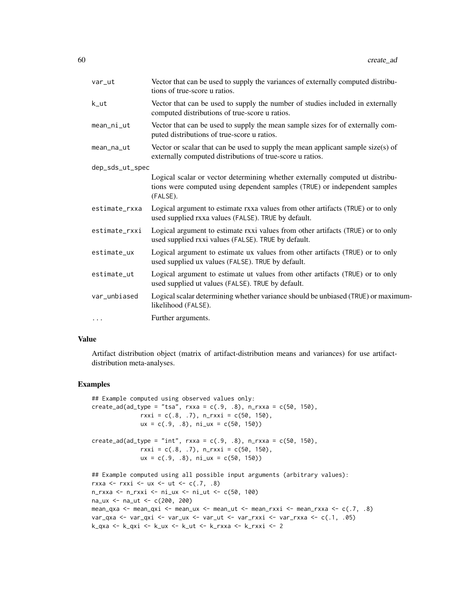| var_ut          | Vector that can be used to supply the variances of externally computed distribu-<br>tions of true-score u ratios.                                                      |  |
|-----------------|------------------------------------------------------------------------------------------------------------------------------------------------------------------------|--|
| k_ut            | Vector that can be used to supply the number of studies included in externally<br>computed distributions of true-score u ratios.                                       |  |
| mean_ni_ut      | Vector that can be used to supply the mean sample sizes for of externally com-<br>puted distributions of true-score u ratios.                                          |  |
| mean_na_ut      | Vector or scalar that can be used to supply the mean applicant sample size(s) of<br>externally computed distributions of true-score u ratios.                          |  |
| dep_sds_ut_spec |                                                                                                                                                                        |  |
|                 | Logical scalar or vector determining whether externally computed ut distribu-<br>tions were computed using dependent samples (TRUE) or independent samples<br>(FALSE). |  |
| estimate_rxxa   | Logical argument to estimate rxxa values from other artifacts (TRUE) or to only<br>used supplied rxxa values (FALSE). TRUE by default.                                 |  |
| estimate_rxxi   | Logical argument to estimate rxxi values from other artifacts (TRUE) or to only<br>used supplied rxxi values (FALSE). TRUE by default.                                 |  |
| estimate_ux     | Logical argument to estimate ux values from other artifacts (TRUE) or to only<br>used supplied ux values (FALSE). TRUE by default.                                     |  |
| estimate_ut     | Logical argument to estimate ut values from other artifacts (TRUE) or to only<br>used supplied ut values (FALSE). TRUE by default.                                     |  |
| var_unbiased    | Logical scalar determining whether variance should be unbiased (TRUE) or maximum-<br>likelihood (FALSE).                                                               |  |
| $\cdots$        | Further arguments.                                                                                                                                                     |  |

### Value

Artifact distribution object (matrix of artifact-distribution means and variances) for use artifactdistribution meta-analyses.

## Examples

```
## Example computed using observed values only:
create\_ad(ad\_type = "tsa", rxxa = c(.9, .8), n_rxxx = c(50, 150),rxxi = c(.8, .7), n_rxxi = c(50, 150),ux = c(.9, .8), ni_u = c(50, 150)create\_ad(ad\_type = "int", rxxa = c(.9, .8), n_rxxx = c(50, 150),rxxi = c(.8, .7), n_rxxi = c(50, 150),ux = c(.9, .8), ni_ux = c(50, 150))## Example computed using all possible input arguments (arbitrary values):
rxxa <- rxxi <- ux <- ut <- c(.7, .8)n_rxxa <- n_rxxi <- ni_ux <- ni_ut <- c(50, 100)
na_ux <- na_ut <- c(200, 200)
mean_qxa <- mean_qxi <- mean_ux <- mean_ut <- mean_rxxi <- mean_rxxa <- c(.7, .8)
var_qxa <- var_qxi <- var_ux <- var_ut <- var_rxxi <- var_rxxa <- c(.1, .05)
k_qxa <- k_qxi <- k_ux <- k_ut <- k_rxxa <- k_rxxi <- 2
```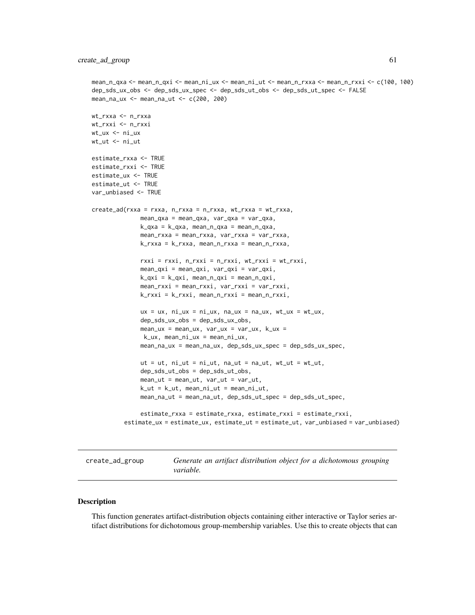```
mean_n_qxa <- mean_n_qxi <- mean_ni_ux <- mean_ni_ut <- mean_n_rxxa <- mean_n_rxxi <- c(100, 100)
dep_sds_ux_obs <- dep_sds_ux_spec <- dep_sds_ut_obs <- dep_sds_ut_spec <- FALSE
mean_na_ux <- mean_na_ut <- c(200, 200)
wt_rxxa <- n_rxxa
wt_rxxi <- n_rxxi
wt_ux <- ni_ux
wt_ut <- ni_ut
estimate_rxxa <- TRUE
estimate_rxxi <- TRUE
estimate_ux <- TRUE
estimate_ut <- TRUE
var_unbiased <- TRUE
create_ad(rxxa = rxxa, n_rxxa = n_rxxa, wt_rxxa = wt_rxxa,
              mean_qxa = mean_qxa, var_qxa = var_qxa,
              k_qxa = k_qxa, mean_n_qxa = mean_n_qxa,
              mean_rxxa = mean_rxxa, var_rxxa = var_rxxa,
              k_rxxa = k_rxxa, mean_n_rxxa = mean_n_rxxa,
              rxxi = rxxi, n_rxxi = n_rxxi, wt_rxxi = wt_rxxi,mean_qxi = mean_qxi, var_qxi = var_qxi,
              k_qxi = k_qxi, mean_n_qxi = mean_n_qxi,
              mean_rxxi = mean_rxxi, var_rxxi = var_rxxi,
              k_rxxi = k_rxxi, mean_n_rxxi = mean_n_rxxi,
              ux = ux, ni\_ux = ni\_ux, na\_ux = na_ux, wt\_ux = wt\_ux,
              dep_sds_ux_obs = dep_sds_ux_obs,
              mean_u x = mean_u x, var_u x = var_u x, k_u x =k_ux, mean_ni_ux = mean_ni_ux,
              mean_na_ux = mean_na_ux, dep_sds_ux_spec = dep_sds_ux_spec,
              ut = ut, ni_{ut} = ni_{ut}, na_{ut} = na_{ut}, wt_{ut} = wt_{ut},
              dep_sds_ut_obs = dep_sds_ut_obs,
              mean_{ut} = mean_{ut}, var_{ut} = var_{ut},k_{-}ut = k_{-}ut, meanni_{-}ut = mean_{-}ni_{-}ut,
              mean_na_ut = mean_na_ut, dep_sds_ut_spec = dep_sds_ut_spec,
              estimate_rxxa = estimate_rxxa, estimate_rxxi = estimate_rxxi,
         estimate_ux = estimate_ux, estimate_ut = estimate_ut, var_unbiased = var_unbiased)
```
create\_ad\_group *Generate an artifact distribution object for a dichotomous grouping variable.*

#### **Description**

This function generates artifact-distribution objects containing either interactive or Taylor series artifact distributions for dichotomous group-membership variables. Use this to create objects that can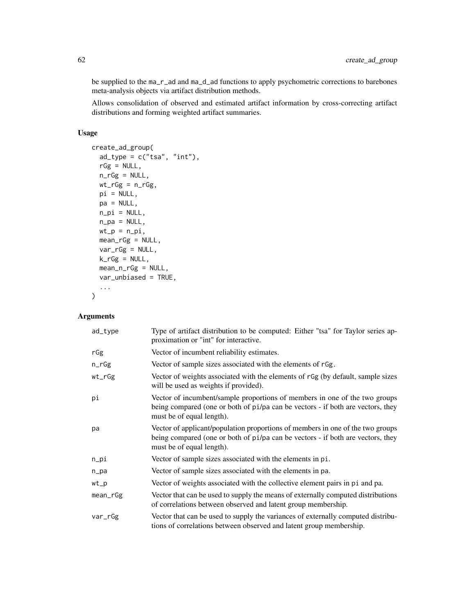be supplied to the ma\_r\_ad and ma\_d\_ad functions to apply psychometric corrections to barebones meta-analysis objects via artifact distribution methods.

Allows consolidation of observed and estimated artifact information by cross-correcting artifact distributions and forming weighted artifact summaries.

## Usage

```
create_ad_group(
  ad_type = c("tsa", "int"),rGg = NULL,n_rGg = NULL,wt_rGg = n_rGg,
 pi = NULL,pa = NULL,
 n\_pi = NULL,n_pa = NULL,
 wt_p = n_pi,
 mean_rGg = NULL,
 var_rGg = NULL,
 k_rGg = NULL,mean_n_rGg = NULL,
 var_unbiased = TRUE,
  ...
\mathcal{L}
```
## Arguments

| ad_type  | Type of artifact distribution to be computed: Either "tsa" for Taylor series ap-<br>proximation or "int" for interactive.                                                                      |
|----------|------------------------------------------------------------------------------------------------------------------------------------------------------------------------------------------------|
| rGg      | Vector of incumbent reliability estimates.                                                                                                                                                     |
| $n_rGg$  | Vector of sample sizes associated with the elements of rGg.                                                                                                                                    |
| $wt_rGg$ | Vector of weights associated with the elements of rGg (by default, sample sizes<br>will be used as weights if provided).                                                                       |
| рi       | Vector of incumbent/sample proportions of members in one of the two groups<br>being compared (one or both of pi/pa can be vectors - if both are vectors, they<br>must be of equal length).     |
| pa       | Vector of applicant/population proportions of members in one of the two groups<br>being compared (one or both of pi/pa can be vectors - if both are vectors, they<br>must be of equal length). |
| $n$ _pi  | Vector of sample sizes associated with the elements in pi.                                                                                                                                     |
| n_pa     | Vector of sample sizes associated with the elements in pa.                                                                                                                                     |
| wt       | Vector of weights associated with the collective element pairs in pi and pa.                                                                                                                   |
| mean_rGg | Vector that can be used to supply the means of externally computed distributions<br>of correlations between observed and latent group membership.                                              |
| var_rGg  | Vector that can be used to supply the variances of externally computed distribu-<br>tions of correlations between observed and latent group membership.                                        |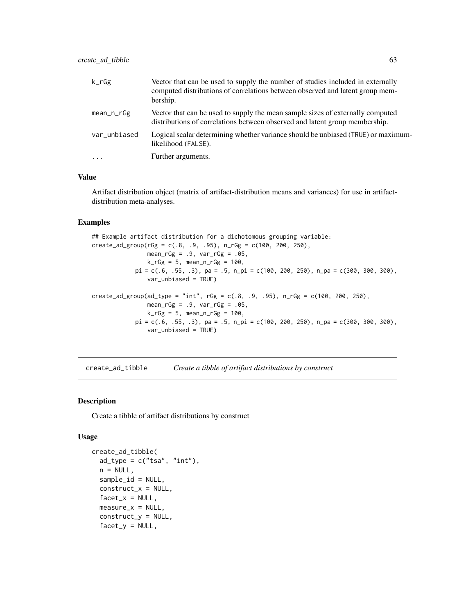| $k_r$ Gg     | Vector that can be used to supply the number of studies included in externally<br>computed distributions of correlations between observed and latent group mem-<br>bership. |
|--------------|-----------------------------------------------------------------------------------------------------------------------------------------------------------------------------|
| mean_n_rGg   | Vector that can be used to supply the mean sample sizes of externally computed<br>distributions of correlations between observed and latent group membership.               |
| var_unbiased | Logical scalar determining whether variance should be unbiased (TRUE) or maximum-<br>likelihood (FALSE).                                                                    |
| $\ddotsc$    | Further arguments.                                                                                                                                                          |

### Value

Artifact distribution object (matrix of artifact-distribution means and variances) for use in artifactdistribution meta-analyses.

## Examples

```
## Example artifact distribution for a dichotomous grouping variable:
create\_ad\_group(rGg = c(.8, .9, .95), n_rGg = c(100, 200, 250),mean_rGg = .9, var_rGg = .05,
                k_rGg = 5, mean_n_rGg = 100,
             pi = c(.6, .55, .3), pa = .5, n\_pi = c(100, 200, 250), n\_pa = c(300, 300, 300),var_unbiased = TRUE)
created\_ad\_group(ad\_type = "int", rGg = c(.8, .9, .95), n_rGg = c(100, 200, 250),mean_rGg = .9, var_rGg = .05,
                k_rGg = 5, mean_n_rGg = 100,
             pi = c(.6, .55, .3), pa = .5, n\_pi = c(100, 200, 250), n\_pa = c(300, 300, 300),var_unbiased = TRUE)
```
create\_ad\_tibble *Create a tibble of artifact distributions by construct*

### Description

Create a tibble of artifact distributions by construct

#### Usage

```
create_ad_tibble(
  ad_type = c("tsa", "int"),n = NULL,sample_id = NULL,
  construct_x = NULL,facet_x = NULL,
 measure_x = NULL,construct_y = NULL,
  factor_y = NULL,
```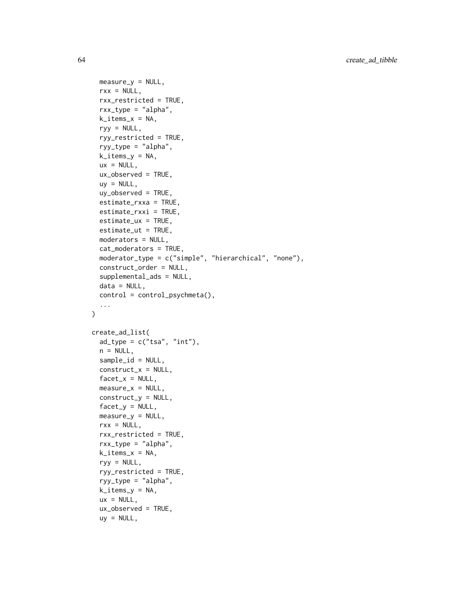```
measure_y = NULL,
  rxx = NULL,rxx_restricted = TRUE,
  rxx_type = "alpha",k\_items_x = NA,
  ryy = NULL,
  ryy_restricted = TRUE,
  ryy_type = "alpha",
  k\_items_y = NA,
 ux = NULL,ux_observed = TRUE,
  uy = NULL,uy_observed = TRUE,
  estimate_rxxa = TRUE,
  estimate_rxxi = TRUE,
  estimate_ux = TRUE,
  estimate_ut = TRUE,
  moderators = NULL,
  cat_moderators = TRUE,
  moderator_type = c("simple", "hierarchical", "none"),
  construct_order = NULL,
  supplemental_ads = NULL,
  data = NULL,control = control_psychmeta(),
  ...
\sum_{i=1}^{n}create_ad_list(
  ad_type = c("tsa", "int"),n = NULL,sample_id = NULL,
  construct_x = NULL,facet_x = NULL,measure_x = NULL,construct_y = NULL,
  facet_y = NULL,measure_v = NULL,
  rxx = NULL,rxx_restricted = TRUE,
  rxx_type = "alpha",
  k\_items_x = NA,
  ryy = NULL,ryy_restricted = TRUE,
  ryy_type = "alpha",
  k_items_y = NA,
  ux = NULL,ux_observed = TRUE,
  uy = NULL,
```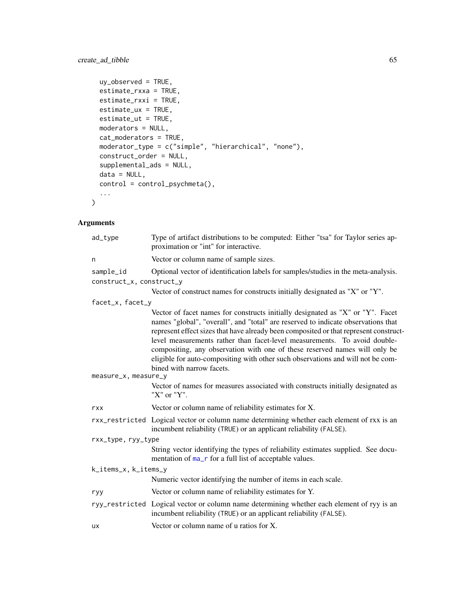```
uy_observed = TRUE,
 estimate_rxxa = TRUE,
 estimate_rxxi = TRUE,
 estimate_ux = TRUE,
 estimate_ut = TRUE,
 moderators = NULL,
 cat_moderators = TRUE,
 moderator_type = c("simple", "hierarchical", "none"),
 construct_order = NULL,
 supplemental_ads = NULL,
 data = NULL,
 control = control_psychmeta(),
  ...
)
```
## Arguments

| ad_type                  | Type of artifact distributions to be computed: Either "tsa" for Taylor series ap-<br>proximation or "int" for interactive.                                                                                                                                                                                                                                                                                                                                                                                                              |
|--------------------------|-----------------------------------------------------------------------------------------------------------------------------------------------------------------------------------------------------------------------------------------------------------------------------------------------------------------------------------------------------------------------------------------------------------------------------------------------------------------------------------------------------------------------------------------|
| n                        | Vector or column name of sample sizes.                                                                                                                                                                                                                                                                                                                                                                                                                                                                                                  |
| sample_id                | Optional vector of identification labels for samples/studies in the meta-analysis.                                                                                                                                                                                                                                                                                                                                                                                                                                                      |
| construct_x, construct_y |                                                                                                                                                                                                                                                                                                                                                                                                                                                                                                                                         |
|                          | Vector of construct names for constructs initially designated as "X" or "Y".                                                                                                                                                                                                                                                                                                                                                                                                                                                            |
| facet_x, facet_y         |                                                                                                                                                                                                                                                                                                                                                                                                                                                                                                                                         |
| measure_x, measure_y     | Vector of facet names for constructs initially designated as "X" or "Y". Facet<br>names "global", "overall", and "total" are reserved to indicate observations that<br>represent effect sizes that have already been composited or that represent construct-<br>level measurements rather than facet-level measurements. To avoid double-<br>compositing, any observation with one of these reserved names will only be<br>eligible for auto-compositing with other such observations and will not be com-<br>bined with narrow facets. |
|                          | Vector of names for measures associated with constructs initially designated as<br>"X" or "Y".                                                                                                                                                                                                                                                                                                                                                                                                                                          |
| rxx                      | Vector or column name of reliability estimates for X.                                                                                                                                                                                                                                                                                                                                                                                                                                                                                   |
|                          | rxx_restricted Logical vector or column name determining whether each element of rxx is an<br>incumbent reliability (TRUE) or an applicant reliability (FALSE).                                                                                                                                                                                                                                                                                                                                                                         |
| rxx_type, ryy_type       |                                                                                                                                                                                                                                                                                                                                                                                                                                                                                                                                         |
|                          | String vector identifying the types of reliability estimates supplied. See docu-<br>mentation of ma_r for a full list of acceptable values.                                                                                                                                                                                                                                                                                                                                                                                             |
| k_items_x, k_items_y     |                                                                                                                                                                                                                                                                                                                                                                                                                                                                                                                                         |
|                          | Numeric vector identifying the number of items in each scale.                                                                                                                                                                                                                                                                                                                                                                                                                                                                           |
| ryy                      | Vector or column name of reliability estimates for Y.                                                                                                                                                                                                                                                                                                                                                                                                                                                                                   |
|                          | ryy_restricted Logical vector or column name determining whether each element of ryy is an<br>incumbent reliability (TRUE) or an applicant reliability (FALSE).                                                                                                                                                                                                                                                                                                                                                                         |
| <b>UX</b>                | Vector or column name of u ratios for X.                                                                                                                                                                                                                                                                                                                                                                                                                                                                                                |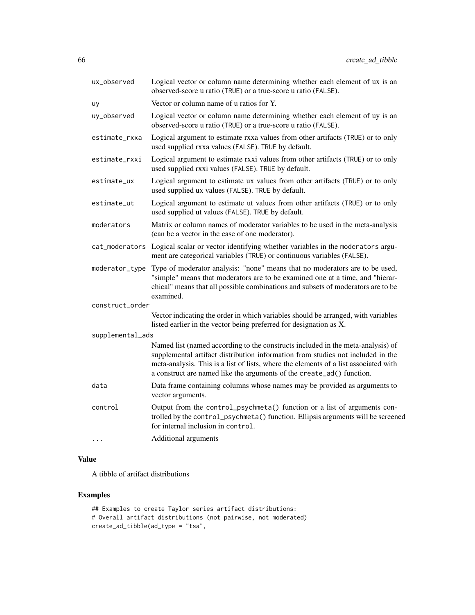| ux_observed      | Logical vector or column name determining whether each element of ux is an<br>observed-score u ratio (TRUE) or a true-score u ratio (FALSE).                                                                                                                                                                                        |
|------------------|-------------------------------------------------------------------------------------------------------------------------------------------------------------------------------------------------------------------------------------------------------------------------------------------------------------------------------------|
| uy               | Vector or column name of u ratios for Y.                                                                                                                                                                                                                                                                                            |
| uy_observed      | Logical vector or column name determining whether each element of uy is an<br>observed-score u ratio (TRUE) or a true-score u ratio (FALSE).                                                                                                                                                                                        |
| estimate_rxxa    | Logical argument to estimate rxxa values from other artifacts (TRUE) or to only<br>used supplied rxxa values (FALSE). TRUE by default.                                                                                                                                                                                              |
| estimate_rxxi    | Logical argument to estimate rxxi values from other artifacts (TRUE) or to only<br>used supplied rxxi values (FALSE). TRUE by default.                                                                                                                                                                                              |
| estimate_ux      | Logical argument to estimate ux values from other artifacts (TRUE) or to only<br>used supplied ux values (FALSE). TRUE by default.                                                                                                                                                                                                  |
| estimate_ut      | Logical argument to estimate ut values from other artifacts (TRUE) or to only<br>used supplied ut values (FALSE). TRUE by default.                                                                                                                                                                                                  |
| moderators       | Matrix or column names of moderator variables to be used in the meta-analysis<br>(can be a vector in the case of one moderator).                                                                                                                                                                                                    |
|                  | cat_moderators Logical scalar or vector identifying whether variables in the moderators argu-<br>ment are categorical variables (TRUE) or continuous variables (FALSE).                                                                                                                                                             |
| moderator_type   | Type of moderator analysis: "none" means that no moderators are to be used,<br>"simple" means that moderators are to be examined one at a time, and "hierar-<br>chical" means that all possible combinations and subsets of moderators are to be<br>examined.                                                                       |
| construct_order  |                                                                                                                                                                                                                                                                                                                                     |
|                  | Vector indicating the order in which variables should be arranged, with variables<br>listed earlier in the vector being preferred for designation as X.                                                                                                                                                                             |
| supplemental_ads |                                                                                                                                                                                                                                                                                                                                     |
|                  | Named list (named according to the constructs included in the meta-analysis) of<br>supplemental artifact distribution information from studies not included in the<br>meta-analysis. This is a list of lists, where the elements of a list associated with<br>a construct are named like the arguments of the create_ad() function. |
| data             | Data frame containing columns whose names may be provided as arguments to<br>vector arguments.                                                                                                                                                                                                                                      |
| control          | Output from the control_psychmeta() function or a list of arguments con-<br>trolled by the control_psychmeta() function. Ellipsis arguments will be screened<br>for internal inclusion in control.                                                                                                                                  |
| .                | Additional arguments                                                                                                                                                                                                                                                                                                                |

## Value

A tibble of artifact distributions

## Examples

```
## Examples to create Taylor series artifact distributions:
# Overall artifact distributions (not pairwise, not moderated)
create_ad_tibble(ad_type = "tsa",
```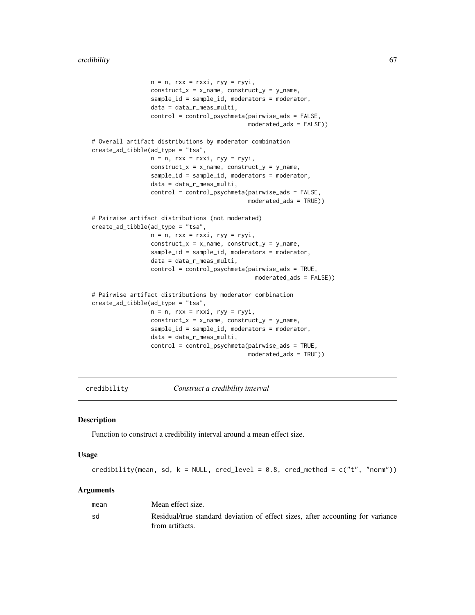```
n = n, rxx = rxxi, ryy = ryyi,
                 construct_x = x_name, construct_y = y_name,sample_id = sample_id, moderators = moderator,
                 data = data_r_meas_multi,
                 control = control_psychmeta(pairwise_ads = FALSE,
                                             moderated_ads = FALSE))
# Overall artifact distributions by moderator combination
create_ad_tibble(ad_type = "tsa",
                 n = n, rxx = rxxi, ryy = ryyi,
                 construct_x = x_name, construct_y = y_name,
                 sample_id = sample_id, moderators = moderator,
                 data = data_r_meas_multi,
                 control = control_psychmeta(pairwise_ads = FALSE,
                                             moderated_ads = TRUE))
# Pairwise artifact distributions (not moderated)
create_ad_tibble(ad_type = "tsa",
                 n = n, rxx = rxxi, ryy = ryyi,
                 construct_x = x_name, construct_y = y_name,sample_id = sample_id, moderators = moderator,
                 data = data_r_meas_multi,
                 control = control_psychmeta(pairwise_ads = TRUE,
                                               moderated_ads = FALSE))
# Pairwise artifact distributions by moderator combination
create_ad_tibble(ad_type = "tsa",
                 n = n, rxx = rxxi, ryy = ryyi,
                 construct_x = x_name, construct_y = y_name,
                 sample_id = sample_id, moderators = moderator,
                 data = data_r_meas_multi,
                 control = control_psychmeta(pairwise_ads = TRUE,
                                             moderated_ads = TRUE))
```
credibility *Construct a credibility interval*

#### Description

Function to construct a credibility interval around a mean effect size.

#### Usage

```
credibility(mean, sd, k = NULL, cred_level = 0.8, cred_method = c("t", "norm"))
```
#### Arguments

| mean | Mean effect size.                                                                                  |
|------|----------------------------------------------------------------------------------------------------|
| sd   | Residual/true standard deviation of effect sizes, after accounting for variance<br>from artifacts. |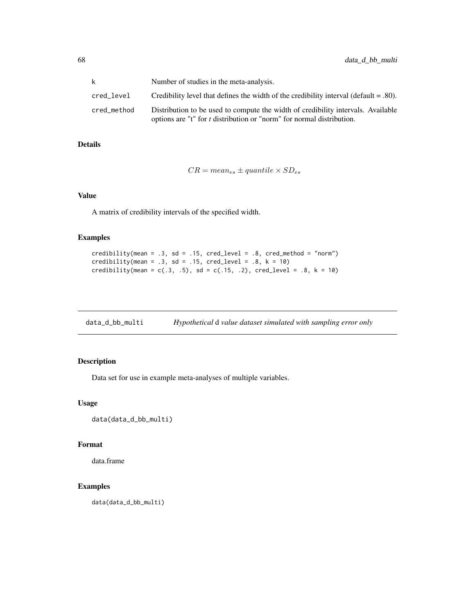| k           | Number of studies in the meta-analysis.                                                                                                                         |
|-------------|-----------------------------------------------------------------------------------------------------------------------------------------------------------------|
| cred_level  | Credibility level that defines the width of the credibility interval (default $= .80$ ).                                                                        |
| cred method | Distribution to be used to compute the width of credibility intervals. Available<br>options are " $t$ " for $t$ distribution or "norm" for normal distribution. |

## Details

$$
CR = mean_{es} \pm quantile \times SD_{es}
$$

### Value

A matrix of credibility intervals of the specified width.

### Examples

```
credibility(mean = .3, sd = .15, cred_level = .8, cred_method = "norm")
credibility(mean = .3, sd = .15, cred_level = .8, k = 10)
credibility(mean = c(.3, .5), sd = c(.15, .2), cred_level = .8, k = 10)
```

| data_d_bb_multi | Hypothetical d value dataset simulated with sampling error only |  |  |
|-----------------|-----------------------------------------------------------------|--|--|
|                 |                                                                 |  |  |

## Description

Data set for use in example meta-analyses of multiple variables.

### Usage

```
data(data_d_bb_multi)
```
### Format

data.frame

# Examples

data(data\_d\_bb\_multi)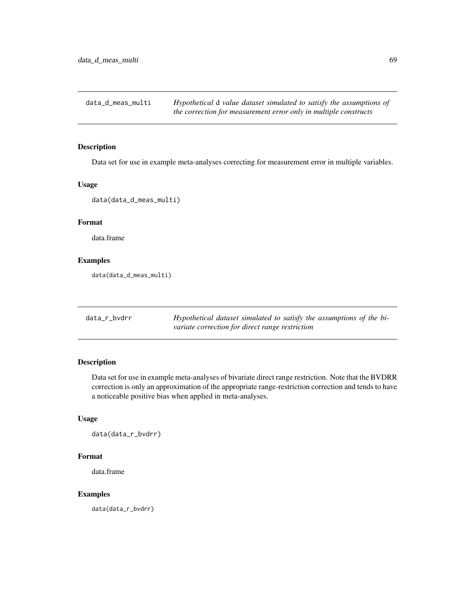data\_d\_meas\_multi *Hypothetical* d *value dataset simulated to satisfy the assumptions of the correction for measurement error only in multiple constructs*

#### Description

Data set for use in example meta-analyses correcting for measurement error in multiple variables.

### Usage

```
data(data_d_meas_multi)
```
## Format

data.frame

## Examples

data(data\_d\_meas\_multi)

| data_r_bvdrr | Hypothetical dataset simulated to satisfy the assumptions of the bi- |  |
|--------------|----------------------------------------------------------------------|--|
|              | variate correction for direct range restriction                      |  |

### Description

Data set for use in example meta-analyses of bivariate direct range restriction. Note that the BVDRR correction is only an approximation of the appropriate range-restriction correction and tends to have a noticeable positive bias when applied in meta-analyses.

## Usage

data(data\_r\_bvdrr)

### Format

data.frame

### Examples

data(data\_r\_bvdrr)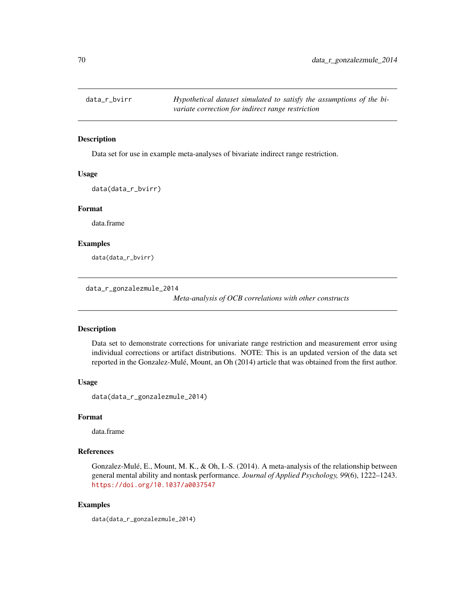#### Description

Data set for use in example meta-analyses of bivariate indirect range restriction.

#### Usage

data(data\_r\_bvirr)

### Format

data.frame

## Examples

data(data\_r\_bvirr)

data\_r\_gonzalezmule\_2014

*Meta-analysis of OCB correlations with other constructs*

### Description

Data set to demonstrate corrections for univariate range restriction and measurement error using individual corrections or artifact distributions. NOTE: This is an updated version of the data set reported in the Gonzalez-Mulé, Mount, an Oh (2014) article that was obtained from the first author.

### Usage

data(data\_r\_gonzalezmule\_2014)

#### Format

data.frame

#### References

Gonzalez-Mulé, E., Mount, M. K., & Oh, I.-S. (2014). A meta-analysis of the relationship between general mental ability and nontask performance. *Journal of Applied Psychology, 99*(6), 1222–1243. <https://doi.org/10.1037/a0037547>

### Examples

data(data\_r\_gonzalezmule\_2014)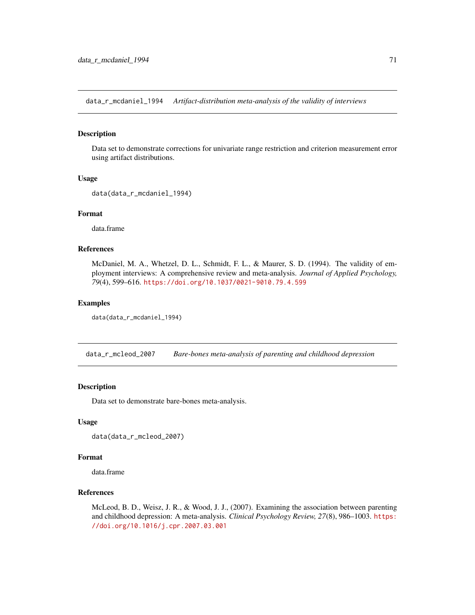data\_r\_mcdaniel\_1994 *Artifact-distribution meta-analysis of the validity of interviews*

#### Description

Data set to demonstrate corrections for univariate range restriction and criterion measurement error using artifact distributions.

### Usage

```
data(data_r_mcdaniel_1994)
```
### Format

data.frame

### References

McDaniel, M. A., Whetzel, D. L., Schmidt, F. L., & Maurer, S. D. (1994). The validity of employment interviews: A comprehensive review and meta-analysis. *Journal of Applied Psychology, 79*(4), 599–616. <https://doi.org/10.1037/0021-9010.79.4.599>

#### Examples

```
data(data_r_mcdaniel_1994)
```
data\_r\_mcleod\_2007 *Bare-bones meta-analysis of parenting and childhood depression*

#### Description

Data set to demonstrate bare-bones meta-analysis.

#### Usage

data(data\_r\_mcleod\_2007)

### Format

data.frame

### References

McLeod, B. D., Weisz, J. R., & Wood, J. J., (2007). Examining the association between parenting and childhood depression: A meta-analysis. *Clinical Psychology Review, 27*(8), 986–1003. [https:](https://doi.org/10.1016/j.cpr.2007.03.001) [//doi.org/10.1016/j.cpr.2007.03.001](https://doi.org/10.1016/j.cpr.2007.03.001)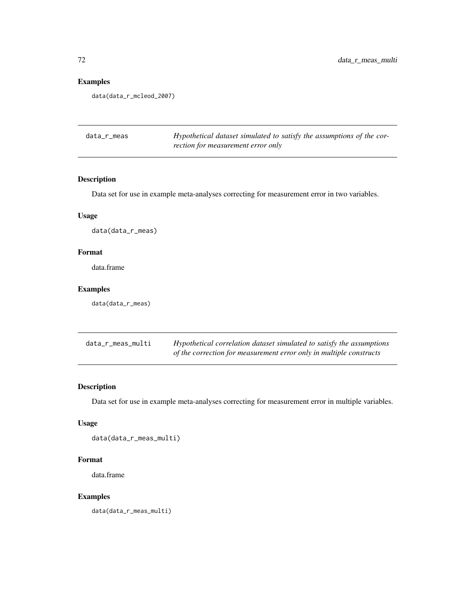# Examples

data(data\_r\_mcleod\_2007)

| data_r_meas | Hypothetical dataset simulated to satisfy the assumptions of the cor- |
|-------------|-----------------------------------------------------------------------|
|             | rection for measurement error only                                    |

# Description

Data set for use in example meta-analyses correcting for measurement error in two variables.

## Usage

data(data\_r\_meas)

# Format

data.frame

## Examples

data(data\_r\_meas)

| data_r_meas_multi | Hypothetical correlation dataset simulated to satisfy the assumptions |
|-------------------|-----------------------------------------------------------------------|
|                   | of the correction for measurement error only in multiple constructs   |

# Description

Data set for use in example meta-analyses correcting for measurement error in multiple variables.

### Usage

data(data\_r\_meas\_multi)

### Format

data.frame

# Examples

data(data\_r\_meas\_multi)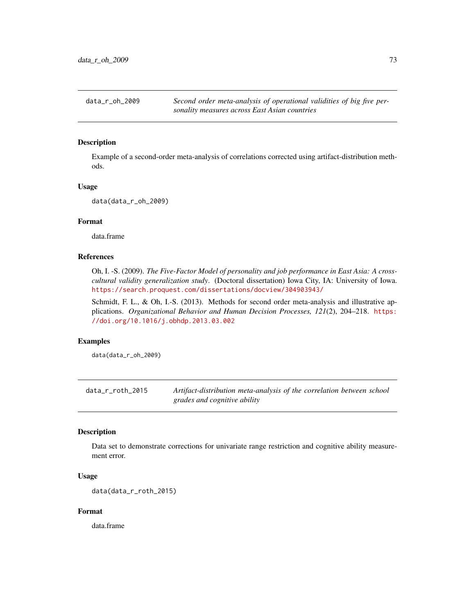data\_r\_oh\_2009 *Second order meta-analysis of operational validities of big five personality measures across East Asian countries*

### Description

Example of a second-order meta-analysis of correlations corrected using artifact-distribution methods.

#### Usage

data(data\_r\_oh\_2009)

# Format

data.frame

# References

Oh, I. -S. (2009). *The Five-Factor Model of personality and job performance in East Asia: A crosscultural validity generalization study*. (Doctoral dissertation) Iowa City, IA: University of Iowa. <https://search.proquest.com/dissertations/docview/304903943/>

Schmidt, F. L., & Oh, I.-S. (2013). Methods for second order meta-analysis and illustrative applications. *Organizational Behavior and Human Decision Processes, 121*(2), 204–218. [https:](https://doi.org/10.1016/j.obhdp.2013.03.002) [//doi.org/10.1016/j.obhdp.2013.03.002](https://doi.org/10.1016/j.obhdp.2013.03.002)

## Examples

data(data\_r\_oh\_2009)

data\_r\_roth\_2015 *Artifact-distribution meta-analysis of the correlation between school grades and cognitive ability*

# Description

Data set to demonstrate corrections for univariate range restriction and cognitive ability measurement error.

## Usage

```
data(data_r_roth_2015)
```
# Format

data.frame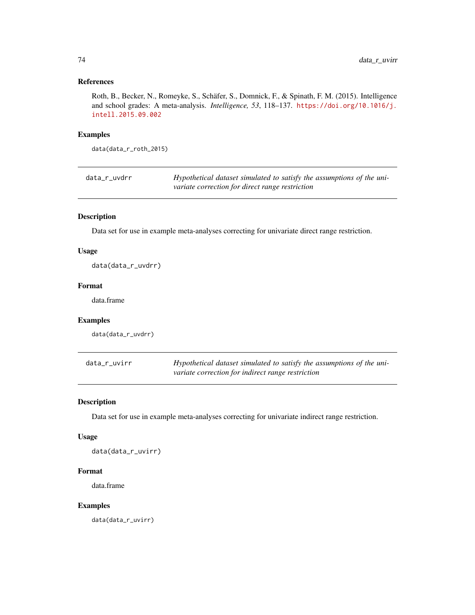# References

Roth, B., Becker, N., Romeyke, S., Schäfer, S., Domnick, F., & Spinath, F. M. (2015). Intelligence and school grades: A meta-analysis. *Intelligence, 53*, 118–137. [https://doi.org/10.1016/j.](https://doi.org/10.1016/j.intell.2015.09.002) [intell.2015.09.002](https://doi.org/10.1016/j.intell.2015.09.002)

## Examples

data(data\_r\_roth\_2015)

| data_r_uvdrr | Hypothetical dataset simulated to satisfy the assumptions of the uni- |
|--------------|-----------------------------------------------------------------------|
|              | variate correction for direct range restriction                       |

# Description

Data set for use in example meta-analyses correcting for univariate direct range restriction.

## Usage

data(data\_r\_uvdrr)

## Format

data.frame

# Examples

data(data\_r\_uvdrr)

| data_r_uvirr | Hypothetical dataset simulated to satisfy the assumptions of the uni- |
|--------------|-----------------------------------------------------------------------|
|              | variate correction for indirect range restriction                     |

## Description

Data set for use in example meta-analyses correcting for univariate indirect range restriction.

#### Usage

data(data\_r\_uvirr)

## Format

data.frame

## Examples

data(data\_r\_uvirr)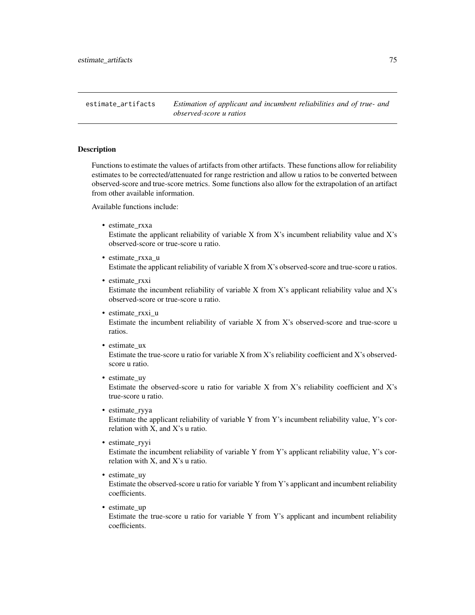estimate\_artifacts *Estimation of applicant and incumbent reliabilities and of true- and observed-score u ratios*

### Description

Functions to estimate the values of artifacts from other artifacts. These functions allow for reliability estimates to be corrected/attenuated for range restriction and allow u ratios to be converted between observed-score and true-score metrics. Some functions also allow for the extrapolation of an artifact from other available information.

Available functions include:

• estimate\_rxxa

Estimate the applicant reliability of variable X from X's incumbent reliability value and X's observed-score or true-score u ratio.

- estimate\_rxxa\_u Estimate the applicant reliability of variable X from X's observed-score and true-score u ratios.
- estimate\_rxxi Estimate the incumbent reliability of variable X from X's applicant reliability value and X's observed-score or true-score u ratio.
- estimate rxxi u

Estimate the incumbent reliability of variable X from X's observed-score and true-score u ratios.

- estimate\_ux Estimate the true-score u ratio for variable X from X's reliability coefficient and X's observedscore u ratio.
- estimate\_uy

Estimate the observed-score u ratio for variable X from X's reliability coefficient and X's true-score u ratio.

- estimate\_ryya Estimate the applicant reliability of variable Y from Y's incumbent reliability value, Y's correlation with X, and X's u ratio.
- estimate ryyi

Estimate the incumbent reliability of variable Y from Y's applicant reliability value, Y's correlation with X, and X's u ratio.

• estimate\_uy

Estimate the observed-score u ratio for variable Y from Y's applicant and incumbent reliability coefficients.

• estimate\_up

Estimate the true-score u ratio for variable Y from Y's applicant and incumbent reliability coefficients.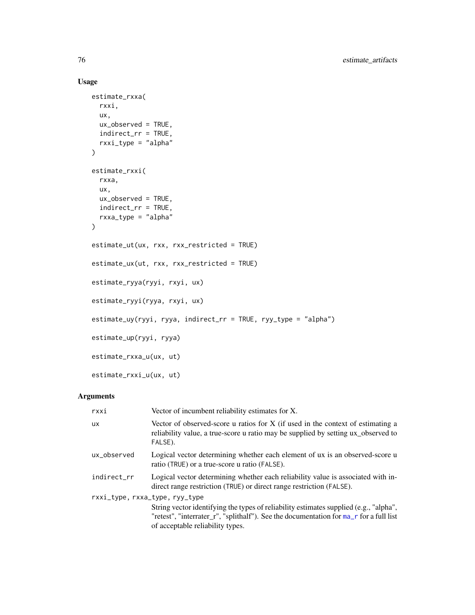# Usage

```
estimate_rxxa(
  rxxi,
  ux,
  ux_observed = TRUE,
  indirect_rr = TRUE,
  rxxi_type = "alpha"
\lambdaestimate_rxxi(
  rxxa,
  ux,
  ux_observed = TRUE,
  indirect_rr = TRUE,
  rxxa_type = "alpha"
\mathcal{L}estimate_ut(ux, rxx, rxx_restricted = TRUE)
estimate_ux(ut, rxx, rxx_restricted = TRUE)
estimate_ryya(ryyi, rxyi, ux)
estimate_ryyi(ryya, rxyi, ux)
estimate_uy(ryyi, ryya, indirect_rr = TRUE, ryy_type = "alpha")
estimate_up(ryyi, ryya)
estimate_rxxa_u(ux, ut)
estimate_rxxi_u(ux, ut)
```
# Arguments

| rxxi                           | Vector of incumbent reliability estimates for X.                                                                                                                                                                    |
|--------------------------------|---------------------------------------------------------------------------------------------------------------------------------------------------------------------------------------------------------------------|
| <b>UX</b>                      | Vector of observed-score u ratios for X (if used in the context of estimating a<br>reliability value, a true-score u ratio may be supplied by setting ux_observed to<br>FALSE).                                     |
| ux observed                    | Logical vector determining whether each element of ux is an observed-score u<br>ratio (TRUE) or a true-score u ratio (FALSE).                                                                                       |
| indirect_rr                    | Logical vector determining whether each reliability value is associated with in-<br>direct range restriction (TRUE) or direct range restriction (FALSE).                                                            |
| rxxi_type, rxxa_type, ryy_type | String vector identifying the types of reliability estimates supplied (e.g., "alpha",<br>"retest", "interrater_r", "splithalf"). See the documentation for ma_r for a full list<br>of acceptable reliability types. |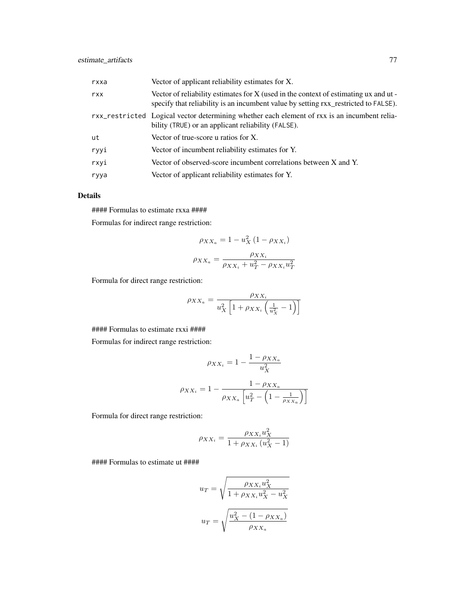| rxxa | Vector of applicant reliability estimates for X.                                                                                                                            |
|------|-----------------------------------------------------------------------------------------------------------------------------------------------------------------------------|
| rxx  | Vector of reliability estimates for X (used in the context of estimating ux and ut -<br>specify that reliability is an incumbent value by setting rxx_restricted to FALSE). |
|      | rxx_restricted Logical vector determining whether each element of rxx is an incumbent relia-<br>bility (TRUE) or an applicant reliability (FALSE).                          |
| ut   | Vector of true-score u ratios for $X$ .                                                                                                                                     |
| ryyi | Vector of incumbent reliability estimates for Y.                                                                                                                            |
| rxvi | Vector of observed-score incumbent correlations between X and Y.                                                                                                            |
| ryya | Vector of applicant reliability estimates for Y.                                                                                                                            |

## Details

#### Formulas to estimate rxxa ####

Formulas for indirect range restriction:

$$
\rho_{XX_a} = 1 - u_X^2 (1 - \rho_{XX_i})
$$

$$
\rho_{XX_a} = \frac{\rho_{XX_i}}{\rho_{XX_i} + u_T^2 - \rho_{XX_i} u_T^2}
$$

Formula for direct range restriction:

$$
\rho_{XX_a} = \frac{\rho_{XX_i}}{u_X^2 \left[1 + \rho_{XX_i} \left(\frac{1}{u_X^2} - 1\right)\right]}
$$

#### Formulas to estimate rxxi ####

Formulas for indirect range restriction:

$$
\rho_{XX_i} = 1 - \frac{1 - \rho_{XX_a}}{u_X^2}
$$

$$
\rho_{XX_i} = 1 - \frac{1 - \rho_{XX_a}}{\rho_{XX_a} \left[ u_T^2 - \left( 1 - \frac{1}{\rho_{XX_a}} \right) \right]}
$$

Formula for direct range restriction:

$$
\rho_{XX_i} = \frac{\rho_{XX_i} u_X^2}{1 + \rho_{XX_i} (u_X^2 - 1)}
$$

#### Formulas to estimate ut ####

$$
u_T = \sqrt{\frac{\rho_{XX_i} u_X^2}{1 + \rho_{XX_i} u_X^2 - u_X^2}}
$$

$$
u_T = \sqrt{\frac{u_X^2 - (1 - \rho_{XX_a})}{\rho_{XX_a}}}
$$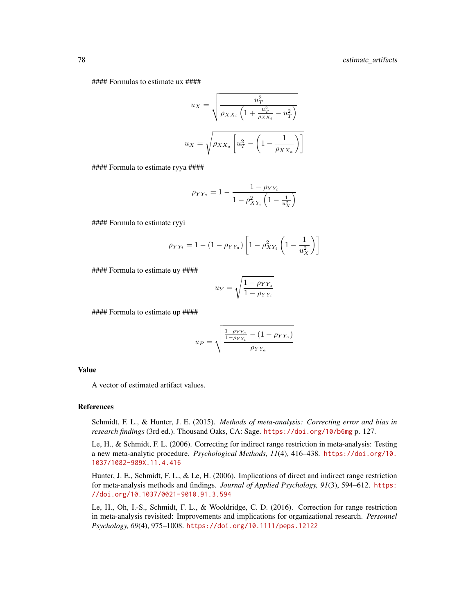#### Formulas to estimate ux ####

$$
u_X = \sqrt{\frac{u_T^2}{\rho_{XX_i} \left(1 + \frac{u_T^2}{\rho_{XX_i}} - u_T^2\right)}}
$$

$$
u_X = \sqrt{\rho_{XX_a} \left[u_T^2 - \left(1 - \frac{1}{\rho_{XX_a}}\right)\right]}
$$

#### Formula to estimate ryya ####

$$
\rho_{YY_a} = 1 - \frac{1 - \rho_{YY_i}}{1 - \rho_{XY_i}^2 \left(1 - \frac{1}{u_X^2}\right)}
$$

#### Formula to estimate ryyi

$$
\rho_{YY_i} = 1 - (1 - \rho_{YY_a}) \left[ 1 - \rho_{XY_i}^2 \left( 1 - \frac{1}{u_X^2} \right) \right]
$$

#### Formula to estimate uy ####

$$
u_Y = \sqrt{\frac{1 - \rho_{YY_a}}{1 - \rho_{YY_i}}}
$$

#### Formula to estimate up ####

$$
u_P = \sqrt{\frac{\frac{1 - \rho_{YY_a}}{1 - \rho_{YY_i}} - (1 - \rho_{YY_a})}{\rho_{YY_a}}}
$$

#### Value

A vector of estimated artifact values.

### References

Schmidt, F. L., & Hunter, J. E. (2015). *Methods of meta-analysis: Correcting error and bias in research findings* (3rd ed.). Thousand Oaks, CA: Sage. <https://doi.org/10/b6mg> p. 127.

Le, H., & Schmidt, F. L. (2006). Correcting for indirect range restriction in meta-analysis: Testing a new meta-analytic procedure. *Psychological Methods, 11*(4), 416–438. [https://doi.org/10.](https://doi.org/10.1037/1082-989X.11.4.416) [1037/1082-989X.11.4.416](https://doi.org/10.1037/1082-989X.11.4.416)

Hunter, J. E., Schmidt, F. L., & Le, H. (2006). Implications of direct and indirect range restriction for meta-analysis methods and findings. *Journal of Applied Psychology, 91*(3), 594–612. [https:](https://doi.org/10.1037/0021-9010.91.3.594) [//doi.org/10.1037/0021-9010.91.3.594](https://doi.org/10.1037/0021-9010.91.3.594)

Le, H., Oh, I.-S., Schmidt, F. L., & Wooldridge, C. D. (2016). Correction for range restriction in meta-analysis revisited: Improvements and implications for organizational research. *Personnel Psychology, 69*(4), 975–1008. <https://doi.org/10.1111/peps.12122>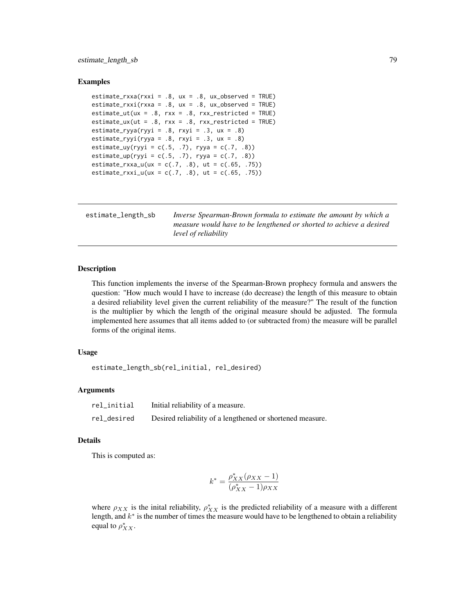# estimate\_length\_sb 79

### Examples

```
estimate_rxxa(rxxi = .8, ux = .8, ux_observed = TRUE)
estimate_rxxi(rxxa = .8, ux = .8, ux_observed = TRUE)
estimate_ut(ux = .8, rxx = .8, rxx_restricted = TRUE)
estimate_u(x = .8, rxx = .8, rxx\_restricted = TRUE)estimate_ryya(ryyi = .8, rxyi = .3, ux = .8)
estimate_ryyi(ryya = .8, rxyi = .3, ux = .8)
estimate_uy(ryyi = c(.5, .7), ryya = c(.7, .8))
estimate_up(ryyi = c(.5, .7), ryya = c(.7, .8))
estimate_rxxa_u(ux = c(.7, .8), ut = c(.65, .75))
estimate_rxxi_u(ux = c(.7, .8), ut = c(.65, .75))
```

| estimate_length_sb | Inverse Spearman-Brown formula to estimate the amount by which a    |
|--------------------|---------------------------------------------------------------------|
|                    | measure would have to be lengthened or shorted to achieve a desired |
|                    | level of reliability                                                |

## Description

This function implements the inverse of the Spearman-Brown prophecy formula and answers the question: "How much would I have to increase (do decrease) the length of this measure to obtain a desired reliability level given the current reliability of the measure?" The result of the function is the multiplier by which the length of the original measure should be adjusted. The formula implemented here assumes that all items added to (or subtracted from) the measure will be parallel forms of the original items.

#### Usage

estimate\_length\_sb(rel\_initial, rel\_desired)

#### Arguments

| rel_initial | Initial reliability of a measure.                         |
|-------------|-----------------------------------------------------------|
| rel_desired | Desired reliability of a lengthened or shortened measure. |

## Details

This is computed as:

$$
k^* = \frac{\rho_{XX}^*(\rho_{XX} - 1)}{(\rho_{XX}^* - 1)\rho_{XX}}
$$

where  $\rho_{XX}$  is the inital reliability,  $\rho_{XX}^*$  is the predicted reliability of a measure with a different length, and  $k^*$  is the number of times the measure would have to be lengthened to obtain a reliability equal to  $\rho_{XX}^*$ .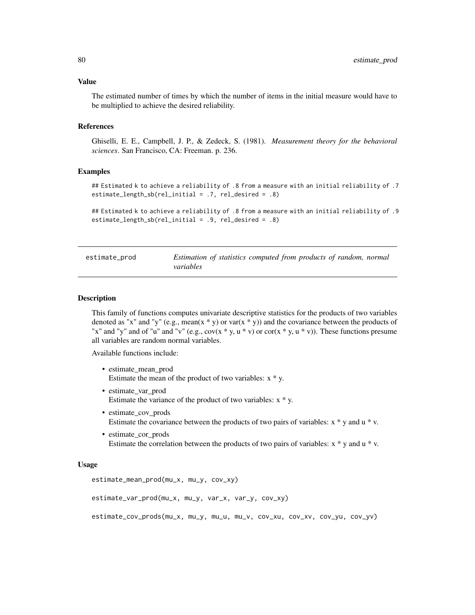The estimated number of times by which the number of items in the initial measure would have to be multiplied to achieve the desired reliability.

### References

Ghiselli, E. E., Campbell, J. P., & Zedeck, S. (1981). *Measurement theory for the behavioral sciences*. San Francisco, CA: Freeman. p. 236.

### Examples

```
## Estimated k to achieve a reliability of .8 from a measure with an initial reliability of .7
estimate_length_sb(rel_initial = .7, rel_desired = .8)
```

```
## Estimated k to achieve a reliability of .8 from a measure with an initial reliability of .9
estimate_length_sb(rel_initial = .9, rel_desired = .8)
```

| estimate_prod | Estimation of statistics computed from products of random, normal |  |
|---------------|-------------------------------------------------------------------|--|
|               | variables                                                         |  |

## **Description**

This family of functions computes univariate descriptive statistics for the products of two variables denoted as "x" and "y" (e.g., mean(x \* y) or var(x \* y)) and the covariance between the products of "x" and "y" and of "u" and "v" (e.g.,  $cov(x * y, u * v)$  or  $cov(x * y, u * v)$ ). These functions presume all variables are random normal variables.

Available functions include:

- estimate mean prod Estimate the mean of the product of two variables:  $x * y$ .
- estimate var prod Estimate the variance of the product of two variables:  $x * y$ .
- estimate\_cov\_prods Estimate the covariance between the products of two pairs of variables:  $x * y$  and  $u * v$ .
- estimate cor prods Estimate the correlation between the products of two pairs of variables:  $x * y$  and  $u * v$ .

## Usage

```
estimate_mean_prod(mu_x, mu_y, cov_xy)
```

```
estimate_var_prod(mu_x, mu_y, var_x, var_y, cov_xy)
```

```
estimate_cov_prods(mu_x, mu_y, mu_u, mu_v, cov_xu, cov_xv, cov_yu, cov_yv)
```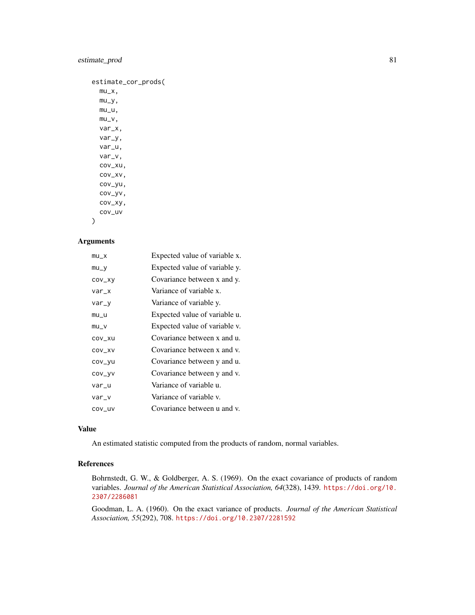# estimate\_prod 81

| estimate_cor_prods( |
|---------------------|
| mu_x,               |
| mu_y,               |
| mu_u,               |
| mu_v,               |
| var_x,              |
| var_y,              |
| var_u,              |
| var_v,              |
| cov_xu,             |
| COV_XV,             |
| cov_yu,             |
| cov_yv,             |
| COV_XV,             |
| cov_uv              |
|                     |

)

# Arguments

| $mu_X$  | Expected value of variable x. |
|---------|-------------------------------|
| $mu_y$  | Expected value of variable y. |
| COV_XV  | Covariance between x and y.   |
| $var_x$ | Variance of variable x.       |
| var_y   | Variance of variable y.       |
| $mu_u$  | Expected value of variable u. |
| $mu_v$  | Expected value of variable v. |
| COV_XU  | Covariance between x and u.   |
| COV_XV  | Covariance between x and y.   |
| COV_VU  | Covariance between y and u.   |
| COV_VV  | Covariance between y and v.   |
| var_u   | Variance of variable u.       |
| var_v   | Variance of variable v.       |
| COV_UV  | Covariance between u and v.   |

## Value

An estimated statistic computed from the products of random, normal variables.

# References

Bohrnstedt, G. W., & Goldberger, A. S. (1969). On the exact covariance of products of random variables. *Journal of the American Statistical Association, 64*(328), 1439. [https://doi.org/10.](https://doi.org/10.2307/2286081) [2307/2286081](https://doi.org/10.2307/2286081)

Goodman, L. A. (1960). On the exact variance of products. *Journal of the American Statistical Association, 55*(292), 708. <https://doi.org/10.2307/2281592>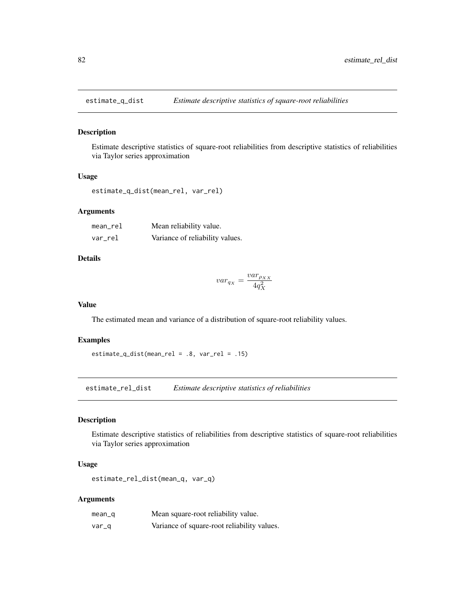# Description

Estimate descriptive statistics of square-root reliabilities from descriptive statistics of reliabilities via Taylor series approximation

#### Usage

```
estimate_q_dist(mean_rel, var_rel)
```
## Arguments

| $mean_rel$ | Mean reliability value.         |
|------------|---------------------------------|
| var rel    | Variance of reliability values. |

#### Details

$$
var_{q_X} = \frac{var_{\rho_{XX}}}{4q_X^2}
$$

#### Value

The estimated mean and variance of a distribution of square-root reliability values.

### Examples

estimate\_q\_dist(mean\_rel = .8, var\_rel = .15)

estimate\_rel\_dist *Estimate descriptive statistics of reliabilities*

## Description

Estimate descriptive statistics of reliabilities from descriptive statistics of square-root reliabilities via Taylor series approximation

## Usage

estimate\_rel\_dist(mean\_q, var\_q)

# Arguments

| $mean_q$ | Mean square-root reliability value.         |
|----------|---------------------------------------------|
| var_q    | Variance of square-root reliability values. |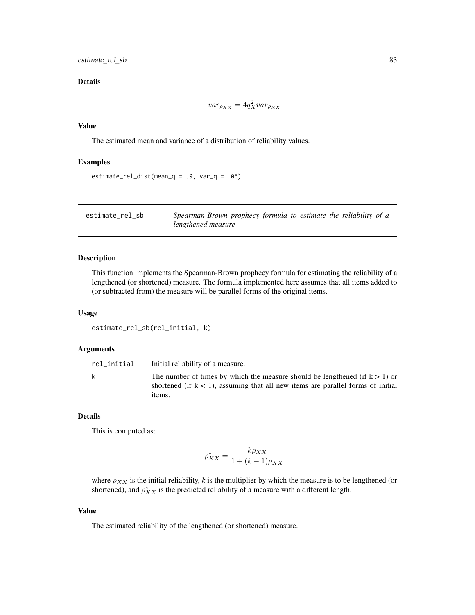## Details

$$
var_{\rho_{XX}} = 4q_X^2 var_{\rho_{XX}}
$$

## Value

The estimated mean and variance of a distribution of reliability values.

# Examples

```
estimate_{rel\_dist(mean_q = .9, var_q = .05)}
```

| estimate_rel_sb | Spearman-Brown prophecy formula to estimate the reliability of a |
|-----------------|------------------------------------------------------------------|
|                 | lengthened measure                                               |

# Description

This function implements the Spearman-Brown prophecy formula for estimating the reliability of a lengthened (or shortened) measure. The formula implemented here assumes that all items added to (or subtracted from) the measure will be parallel forms of the original items.

#### Usage

```
estimate_rel_sb(rel_initial, k)
```
## Arguments

| rel_initial | Initial reliability of a measure.                                                                                                                                    |
|-------------|----------------------------------------------------------------------------------------------------------------------------------------------------------------------|
| k           | The number of times by which the measure should be lengthened (if $k > 1$ ) or<br>shortened (if $k < 1$ ), assuming that all new items are parallel forms of initial |
|             | <i>items.</i>                                                                                                                                                        |

# Details

This is computed as:

$$
\rho_{XX}^* = \frac{k\rho_{XX}}{1 + (k-1)\rho_{XX}}
$$

where  $\rho_{XX}$  is the initial reliability, *k* is the multiplier by which the measure is to be lengthened (or shortened), and  $\rho_{XX}^*$  is the predicted reliability of a measure with a different length.

## Value

The estimated reliability of the lengthened (or shortened) measure.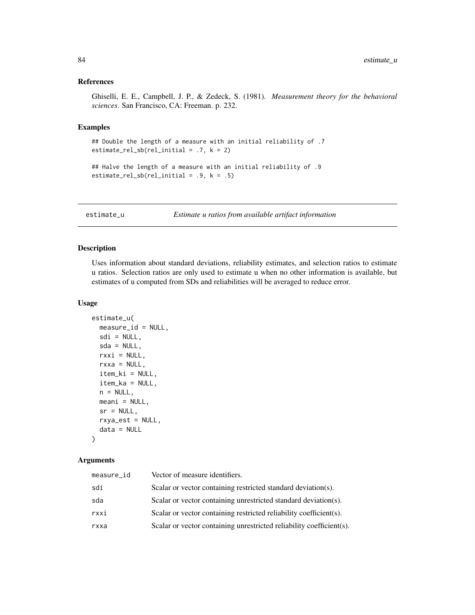#### References

Ghiselli, E. E., Campbell, J. P., & Zedeck, S. (1981). *Measurement theory for the behavioral sciences*. San Francisco, CA: Freeman. p. 232.

## Examples

```
## Double the length of a measure with an initial reliability of .7
estimate_rel_sbl (rel\_initial = .7, k = 2)
```

```
## Halve the length of a measure with an initial reliability of .9
estimate_rel_sb(rel_initial = .9, k = .5)
```
estimate\_u *Estimate u ratios from available artifact information*

# Description

Uses information about standard deviations, reliability estimates, and selection ratios to estimate u ratios. Selection ratios are only used to estimate u when no other information is available, but estimates of u computed from SDs and reliabilities will be averaged to reduce error.

## Usage

```
estimate_u(
 measure_id = NULL,
  sdi = NULL,sda = NULL,rxxi = NULL,rxxa = NULL,item_ki = NULL,
  item_ka = NULL,
 n = NULL,meani = NULL,sr = NULL,rxya_est = NULL,
  data = NULL
```
# )

## Arguments

| measure_id | Vector of measure identifiers.                                       |
|------------|----------------------------------------------------------------------|
| sdi        | Scalar or vector containing restricted standard deviation(s).        |
| sda        | Scalar or vector containing unrestricted standard deviation(s).      |
| rxxi       | Scalar or vector containing restricted reliability coefficients).    |
| rxxa       | Scalar or vector containing unrestricted reliability coefficient(s). |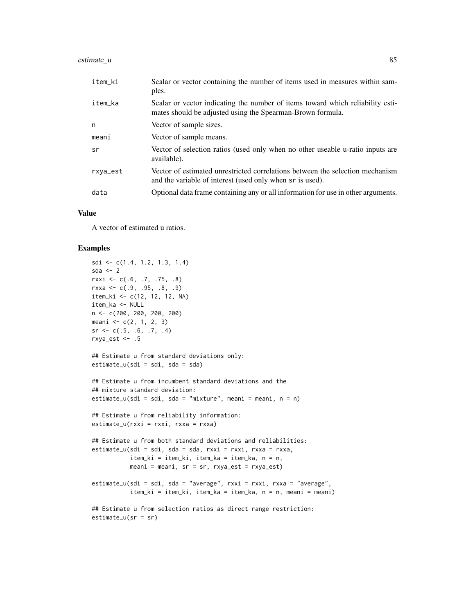#### estimate\_u 85

| item_ki  | Scalar or vector containing the number of items used in measures within sam-<br>ples.                                                        |
|----------|----------------------------------------------------------------------------------------------------------------------------------------------|
| item_ka  | Scalar or vector indicating the number of items toward which reliability esti-<br>mates should be adjusted using the Spearman-Brown formula. |
| n        | Vector of sample sizes.                                                                                                                      |
| meani    | Vector of sample means.                                                                                                                      |
| sr       | Vector of selection ratios (used only when no other useable u-ratio inputs are<br>available).                                                |
| rxya_est | Vector of estimated unrestricted correlations between the selection mechanism<br>and the variable of interest (used only when sr is used).   |
| data     | Optional data frame containing any or all information for use in other arguments.                                                            |
|          |                                                                                                                                              |

## Value

A vector of estimated u ratios.

# Examples

```
sdi \leftarrow c(1.4, 1.2, 1.3, 1.4)sda \leq -2rxxi <- c(.6, .7, .75, .8)
rxxa <- c(.9, .95, .8, .9)
item_ki <- c(12, 12, 12, NA)
item_ka <- NULL
n <- c(200, 200, 200, 200)
meani \leq c(2, 1, 2, 3)sr \leftarrow c(.5, .6, .7, .4)rxya_est <- .5
## Estimate u from standard deviations only:
estimate_u(sdi = sdi, sda = sda)
## Estimate u from incumbent standard deviations and the
## mixture standard deviation:
estimate_u(sdi = sdi, sda = "mixture", meani = meani, n = n)
## Estimate u from reliability information:
estimate_u(rxxi = rxxi, rxxa = rxxa)## Estimate u from both standard deviations and reliabilities:
estimate_u(sdi = sdi, sda = sda, rxxi = rxxi, rxxa = rxxa,
           item_ki = item_ki, item_ka = item_ka, n = n,
           meani = meani, sr = sr, rxya_est = rxya_est)
estimate_u(sdi = sdi, sda = "average", rxxi = rxxi, rxxa = "average",
           item_ki = item_ki, item_ka = item_ka, n = n, meani = meani)
## Estimate u from selection ratios as direct range restriction:
estimate_u(sr = sr)
```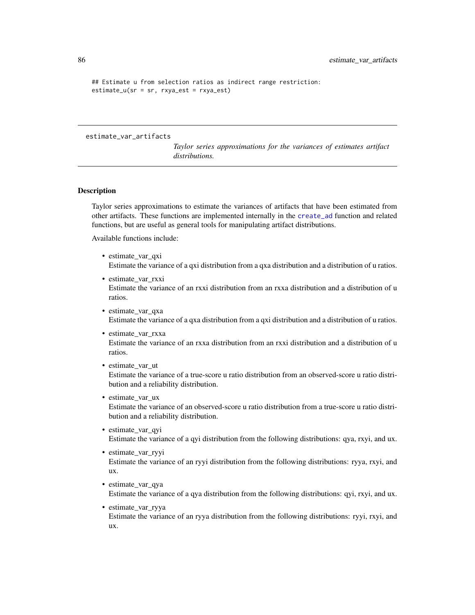```
## Estimate u from selection ratios as indirect range restriction:
estimate_u(sr = sr, rxya_est = rxya_est)
```
#### estimate\_var\_artifacts

*Taylor series approximations for the variances of estimates artifact distributions.*

### Description

Taylor series approximations to estimate the variances of artifacts that have been estimated from other artifacts. These functions are implemented internally in the [create\\_ad](#page-55-0) function and related functions, but are useful as general tools for manipulating artifact distributions.

Available functions include:

- estimate var qxi Estimate the variance of a qxi distribution from a qxa distribution and a distribution of u ratios.
- estimate var rxxi Estimate the variance of an rxxi distribution from an rxxa distribution and a distribution of u ratios.
- estimate\_var\_qxa Estimate the variance of a qxa distribution from a qxi distribution and a distribution of u ratios.
- estimate\_var\_rxxa Estimate the variance of an rxxa distribution from an rxxi distribution and a distribution of u ratios.
- estimate\_var\_ut

Estimate the variance of a true-score u ratio distribution from an observed-score u ratio distribution and a reliability distribution.

• estimate var ux

Estimate the variance of an observed-score u ratio distribution from a true-score u ratio distribution and a reliability distribution.

- estimate\_var\_qyi Estimate the variance of a qyi distribution from the following distributions: qya, rxyi, and ux.
- estimate\_var\_ryyi Estimate the variance of an ryyi distribution from the following distributions: ryya, rxyi, and ux.
- estimate\_var\_qya Estimate the variance of a qya distribution from the following distributions: qyi, rxyi, and ux.
- estimate\_var\_ryya

Estimate the variance of an ryya distribution from the following distributions: ryyi, rxyi, and ux.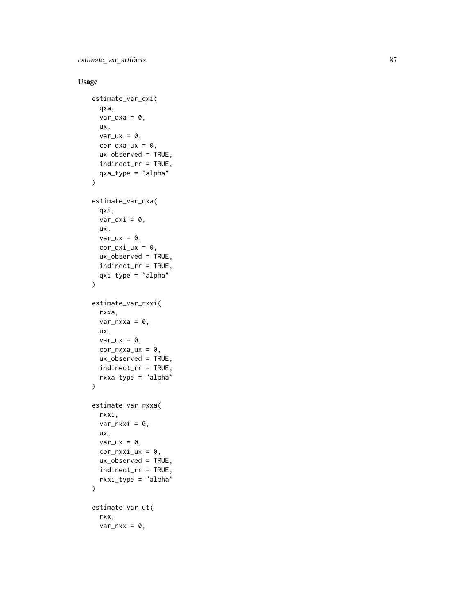estimate\_var\_artifacts 87

# Usage

```
estimate_var_qxi(
  qxa,
  var_qxa = 0,
  ux,
  var_{ux} = 0,
  cor_{\text{qxa}\_\text{ux}} = 0,
  ux_observed = TRUE,
  indirect_rr = TRUE,
  qxa_type = "alpha"
\lambdaestimate_var_qxa(
  qxi,
  var_qxi = 0,
  ux,
  var_{ux} = 0,
  cor_qxi_lux = 0,
  ux_observed = TRUE,
  indirect_rr = TRUE,
  qxi_type = "alpha"
\mathcal{L}estimate_var_rxxi(
  rxxa,
  var_rxxa = 0,
  ux,
  var_{ux} = 0,
  cor_rxxa_ux = 0,
  ux_observed = TRUE,
  indirect_rr = TRUE,
  rxxa_type = "alpha"
\mathcal{L}estimate_var_rxxa(
  rxxi,
  var_rxxi = 0,
  ux,
  var_{ux} = 0,
  cor_rxxi_ux = 0,
  ux_observed = TRUE,
  indirect_rr = TRUE,
  rxxi_type = "alpha"
\lambdaestimate_var_ut(
  rxx,
  var_rxx = 0,
```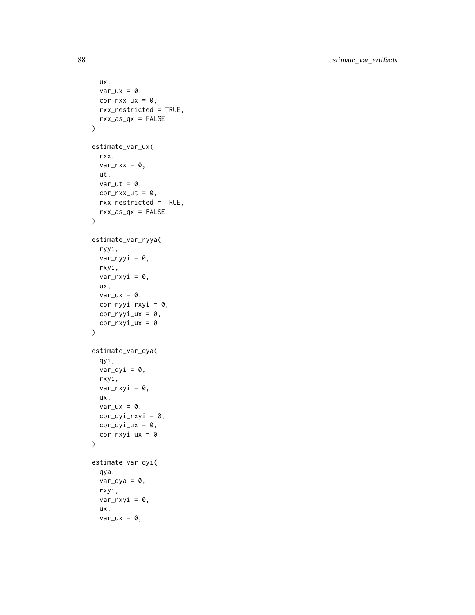```
ux,
  var_{ux} = 0,
  cor_rxx_lxx = 0,
 rxx_restricted = TRUE,
 rxx_as_qx = FALSE\mathcal{L}estimate_var_ux(
  rxx,
  var_rxx = 0,
  ut,
  var_{ut} = 0,
  cor_rxx_u t = 0,
  rxx_restricted = TRUE,
  rxx_as_qx = FALSE)
estimate_var_ryya(
  ryyi,
  var_ryyi = 0,
  rxyi,
  var_rxyi = 0,
  ux,
  var_{ux} = 0,
  cor_ryyi_rxyi = 0,
  cor_ryyi_lxx = 0,
  cor_rxyi_lxx = 0\mathcal{L}estimate_var_qya(
  qyi,
  var_qyi = 0,
  rxyi,
  var_rxyi = 0,
  ux,
  var_{ux} = 0,
  cor_qyi_rxyi = 0,
  cor_qyi_lx = 0,
  cor_rxyi_lxx = 0\mathcal{L}estimate_var_qyi(
  qya,
  var_qya = 0,
  rxyi,
  var_rxyi = 0,
  ux,
  var_u x = 0,
```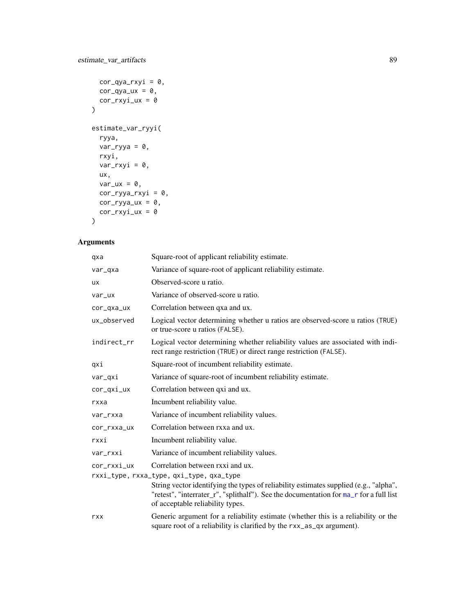```
cor_qya_rxyi = 0,
 cor_qya_ux = 0,
 cor_rxyi_lxx = 0\mathcal{L}estimate_var_ryyi(
  ryya,
  var_{ryya} = 0,
 rxyi,
  var_rxyi = 0,
  ux,
 var_{ux} = 0,
 cor_ryya_rxyi = 0,
cor_ryya_ux = 0,
 cor_rxyi_lxx = 0)
```
# Arguments

| qxa                                      | Square-root of applicant reliability estimate.                                                                                                                                                                      |  |
|------------------------------------------|---------------------------------------------------------------------------------------------------------------------------------------------------------------------------------------------------------------------|--|
| var_qxa                                  | Variance of square-root of applicant reliability estimate.                                                                                                                                                          |  |
| ux                                       | Observed-score u ratio.                                                                                                                                                                                             |  |
| var_ux                                   | Variance of observed-score u ratio.                                                                                                                                                                                 |  |
| cor_qxa_ux                               | Correlation between qxa and ux.                                                                                                                                                                                     |  |
| ux_observed                              | Logical vector determining whether u ratios are observed-score u ratios (TRUE)<br>or true-score u ratios (FALSE).                                                                                                   |  |
| indirect_rr                              | Logical vector determining whether reliability values are associated with indi-<br>rect range restriction (TRUE) or direct range restriction (FALSE).                                                               |  |
| qxi                                      | Square-root of incumbent reliability estimate.                                                                                                                                                                      |  |
| var_qxi                                  | Variance of square-root of incumbent reliability estimate.                                                                                                                                                          |  |
| cor_qxi_ux                               | Correlation between qxi and ux.                                                                                                                                                                                     |  |
| rxxa                                     | Incumbent reliability value.                                                                                                                                                                                        |  |
| var_rxxa                                 | Variance of incumbent reliability values.                                                                                                                                                                           |  |
| cor_rxxa_ux                              | Correlation between rxxa and ux.                                                                                                                                                                                    |  |
| rxxi                                     | Incumbent reliability value.                                                                                                                                                                                        |  |
| var_rxxi                                 | Variance of incumbent reliability values.                                                                                                                                                                           |  |
| cor_rxxi_ux                              | Correlation between rxxi and ux.                                                                                                                                                                                    |  |
| rxxi_type, rxxa_type, qxi_type, qxa_type |                                                                                                                                                                                                                     |  |
|                                          | String vector identifying the types of reliability estimates supplied (e.g., "alpha",<br>"retest", "interrater_r", "splithalf"). See the documentation for ma_r for a full list<br>of acceptable reliability types. |  |
| rxx                                      | Generic argument for a reliability estimate (whether this is a reliability or the<br>square root of a reliability is clarified by the rxx_as_qx argument).                                                          |  |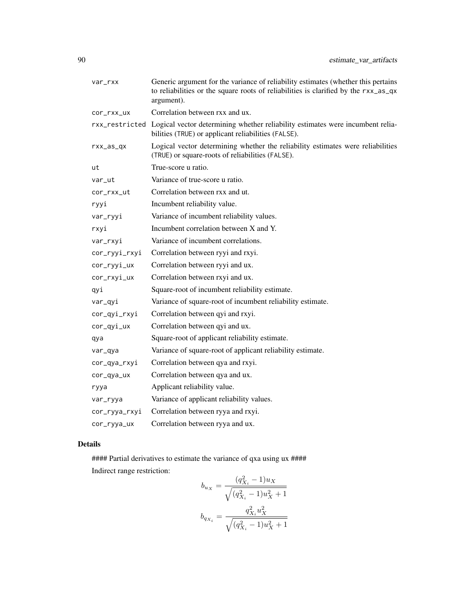| var_rxx       | Generic argument for the variance of reliability estimates (whether this pertains<br>to reliabilities or the square roots of reliabilities is clarified by the rxx_as_qx<br>argument). |
|---------------|----------------------------------------------------------------------------------------------------------------------------------------------------------------------------------------|
| cor_rxx_ux    | Correlation between rxx and ux.                                                                                                                                                        |
|               | rxx_restricted Logical vector determining whether reliability estimates were incumbent relia-<br>bilities (TRUE) or applicant reliabilities (FALSE).                                   |
| $rxx_as_qx$   | Logical vector determining whether the reliability estimates were reliabilities<br>(TRUE) or square-roots of reliabilities (FALSE).                                                    |
| ut            | True-score u ratio.                                                                                                                                                                    |
| var_ut        | Variance of true-score u ratio.                                                                                                                                                        |
| cor_rxx_ut    | Correlation between rxx and ut.                                                                                                                                                        |
| ryyi          | Incumbent reliability value.                                                                                                                                                           |
| var_ryyi      | Variance of incumbent reliability values.                                                                                                                                              |
| rxyi          | Incumbent correlation between X and Y.                                                                                                                                                 |
| var_rxyi      | Variance of incumbent correlations.                                                                                                                                                    |
| cor_ryyi_rxyi | Correlation between ryyi and rxyi.                                                                                                                                                     |
| cor_ryyi_ux   | Correlation between ryyi and ux.                                                                                                                                                       |
| cor_rxyi_ux   | Correlation between rxyi and ux.                                                                                                                                                       |
| qyi           | Square-root of incumbent reliability estimate.                                                                                                                                         |
| var_qyi       | Variance of square-root of incumbent reliability estimate.                                                                                                                             |
| cor_qyi_rxyi  | Correlation between qyi and rxyi.                                                                                                                                                      |
| cor_qyi_ux    | Correlation between qyi and ux.                                                                                                                                                        |
| qya           | Square-root of applicant reliability estimate.                                                                                                                                         |
| var_qya       | Variance of square-root of applicant reliability estimate.                                                                                                                             |
| cor_qya_rxyi  | Correlation between qya and rxyi.                                                                                                                                                      |
| cor_qya_ux    | Correlation between qya and ux.                                                                                                                                                        |
| ryya          | Applicant reliability value.                                                                                                                                                           |
| var_ryya      | Variance of applicant reliability values.                                                                                                                                              |
| cor_ryya_rxyi | Correlation between ryya and rxyi.                                                                                                                                                     |
| cor_ryya_ux   | Correlation between ryya and ux.                                                                                                                                                       |

# Details

#### Partial derivatives to estimate the variance of qxa using ux #### Indirect range restriction:

$$
b_{u_X} = \frac{(q_{X_i}^2 - 1)u_X}{\sqrt{(q_{X_i}^2 - 1)u_X^2 + 1}}
$$
  

$$
b_{q_{X_i}} = \frac{q_{X_i}^2 u_X^2}{\sqrt{(q_{X_i}^2 - 1)u_X^2 + 1}}
$$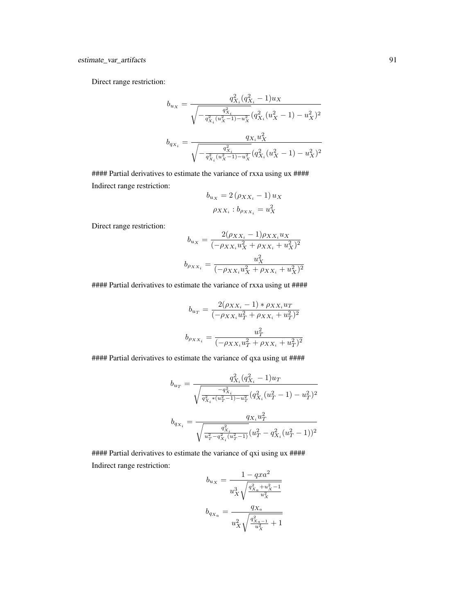Direct range restriction:

$$
b_{u_X} = \frac{q_{X_i}^2(q_{X_i}^2 - 1)u_X}{\sqrt{-\frac{q_{X_i}^2(u_X^2 - 1) - u_X^2}{q_{X_i}^2(u_X^2 - 1) - u_X^2}}}(q_{X_i}^2(u_X^2 - 1) - u_X^2)^2}
$$
  

$$
b_{q_{X_i}} = \frac{q_{X_i}u_X^2}{\sqrt{-\frac{q_{X_i}^2}{q_{X_i}^2(u_X^2 - 1) - u_X^2}}(q_{X_i}^2(u_X^2 - 1) - u_X^2)^2}
$$

#### Partial derivatives to estimate the variance of rxxa using ux #### Indirect range restriction:  $b = 2(a+1)$ 

$$
b_{u_X} = 2(\rho_{XX_i} - 1) u_X
$$

$$
\rho_{XX_i} : b_{\rho_{XX_i}} = u_X^2
$$

Direct range restriction:

$$
b_{u_X} = \frac{2(\rho_{XX_i} - 1)\rho_{XX_i}u_X}{(-\rho_{XX_i}u_X^2 + \rho_{XX_i} + u_X^2)^2}
$$

$$
b_{\rho_{XX_i}} = \frac{u_X^2}{(-\rho_{XX_i}u_X^2 + \rho_{XX_i} + u_X^2)^2}
$$

#### Partial derivatives to estimate the variance of rxxa using ut ####

$$
b_{u_T} = \frac{2(\rho_{XX_i} - 1) * \rho_{XX_i} u_T}{(-\rho_{XX_i} u_T^2 + \rho_{XX_i} + u_T^2)^2}
$$

$$
b_{\rho_{XX_i}} = \frac{u_T^2}{(-\rho_{XX_i} u_T^2 + \rho_{XX_i} + u_T^2)^2}
$$

#### Partial derivatives to estimate the variance of qxa using ut ####

$$
b_{u_T} = \frac{q_{X_i}^2(q_{X_i}^2 - 1)u_T}{\sqrt{\frac{-q_{X_i}^2}{q_{X_i}^2*(u_T^2 - 1) - u_T^2}}(q_{X_i}^2(u_T^2 - 1) - u_T^2)^2}
$$
  

$$
b_{q_{X_i}} = \frac{q_{X_i}u_T^2}{\sqrt{\frac{q_{X_i}^2}{u_T^2 - q_{X_i}^2(u_T^2 - 1)}}(u_T^2 - q_{X_i}^2(u_T^2 - 1))^2}
$$

#### Partial derivatives to estimate the variance of qxi using ux #### Indirect range restriction:

$$
b_{u_X}=\dfrac{1-qxa^2}{u_X^3\sqrt{\dfrac{q_{X_a}^2+u_X^2-1}{u_X^2}}}
$$
  

$$
b_{q_{X_a}}=\dfrac{q_{X_a}}{u_X^2\sqrt{\dfrac{q_{X_a-1}^2}{u_X^2}+1}}
$$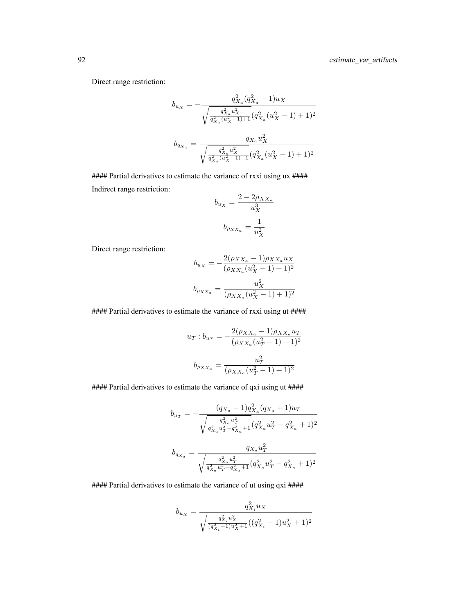Direct range restriction:

$$
\begin{aligned} b_{u_X}&=-\frac{q_{X_a}^2(q_{X_a}^2-1)u_X}{\sqrt{\frac{q_{X_a}^2u_X^2}{q_{X_a}^2(u_X^2-1)+1}}(q_{X_a}^2(u_X^2-1)+1)^2}\\ b_{q_{X_a}}&=\frac{q_{X_a}u_X^2}{\sqrt{\frac{q_{X_a}^2u_X^2}{q_{X_a}^2(u_X^2-1)+1}}(q_{X_a}^2(u_X^2-1)+1)^2} \end{aligned}
$$

##### Partial derivatives to estimate the variance of rxxi using ux #### Indirect range restriction:

$$
b_{u_X} = \frac{2 - 2\rho_{XX_a}}{u_X^3}
$$

$$
b_{\rho_{XX_a}} = \frac{1}{u_X^2}
$$

Direct range restriction:

$$
b_{u_X} = -\frac{2(\rho_{XX_a} - 1)\rho_{XX_a}u_X}{(\rho_{XX_a}(u_X^2 - 1) + 1)^2}
$$
  

$$
b_{\rho_{XX_a}} = \frac{u_X^2}{(\rho_{XX_a}(u_X^2 - 1) + 1)^2}
$$

#### Partial derivatives to estimate the variance of rxxi using ut ####

$$
u_T : b_{u_T} = -\frac{2(\rho_{XX_a} - 1)\rho_{XX_a} u_T}{(\rho_{XX_a}(u_T^2 - 1) + 1)^2}
$$

$$
b_{\rho_{XX_a}} = \frac{u_T^2}{(\rho_{XX_a}(u_T^2 - 1) + 1)^2}
$$

#### Partial derivatives to estimate the variance of qxi using ut ####

$$
b_{u_T} = -\frac{(q_{X_a} - 1)q_{X_a}^2(q_{X_a} + 1)u_T}{\sqrt{\frac{q_{X_a}^2u_T^2}{q_{X_a}^2u_T^2 - q_{X_a}^2 + 1}}(q_{X_a}^2u_T^2 - q_{X_a}^2 + 1)^2}
$$
  

$$
b_{q_{X_a}} = \frac{q_{X_a}u_T^2}{\sqrt{\frac{q_{X_a}^2u_T^2}{q_{X_a}^2u_T^2 - q_{X_a}^2 + 1}}(q_{X_a}^2u_T^2 - q_{X_a}^2 + 1)^2}
$$

#### Partial derivatives to estimate the variance of ut using qxi ####

$$
b_{u_X}=\frac{q^2_{X_i}u_X}{\sqrt{\frac{q^2_{X_i}u^2_X}{(q^2_{X_i}-1)u^2_X+1}}((q^2_{X_i}-1)u^2_X+1)^2}
$$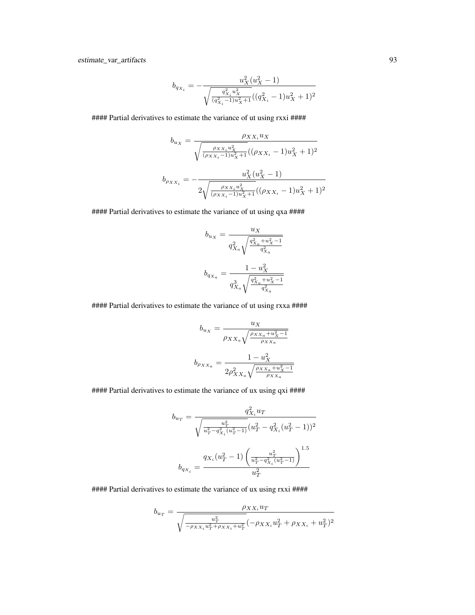estimate\_var\_artifacts 93

$$
b_{q_{X_i}} = -\frac{u_X^2(u_X^2 - 1)}{\sqrt{\frac{q_{X_i}^2 u_X^2}{(q_{X_i}^2 - 1)u_X^2 + 1}}((q_{X_i}^2 - 1)u_X^2 + 1)^2}
$$

#### Partial derivatives to estimate the variance of ut using rxxi ####

$$
b_{u_X} = \frac{\rho_{XX_i} u_X}{\sqrt{\frac{\rho_{XX_i} u_X^2}{(\rho_{XX_i} - 1)u_X^2 + 1}((\rho_{XX_i} - 1)u_X^2 + 1)^2}}
$$

$$
b_{\rho_{XX_i}} = -\frac{u_X^2(u_X^2 - 1)}{2\sqrt{\frac{\rho_{XX_i} u_X^2}{(\rho_{XX_i} - 1)u_X^2 + 1}((\rho_{XX_i} - 1)u_X^2 + 1)^2}}
$$

##### Partial derivatives to estimate the variance of ut using qxa ####

$$
\begin{aligned} b_{u_X} &= \frac{u_X}{q_{X_a}^2\sqrt{\frac{q_{X_a}^2+u_X^2-1}{q_{X_a}^2}}}\\ b_{q_{X_a}} &= \frac{1-u_X^2}{q_{X_a}^3\sqrt{\frac{q_{X_a}^2+u_X^2-1}{q_{X_a}^2}}} \end{aligned}
$$

#### Partial derivatives to estimate the variance of ut using rxxa ####

$$
b_{u_X} = \frac{u_X}{\rho_{XX_a} \sqrt{\frac{\rho_{XX_a} + u_X^2 - 1}{\rho_{XX_a}}}}
$$

$$
b_{\rho_{XX_a}} = \frac{1 - u_X^2}{2\rho_{XX_a}^2 \sqrt{\frac{\rho_{XX_a} + u_X^2 - 1}{\rho_{XX_a}}}}
$$

#### Partial derivatives to estimate the variance of ux using qxi ####

$$
b_{u_T} = \frac{q_{X_i}^2 u_T}{\sqrt{\frac{u_T^2}{u_T^2 - q_{X_i}^2 (u_T^2 - 1)}} (u_T^2 - q_{X_i}^2 (u_T^2 - 1))^2}
$$

$$
b_{q_{X_i}} = \frac{q_{X_i}(u_T^2 - 1) \left(\frac{u_T^2}{u_T^2 - q_{X_i}^2 (u_T^2 - 1)}\right)^{1.5}}{u_T^2}
$$

#### Partial derivatives to estimate the variance of ux using rxxi ####

$$
b_{u_T} = \frac{\rho_{XX_i} u_T}{\sqrt{\frac{u_T^2}{-\rho_{XX_i} u_T^2 + \rho_{XX_i} + u_T^2} (-\rho_{XX_i} u_T^2 + \rho_{XX_i} + u_T^2)^2}}
$$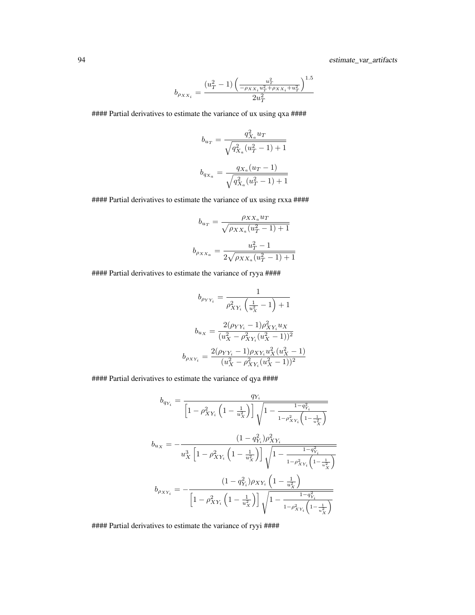$$
b_{\rho_{XX_i}}=\frac{\left(u_{T}^2-1\right)\left(\frac{u_{T}^2}{-\rho_{XX_i}u_{T}^2+\rho_{XX_i}+u_{T}^2}\right)^{1.5}}{2u_{T}^2}
$$

#### Partial derivatives to estimate the variance of ux using qxa ####

$$
b_{u_T} = \frac{q_{X_a}^2 u_T}{\sqrt{q_{X_a}^2 (u_T^2 - 1) + 1}}
$$
  

$$
b_{q_{X_a}} = \frac{q_{X_a}(u_T - 1)}{\sqrt{q_{X_a}^2 (u_T^2 - 1) + 1}}
$$

#### Partial derivatives to estimate the variance of ux using rxxa ####

$$
b_{u_T} = \frac{\rho_{XX_a} u_T}{\sqrt{\rho_{XX_a}(u_T^2 - 1) + 1}}
$$
  

$$
b_{\rho_{XX_a}} = \frac{u_T^2 - 1}{2\sqrt{\rho_{XX_a}(u_T^2 - 1) + 1}}
$$

#### Partial derivatives to estimate the variance of ryya ####

$$
b_{\rho_{YY_i}} = \frac{1}{\rho_{XY_i}^2 \left(\frac{1}{u_X^2} - 1\right) + 1}
$$

$$
b_{u_X} = \frac{2(\rho_{YY_i} - 1)\rho_{XY_i}^2 u_X}{(u_X^2 - \rho_{XY_i}^2 (u_X^2 - 1))^2}
$$

$$
b_{\rho_{XY_i}} = \frac{2(\rho_{YY_i} - 1)\rho_{XY_i}u_X^2(u_X^2 - 1)}{(u_X^2 - \rho_{XY_i}^2 (u_X^2 - 1))^2}
$$

#### Partial derivatives to estimate the variance of qya ####

$$
b_{q_{Y_i}} = \frac{q_{Y_i}}{\left[1 - \rho_{XY_i}^2 \left(1 - \frac{1}{u_X^2}\right)\right] \sqrt{1 - \frac{1 - q_{Y_i}^2}{1 - \rho_{XY_i}^2 \left(1 - \frac{1}{u_X^2}\right)}}}
$$
\n
$$
b_{u_X} = -\frac{(1 - q_{Y_i}^2)\rho_{XY_i}^2}{u_X^3 \left[1 - \rho_{XY_i}^2 \left(1 - \frac{1}{u_X^2}\right)\right] \sqrt{1 - \frac{1 - q_{Y_i}^2}{1 - \rho_{XY_i}^2 \left(1 - \frac{1}{u_X^2}\right)}}}
$$
\n
$$
b_{\rho_{XY_i}} = -\frac{(1 - q_{Y_i}^2)\rho_{XY_i} \left(1 - \frac{1}{u_X^2}\right)}{\left[1 - \rho_{XY_i}^2 \left(1 - \frac{1}{u_X^2}\right)\right] \sqrt{1 - \frac{1 - q_{Y_i}^2}{1 - \rho_{XY_i}^2 \left(1 - \frac{1}{u_X^2}\right)}}}
$$

#### Partial derivatives to estimate the variance of ryyi ####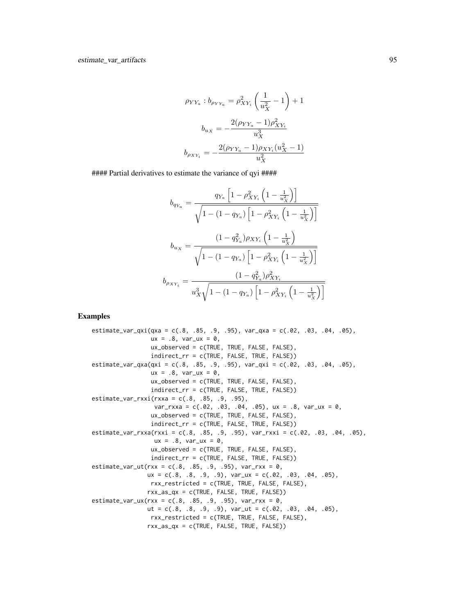$$
\rho_{YY_a} : b_{\rho_{YY_a}} = \rho_{XY_i}^2 \left(\frac{1}{u_X^2} - 1\right) + 1
$$

$$
b_{u_X} = -\frac{2(\rho_{YY_a} - 1)\rho_{XY_i}^2}{u_X^3}
$$

$$
b_{\rho_{XY_i}} = -\frac{2(\rho_{YY_a} - 1)\rho_{XY_i}(u_X^2 - 1)}{u_X^2}
$$

#### Partial derivatives to estimate the variance of qyi ####

$$
b_{q_{Y_a}} = \frac{q_{Y_a} \left[1 - \rho_{XY_i}^2 \left(1 - \frac{1}{u_X^2}\right)\right]}{\sqrt{1 - (1 - q_{Y_a}) \left[1 - \rho_{XY_i}^2 \left(1 - \frac{1}{u_X^2}\right)\right]}}
$$
  

$$
b_{u_X} = \frac{(1 - q_{Y_a}^2)\rho_{XY_i} \left(1 - \frac{1}{u_X^2}\right)}{\sqrt{1 - (1 - q_{Y_a}) \left[1 - \rho_{XY_i}^2 \left(1 - \frac{1}{u_X^2}\right)\right]}}
$$
  

$$
b_{\rho_{XY_i}} = \frac{(1 - q_{Y_a}^2)\rho_{XY_i}^2}{u_X^3 \sqrt{1 - (1 - q_{Y_a}) \left[1 - \rho_{XY_i}^2 \left(1 - \frac{1}{u_X^2}\right)\right]}}
$$

# Examples

estimate\_var\_qxi(qxa = c(.8, .85, .9, .95), var\_qxa = c(.02, .03, .04, .05),  $ux = .8$ ,  $var_uxx = 0$ , ux\_observed = c(TRUE, TRUE, FALSE, FALSE), indirect\_rr = c(TRUE, FALSE, TRUE, FALSE)) estimate\_var\_qxa(qxi = c(.8, .85, .9, .95), var\_qxi = c(.02, .03, .04, .05),  $ux = .8$ ,  $var_uxx = 0$ , ux\_observed = c(TRUE, TRUE, FALSE, FALSE), indirect\_rr = c(TRUE, FALSE, TRUE, FALSE)) estimate\_var\_rxxi(rxxa = c(.8, .85, .9, .95),  $var_r$ xxa = c(.02, .03, .04, .05), ux = .8, var\_ux = 0, ux\_observed = c(TRUE, TRUE, FALSE, FALSE), indirect\_rr = c(TRUE, FALSE, TRUE, FALSE)) estimate\_var\_rxxa(rxxi = c(.8, .85, .9, .95), var\_rxxi = c(.02, .03, .04, .05),  $ux = .8$ ,  $var_lux = 0$ , ux\_observed = c(TRUE, TRUE, FALSE, FALSE), indirect\_rr = c(TRUE, FALSE, TRUE, FALSE))  $estimate\_var\_ut(rxx = c(.8, .85, .9, .95), var\_rxx = 0,$  $ux = c(.8, .8, .9, .9), var_lux = c(.02, .03, .04, .05),$ rxx\_restricted = c(TRUE, TRUE, FALSE, FALSE), rxx\_as\_qx = c(TRUE, FALSE, TRUE, FALSE)) estimate\_var\_ux(rxx =  $c(.8, .85, .9, .95)$ , var\_rxx =  $\theta$ , ut =  $c(.8, .8, .9, .9)$ , var\_ut =  $c(.02, .03, .04, .05)$ , rxx\_restricted = c(TRUE, TRUE, FALSE, FALSE), rxx\_as\_qx = c(TRUE, FALSE, TRUE, FALSE))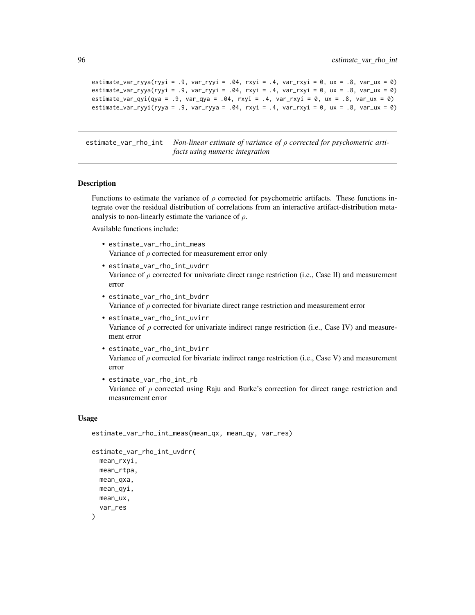```
estimate_var_ryya(ryyi = .9, var_ryyi = .04, rxyi = .4, var_rxyi = 0, ux = .8, var_ux = 0)
estimate\_var_ryya(ryyi = .9, var_ryyi = .04, rxyi = .4, var_rxyi = 0, ux = .8, var_lux = 0)estimate_var_qyi(qya = .9, var_qya = .04, rxyi = .4, var_rxyi = 0, ux = .8, var_ux = 0)
estimate_var_ryyi(ryya = .9, var_ryya = .04, rxyi = .4, var_rxyi = 0, ux = .8, var_ux = 0)
```
estimate\_var\_rho\_int *Non-linear estimate of variance of* ρ *corrected for psychometric artifacts using numeric integration*

#### Description

Functions to estimate the variance of  $\rho$  corrected for psychometric artifacts. These functions integrate over the residual distribution of correlations from an interactive artifact-distribution metaanalysis to non-linearly estimate the variance of  $\rho$ .

Available functions include:

- estimate\_var\_rho\_int\_meas Variance of  $\rho$  corrected for measurement error only
- estimate\_var\_rho\_int\_uvdrr Variance of  $\rho$  corrected for univariate direct range restriction (i.e., Case II) and measurement error
- estimate\_var\_rho\_int\_bvdrr Variance of  $\rho$  corrected for bivariate direct range restriction and measurement error
- estimate\_var\_rho\_int\_uvirr Variance of  $\rho$  corrected for univariate indirect range restriction (i.e., Case IV) and measurement error
- estimate\_var\_rho\_int\_bvirr Variance of  $\rho$  corrected for bivariate indirect range restriction (i.e., Case V) and measurement error
- estimate\_var\_rho\_int\_rb Variance of  $\rho$  corrected using Raju and Burke's correction for direct range restriction and measurement error

#### Usage

```
estimate_var_rho_int_meas(mean_qx, mean_qy, var_res)
```

```
estimate_var_rho_int_uvdrr(
 mean_rxyi,
 mean_rtpa,
 mean_qxa,
 mean_qyi,
 mean_ux,
  var_res
)
```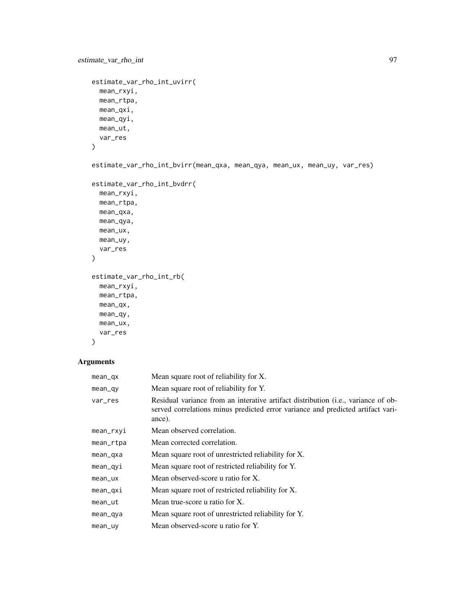```
estimate_var_rho_int 97
```

```
estimate_var_rho_int_uvirr(
  mean_rxyi,
  mean_rtpa,
  mean_qxi,
  mean_qyi,
  mean_ut,
  var_res
```
 $\mathcal{L}$ 

estimate\_var\_rho\_int\_bvirr(mean\_qxa, mean\_qya, mean\_ux, mean\_uy, var\_res)

```
estimate_var_rho_int_bvdrr(
  mean_rxyi,
  mean_rtpa,
  mean_qxa,
  mean_qya,
  mean_ux,
  mean_uy,
  var_res
\lambdaestimate_var_rho_int_rb(
  mean_rxyi,
  mean_rtpa,
  mean_qx,
  mean_qy,
  mean_ux,
```

```
\mathcal{L}
```
# Arguments

var\_res

| mean_qx   | Mean square root of reliability for X.                                                                                                                                                  |
|-----------|-----------------------------------------------------------------------------------------------------------------------------------------------------------------------------------------|
| mean_qy   | Mean square root of reliability for Y.                                                                                                                                                  |
| var_res   | Residual variance from an interative artifact distribution ( <i>i.e.</i> , variance of ob-<br>served correlations minus predicted error variance and predicted artifact vari-<br>ance). |
| mean_rxyi | Mean observed correlation.                                                                                                                                                              |
| mean_rtpa | Mean corrected correlation.                                                                                                                                                             |
| mean_qxa  | Mean square root of unrestricted reliability for X.                                                                                                                                     |
| mean_qyi  | Mean square root of restricted reliability for Y.                                                                                                                                       |
| mean_ux   | Mean observed-score u ratio for X.                                                                                                                                                      |
| mean_qxi  | Mean square root of restricted reliability for X.                                                                                                                                       |
| mean_ut   | Mean true-score u ratio for X.                                                                                                                                                          |
| mean_qya  | Mean square root of unrestricted reliability for Y.                                                                                                                                     |
| mean_uy   | Mean observed-score u ratio for Y.                                                                                                                                                      |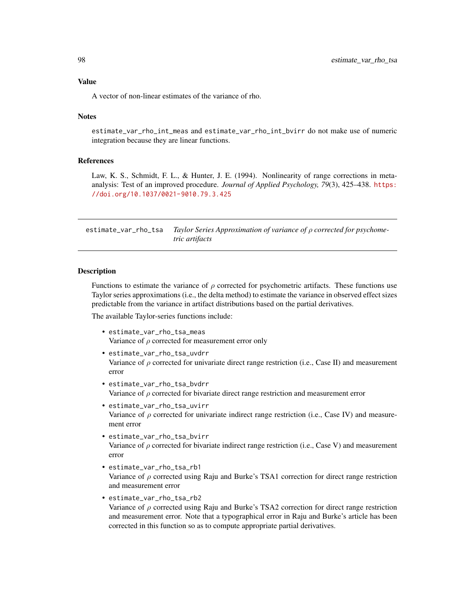## Value

A vector of non-linear estimates of the variance of rho.

## **Notes**

estimate\_var\_rho\_int\_meas and estimate\_var\_rho\_int\_bvirr do not make use of numeric integration because they are linear functions.

### References

Law, K. S., Schmidt, F. L., & Hunter, J. E. (1994). Nonlinearity of range corrections in metaanalysis: Test of an improved procedure. *Journal of Applied Psychology, 79*(3), 425–438. [https:](https://doi.org/10.1037/0021-9010.79.3.425) [//doi.org/10.1037/0021-9010.79.3.425](https://doi.org/10.1037/0021-9010.79.3.425)

estimate\_var\_rho\_tsa *Taylor Series Approximation of variance of* ρ *corrected for psychometric artifacts*

### Description

Functions to estimate the variance of  $\rho$  corrected for psychometric artifacts. These functions use Taylor series approximations (i.e., the delta method) to estimate the variance in observed effect sizes predictable from the variance in artifact distributions based on the partial derivatives.

The available Taylor-series functions include:

- estimate\_var\_rho\_tsa\_meas Variance of  $\rho$  corrected for measurement error only
- estimate\_var\_rho\_tsa\_uvdrr Variance of  $\rho$  corrected for univariate direct range restriction (i.e., Case II) and measurement error
- estimate\_var\_rho\_tsa\_bvdrr Variance of  $\rho$  corrected for bivariate direct range restriction and measurement error
- estimate\_var\_rho\_tsa\_uvirr Variance of  $\rho$  corrected for univariate indirect range restriction (i.e., Case IV) and measurement error
- estimate\_var\_rho\_tsa\_bvirr Variance of  $\rho$  corrected for bivariate indirect range restriction (i.e., Case V) and measurement error
- estimate\_var\_rho\_tsa\_rb1 Variance of  $\rho$  corrected using Raju and Burke's TSA1 correction for direct range restriction and measurement error
- estimate\_var\_rho\_tsa\_rb2 Variance of  $\rho$  corrected using Raju and Burke's TSA2 correction for direct range restriction and measurement error. Note that a typographical error in Raju and Burke's article has been corrected in this function so as to compute appropriate partial derivatives.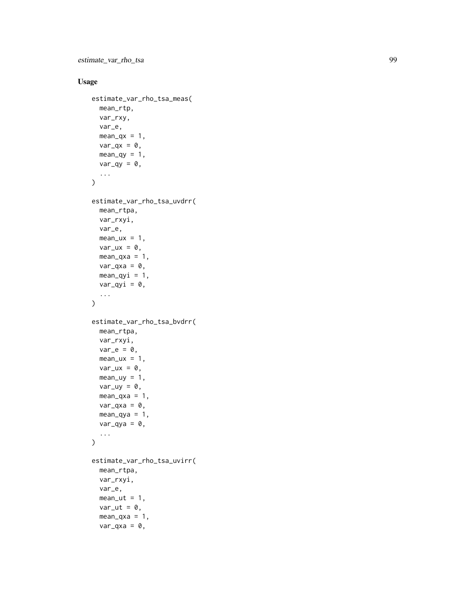estimate\_var\_rho\_tsa 99

# Usage

```
estimate_var_rho_tsa_meas(
  mean_rtp,
  var_rxy,
  var_e,
  mean_qx = 1,
  var_qx = 0,
  mean_qy = 1,
  var_qy = 0,
  ...
\mathcal{L}estimate_var_rho_tsa_uvdrr(
  mean_rtpa,
  var_rxyi,
  var_e,
  mean_lux = 1,
  var_{ux} = 0,
  mean_qxa = 1,
  var_qxa = 0,
  mean_qyi = 1,
  var_qyi = 0,
  ...
)
estimate_var_rho_tsa_bvdrr(
  mean_rtpa,
  var_rxyi,
  var_e = 0,
  mean_lux = 1,
  var_{ux} = 0,
  mean_\text{uy} = 1,
  var_{uy} = 0,
  mean_{\text{axa}} = 1,
  var_qxa = 0,
  mean_qya = 1,
  var_qya = 0,
  ...
\mathcal{L}estimate_var_rho_tsa_uvirr(
  mean_rtpa,
  var_rxyi,
  var_e,
  mean_{ut} = 1,
  var_{ut} = 0,
  mean_{\text{axa}} = 1,
  var_qx = 0,
```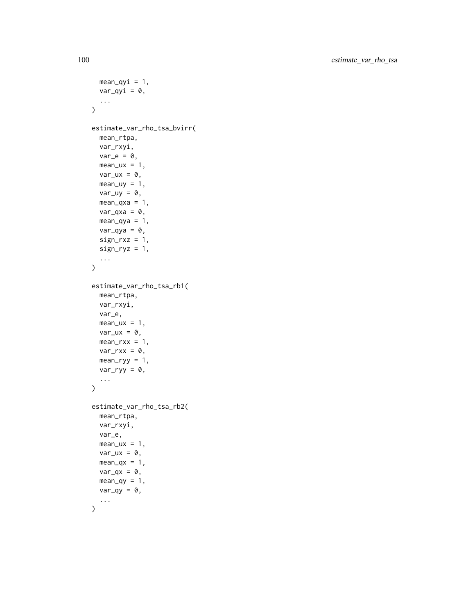```
mean_qyi = 1,
  var_qyi = 0,
  ...
\lambdaestimate_var_rho_tsa_bvirr(
  mean_rtpa,
  var_rxyi,
  var_e = 0,
  mean_u x = 1,
  var_{ux} = 0,
  mean_\text{uy} = 1,
  var\_uy = 0,
  mean_{\text{axa}} = 1,
  var_qxa = 0,
  mean_qya = 1,
  var_qya = 0,
  sign_r xz = 1,
  sign_{ryz} = 1,
  ...
\mathcal{L}estimate_var_rho_tsa_rb1(
  mean_rtpa,
  var_rxyi,
  var_e,
  mean_u x = 1,
  var_{ux} = 0,
  mean_rxx = 1,
  var_rxx = 0,
  mean_ryy = 1,
  var_{ryy} = 0,
  ...
\lambdaestimate_var_rho_tsa_rb2(
  mean_rtpa,
  var_rxyi,
  var_e,
  mean_lux = 1,
  var_{ux} = 0,
  mean_qx = 1,
  var_qx = 0,
  mean_qy = 1,
  var_qy = 0,
  ...
\mathcal{L}
```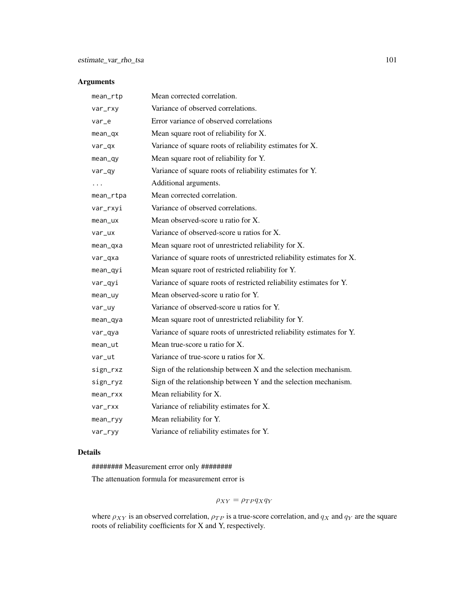# Arguments

| mean_rtp  | Mean corrected correlation.                                           |
|-----------|-----------------------------------------------------------------------|
| var_rxy   | Variance of observed correlations.                                    |
| var_e     | Error variance of observed correlations                               |
| mean_qx   | Mean square root of reliability for X.                                |
| var_qx    | Variance of square roots of reliability estimates for X.              |
| $mean_q$  | Mean square root of reliability for Y.                                |
| var_qy    | Variance of square roots of reliability estimates for Y.              |
| .         | Additional arguments.                                                 |
| mean_rtpa | Mean corrected correlation.                                           |
| var_rxyi  | Variance of observed correlations.                                    |
| mean_ux   | Mean observed-score u ratio for X.                                    |
| var_ux    | Variance of observed-score u ratios for X.                            |
| mean_qxa  | Mean square root of unrestricted reliability for X.                   |
| var_qxa   | Variance of square roots of unrestricted reliability estimates for X. |
| mean_qyi  | Mean square root of restricted reliability for Y.                     |
| var_qyi   | Variance of square roots of restricted reliability estimates for Y.   |
| mean_uy   | Mean observed-score u ratio for Y.                                    |
| var_uy    | Variance of observed-score u ratios for Y.                            |
| mean_qya  | Mean square root of unrestricted reliability for Y.                   |
| var_qya   | Variance of square roots of unrestricted reliability estimates for Y. |
| mean_ut   | Mean true-score u ratio for X.                                        |
| var_ut    | Variance of true-score u ratios for X.                                |
| sign_rxz  | Sign of the relationship between X and the selection mechanism.       |
| sign_ryz  | Sign of the relationship between Y and the selection mechanism.       |
| mean_rxx  | Mean reliability for X.                                               |
| var_rxx   | Variance of reliability estimates for X.                              |
| mean_ryy  | Mean reliability for Y.                                               |
| var_ryy   | Variance of reliability estimates for Y.                              |

# Details

######## Measurement error only ########

The attenuation formula for measurement error is

 $\rho_{XY} = \rho_{TP} q_X q_Y$ 

where  $\rho_{XY}$  is an observed correlation,  $\rho_{TP}$  is a true-score correlation, and  $q_X$  and  $q_Y$  are the square roots of reliability coefficients for X and Y, respectively.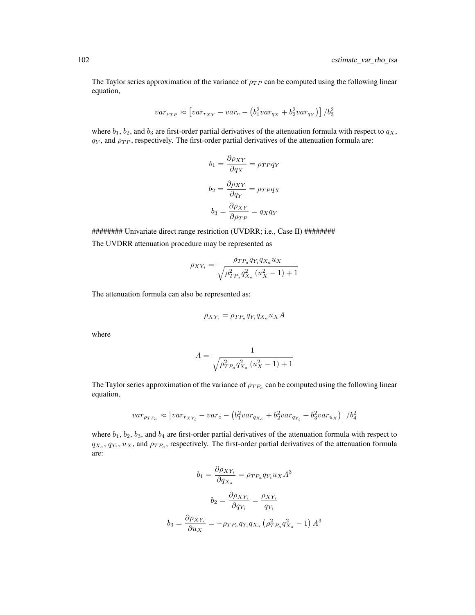The Taylor series approximation of the variance of  $\rho_{TP}$  can be computed using the following linear equation,

$$
var_{\rho_{TP}} \approx \left[ var_{r_{XY}} - var_e - (b_1^2 var_{q_X} + b_2^2 var_{q_Y}) \right] / b_3^2
$$

where  $b_1$ ,  $b_2$ , and  $b_3$  are first-order partial derivatives of the attenuation formula with respect to  $q_X$ ,  $q<sub>Y</sub>$ , and  $\rho<sub>TP</sub>$ , respectively. The first-order partial derivatives of the attenuation formula are:

$$
b_1 = \frac{\partial \rho_{XY}}{\partial q_X} = \rho_{TP} q_Y
$$

$$
b_2 = \frac{\partial \rho_{XY}}{\partial q_Y} = \rho_{TP} q_X
$$

$$
b_3 = \frac{\partial \rho_{XY}}{\partial \rho_{TP}} = q_X q_Y
$$

######## Univariate direct range restriction (UVDRR; i.e., Case II) ######## The UVDRR attenuation procedure may be represented as

$$
\rho_{XY_i} = \frac{\rho_{TP_a} q_{Y_i} q_{X_a} u_X}{\sqrt{\rho_{TP_a}^2 q_{X_a}^2 (u_X^2 - 1) + 1}}
$$

The attenuation formula can also be represented as:

$$
\rho_{XY_i} = \rho_{TP_a} q_{Y_i} q_{X_a} u_X A
$$

where

$$
A = \frac{1}{\sqrt{\rho_{TP_a}^2 q_{X_a}^2 (u_X^2 - 1) + 1}}
$$

The Taylor series approximation of the variance of  $\rho_{TP_a}$  can be computed using the following linear equation,

$$
var_{\rho_{TP_a}} \approx \left[ var_{r_{XY_i}} - var_e - \left( b_1^2 var_{q_{X_a}} + b_2^2 var_{q_{Y_i}} + b_3^2 var_{u_X} \right) \right] / b_4^2
$$

where  $b_1$ ,  $b_2$ ,  $b_3$ , and  $b_4$  are first-order partial derivatives of the attenuation formula with respect to  $q_{X_a}, q_{Y_i}, u_X$ , and  $\rho_{TP_a}$ , respectively. The first-order partial derivatives of the attenuation formula are:

$$
b_1 = \frac{\partial \rho_{XY_i}}{\partial q_{X_a}} = \rho_{TP_a} q_{Y_i} u_X A^3
$$

$$
b_2 = \frac{\partial \rho_{XY_i}}{\partial q_{Y_i}} = \frac{\rho_{XY_i}}{q_{Y_i}}
$$

$$
b_3 = \frac{\partial \rho_{XY_i}}{\partial u_X} = -\rho_{TP_a} q_{Y_i} q_{X_a} (\rho_{TP_a}^2 q_{X_a}^2 - 1) A^3
$$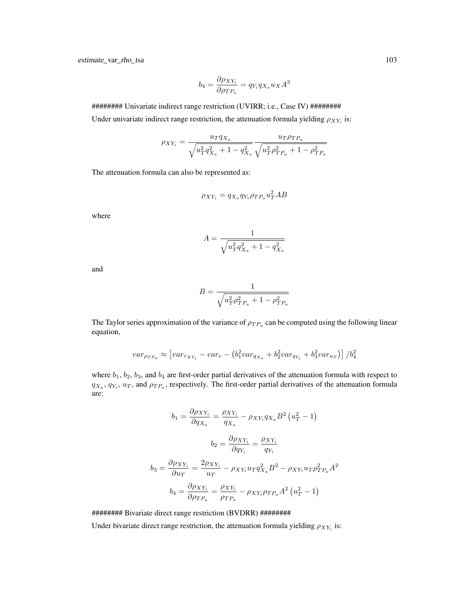estimate\_var\_rho\_tsa 103

$$
b_4 = \frac{\partial \rho_{XY_i}}{\partial \rho_{TP_a}} = q_{Y_i} q_{X_a} u_X A^3
$$

######## Univariate indirect range restriction (UVIRR; i.e., Case IV) ######## Under univariate indirect range restriction, the attenuation formula yielding  $\rho_{XY_i}$  is:

$$
\rho_{XY_i} = \frac{u_T q_{X_a}}{\sqrt{u_T^2 q_{X_a}^2 + 1 - q_{X_a}^2}} \frac{u_T \rho_{TP_a}}{\sqrt{u_T^2 \rho_{TP_a}^2 + 1 - \rho_{TP_a}^2}}
$$

The attenuation formula can also be represented as:

$$
\rho_{XY_i} = q_{X_a} q_{Y_i} \rho_{TP_a} u_T^2 AB
$$

where

$$
A=\frac{1}{\sqrt{u_T^2q_{X_a}^2+1-q_{X_a}^2}}
$$

and

$$
B=\frac{1}{\sqrt{u_T^2 \rho_{TP_a}^2+1-\rho_{TP_a}^2}}
$$

The Taylor series approximation of the variance of  $\rho_{TP_a}$  can be computed using the following linear equation,

$$
var_{\rho_{TP_a}} \approx \left[ var_{r_{XY_i}} - var_e - (b_1^2 var_{q_{X_a}} + b_2^2 var_{q_{Y_i}} + b_3^2 var_{u_T}) \right] / b_4^2
$$

where  $b_1$ ,  $b_2$ ,  $b_3$ , and  $b_4$  are first-order partial derivatives of the attenuation formula with respect to  $q_{X_a}, q_{Y_i}, u_T$ , and  $\rho_{TP_a}$ , respectively. The first-order partial derivatives of the attenuation formula are:

$$
b_1 = \frac{\partial \rho_{XY_i}}{\partial q_{X_a}} = \frac{\rho_{XY_i}}{q_{X_a}} - \rho_{XY_i} q_{X_a} B^2 (u_T^2 - 1)
$$

$$
b_2 = \frac{\partial \rho_{XY_i}}{\partial q_{Y_i}} = \frac{\rho_{XY_i}}{q_{Y_i}}
$$

$$
b_3 = \frac{\partial \rho_{XY_i}}{\partial u_T} = \frac{2\rho_{XY_i}}{u_T} - \rho_{XY_i} u_T q_{X_a}^2 B^2 - \rho_{XY_i} u_T \rho_{TP_a}^2 A^2
$$

$$
b_4 = \frac{\partial \rho_{XY_i}}{\partial \rho_{TP_a}} = \frac{\rho_{XY_i}}{\rho_{TP_a}} - \rho_{XY_i} \rho_{TP_a} A^2 (u_T^2 - 1)
$$

######## Bivariate direct range restriction (BVDRR) ########

Under bivariate direct range restriction, the attenuation formula yielding  $\rho_{XY_i}$  is: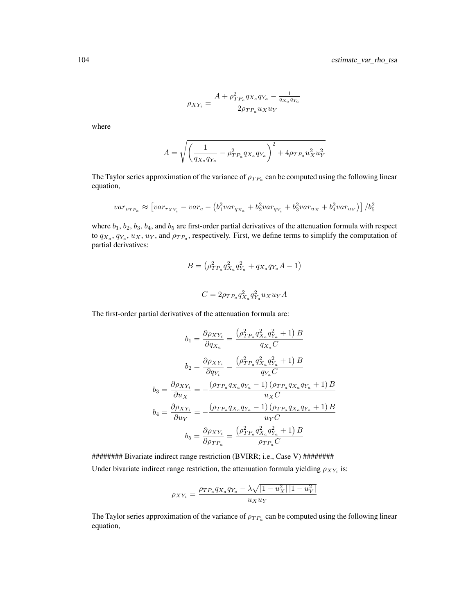$$
\rho_{XY_i}=\frac{A+\rho^2_{TP_a}q_{X_a}q_{Y_a}-\frac{1}{q_{X_a}q_{Y_a}}}{2\rho_{TP_a}u_Xu_Y}
$$

where

$$
A = \sqrt{\left(\frac{1}{q_{X_a}q_{Y_a}} - \rho_{TP_a}^2 q_{X_a}q_{Y_a}}\right)^2 + 4\rho_{TP_a}u_X^2u_Y^2}
$$

The Taylor series approximation of the variance of  $\rho_{TP_a}$  can be computed using the following linear equation,

$$
var_{\rho_{TP_a}} \approx \left[ var_{r_{XY_i}} - var_e - (b_1^2 var_{q_{X_a}} + b_2^2 var_{q_{Y_i}} + b_3^2 var_{u_X} + b_4^2 var_{u_Y}) \right] / b_5^2
$$

where  $b_1$ ,  $b_2$ ,  $b_3$ ,  $b_4$ , and  $b_5$  are first-order partial derivatives of the attenuation formula with respect to  $q_{X_a}, q_{Y_a}, u_X, u_Y$ , and  $\rho_{TP_a}$ , respectively. First, we define terms to simplify the computation of partial derivatives:

$$
B = (\rho_{TP_a}^2 q_{X_a}^2 q_{Y_a}^2 + q_{X_a} q_{Y_a} A - 1)
$$
  

$$
C = 2\rho_{TP_a} q_{X_a}^2 q_{Y_a}^2 u_X u_Y A
$$

The first-order partial derivatives of the attenuation formula are:

$$
b_1 = \frac{\partial \rho_{XY_i}}{\partial q_{X_a}} = \frac{\left(\rho_{TP_a}^2 q_{X_a}^2 q_{Y_a}^2 + 1\right)B}{q_{X_a}C}
$$

$$
b_2 = \frac{\partial \rho_{XY_i}}{\partial q_{Y_i}} = \frac{\left(\rho_{TP_a}^2 q_{X_a}^2 q_{Y_a}^2 + 1\right)B}{q_{Y_a}C}
$$

$$
b_3 = \frac{\partial \rho_{XY_i}}{\partial u_X} = -\frac{\left(\rho_{TP_a} q_{X_a} q_{Y_a} - 1\right)\left(\rho_{TP_a} q_{X_a} q_{Y_a} + 1\right)B}{u_XC}
$$

$$
b_4 = \frac{\partial \rho_{XY_i}}{\partial u_Y} = -\frac{\left(\rho_{TP_a} q_{X_a} q_{Y_a} - 1\right)\left(\rho_{TP_a} q_{X_a} q_{Y_a} + 1\right)B}{u_YC}
$$

$$
b_5 = \frac{\partial \rho_{XY_i}}{\partial \rho_{TP_a}} = \frac{\left(\rho_{TP_a}^2 q_{X_a}^2 q_{Y_a}^2 + 1\right)B}{\rho_{TP_a}C}
$$

######## Bivariate indirect range restriction (BVIRR; i.e., Case V) ######## Under bivariate indirect range restriction, the attenuation formula yielding  $\rho_{XY_i}$  is:

$$
\rho_{XY_i} = \frac{\rho_{TP_a} q_{X_a} q_{Y_a} - \lambda \sqrt{|1 - u_X^2| |1 - u_Y^2|}}{u_X u_Y}
$$

The Taylor series approximation of the variance of  $\rho_{TP_a}$  can be computed using the following linear equation,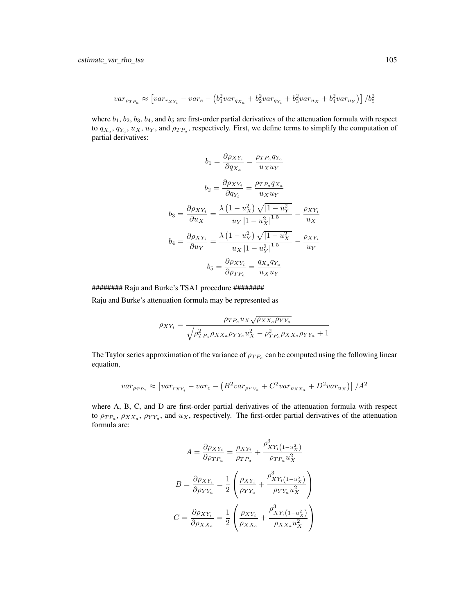$$
var_{\rho_{TP_a}} \approx \left[ var_{r_{XY_i}} - var_e - (b_1^2 var_{q_{X_a}} + b_2^2 var_{q_{Y_i}} + b_3^2 var_{u_X} + b_4^2 var_{u_Y}) \right] / b_5^2
$$

where  $b_1$ ,  $b_2$ ,  $b_3$ ,  $b_4$ , and  $b_5$  are first-order partial derivatives of the attenuation formula with respect to  $q_{X_a}, q_{Y_a}, u_X, u_Y$ , and  $\rho_{TP_a}$ , respectively. First, we define terms to simplify the computation of partial derivatives:

$$
b_1 = \frac{\partial \rho_{XY_i}}{\partial q_{X_a}} = \frac{\rho_{TP_a} q_{Y_a}}{u_X u_Y}
$$

$$
b_2 = \frac{\partial \rho_{XY_i}}{\partial q_{Y_i}} = \frac{\rho_{TP_a} q_{X_a}}{u_X u_Y}
$$

$$
b_3 = \frac{\partial \rho_{XY_i}}{\partial u_X} = \frac{\lambda \left(1 - u_X^2\right) \sqrt{|1 - u_Y^2|}}{u_Y \left|1 - u_X^2\right|^{1.5}} - \frac{\rho_{XY_i}}{u_X}
$$

$$
b_4 = \frac{\partial \rho_{XY_i}}{\partial u_Y} = \frac{\lambda \left(1 - u_Y^2\right) \sqrt{|1 - u_X^2|}}{u_X \left|1 - u_Y^2\right|^{1.5}} - \frac{\rho_{XY_i}}{u_Y}
$$

$$
b_5 = \frac{\partial \rho_{XY_i}}{\partial \rho_{TP_a}} = \frac{q_{X_a} q_{Y_a}}{u_X u_Y}
$$

######## Raju and Burke's TSA1 procedure ########

Raju and Burke's attenuation formula may be represented as

$$
\rho_{XY_i} = \frac{\rho_{TP_a} u_X \sqrt{\rho_{XX_a}\rho_{YY_a}}}{\sqrt{\rho_{TP_a}^2 \rho_{XX_a}\rho_{YY_a} u_X^2 - \rho_{TP_a}^2 \rho_{XX_a}\rho_{YY_a} + 1}}
$$

The Taylor series approximation of the variance of  $\rho_{TP_a}$  can be computed using the following linear equation,

$$
var_{\rho_{TP_a}} \approx \left[ var_{r_{XY_i}} - var_e - \left(B^2 var_{\rho_{YY_a}} + C^2 var_{\rho_{XX_a}} + D^2 var_{u_X}\right)\right] / A^2
$$

where A, B, C, and D are first-order partial derivatives of the attenuation formula with respect to  $\rho_{TP_a}, \rho_{XX_a}, \rho_{YY_a}$ , and  $u_X$ , respectively. The first-order partial derivatives of the attenuation formula are:

$$
A = \frac{\partial \rho_{XY_i}}{\partial \rho_{TP_a}} = \frac{\rho_{XY_i}}{\rho_{TP_a}} + \frac{\rho_{XY_i}^3 (1 - u_X^2)}{\rho_{TP_a} u_X^2}
$$

$$
B = \frac{\partial \rho_{XY_i}}{\partial \rho_{YY_a}} = \frac{1}{2} \left( \frac{\rho_{XY_i}}{\rho_{YY_a}} + \frac{\rho_{XY_i}^3 (1 - u_X^2)}{\rho_{YY_a} u_X^2} \right)
$$

$$
C = \frac{\partial \rho_{XY_i}}{\partial \rho_{XX_a}} = \frac{1}{2} \left( \frac{\rho_{XY_i}}{\rho_{XX_a}} + \frac{\rho_{XY_i}^3 (1 - u_X^2)}{\rho_{XX_a} u_X^2} \right)
$$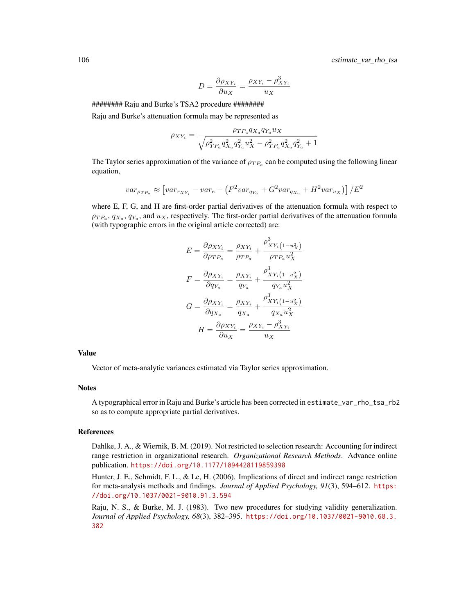$$
D = \frac{\partial \rho_{XY_i}}{\partial u_X} = \frac{\rho_{XY_i} - \rho_{XY_i}^3}{u_X}
$$

########## Raju and Burke's TSA2 procedure #########

Raju and Burke's attenuation formula may be represented as

$$
\rho_{XY_i} = \frac{\rho_{TP_a} q_{X_a} q_{Y_a} u_X}{\sqrt{\rho_{TP_a}^2 q_{X_a}^2 q_{Y_a}^2 u_X^2 - \rho_{TP_a}^2 q_{X_a}^2 q_{Y_a}^2 + 1}}
$$

The Taylor series approximation of the variance of  $\rho_{TP_a}$  can be computed using the following linear equation,

$$
var_{\rho_{TP_a}} \approx \left[ var_{r_{XY_i}} - var_e - \left( F^2 var_{q_{Y_a}} + G^2 var_{q_{X_a}} + H^2 var_{u_X} \right) \right] / E^2
$$

where E, F, G, and H are first-order partial derivatives of the attenuation formula with respect to  $\rho_{TP_a}, q_{X_a}, q_{Y_a}$ , and  $u_X$ , respectively. The first-order partial derivatives of the attenuation formula (with typographic errors in the original article corrected) are:

$$
E = \frac{\partial \rho_{XY_i}}{\partial \rho_{TP_a}} = \frac{\rho_{XY_i}}{\rho_{TP_a}} + \frac{\rho_{XY_i(1-u_X^2)}^3}{\rho_{TP_a} u_X^2}
$$

$$
F = \frac{\partial \rho_{XY_i}}{\partial q_{Y_a}} = \frac{\rho_{XY_i}}{q_{Y_a}} + \frac{\rho_{XY_i(1-u_X^2)}^3}{q_{Y_a} u_X^2}
$$

$$
G = \frac{\partial \rho_{XY_i}}{\partial q_{X_a}} = \frac{\rho_{XY_i}}{q_{X_a}} + \frac{\rho_{XY_i(1-u_X^2)}^3}{q_{X_a} u_X^2}
$$

$$
H = \frac{\partial \rho_{XY_i}}{\partial u_X} = \frac{\rho_{XY_i} - \rho_{XY_i}^3}{u_X}
$$

#### Value

Vector of meta-analytic variances estimated via Taylor series approximation.

#### **Notes**

A typographical error in Raju and Burke's article has been corrected in estimate\_var\_rho\_tsa\_rb2 so as to compute appropriate partial derivatives.

#### References

Dahlke, J. A., & Wiernik, B. M. (2019). Not restricted to selection research: Accounting for indirect range restriction in organizational research. *Organizational Research Methods*. Advance online publication. <https://doi.org/10.1177/1094428119859398>

Hunter, J. E., Schmidt, F. L., & Le, H. (2006). Implications of direct and indirect range restriction for meta-analysis methods and findings. *Journal of Applied Psychology, 91*(3), 594–612. [https:](https://doi.org/10.1037/0021-9010.91.3.594) [//doi.org/10.1037/0021-9010.91.3.594](https://doi.org/10.1037/0021-9010.91.3.594)

Raju, N. S., & Burke, M. J. (1983). Two new procedures for studying validity generalization. *Journal of Applied Psychology, 68*(3), 382–395. [https://doi.org/10.1037/0021-9010.68.3.](https://doi.org/10.1037/0021-9010.68.3.382) [382](https://doi.org/10.1037/0021-9010.68.3.382)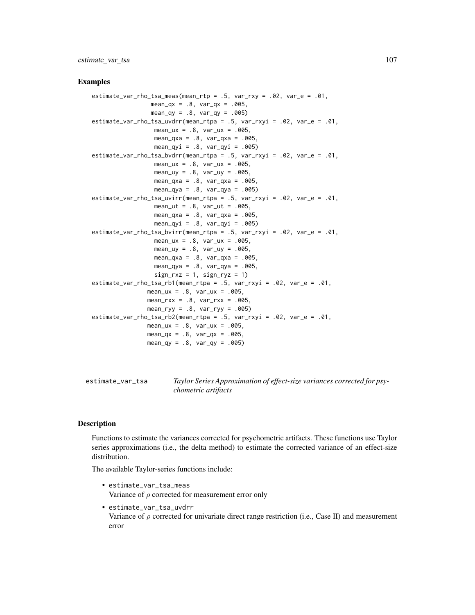estimate\_var\_tsa 107

### Examples

```
estimate_var_rho_tsa_meas(mean_rtp = .5, var_rxy = .02, var_e = .01,
                 mean_qx = .8, var_qx = .005,
                 mean_qy = .8, var_qy = .005estimate_var_rho_tsa_uvdrr(mean_rtpa = .5, var_rxyi = .02, var_e = .01,
                  mean_{ux} = .8, var_{ux} = .005,
                  mean_qxa = .8, var_qxa = .005,
                  mean_qyi = .8, var_qyi = .005)
estimate_var_rho_tsa_bvdrr(mean_rtpa = .5, var_rxyi = .02, var_e = .01,
                  mean_ux = .8, var_ux = .005,
                  mean_{uy} = .8, var_{uy} = .005,
                  mean_qxa = .8, var_qxa = .005,
                  mean_qya = .8, var_qya = .005)
estimate_var_rho_tsa_uvirr(mean_rtpa = .5, var_rxyi = .02, var_e = .01,
                  mean_{ut} = .8, var_{ut} = .005,
                  mean_qxa = .8, var_qxa = .005,
                  mean_qyi = .8, var_qyi = .005)
estimate_var_rho_tsa_bvirr(mean_rtpa = .5, var_rxyi = .02, var_e = .01,
                  mean_lux = .8, var_lux = .005,
                  mean_uy = .8, var_uy = .005,
                  mean_qxa = .8, var_qxa = .005,
                  mean_qya = .8, var_qya = .005,
                  sign_r xz = 1, sign_r yz = 1)
estimate_var_rho_tsa_rb1(mean_rtpa = .5, var_rxyi = .02, var_e = .01,
                mean_{ux} = .8, var_{ux} = .005,
                mean_rxx = .8, var_rxx = .005,
                mean_ryy = .8, var_ryy = .005)
estimate_var_rho_tsa_rb2(mean_rtpa = .5, var_rxyi = .02, var_e = .01,
                mean_ux = .8, var_ux = .005,
                mean_qx = .8, var_qx = .005,
                mean_qy = .8, var_qy = .005
```
estimate\_var\_tsa *Taylor Series Approximation of effect-size variances corrected for psychometric artifacts*

### Description

Functions to estimate the variances corrected for psychometric artifacts. These functions use Taylor series approximations (i.e., the delta method) to estimate the corrected variance of an effect-size distribution.

The available Taylor-series functions include:

- estimate\_var\_tsa\_meas Variance of  $\rho$  corrected for measurement error only
- estimate\_var\_tsa\_uvdrr

Variance of  $\rho$  corrected for univariate direct range restriction (i.e., Case II) and measurement error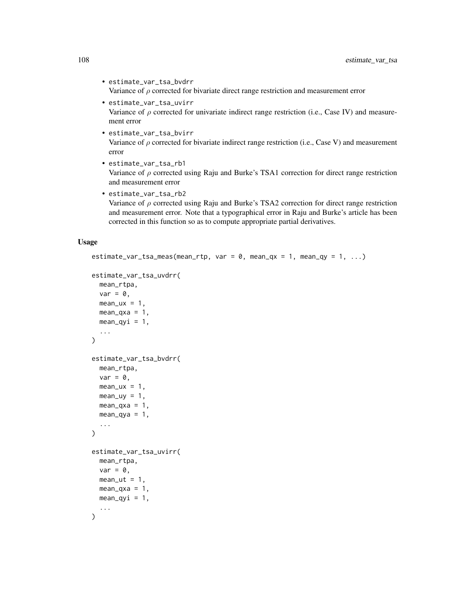- estimate\_var\_tsa\_bvdrr Variance of  $\rho$  corrected for bivariate direct range restriction and measurement error
- estimate\_var\_tsa\_uvirr Variance of  $\rho$  corrected for univariate indirect range restriction (i.e., Case IV) and measurement error
- estimate\_var\_tsa\_bvirr Variance of  $\rho$  corrected for bivariate indirect range restriction (i.e., Case V) and measurement error
- estimate\_var\_tsa\_rb1 Variance of  $\rho$  corrected using Raju and Burke's TSA1 correction for direct range restriction and measurement error
- estimate\_var\_tsa\_rb2 Variance of  $\rho$  corrected using Raju and Burke's TSA2 correction for direct range restriction and measurement error. Note that a typographical error in Raju and Burke's article has been corrected in this function so as to compute appropriate partial derivatives.

#### Usage

```
estimate_var_tsa_meas(mean_rtp, var = 0, mean_qx = 1, mean_qy = 1, ...)
estimate_var_tsa_uvdrr(
  mean_rtpa,
  var = 0,
  mean_u x = 1,
  mean_{\text{axa}} = 1,
  mean_{\text{avi}} = 1,
  ...
\lambdaestimate_var_tsa_bvdrr(
  mean_rtpa,
  var = 0,
  mean_u x = 1,
  mean_\text{uy} = 1,
  mean_qxa = 1,
  mean_qya = 1,
  ...
\mathcal{L}estimate_var_tsa_uvirr(
  mean_rtpa,
  var = 0,
  mean_{ut} = 1,
  mean_{\text{axa}} = 1,
  mean_qyi = 1,
  ...
\lambda
```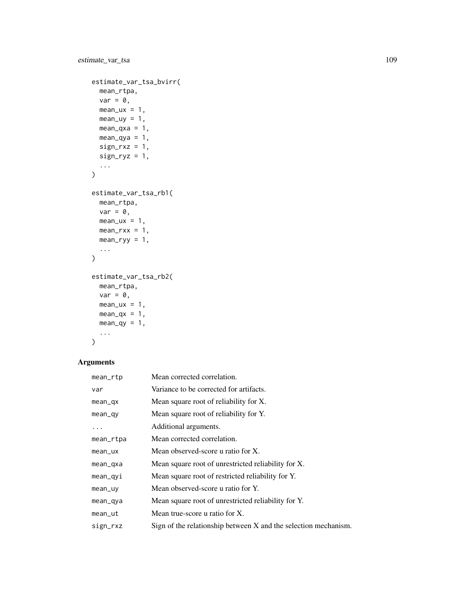```
estimate_var_tsa_bvirr(
  mean_rtpa,
  var = 0,
  mean_lux = 1,
  mean_uy = 1,
  mean_{\text{axa}} = 1,
  mean_qya = 1,
  sign_r xz = 1,
  sign_{ryz} = 1,
  ...
\mathcal{L}estimate_var_tsa_rb1(
  mean_rtpa,
  var = 0,
  mean_lux = 1,
  mean_rxx = 1,
  mean_ryy = 1,
  ...
\mathcal{L}estimate_var_tsa_rb2(
  mean_rtpa,
  var = 0,
  mean_lux = 1,
  mean_qx = 1,
  mean_qy = 1,
  ...
\mathcal{L}
```
# Arguments

| mean_rtp   | Mean corrected correlation.                                     |
|------------|-----------------------------------------------------------------|
| var        | Variance to be corrected for artifacts.                         |
| $mean_qx$  | Mean square root of reliability for X.                          |
| $mean_q$   | Mean square root of reliability for Y.                          |
| .          | Additional arguments.                                           |
| mean_rtpa  | Mean corrected correlation.                                     |
| $mean$ _ux | Mean observed-score u ratio for X.                              |
| mean_qxa   | Mean square root of unrestricted reliability for X.             |
| mean_qyi   | Mean square root of restricted reliability for Y.               |
| mean_uy    | Mean observed-score u ratio for Y.                              |
| mean_qya   | Mean square root of unrestricted reliability for Y.             |
| mean_ut    | Mean true-score u ratio for X.                                  |
| sign_rxz   | Sign of the relationship between X and the selection mechanism. |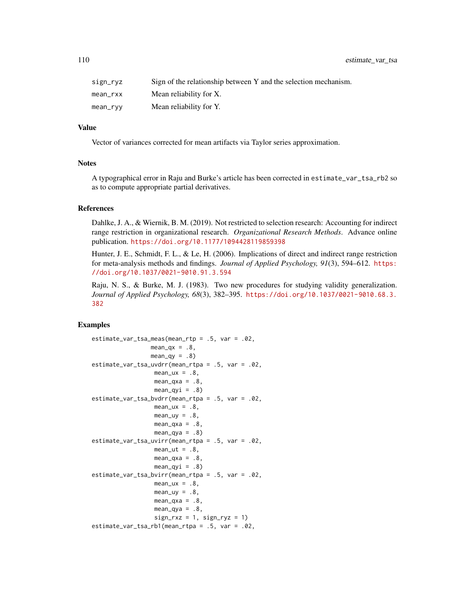110 estimate\_var\_tsa

| sign_ryz | Sign of the relationship between Y and the selection mechanism. |
|----------|-----------------------------------------------------------------|
| mean rxx | Mean reliability for X.                                         |
| mean_ryy | Mean reliability for Y.                                         |

# Value

Vector of variances corrected for mean artifacts via Taylor series approximation.

#### **Notes**

A typographical error in Raju and Burke's article has been corrected in estimate\_var\_tsa\_rb2 so as to compute appropriate partial derivatives.

#### References

Dahlke, J. A., & Wiernik, B. M. (2019). Not restricted to selection research: Accounting for indirect range restriction in organizational research. *Organizational Research Methods*. Advance online publication. <https://doi.org/10.1177/1094428119859398>

Hunter, J. E., Schmidt, F. L., & Le, H. (2006). Implications of direct and indirect range restriction for meta-analysis methods and findings. *Journal of Applied Psychology, 91*(3), 594–612. [https:](https://doi.org/10.1037/0021-9010.91.3.594) [//doi.org/10.1037/0021-9010.91.3.594](https://doi.org/10.1037/0021-9010.91.3.594)

Raju, N. S., & Burke, M. J. (1983). Two new procedures for studying validity generalization. *Journal of Applied Psychology, 68*(3), 382–395. [https://doi.org/10.1037/0021-9010.68.3.](https://doi.org/10.1037/0021-9010.68.3.382) [382](https://doi.org/10.1037/0021-9010.68.3.382)

```
estimate_var_tsa_meas(mean_rtp = .5, var = .02,
                 mean_qx = .8,
                  mean_qy = .8estimate_var_tsa_uvdrr(mean_rtpa = .5, var = .02,
                   mean_u x = .8,
                  mean_{axa} = .8mean_qyi = .8estimate_var_tsa_bvdrr(mean_rtpa = .5, var = .02,
                  mean_lux = .8,
                  mean_{uy} = .8,
                  mean_{\text{axa}} = .8mean_qya = .8estimate_var_tsa_uvirr(mean_rtpa = .5, var = .02,
                  mean_{ut} = .8,
                  mean_{\text{axa}} = .8,
                  mean_qyi = .8estimate_var_tsa_bvirr(mean_rtpa = .5, var = .02,
                  mean_lux = .8,
                   mean_\text{uy} = .8,
                   mean_{\text{axa}} = .8,
                   mean_qya = .8,
                   sign_r xz = 1, sign_r yz = 1estimate_var_tsa_rb1(mean_rtpa = .5, var = .02,
```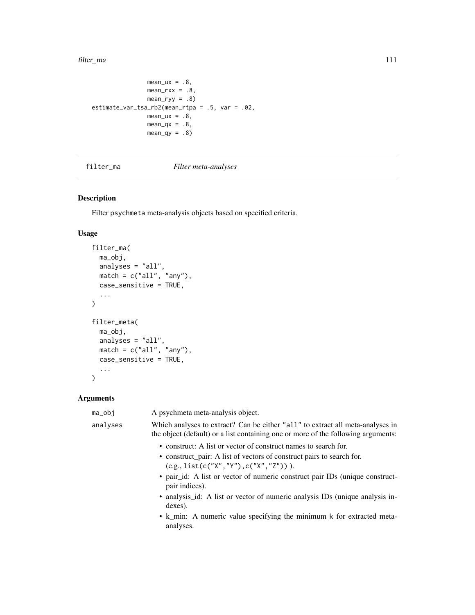#### filter\_ma 111

```
mean_lux = .8,
               mean_rxx = .8,
               mean_{ryy} = .8estimate_var_tsa_rb2(mean_rtpa = .5, var = .02,
               mean_u x = .8,
               mean_qx = .8,
               mean_qy = .8
```
<span id="page-110-0"></span>filter\_ma *Filter meta-analyses*

# Description

Filter psychmeta meta-analysis objects based on specified criteria.

# Usage

```
filter_ma(
 ma_obj,
 analyses = "all",
 match = c("all", "any"),case_sensitive = TRUE,
  ...
)
filter_meta(
 ma_obj,
  analyses = "all",
  match = c("all", "any"),case_sensitive = TRUE,
  ...
)
```
# Arguments

| ma_obj   | A psychmeta meta-analysis object.                                                                                                                                   |
|----------|---------------------------------------------------------------------------------------------------------------------------------------------------------------------|
| analyses | Which analyses to extract? Can be either "all" to extract all meta-analyses in<br>the object (default) or a list containing one or more of the following arguments: |
|          | • construct: A list or vector of construct names to search for.                                                                                                     |
|          | • construct_pair: A list of vectors of construct pairs to search for.<br>$(e.g., list(c("X", "Y"), c("X", "Z"))).$                                                  |
|          | • pair id: A list or vector of numeric construct pair IDs (unique construct-<br>pair indices).                                                                      |
|          | • analysis id: A list or vector of numeric analysis IDs (unique analysis in-<br>dexes).                                                                             |
|          | • k_min: A numeric value specifying the minimum k for extracted meta-<br>analyses.                                                                                  |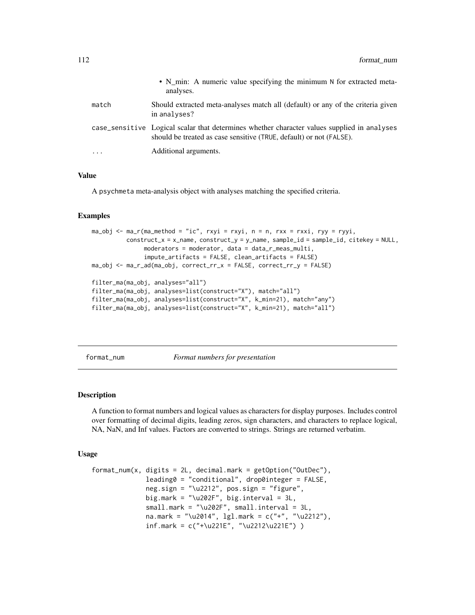|          | • N_min: A numeric value specifying the minimum N for extracted meta-<br>analyses.                                                                                 |
|----------|--------------------------------------------------------------------------------------------------------------------------------------------------------------------|
| match    | Should extracted meta-analyses match all (default) or any of the criteria given<br>in analyses?                                                                    |
|          | case_sensitive Logical scalar that determines whether character values supplied in analyses<br>should be treated as case sensitive (TRUE, default) or not (FALSE). |
| $\cdots$ | Additional arguments.                                                                                                                                              |

#### Value

A psychmeta meta-analysis object with analyses matching the specified criteria.

#### Examples

```
ma\_obj \leq ma_r(ma\_method = "ic", rxyi = rxyi, n = n, rxx = rxxi, ryy = ryyi,construct_x = x_name, construct_y = y_name, sample_id = sample_id, citekey = NULL,
               moderators = moderator, data = data_r_meas_multi,
               impute_artifacts = FALSE, clean_artifacts = FALSE)
ma_obj <- ma_r_ad(ma_obj, correct_rr_x = FALSE, correct_rr_y = FALSE)
filter_ma(ma_obj, analyses="all")
filter_ma(ma_obj, analyses=list(construct="X"), match="all")
filter_ma(ma_obj, analyses=list(construct="X", k_min=21), match="any")
filter_ma(ma_obj, analyses=list(construct="X", k_min=21), match="all")
```
format\_num *Format numbers for presentation*

#### Description

A function to format numbers and logical values as characters for display purposes. Includes control over formatting of decimal digits, leading zeros, sign characters, and characters to replace logical, NA, NaN, and Inf values. Factors are converted to strings. Strings are returned verbatim.

#### Usage

```
format_num(x, digits = 2L, decimal.mark = getOption("OutDec"),
              leading0 = "conditional", drop0integer = FALSE,
              neg.sign = "\u2212", pos.sign = "figure",
              big.mark = " \u202F", big.interval = 3L,
              small.mark = "\u202F", small.interval = 3L,
              na.mark = "\u2014", lgl.mark = c("+", "\u2212"),
              inf.mark = c("+\u221E", "\u2212\u221E") )
```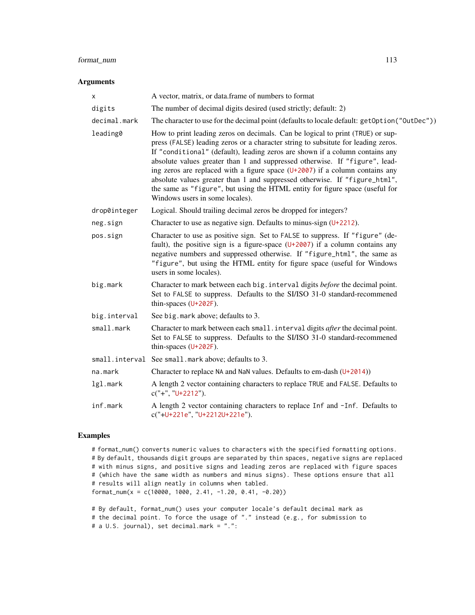# format\_num 113

#### Arguments

| х            | A vector, matrix, or data.frame of numbers to format                                                                                                                                                                                                                                                                                                                                                                                                                                                                                                                                                                  |
|--------------|-----------------------------------------------------------------------------------------------------------------------------------------------------------------------------------------------------------------------------------------------------------------------------------------------------------------------------------------------------------------------------------------------------------------------------------------------------------------------------------------------------------------------------------------------------------------------------------------------------------------------|
| digits       | The number of decimal digits desired (used strictly; default: 2)                                                                                                                                                                                                                                                                                                                                                                                                                                                                                                                                                      |
| decimal.mark | The character to use for the decimal point (defaults to locale default: get0ption("0utDec"))                                                                                                                                                                                                                                                                                                                                                                                                                                                                                                                          |
| leading0     | How to print leading zeros on decimals. Can be logical to print (TRUE) or sup-<br>press (FALSE) leading zeros or a character string to subsitute for leading zeros.<br>If "conditional" (default), leading zeros are shown if a column contains any<br>absolute values greater than 1 and suppressed otherwise. If "figure", lead-<br>ing zeros are replaced with a figure space $(U+2007)$ if a column contains any<br>absolute values greater than 1 and suppressed otherwise. If "figure_html",<br>the same as "figure", but using the HTML entity for figure space (useful for<br>Windows users in some locales). |
| drop0integer | Logical. Should trailing decimal zeros be dropped for integers?                                                                                                                                                                                                                                                                                                                                                                                                                                                                                                                                                       |
| neg.sign     | Character to use as negative sign. Defaults to minus-sign $(U+2212)$ .                                                                                                                                                                                                                                                                                                                                                                                                                                                                                                                                                |
| pos.sign     | Character to use as positive sign. Set to FALSE to suppress. If "figure" (de-<br>fault), the positive sign is a figure-space $(U+2007)$ if a column contains any<br>negative numbers and suppressed otherwise. If "figure_html", the same as<br>"figure", but using the HTML entity for figure space (useful for Windows<br>users in some locales).                                                                                                                                                                                                                                                                   |
| big.mark     | Character to mark between each big. interval digits before the decimal point.<br>Set to FALSE to suppress. Defaults to the SI/ISO 31-0 standard-recommened<br>thin-spaces $(U+202F)$ .                                                                                                                                                                                                                                                                                                                                                                                                                                |
| big.interval | See big. mark above; defaults to 3.                                                                                                                                                                                                                                                                                                                                                                                                                                                                                                                                                                                   |
| small.mark   | Character to mark between each small. interval digits after the decimal point.<br>Set to FALSE to suppress. Defaults to the SI/ISO 31-0 standard-recommened<br>thin-spaces $(U+202F)$ .                                                                                                                                                                                                                                                                                                                                                                                                                               |
|              | small.interval See small.mark above; defaults to 3.                                                                                                                                                                                                                                                                                                                                                                                                                                                                                                                                                                   |
| na.mark      | Character to replace NA and NaN values. Defaults to em-dash $(U+2014)$                                                                                                                                                                                                                                                                                                                                                                                                                                                                                                                                                |
| lgl.mark     | A length 2 vector containing characters to replace TRUE and FALSE. Defaults to<br>$c("+", "U+2212").$                                                                                                                                                                                                                                                                                                                                                                                                                                                                                                                 |
| inf.mark     | A length 2 vector containing characters to replace Inf and -Inf. Defaults to<br>c("+U+221e", "U+2212U+221e").                                                                                                                                                                                                                                                                                                                                                                                                                                                                                                         |

# Examples

# format\_num() converts numeric values to characters with the specified formatting options. # By default, thousands digit groups are separated by thin spaces, negative signs are replaced # with minus signs, and positive signs and leading zeros are replaced with figure spaces # (which have the same width as numbers and minus signs). These options ensure that all # results will align neatly in columns when tabled. format\_num(x = c(10000, 1000, 2.41, -1.20, 0.41, -0.20))

```
# By default, format_num() uses your computer locale's default decimal mark as
# the decimal point. To force the usage of "." instead (e.g., for submission to
# a U.S. journal), set decimal.mark = ".":
```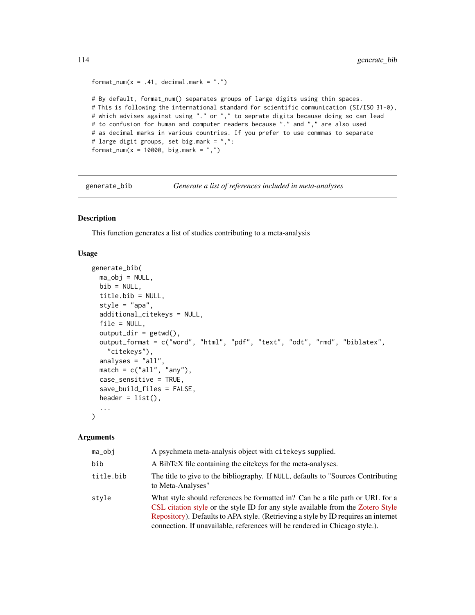```
format_num(x = .41, decimal.mark = ".")
# By default, format_num() separates groups of large digits using thin spaces.
# This is following the international standard for scientific communication (SI/ISO 31-0),
# which advises against using "." or "," to seprate digits because doing so can lead
# to confusion for human and computer readers because "." and "," are also used
# as decimal marks in various countries. If you prefer to use commmas to separate
# large digit groups, set big.mark = ",":
format_num(x = 10000, big.mark = ",")
```
generate\_bib *Generate a list of references included in meta-analyses*

# Description

This function generates a list of studies contributing to a meta-analysis

#### Usage

```
generate_bib(
 ma_obj = NULL,bib = NULL,title.bib = NULL,
  style = "apa",additional_citekeys = NULL,
  file = NULL,
  output\_dir = getwd(),
  output_format = c("word", "html", "pdf", "text", "odt", "rmd", "biblatex",
    "citekeys"),
  analyses = "all"match = c("all", "any"),case_sensitive = TRUE,
  save_build_files = FALSE,
  header = list(),
  ...
\lambda
```
# Arguments

# ma\_obj A psychmeta meta-analysis object with citekeys supplied. bib A BibTeX file containing the citekeys for the meta-analyses. title.bib The title to give to the bibliography. If NULL, defaults to "Sources Contributing to Meta-Analyses" style What style should references be formatted in? Can be a file path or URL for a [CSL citation style](https://github.com/citation-style-language/styles) or the style ID for any style available from the [Zotero Style](https://www.zotero.org/styles) [Repository\)](https://www.zotero.org/styles). Defaults to APA style. (Retrieving a style by ID requires an internet connection. If unavailable, references will be rendered in Chicago style.).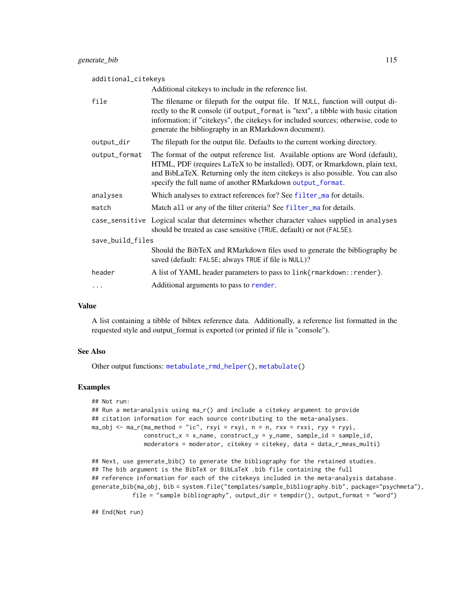| additional_citekeys |                                                                                                                                                                                                                                                                                                                   |  |
|---------------------|-------------------------------------------------------------------------------------------------------------------------------------------------------------------------------------------------------------------------------------------------------------------------------------------------------------------|--|
|                     | Additional citekeys to include in the reference list.                                                                                                                                                                                                                                                             |  |
| file                | The filename or filepath for the output file. If NULL, function will output di-<br>rectly to the R console (if output_format is "text", a tibble with basic citation<br>information; if "citekeys", the citekeys for included sources; otherwise, code to<br>generate the bibliography in an RMarkdown document). |  |
| output_dir          | The filepath for the output file. Defaults to the current working directory.                                                                                                                                                                                                                                      |  |
| output_format       | The format of the output reference list. Available options are Word (default),<br>HTML, PDF (requires LaTeX to be installed), ODT, or Rmarkdown, plain text,<br>and BibLaTeX. Returning only the item citekeys is also possible. You can also<br>specify the full name of another RMarkdown output_format.        |  |
| analyses            | Which analyses to extract references for? See filter_ma for details.                                                                                                                                                                                                                                              |  |
| match               | Match all or any of the filter criteria? See filter_ma for details.                                                                                                                                                                                                                                               |  |
|                     | case_sensitive Logical scalar that determines whether character values supplied in analyses<br>should be treated as case sensitive (TRUE, default) or not (FALSE).                                                                                                                                                |  |
| save_build_files    |                                                                                                                                                                                                                                                                                                                   |  |
|                     | Should the BibTeX and RMarkdown files used to generate the bibliography be<br>saved (default: FALSE; always TRUE if file is NULL)?                                                                                                                                                                                |  |
| header              | A list of YAML header parameters to pass to link{rmarkdown::render}.                                                                                                                                                                                                                                              |  |
| .                   | Additional arguments to pass to render.                                                                                                                                                                                                                                                                           |  |

#### Value

A list containing a tibble of bibtex reference data. Additionally, a reference list formatted in the requested style and output\_format is exported (or printed if file is "console").

#### See Also

Other output functions: [metabulate\\_rmd\\_helper\(](#page-169-0)), [metabulate\(](#page-165-0))

#### Examples

```
## Not run:
## Run a meta-analysis using ma_r() and include a citekey argument to provide
## citation information for each source contributing to the meta-analyses.
ma_obj <- ma_r(ma_method = "ic", rxyi = rxyi, n = n, rxx = rxxi, ryy = ryyi,
               construct_x = x_name, construct_y = y_name, sample_id = sample_id,moderators = moderator, citekey = citekey, data = data_r_meas_multi)
```

```
## Next, use generate_bib() to generate the bibliography for the retained studies.
## The bib argument is the BibTeX or BibLaTeX .bib file containing the full
## reference information for each of the citekeys included in the meta-analysis database.
generate_bib(ma_obj, bib = system.file("templates/sample_bibliography.bib", package="psychmeta"),
           file = "sample bibliography", output_dir = tempdir(), output_format = "word")
```
## End(Not run)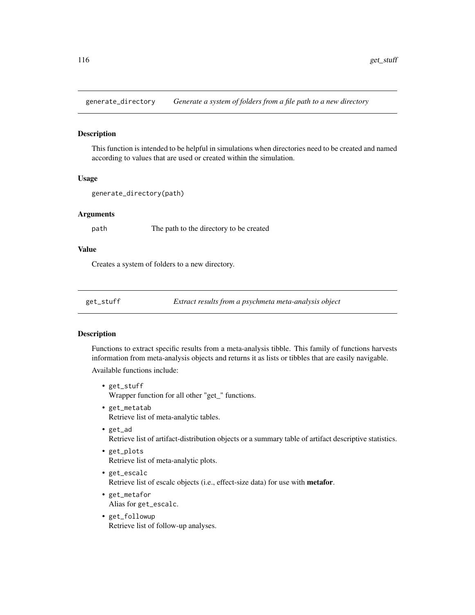generate\_directory *Generate a system of folders from a file path to a new directory*

#### Description

This function is intended to be helpful in simulations when directories need to be created and named according to values that are used or created within the simulation.

# Usage

```
generate_directory(path)
```
#### Arguments

path The path to the directory to be created

#### Value

Creates a system of folders to a new directory.

get\_stuff *Extract results from a psychmeta meta-analysis object*

#### Description

Functions to extract specific results from a meta-analysis tibble. This family of functions harvests information from meta-analysis objects and returns it as lists or tibbles that are easily navigable.

Available functions include:

- get\_stuff Wrapper function for all other "get\_" functions.
- get\_metatab Retrieve list of meta-analytic tables.
- get\_ad Retrieve list of artifact-distribution objects or a summary table of artifact descriptive statistics.
- get\_plots Retrieve list of meta-analytic plots.
- get\_escalc Retrieve list of escalc objects (i.e., effect-size data) for use with metafor.
- get\_metafor Alias for get\_escalc.
- get\_followup Retrieve list of follow-up analyses.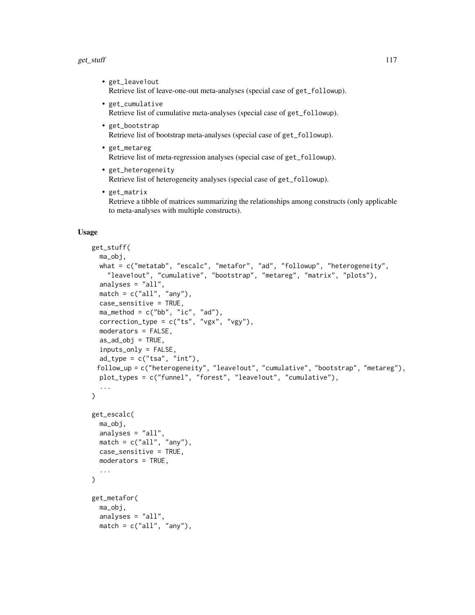#### $get\_stuff$  117

- get\_leave1out Retrieve list of leave-one-out meta-analyses (special case of get\_followup).
- get\_cumulative Retrieve list of cumulative meta-analyses (special case of get\_followup).
- get\_bootstrap Retrieve list of bootstrap meta-analyses (special case of get\_followup).
- get\_metareg Retrieve list of meta-regression analyses (special case of get\_followup).
- get\_heterogeneity Retrieve list of heterogeneity analyses (special case of get\_followup).
- get\_matrix Retrieve a tibble of matrices summarizing the relationships among constructs (only applicable to meta-analyses with multiple constructs).

#### Usage

```
get_stuff(
 ma_obj,
 what = c("metatab", "escalc", "metafor", "ad", "followup", "heterogeneity",
    "leave1out", "cumulative", "bootstrap", "metareg", "matrix", "plots"),
  analyses = "all",
 match = c("all", "any"),case_sensitive = TRUE,
 ma_method = c("bb", "ic", "ad"),
 correction_type = c("ts", "vgx", "vgy").moderators = FALSE,
  as\_ad\_obj = TRUE,inputs_only = FALSE,
  ad_type = c("tsa", "int"),follow_up = c("heterogeneity", "leave1out", "cumulative", "bootstrap", "metareg"),
 plot_types = c("funnel", "forest", "leave1out", "cumulative"),
  ...
\lambdaget_escalc(
 ma_obj,
 analyses = "all",
 match = c("all", "any"),case_sensitive = TRUE,
 moderators = TRUE,
  ...
\lambdaget_metafor(
 ma_obj,
 analyses = "all",
 match = c("all", "any"),
```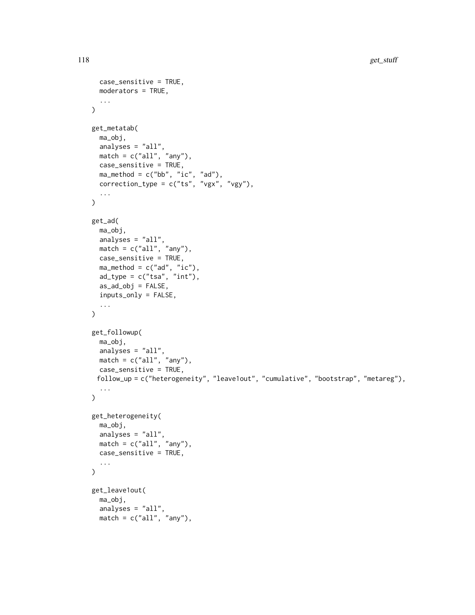```
case_sensitive = TRUE,
 moderators = TRUE,
  ...
\lambdaget_metatab(
 ma_obj,
  analyses = "all",
  match = c("all", "any"),case_sensitive = TRUE,
 ma_method = c("bb", "ic", "ad"),
 correction_type = c("ts", "vgx", "vgy"),...
)
get_ad(
 ma_obj,
  analyses = "all",match = c("all", "any"),case_sensitive = TRUE,
 ma_method = c("ad", "ic"),ad_type = c("tsa", "int"),as\_ad\_obj = FALSE,inputs_only = FALSE,
  ...
\sum_{i=1}^{n}get_followup(
 ma_obj,
 analyses = "all",
 match = c("all", "any"),case_sensitive = TRUE,
 follow_up = c("heterogeneity", "leave1out", "cumulative", "bootstrap", "metareg"),
  ...
\mathcal{L}get_heterogeneity(
 ma_obj,
 analyses = "all",
 match = c("all", "any"),case_sensitive = TRUE,
  ...
\mathcal{L}get_leave1out(
 ma_obj,
  analyses = "all",
 match = c("all", "any"),
```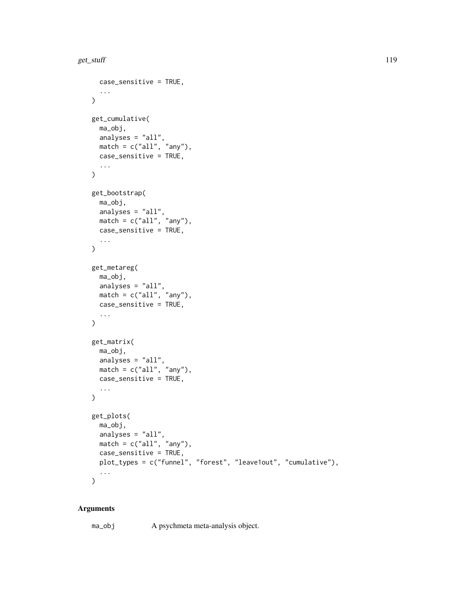```
case_sensitive = TRUE,
  ...
\lambdaget_cumulative(
 ma_obj,
 analyses = "all",
 match = c("all", "any"),case_sensitive = TRUE,
  ...
\lambdaget_bootstrap(
 ma_obj,
  analyses = "all",
  match = c("all", "any"),case_sensitive = TRUE,
  ...
\lambdaget_metareg(
 ma_obj,
 analyses = "all",
 match = c("all", "any"),case_sensitive = TRUE,
  ...
\mathcal{L}get_matrix(
 ma_obj,
  analyses = "all",
  match = c("all", "any"),case_sensitive = TRUE,
  ...
\mathcal{L}get_plots(
 ma_obj,
 analyses = "all",
 match = c("all", "any"),case_sensitive = TRUE,
 plot_types = c("funnel", "forest", "leave1out", "cumulative"),
  ...
\mathcal{L}
```
# Arguments

ma\_obj A psychmeta meta-analysis object.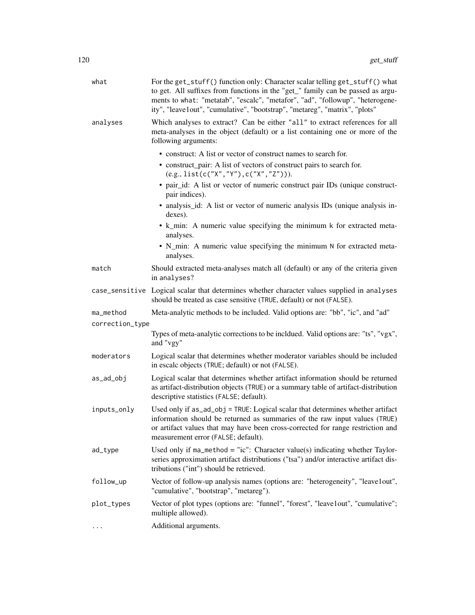| what            | For the get_stuff() function only: Character scalar telling get_stuff() what<br>to get. All suffixes from functions in the "get_" family can be passed as argu-<br>ments to what: "metatab", "escalc", "metafor", "ad", "followup", "heterogene-<br>ity", "leave1out", "cumulative", "bootstrap", "metareg", "matrix", "plots"                                                                                                                                                                                                                                 |
|-----------------|----------------------------------------------------------------------------------------------------------------------------------------------------------------------------------------------------------------------------------------------------------------------------------------------------------------------------------------------------------------------------------------------------------------------------------------------------------------------------------------------------------------------------------------------------------------|
| analyses        | Which analyses to extract? Can be either "all" to extract references for all<br>meta-analyses in the object (default) or a list containing one or more of the<br>following arguments:                                                                                                                                                                                                                                                                                                                                                                          |
|                 | • construct: A list or vector of construct names to search for.<br>• construct_pair: A list of vectors of construct pairs to search for.<br>$(e.g., list(c("X", "Y"), c("X", "Z"))).$<br>• pair_id: A list or vector of numeric construct pair IDs (unique construct-<br>pair indices).<br>• analysis_id: A list or vector of numeric analysis IDs (unique analysis in-<br>dexes).<br>• k_min: A numeric value specifying the minimum k for extracted meta-<br>analyses.<br>• N_min: A numeric value specifying the minimum N for extracted meta-<br>analyses. |
| match           | Should extracted meta-analyses match all (default) or any of the criteria given<br>in analyses?                                                                                                                                                                                                                                                                                                                                                                                                                                                                |
|                 | case_sensitive Logical scalar that determines whether character values supplied in analyses<br>should be treated as case sensitive (TRUE, default) or not (FALSE).                                                                                                                                                                                                                                                                                                                                                                                             |
| ma_method       | Meta-analytic methods to be included. Valid options are: "bb", "ic", and "ad"                                                                                                                                                                                                                                                                                                                                                                                                                                                                                  |
| correction_type |                                                                                                                                                                                                                                                                                                                                                                                                                                                                                                                                                                |
|                 | Types of meta-analytic corrections to be incldued. Valid options are: "ts", "vgx",<br>and "vgy"                                                                                                                                                                                                                                                                                                                                                                                                                                                                |
| moderators      | Logical scalar that determines whether moderator variables should be included<br>in escalc objects (TRUE; default) or not (FALSE).                                                                                                                                                                                                                                                                                                                                                                                                                             |
| as_ad_obj       | Logical scalar that determines whether artifact information should be returned<br>as artifact-distribution objects (TRUE) or a summary table of artifact-distribution<br>descriptive statistics (FALSE; default).                                                                                                                                                                                                                                                                                                                                              |
| inputs_only     | Used only if as_ad_obj = TRUE: Logical scalar that determines whether artifact<br>information should be returned as summaries of the raw input values (TRUE)<br>or artifact values that may have been cross-corrected for range restriction and<br>measurement error (FALSE; default).                                                                                                                                                                                                                                                                         |
| ad_type         | Used only if $ma_method = "ic":$ Character value(s) indicating whether Taylor-<br>series approximation artifact distributions ("tsa") and/or interactive artifact dis-<br>tributions ("int") should be retrieved.                                                                                                                                                                                                                                                                                                                                              |
| follow_up       | Vector of follow-up analysis names (options are: "heterogeneity", "leave1out",<br>"cumulative", "bootstrap", "metareg").                                                                                                                                                                                                                                                                                                                                                                                                                                       |
| plot_types      | Vector of plot types (options are: "funnel", "forest", "leave1out", "cumulative";<br>multiple allowed).                                                                                                                                                                                                                                                                                                                                                                                                                                                        |
| .               | Additional arguments.                                                                                                                                                                                                                                                                                                                                                                                                                                                                                                                                          |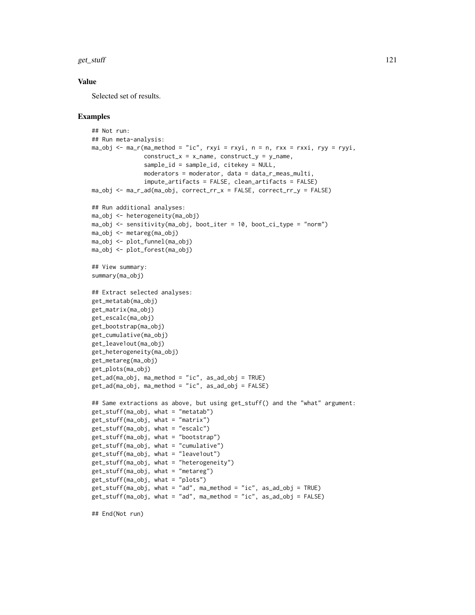$get\_stuff$  121

#### Value

Selected set of results.

```
## Not run:
## Run meta-analysis:
ma\_obj \leq ma_r(ma\_method = "ic", rxyi = rxyi, n = n, rxx = rxxi, ryy = ryyi,construct_x = x_name, construct_y = y_name,
               sample_id = sample_id, citekey = NULL,
               moderators = moderator, data = data_r_meas_multi,
               impute_artifacts = FALSE, clean_artifacts = FALSE)
ma_obj <- ma_r_ad(ma_obj, correct_rr_x = FALSE, correct_rr_y = FALSE)
## Run additional analyses:
ma_obj <- heterogeneity(ma_obj)
ma_obj <- sensitivity(ma_obj, boot_iter = 10, boot_ci_type = "norm")
ma_obj <- metareg(ma_obj)
ma_obj <- plot_funnel(ma_obj)
ma_obj <- plot_forest(ma_obj)
## View summary:
summary(ma_obj)
## Extract selected analyses:
get_metatab(ma_obj)
get_matrix(ma_obj)
get_escalc(ma_obj)
get_bootstrap(ma_obj)
get_cumulative(ma_obj)
get_leave1out(ma_obj)
get_heterogeneity(ma_obj)
get_metareg(ma_obj)
get_plots(ma_obj)
get_ad(ma_obj, ma_method = "ic", as_ad_obj = TRUE)
get_ad(ma_obj, ma_method = "ic", as_ad_obj = FALSE)
## Same extractions as above, but using get_stuff() and the "what" argument:
get_stuff(ma_obj, what = "metatab")
get_stuff(ma_obj, what = "matrix")
get_stuff(ma_obj, what = "escalc")
get_stuff(ma_obj, what = "bootstrap")
get_stuff(ma_obj, what = "cumulative")
get_stuff(ma_obj, what = "leave1out")
get_stuff(ma_obj, what = "heterogeneity")
get_stuff(ma_obj, what = "metareg")
get_stuff(ma_obj, what = "plots")
get_stuff(ma_obj, what = "ad", ma_method = "ic", as_ad_obj = TRUE)
get_stuff(ma_obj, what = "ad", ma_method = "ic", as_ad_obj = FALSE)
```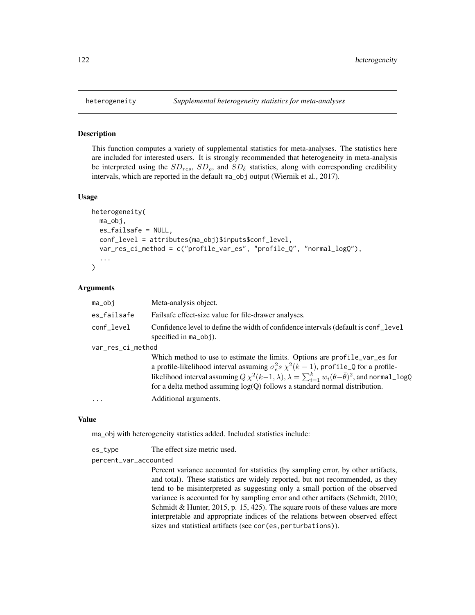This function computes a variety of supplemental statistics for meta-analyses. The statistics here are included for interested users. It is strongly recommended that heterogeneity in meta-analysis be interpreted using the  $SD_{res}$ ,  $SD_{\rho}$ , and  $SD_{\delta}$  statistics, along with corresponding credibility intervals, which are reported in the default ma\_obj output (Wiernik et al., 2017).

#### Usage

```
heterogeneity(
 ma_obj,
  es_failsafe = NULL,
  conf_level = attributes(ma_obj)$inputs$conf_level,
  var_res_ci_method = c("profile_var_es", "profile_Q", "normal_logQ"),
  ...
)
```
#### Arguments

| ma_obi            | Meta-analysis object.                                                                                                                                                                                                                                                                                                                                                                     |  |
|-------------------|-------------------------------------------------------------------------------------------------------------------------------------------------------------------------------------------------------------------------------------------------------------------------------------------------------------------------------------------------------------------------------------------|--|
| es_failsafe       | Fails affect-size value for file-drawer analyses.                                                                                                                                                                                                                                                                                                                                         |  |
| conf_level        | Confidence level to define the width of confidence intervals (default is conf_level<br>specified in $ma_$ obj).                                                                                                                                                                                                                                                                           |  |
| var_res_ci_method |                                                                                                                                                                                                                                                                                                                                                                                           |  |
|                   | Which method to use to estimate the limits. Options are profile_var_es for<br>a profile-likelihood interval assuming $\sigma_e^2 s \chi^2(k-1)$ , profile_Q for a profile-<br>likelihood interval assuming $Q \chi^2(k-1,\lambda), \lambda = \sum_{i=1}^k w_i(\theta - \bar{\theta})^2$ , and normal_logQ<br>for a delta method assuming $log(Q)$ follows a standard normal distribution. |  |
| $\ddotsc$         | Additional arguments.                                                                                                                                                                                                                                                                                                                                                                     |  |

#### Value

ma\_obj with heterogeneity statistics added. Included statistics include:

| es_type | The effect size metric used. |
|---------|------------------------------|
|         |                              |

percent\_var\_accounted

Percent variance accounted for statistics (by sampling error, by other artifacts, and total). These statistics are widely reported, but not recommended, as they tend to be misinterpreted as suggesting only a small portion of the observed variance is accounted for by sampling error and other artifacts (Schmidt, 2010; Schmidt & Hunter, 2015, p. 15, 425). The square roots of these values are more interpretable and appropriate indices of the relations between observed effect sizes and statistical artifacts (see cor(es, perturbations)).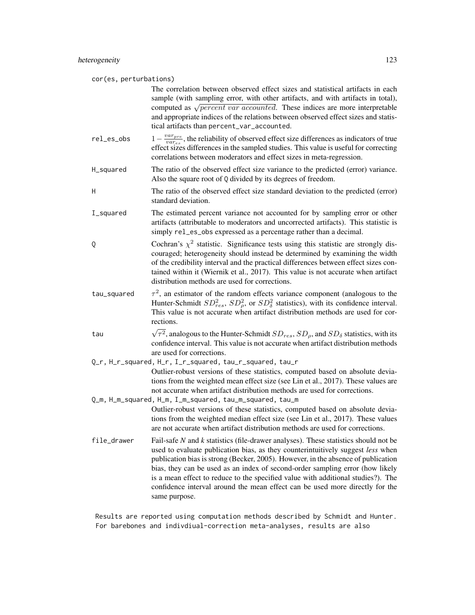cor(es, perturbations) The correlation between observed effect sizes and statistical artifacts in each sample (with sampling error, with other artifacts, and with artifacts in total), sample (with sampling error, with other artifacts, and with artifacts in total), computed as  $\sqrt{percent}$  var accounted. These indices are more interpretable and appropriate indices of the relations between observed effect sizes and statistical artifacts than percent\_var\_accounted. rel\_es\_obs 1−  $\frac{var_{pre}}{var_{per}}$ , the reliability of observed effect size differences as indicators of true vares effect sizes differences in the sampled studies. This value is useful for correcting correlations between moderators and effect sizes in meta-regression. H\_squared The ratio of the observed effect size variance to the predicted (error) variance. Also the square root of Q divided by its degrees of freedom. H The ratio of the observed effect size standard deviation to the predicted (error) standard deviation. I\_squared The estimated percent variance not accounted for by sampling error or other artifacts (attributable to moderators and uncorrected artifacts). This statistic is simply rel\_es\_obs expressed as a percentage rather than a decimal. Q Cochran's  $\chi^2$  statistic. Significance tests using this statistic are strongly discouraged; heterogeneity should instead be determined by examining the width of the credibility interval and the practical differences between effect sizes contained within it (Wiernik et al., 2017). This value is not accurate when artifact distribution methods are used for corrections. tau\_squared <sup>2</sup>, an estimator of the random effects variance component (analogous to the Hunter-Schmidt  $SD_{res}^2$ ,  $SD_{\rho}^2$ , or  $SD_{\delta}^2$  statistics), with its confidence interval. This value is not accurate when artifact distribution methods are used for corrections. tau  $\sqrt{2}$  $\tau^2$ , analogous to the Hunter-Schmidt  $SD_{res}$ ,  $SD_{\rho}$ , and  $SD_{\delta}$  statistics, with its confidence interval. This value is not accurate when artifact distribution methods are used for corrections. Q\_r, H\_r\_squared, H\_r, I\_r\_squared, tau\_r\_squared, tau\_r Outlier-robust versions of these statistics, computed based on absolute deviations from the weighted mean effect size (see Lin et al., 2017). These values are not accurate when artifact distribution methods are used for corrections. Q\_m, H\_m\_squared, H\_m, I\_m\_squared, tau\_m\_squared, tau\_m Outlier-robust versions of these statistics, computed based on absolute deviations from the weighted median effect size (see Lin et al., 2017). These values are not accurate when artifact distribution methods are used for corrections. file\_drawer Fail-safe *N* and *k* statistics (file-drawer analyses). These statistics should not be used to evaluate publication bias, as they counterintuitively suggest *less* when publication bias is strong (Becker, 2005). However, in the absence of publication bias, they can be used as an index of second-order sampling error (how likely is a mean effect to reduce to the specified value with additional studies?). The confidence interval around the mean effect can be used more directly for the same purpose.

Results are reported using computation methods described by Schmidt and Hunter. For barebones and indivdiual-correction meta-analyses, results are also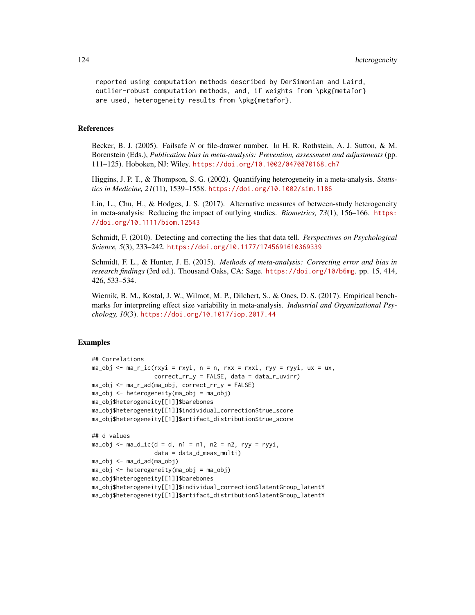reported using computation methods described by DerSimonian and Laird, outlier-robust computation methods, and, if weights from \pkg{metafor} are used, heterogeneity results from \pkg{metafor}.

#### References

Becker, B. J. (2005). Failsafe *N* or file-drawer number. In H. R. Rothstein, A. J. Sutton, & M. Borenstein (Eds.), *Publication bias in meta-analysis: Prevention, assessment and adjustments* (pp. 111–125). Hoboken, NJ: Wiley. <https://doi.org/10.1002/0470870168.ch7>

Higgins, J. P. T., & Thompson, S. G. (2002). Quantifying heterogeneity in a meta-analysis. *Statistics in Medicine, 21*(11), 1539–1558. <https://doi.org/10.1002/sim.1186>

Lin, L., Chu, H., & Hodges, J. S. (2017). Alternative measures of between-study heterogeneity in meta-analysis: Reducing the impact of outlying studies. *Biometrics, 73*(1), 156–166. [https:](https://doi.org/10.1111/biom.12543) [//doi.org/10.1111/biom.12543](https://doi.org/10.1111/biom.12543)

Schmidt, F. (2010). Detecting and correcting the lies that data tell. *Perspectives on Psychological Science, 5*(3), 233–242. <https://doi.org/10.1177/1745691610369339>

Schmidt, F. L., & Hunter, J. E. (2015). *Methods of meta-analysis: Correcting error and bias in research findings* (3rd ed.). Thousand Oaks, CA: Sage. <https://doi.org/10/b6mg>. pp. 15, 414, 426, 533–534.

Wiernik, B. M., Kostal, J. W., Wilmot, M. P., Dilchert, S., & Ones, D. S. (2017). Empirical benchmarks for interpreting effect size variability in meta-analysis. *Industrial and Organizational Psychology, 10*(3). <https://doi.org/10.1017/iop.2017.44>

```
## Correlations
ma_obj \leq ma_r_ic(rxyi = rxyi, n = n, rxx = rxxi, ryy = ryyi, ux = ux,correct\_rr_y = FALSE, data = data_r\_uvir)ma_obj <- ma_r_ad(ma_obj, correct_rr_y = FALSE)
ma_obj <- heterogeneity(ma_obj = ma_obj)
ma_obj$heterogeneity[[1]]$barebones
ma_obj$heterogeneity[[1]]$individual_correction$true_score
ma_obj$heterogeneity[[1]]$artifact_distribution$true_score
## d values
ma\_obj \leq ma\_d\_ic(d = d, n1 = n1, n2 = n2, ryy = ryyi,data = data_d_meas_multi)
ma_obj <- ma_d_ad(ma_obj)
ma_obj <- heterogeneity(ma_obj = ma_obj)
ma_obj$heterogeneity[[1]]$barebones
ma_obj$heterogeneity[[1]]$individual_correction$latentGroup_latentY
ma_obj$heterogeneity[[1]]$artifact_distribution$latentGroup_latentY
```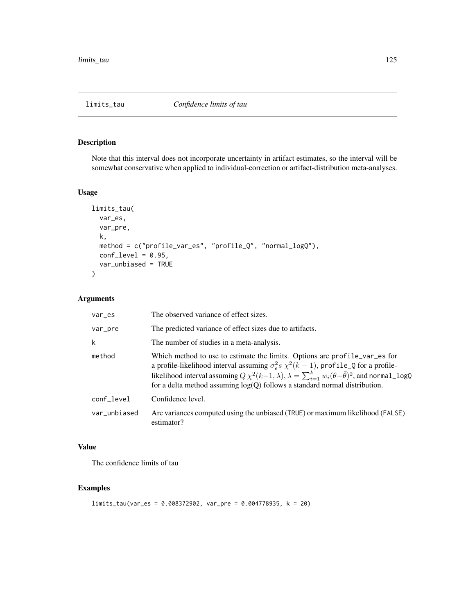Note that this interval does not incorporate uncertainty in artifact estimates, so the interval will be somewhat conservative when applied to individual-correction or artifact-distribution meta-analyses.

#### Usage

```
limits_tau(
  var_es,
  var_pre,
  k,
  method = c("profile_var_es", "profile_Q", "normal_logQ"),
  conf\_level = 0.95,
  var_unbiased = TRUE
\mathcal{L}
```
# Arguments

| var_es       | The observed variance of effect sizes.                                                                                                                                                                                                                                                                                                                                                    |
|--------------|-------------------------------------------------------------------------------------------------------------------------------------------------------------------------------------------------------------------------------------------------------------------------------------------------------------------------------------------------------------------------------------------|
| var_pre      | The predicted variance of effect sizes due to artifacts.                                                                                                                                                                                                                                                                                                                                  |
| k            | The number of studies in a meta-analysis.                                                                                                                                                                                                                                                                                                                                                 |
| method       | Which method to use to estimate the limits. Options are profile_var_es for<br>a profile-likelihood interval assuming $\sigma_e^2 s \chi^2(k-1)$ , profile_Q for a profile-<br>likelihood interval assuming $Q \chi^2(k-1,\lambda), \lambda = \sum_{i=1}^k w_i(\theta - \bar{\theta})^2$ , and normal_logQ<br>for a delta method assuming $log(Q)$ follows a standard normal distribution. |
| conf_level   | Confidence level.                                                                                                                                                                                                                                                                                                                                                                         |
| var unbiased | Are variances computed using the unbiased (TRUE) or maximum likelihood (FALSE)<br>estimator?                                                                                                                                                                                                                                                                                              |

#### Value

The confidence limits of tau

#### Examples

limits\_tau(var\_es = 0.008372902, var\_pre = 0.004778935, k = 20)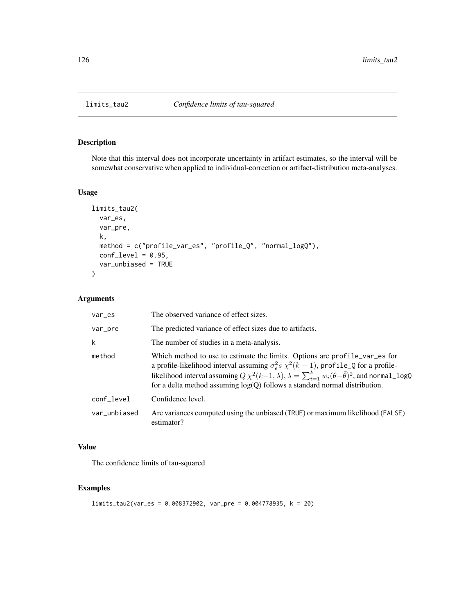Note that this interval does not incorporate uncertainty in artifact estimates, so the interval will be somewhat conservative when applied to individual-correction or artifact-distribution meta-analyses.

#### Usage

```
limits_tau2(
  var_es,
  var_pre,
  k,
  method = c("profile_var_es", "profile_Q", "normal_logQ"),
  conf\_level = 0.95,
  var_unbiased = TRUE
\mathcal{L}
```
# Arguments

| var_es       | The observed variance of effect sizes.                                                                                                                                                                                                                                                                                                                                                    |
|--------------|-------------------------------------------------------------------------------------------------------------------------------------------------------------------------------------------------------------------------------------------------------------------------------------------------------------------------------------------------------------------------------------------|
| var_pre      | The predicted variance of effect sizes due to artifacts.                                                                                                                                                                                                                                                                                                                                  |
| k            | The number of studies in a meta-analysis.                                                                                                                                                                                                                                                                                                                                                 |
| method       | Which method to use to estimate the limits. Options are profile_var_es for<br>a profile-likelihood interval assuming $\sigma_e^2 s \chi^2(k-1)$ , profile_Q for a profile-<br>likelihood interval assuming $Q \chi^2(k-1,\lambda), \lambda = \sum_{i=1}^k w_i(\theta - \bar{\theta})^2$ , and normal_logQ<br>for a delta method assuming $log(Q)$ follows a standard normal distribution. |
| conf_level   | Confidence level.                                                                                                                                                                                                                                                                                                                                                                         |
| var_unbiased | Are variances computed using the unbiased (TRUE) or maximum likelihood (FALSE)<br>estimator?                                                                                                                                                                                                                                                                                              |

# Value

The confidence limits of tau-squared

```
limits_tau2(var_es = 0.008372902, var_pre = 0.004778935, k = 20)
```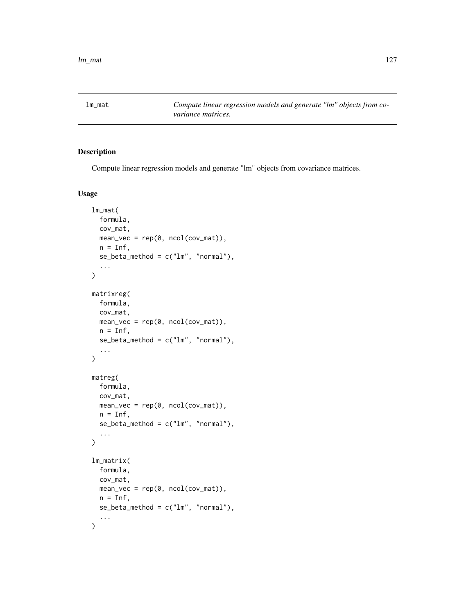Compute linear regression models and generate "lm" objects from covariance matrices.

#### Usage

```
lm_mat(
  formula,
  cov_mat,
  mean\_vec = rep(0, ncol(cov_mat)),n = \text{Inf},
  se_{\text{beta\_method}} = c("lm", "normal"),...
)
matrixreg(
  formula,
  cov_mat,
  mean\_vec = rep(0, ncol(cov_mat)),n = Inf,se_{\text{beta\_method}} = c("lm", "normal"),...
\mathcal{L}matreg(
  formula,
  cov_mat,
  mean_vec = rep(0, ncol(cov_mat)),
  n = Inf,se\_beta\_method = c("lm", "normal"),...
)
lm_matrix(
  formula,
  cov_mat,
  mean\_vec = rep(0, ncol(cov_mat)),n = \text{Inf},
  se\_beta\_method = c("lm", "normal"),...
\mathcal{L}
```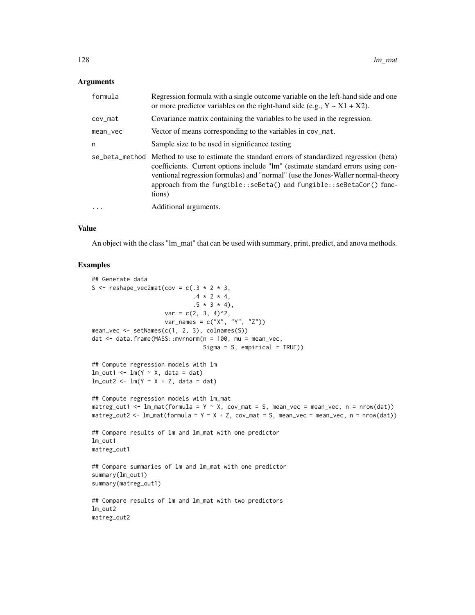#### Arguments

| formula  | Regression formula with a single outcome variable on the left-hand side and one<br>or more predictor variables on the right-hand side (e.g., $Y \sim X1 + X2$ ).                                                                                                                                                                                       |
|----------|--------------------------------------------------------------------------------------------------------------------------------------------------------------------------------------------------------------------------------------------------------------------------------------------------------------------------------------------------------|
| cov_mat  | Covariance matrix containing the variables to be used in the regression.                                                                                                                                                                                                                                                                               |
| mean_vec | Vector of means corresponding to the variables in cov_mat.                                                                                                                                                                                                                                                                                             |
| n        | Sample size to be used in significance testing                                                                                                                                                                                                                                                                                                         |
|          | se_beta_method Method to use to estimate the standard errors of standardized regression (beta)<br>coefficients. Current options include "lm" (estimate standard errors using con-<br>ventional regression formulas) and "normal" (use the Jones-Waller normal-theory<br>approach from the fungible::seBeta() and fungible::seBetaCor() func-<br>tions) |
|          | Additional arguments.                                                                                                                                                                                                                                                                                                                                  |

#### Value

An object with the class "lm\_mat" that can be used with summary, print, predict, and anova methods.

```
## Generate data
S <- reshape_vec2mat(cov = c(.3 * 2 * 3,.4 * 2 * 4,.5 * 3 * 4,
                     var = c(2, 3, 4)^2,
                     var_names = c("X", "Y", "Z"))
mean_vec <- setNames(c(1, 2, 3), colnames(S))
dat <- data.frame(MASS::mvrnorm(n = 100, mu = mean_vec,
                                 Sigma = S, empirical = TRUE))
## Compute regression models with lm
lm\_out1 \leq lm(Y \sim X, data = dat)lm\_out2 \leftarrow lm(Y \sim X + Z, data = dat)## Compute regression models with lm_mat
matreg_out1 <- lm\_mat(formula = Y \sim X, cov_mat = S, mean_vec = mean_vec, n = nrow(dat))
matreg_out2 <- lm\_mat(formula = Y \sim X + Z, cov_mat = S, mean_vec = mean_vec, n = nrow(dat))
## Compare results of lm and lm_mat with one predictor
lm_out1
matreg_out1
## Compare summaries of lm and lm_mat with one predictor
summary(lm_out1)
summary(matreg_out1)
## Compare results of lm and lm_mat with two predictors
lm_out2
matreg_out2
```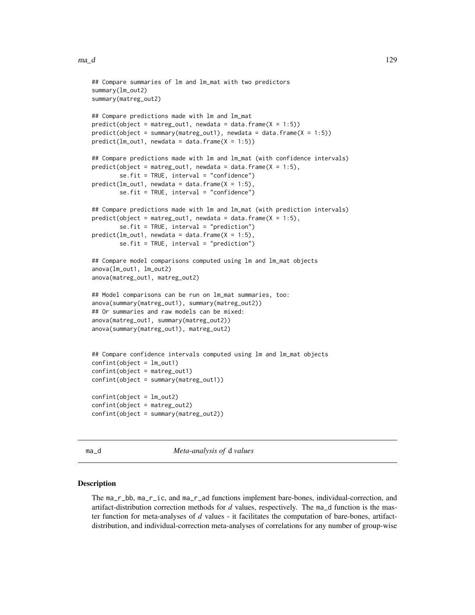```
## Compare summaries of lm and lm_mat with two predictors
summary(lm_out2)
summary(matreg_out2)
## Compare predictions made with lm and lm_mat
predict(object = matreg.out1, newdata = data frame(X = 1:5))predict(object = summary(matreg_out1), newdata = data.frame(X = 1:5))
predict(lm_out1, newdata = data.frame(X = 1:5))## Compare predictions made with lm and lm_mat (with confidence intervals)
predict(object = matreg.out1, new data = data frame(X = 1:5),se.fit = TRUE, interval = "confidence")
predict(lm_out1, newdata = data.frame(X = 1:5),se.fit = TRUE, interval = "confidence")
## Compare predictions made with lm and lm_mat (with prediction intervals)
predict(object = matreg.out1, new data = data frame(X = 1:5),se.fit = TRUE, interval = "prediction")
predict(lm_out1, newdata = data.frame(X = 1:5),se.fit = TRUE, interval = "prediction")
## Compare model comparisons computed using lm and lm_mat objects
anova(lm_out1, lm_out2)
anova(matreg_out1, matreg_out2)
## Model comparisons can be run on lm_mat summaries, too:
anova(summary(matreg_out1), summary(matreg_out2))
## Or summaries and raw models can be mixed:
anova(matreg_out1, summary(matreg_out2))
anova(summary(matreg_out1), matreg_out2)
## Compare confidence intervals computed using lm and lm_mat objects
confint(object = lm_out1)confint(object = matreg_out1)
confint(object = summary(matreg_out1))
confint(object = lm_out2)confint(object = matreg_out2)
confint(object = summary(matreg_out2))
```
<span id="page-128-1"></span>ma\_d *Meta-analysis of* d *values*

#### <span id="page-128-0"></span>Description

The ma\_r\_bb, ma\_r\_ic, and ma\_r\_ad functions implement bare-bones, individual-correction, and artifact-distribution correction methods for *d* values, respectively. The ma\_d function is the master function for meta-analyses of *d* values - it facilitates the computation of bare-bones, artifactdistribution, and individual-correction meta-analyses of correlations for any number of group-wise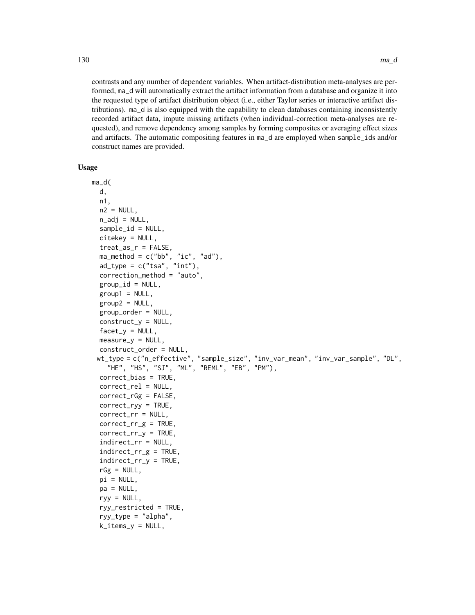contrasts and any number of dependent variables. When artifact-distribution meta-analyses are performed, ma\_d will automatically extract the artifact information from a database and organize it into the requested type of artifact distribution object (i.e., either Taylor series or interactive artifact distributions). ma\_d is also equipped with the capability to clean databases containing inconsistently recorded artifact data, impute missing artifacts (when individual-correction meta-analyses are requested), and remove dependency among samples by forming composites or averaging effect sizes and artifacts. The automatic compositing features in ma\_d are employed when sample\_ids and/or construct names are provided.

#### Usage

```
ma_d(
 d,
 n1,
  n2 = NULL,n\_adj = NULL,sample_id = NULL,
  citekey = NULL,
  treat_as_r = FALSE,
  ma_method = c("bb", "ic", "ad"),
  ad_{\text{type}} = c("tsa", "int"),correction_method = "auto",
  group_id = NULL,group1 = NULL,group2 = NULL,group_order = NULL,
  construct_Y = NULL,
  facet_y = NULL,measure_y = NULL,construct_order = NULL,
 wt_type = c("n_effective", "sample_size", "inv_var_mean", "inv_var_sample", "DL",
    "HE", "HS", "SJ", "ML", "REML", "EB", "PM"),
  correct_bias = TRUE,
  correct_rel = NULL,
  correct_rGg = FALSE,
  correct_ryy = TRUE,
  correct_rr = NULL,
  correct\_rr\_g = TRUE,
  correct_rr_y = TRUE,
  indirect_rr = NULL,
  indirect_rr_g = TRUE,
  indirect_rr_y = TRUE,
  rGg = NULL,pi = NULL,
  pa = NULL,ryy = NULL,
  ryy_restricted = TRUE,
  ryy_type = "alpha",
  k_items_y = NULL,
```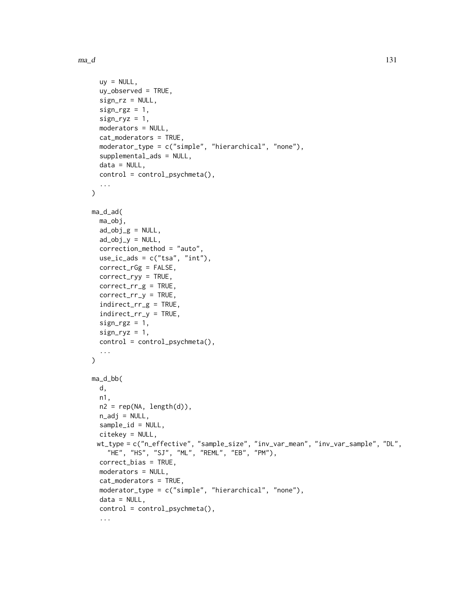```
uy = NULL,uy_observed = TRUE,
  sign_rz = NULL,
  sign_{\text{rgz}} = 1,
  sign_{ryz} = 1,
  moderators = NULL,
  cat_moderators = TRUE,
  moderator_type = c("simple", "hierarchical", "none"),
  supplemental_ads = NULL,
  data = NULL,control = control_psychmeta(),
  ...
\mathcal{L}ma_d_ad(
  ma_obj,
  ad\_obj_g = NULL,ad\_obj_y = NULL,correction_method = "auto",
  use\_ic\_ads = c("tsa", "int"),correct_rGg = FALSE,
  correct_ryy = TRUE,
  correct_rr_g = TRUE,
  correct_rr_y = TRUE,
  indirect_rr_g = TRUE,
  indirect_rr_y = TRUE,
  sign\_rgz = 1,
  sign_{ryz} = 1,
  control = control_psychmeta(),
  ...
\mathcal{L}ma_d_bb(
 d,
 n1,
 n2 = rep(NA, length(d)),n_adj = NULL,
  sample_id = NULL,
  citekey = NULL,
 wt_type = c("n_effective", "sample_size", "inv_var_mean", "inv_var_sample", "DL",
    "HE", "HS", "SJ", "ML", "REML", "EB", "PM"),
  correct_bias = TRUE,
  moderators = NULL,
  cat_moderators = TRUE,
  moderator_type = c("simple", "hierarchical", "none"),
  data = NULL,control = control_psychmeta(),
  ...
```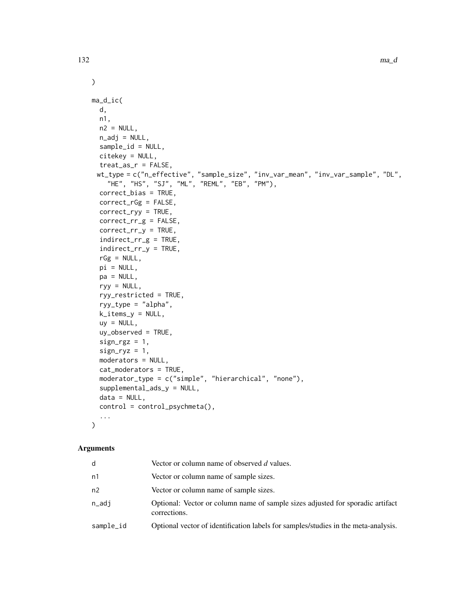```
\mathcal{L}ma_d_ic(
 d,
 n1,
 n2 = NULL,n\_adj = NULL,sample_id = NULL,
  citekey = NULL,
  treat_as_r = FALSE,
 wt_type = c("n_effective", "sample_size", "inv_var_mean", "inv_var_sample", "DL",
    "HE", "HS", "SJ", "ML", "REML", "EB", "PM"),
  correct_bias = TRUE,
  correct_rGg = FALSE,
  correct_ryy = TRUE,
  correct_rr_g = FALSE,
  correct_rr_y = TRUE,
  indirect_rr_g = TRUE,
  indirect_rr_y = TRUE,
  rGg = NULL,pi = NULL,pa = NULL,ryy = NULL,
  ryy_restricted = TRUE,
  ryy_type = "alpha",
  k\_items_y = NULL,uy = NULL,uy_observed = TRUE,
  sign_{\text{rgz}} = 1,
  sign_{ryz} = 1,
  moderators = NULL,
  cat_moderators = TRUE,
  moderator_type = c("simple", "hierarchical", "none"),
  supplemental_ads_y = NULL,
  data = NULL,
  control = control_psychmeta(),
  ...
\mathcal{L}
```
# Arguments

| d         | Vector or column name of observed d values.                                                    |
|-----------|------------------------------------------------------------------------------------------------|
| n1        | Vector or column name of sample sizes.                                                         |
| n2        | Vector or column name of sample sizes.                                                         |
| n_adi     | Optional: Vector or column name of sample sizes adjusted for sporadic artifact<br>corrections. |
| sample_id | Optional vector of identification labels for samples/studies in the meta-analysis.             |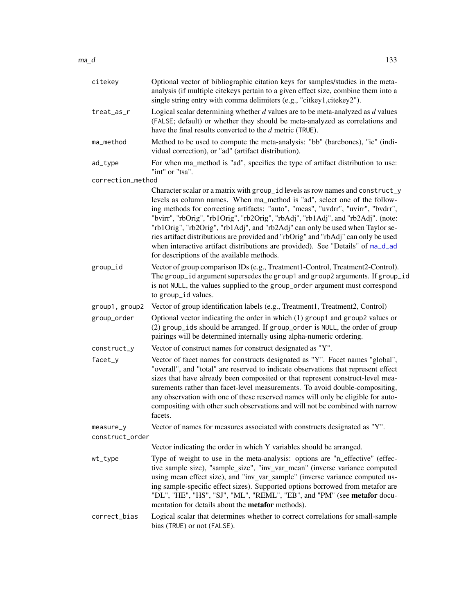| citekey                      | Optional vector of bibliographic citation keys for samples/studies in the meta-<br>analysis (if multiple citekeys pertain to a given effect size, combine them into a<br>single string entry with comma delimiters (e.g., "citkey1,citekey2").                                                                                                                                                                                                                                                                                                                                                                                              |
|------------------------------|---------------------------------------------------------------------------------------------------------------------------------------------------------------------------------------------------------------------------------------------------------------------------------------------------------------------------------------------------------------------------------------------------------------------------------------------------------------------------------------------------------------------------------------------------------------------------------------------------------------------------------------------|
| treat_as_r                   | Logical scalar determining whether $d$ values are to be meta-analyzed as $d$ values<br>(FALSE; default) or whether they should be meta-analyzed as correlations and<br>have the final results converted to the d metric (TRUE).                                                                                                                                                                                                                                                                                                                                                                                                             |
| ma_method                    | Method to be used to compute the meta-analysis: "bb" (barebones), "ic" (indi-<br>vidual correction), or "ad" (artifact distribution).                                                                                                                                                                                                                                                                                                                                                                                                                                                                                                       |
| ad_type                      | For when ma_method is "ad", specifies the type of artifact distribution to use:<br>"int" or "tsa".                                                                                                                                                                                                                                                                                                                                                                                                                                                                                                                                          |
| correction_method            |                                                                                                                                                                                                                                                                                                                                                                                                                                                                                                                                                                                                                                             |
|                              | Character scalar or a matrix with group_id levels as row names and construct_y<br>levels as column names. When ma_method is "ad", select one of the follow-<br>ing methods for correcting artifacts: "auto", "meas", "uvdrr", "uvirr", "bvdrr",<br>"bvirr", "rbOrig", "rb1Orig", "rb2Orig", "rbAdj", "rb1Adj", and "rb2Adj". (note:<br>"rb1Orig", "rb2Orig", "rb1Adj", and "rb2Adj" can only be used when Taylor se-<br>ries artifact distributions are provided and "rbOrig" and "rbAdj" can only be used<br>when interactive artifact distributions are provided). See "Details" of ma_d_ad<br>for descriptions of the available methods. |
| group_id                     | Vector of group comparison IDs (e.g., Treatment1-Control, Treatment2-Control).<br>The group_id argument supersedes the group1 and group2 arguments. If group_id<br>is not NULL, the values supplied to the group_order argument must correspond<br>to group_id values.                                                                                                                                                                                                                                                                                                                                                                      |
| group1, group2               | Vector of group identification labels (e.g., Treatment1, Treatment2, Control)                                                                                                                                                                                                                                                                                                                                                                                                                                                                                                                                                               |
| group_order                  | Optional vector indicating the order in which (1) group1 and group2 values or<br>(2) group_ids should be arranged. If group_order is NULL, the order of group<br>pairings will be determined internally using alpha-numeric ordering.                                                                                                                                                                                                                                                                                                                                                                                                       |
| construct_y                  | Vector of construct names for construct designated as "Y".                                                                                                                                                                                                                                                                                                                                                                                                                                                                                                                                                                                  |
| facet_y                      | Vector of facet names for constructs designated as "Y". Facet names "global",<br>"overall", and "total" are reserved to indicate observations that represent effect<br>sizes that have already been composited or that represent construct-level mea-<br>surements rather than facet-level measurements. To avoid double-compositing,<br>any observation with one of these reserved names will only be eligible for auto-<br>compositing with other such observations and will not be combined with narrow<br>facets.                                                                                                                       |
| measure_y<br>construct_order | Vector of names for measures associated with constructs designated as "Y".                                                                                                                                                                                                                                                                                                                                                                                                                                                                                                                                                                  |
|                              | Vector indicating the order in which Y variables should be arranged.                                                                                                                                                                                                                                                                                                                                                                                                                                                                                                                                                                        |
| wt_type                      | Type of weight to use in the meta-analysis: options are "n_effective" (effec-<br>tive sample size), "sample_size", "inv_var_mean" (inverse variance computed<br>using mean effect size), and "inv_var_sample" (inverse variance computed us-<br>ing sample-specific effect sizes). Supported options borrowed from metafor are<br>"DL", "HE", "HS", "SJ", "ML", "REML", "EB", and "PM" (see metafor docu-<br>mentation for details about the <b>metafor</b> methods).                                                                                                                                                                       |
| correct_bias                 | Logical scalar that determines whether to correct correlations for small-sample<br>bias (TRUE) or not (FALSE).                                                                                                                                                                                                                                                                                                                                                                                                                                                                                                                              |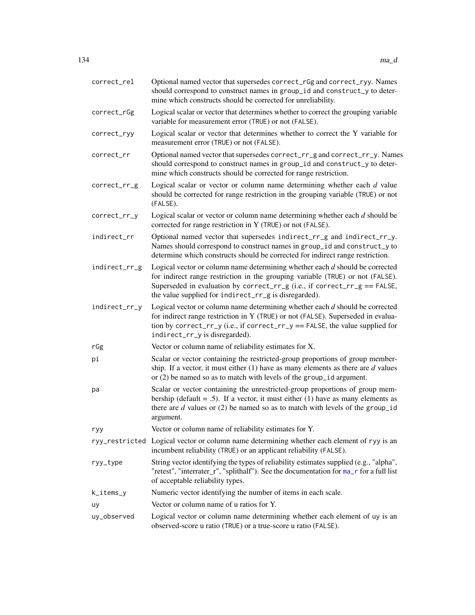| correct_rel   | Optional named vector that supersedes correct_rGg and correct_ryy. Names<br>should correspond to construct names in group_id and construct_y to deter-<br>mine which constructs should be corrected for unreliability.                                                                                 |
|---------------|--------------------------------------------------------------------------------------------------------------------------------------------------------------------------------------------------------------------------------------------------------------------------------------------------------|
| correct_rGg   | Logical scalar or vector that determines whether to correct the grouping variable<br>variable for measurement error (TRUE) or not (FALSE).                                                                                                                                                             |
| correct_ryy   | Logical scalar or vector that determines whether to correct the Y variable for<br>measurement error (TRUE) or not (FALSE).                                                                                                                                                                             |
| correct_rr    | Optional named vector that supersedes correct_rr_g and correct_rr_y. Names<br>should correspond to construct names in group_id and construct_y to deter-<br>mine which constructs should be corrected for range restriction.                                                                           |
| correct_rr_g  | Logical scalar or vector or column name determining whether each $d$ value<br>should be corrected for range restriction in the grouping variable (TRUE) or not<br>(FALSE).                                                                                                                             |
| correct_rr_y  | Logical scalar or vector or column name determining whether each $d$ should be<br>corrected for range restriction in Y (TRUE) or not (FALSE).                                                                                                                                                          |
| indirect_rr   | Optional named vector that supersedes indirect_rr_g and indirect_rr_y.<br>Names should correspond to construct names in group_id and construct_y to<br>determine which constructs should be corrected for indirect range restriction.                                                                  |
| indirect_rr_g | Logical vector or column name determining whether each $d$ should be corrected<br>for indirect range restriction in the grouping variable (TRUE) or not (FALSE).<br>Superseded in evaluation by correct_rr_g (i.e., if correct_rr_g == FALSE,<br>the value supplied for indirect_rr_g is disregarded). |
| indirect_rr_y | Logical vector or column name determining whether each $d$ should be corrected<br>for indirect range restriction in Y (TRUE) or not (FALSE). Superseded in evalua-<br>tion by correct_rr_y (i.e., if correct_rr_y == FALSE, the value supplied for<br>indirect_rr_y is disregarded).                   |
| rGg           | Vector or column name of reliability estimates for X.                                                                                                                                                                                                                                                  |
| рi            | Scalar or vector containing the restricted-group proportions of group member-<br>ship. If a vector, it must either $(1)$ have as many elements as there are $d$ values<br>or $(2)$ be named so as to match with levels of the group_id argument.                                                       |
| pa            | Scalar or vector containing the unrestricted-group proportions of group mem-<br>bership (default = .5). If a vector, it must either (1) have as many elements as<br>there are $d$ values or (2) be named so as to match with levels of the group_id<br>argument.                                       |
| ryy           | Vector or column name of reliability estimates for Y.                                                                                                                                                                                                                                                  |
|               | ryy_restricted Logical vector or column name determining whether each element of ryy is an<br>incumbent reliability (TRUE) or an applicant reliability (FALSE).                                                                                                                                        |
| ryy_type      | String vector identifying the types of reliability estimates supplied (e.g., "alpha",<br>"retest", "interrater_r", "splithalf"). See the documentation for ma_r for a full list<br>of acceptable reliability types.                                                                                    |
| k_items_y     | Numeric vector identifying the number of items in each scale.                                                                                                                                                                                                                                          |
| uy            | Vector or column name of u ratios for Y.                                                                                                                                                                                                                                                               |
| uy_observed   | Logical vector or column name determining whether each element of uy is an<br>observed-score u ratio (TRUE) or a true-score u ratio (FALSE).                                                                                                                                                           |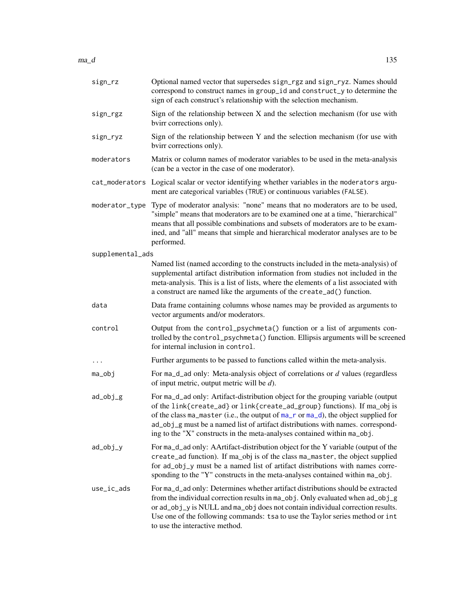| sign_rz          | Optional named vector that supersedes sign_rgz and sign_ryz. Names should<br>correspond to construct names in group_id and construct_y to determine the<br>sign of each construct's relationship with the selection mechanism.                                                                                                                                                                                   |
|------------------|------------------------------------------------------------------------------------------------------------------------------------------------------------------------------------------------------------------------------------------------------------------------------------------------------------------------------------------------------------------------------------------------------------------|
| sign_rgz         | Sign of the relationship between X and the selection mechanism (for use with<br>bvirr corrections only).                                                                                                                                                                                                                                                                                                         |
| sign_ryz         | Sign of the relationship between Y and the selection mechanism (for use with<br>bvirr corrections only).                                                                                                                                                                                                                                                                                                         |
| moderators       | Matrix or column names of moderator variables to be used in the meta-analysis<br>(can be a vector in the case of one moderator).                                                                                                                                                                                                                                                                                 |
|                  | cat_moderators Logical scalar or vector identifying whether variables in the moderators argu-<br>ment are categorical variables (TRUE) or continuous variables (FALSE).                                                                                                                                                                                                                                          |
| moderator_type   | Type of moderator analysis: "none" means that no moderators are to be used,<br>"simple" means that moderators are to be examined one at a time, "hierarchical"<br>means that all possible combinations and subsets of moderators are to be exam-<br>ined, and "all" means that simple and hierarchical moderator analyses are to be<br>performed.                                                                |
| supplemental_ads |                                                                                                                                                                                                                                                                                                                                                                                                                  |
|                  | Named list (named according to the constructs included in the meta-analysis) of<br>supplemental artifact distribution information from studies not included in the<br>meta-analysis. This is a list of lists, where the elements of a list associated with<br>a construct are named like the arguments of the create_ad() function.                                                                              |
| data             | Data frame containing columns whose names may be provided as arguments to<br>vector arguments and/or moderators.                                                                                                                                                                                                                                                                                                 |
| control          | Output from the control_psychmeta() function or a list of arguments con-<br>trolled by the control_psychmeta() function. Ellipsis arguments will be screened<br>for internal inclusion in control.                                                                                                                                                                                                               |
| $\cdots$         | Further arguments to be passed to functions called within the meta-analysis.                                                                                                                                                                                                                                                                                                                                     |
| ma_obj           | For $ma_d$ ad only: Meta-analysis object of correlations or $d$ values (regardless<br>of input metric, output metric will be $d$ ).                                                                                                                                                                                                                                                                              |
| ad_obj_g         | For ma_d_ad only: Artifact-distribution object for the grouping variable (output<br>of the link{create_ad} or link{create_ad_group} functions). If ma_obj is<br>of the class ma_master (i.e., the output of ma_r or ma_d), the object supplied for<br>ad_obj_g must be a named list of artifact distributions with names. correspond-<br>ing to the "X" constructs in the meta-analyses contained within ma_obj. |
| ad_obj_y         | For ma_d_ad only: AArtifact-distribution object for the Y variable (output of the<br>create_ad function). If ma_obj is of the class ma_master, the object supplied<br>for ad_obj_y must be a named list of artifact distributions with names corre-<br>sponding to the "Y" constructs in the meta-analyses contained within ma_obj.                                                                              |
| use_ic_ads       | For ma_d_ad only: Determines whether artifact distributions should be extracted<br>from the individual correction results in ma_obj. Only evaluated when ad_obj_g<br>or ad_obj_y is NULL and ma_obj does not contain individual correction results.<br>Use one of the following commands: tsa to use the Taylor series method or int<br>to use the interactive method.                                           |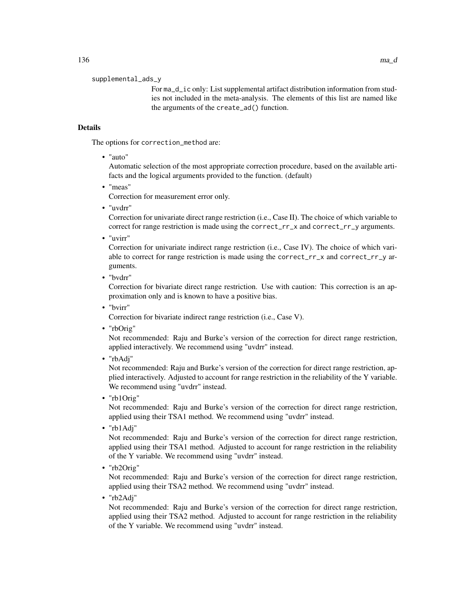supplemental\_ads\_y

For ma\_d\_ic only: List supplemental artifact distribution information from studies not included in the meta-analysis. The elements of this list are named like the arguments of the create\_ad() function.

# Details

The options for correction\_method are:

• "auto"

Automatic selection of the most appropriate correction procedure, based on the available artifacts and the logical arguments provided to the function. (default)

• "meas"

Correction for measurement error only.

• "uvdrr"

Correction for univariate direct range restriction (i.e., Case II). The choice of which variable to correct for range restriction is made using the correct\_rr\_x and correct\_rr\_y arguments.

• "uvirr"

Correction for univariate indirect range restriction (i.e., Case IV). The choice of which variable to correct for range restriction is made using the correct\_rr\_x and correct\_rr\_y arguments.

• "bvdrr"

Correction for bivariate direct range restriction. Use with caution: This correction is an approximation only and is known to have a positive bias.

• "bvirr"

Correction for bivariate indirect range restriction (i.e., Case V).

• "rbOrig"

Not recommended: Raju and Burke's version of the correction for direct range restriction, applied interactively. We recommend using "uvdrr" instead.

• "rbAdj"

Not recommended: Raju and Burke's version of the correction for direct range restriction, applied interactively. Adjusted to account for range restriction in the reliability of the Y variable. We recommend using "uvdrr" instead.

• "rb1Orig"

Not recommended: Raju and Burke's version of the correction for direct range restriction, applied using their TSA1 method. We recommend using "uvdrr" instead.

• "rb1Adj"

Not recommended: Raju and Burke's version of the correction for direct range restriction, applied using their TSA1 method. Adjusted to account for range restriction in the reliability of the Y variable. We recommend using "uvdrr" instead.

• "rb2Orig"

Not recommended: Raju and Burke's version of the correction for direct range restriction, applied using their TSA2 method. We recommend using "uvdrr" instead.

• "rb2Adj"

Not recommended: Raju and Burke's version of the correction for direct range restriction, applied using their TSA2 method. Adjusted to account for range restriction in the reliability of the Y variable. We recommend using "uvdrr" instead.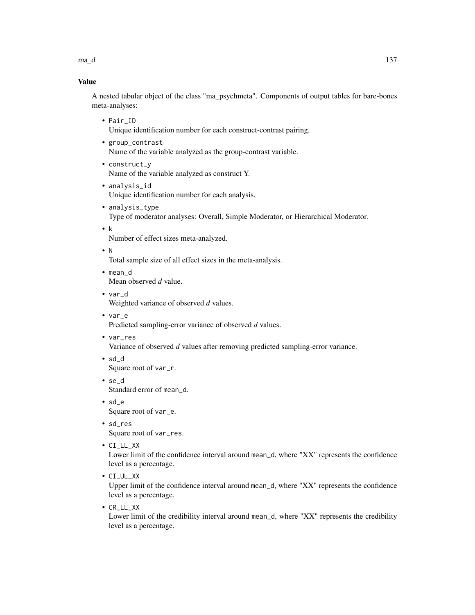$ma_d$   $137$ 

# Value

A nested tabular object of the class "ma\_psychmeta". Components of output tables for bare-bones meta-analyses:

• Pair\_ID

Unique identification number for each construct-contrast pairing.

- group\_contrast Name of the variable analyzed as the group-contrast variable.
- construct\_y Name of the variable analyzed as construct Y.
- analysis\_id Unique identification number for each analysis.
- analysis\_type Type of moderator analyses: Overall, Simple Moderator, or Hierarchical Moderator.
- k Number of effect sizes meta-analyzed.
- N

Total sample size of all effect sizes in the meta-analysis.

- mean\_d Mean observed *d* value.
- var\_d Weighted variance of observed *d* values.
- var\_e Predicted sampling-error variance of observed *d* values.
- var\_res

Variance of observed *d* values after removing predicted sampling-error variance.

- sd\_d Square root of var\_r.
- se\_d Standard error of mean\_d.
- sd\_e Square root of var\_e.
- sd\_res Square root of var\_res.
- CI\_LL\_XX

Lower limit of the confidence interval around mean\_d, where "XX" represents the confidence level as a percentage.

• CI\_UL\_XX

Upper limit of the confidence interval around mean\_d, where "XX" represents the confidence level as a percentage.

• CR\_LL\_XX

Lower limit of the credibility interval around mean\_d, where "XX" represents the credibility level as a percentage.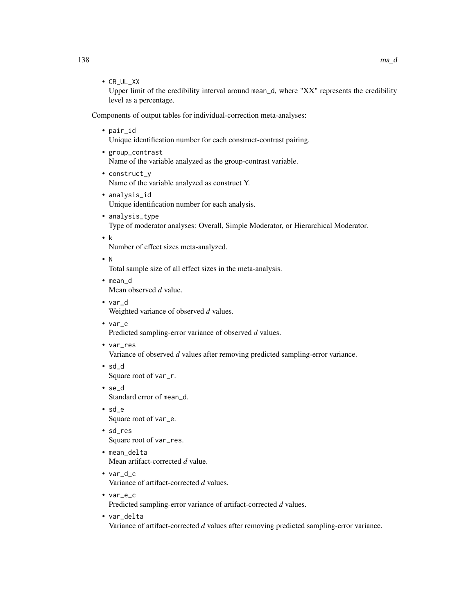• CR\_UL\_XX

Upper limit of the credibility interval around mean\_d, where "XX" represents the credibility level as a percentage.

Components of output tables for individual-correction meta-analyses:

- pair\_id Unique identification number for each construct-contrast pairing.
- group\_contrast Name of the variable analyzed as the group-contrast variable.
- construct\_y Name of the variable analyzed as construct Y.
- analysis\_id Unique identification number for each analysis.
- analysis\_type Type of moderator analyses: Overall, Simple Moderator, or Hierarchical Moderator.
- k

Number of effect sizes meta-analyzed.

• N

Total sample size of all effect sizes in the meta-analysis.

• mean\_d

Mean observed *d* value.

- var\_d Weighted variance of observed *d* values.
- var\_e

Predicted sampling-error variance of observed *d* values.

- var\_res Variance of observed *d* values after removing predicted sampling-error variance.
- sd\_d Square root of var\_r.
- se\_d Standard error of mean\_d.
- sd\_e Square root of var\_e.
- sd\_res Square root of var\_res.
- mean\_delta Mean artifact-corrected *d* value.
- var\_d\_c Variance of artifact-corrected *d* values.
- var\_e\_c Predicted sampling-error variance of artifact-corrected *d* values.
- var\_delta Variance of artifact-corrected *d* values after removing predicted sampling-error variance.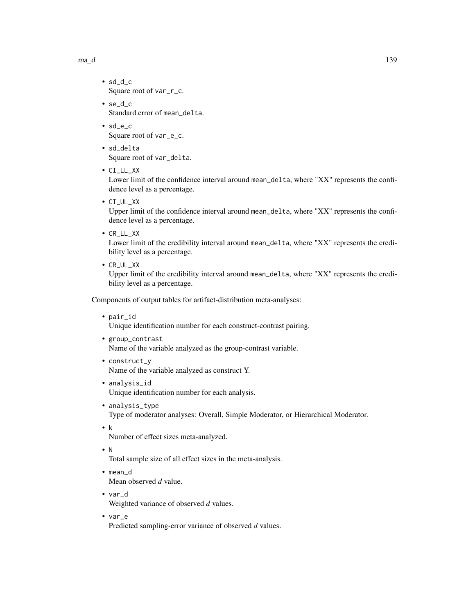$ma_d$   $139$ 

- sd\_d\_c Square root of var\_r\_c.
- se\_d\_c Standard error of mean\_delta.
- sd\_e\_c Square root of var\_e\_c.
- sd\_delta Square root of var\_delta.
- CI\_LL\_XX

Lower limit of the confidence interval around mean\_delta, where "XX" represents the confidence level as a percentage.

• CI\_UL\_XX

Upper limit of the confidence interval around mean\_delta, where "XX" represents the confidence level as a percentage.

• CR\_LL\_XX

Lower limit of the credibility interval around mean\_delta, where "XX" represents the credibility level as a percentage.

• CR\_UL\_XX

Upper limit of the credibility interval around mean\_delta, where "XX" represents the credibility level as a percentage.

Components of output tables for artifact-distribution meta-analyses:

• pair\_id

Unique identification number for each construct-contrast pairing.

• group\_contrast

Name of the variable analyzed as the group-contrast variable.

- construct\_y Name of the variable analyzed as construct Y.
- analysis\_id Unique identification number for each analysis.
- analysis\_type Type of moderator analyses: Overall, Simple Moderator, or Hierarchical Moderator.
- k

Number of effect sizes meta-analyzed.

• N

Total sample size of all effect sizes in the meta-analysis.

- mean\_d Mean observed *d* value.
- var\_d Weighted variance of observed *d* values.
- var\_e Predicted sampling-error variance of observed *d* values.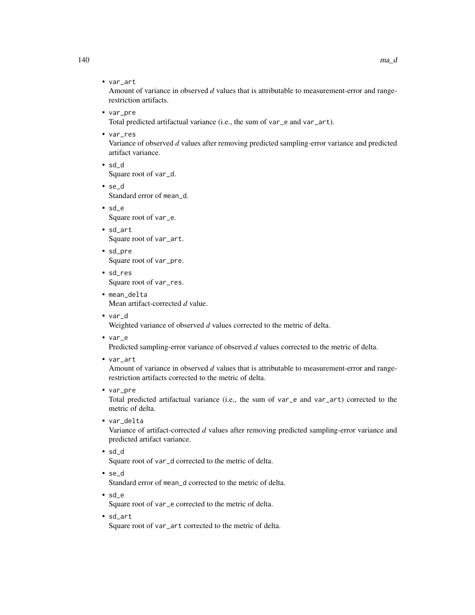• var\_art

Amount of variance in observed *d* values that is attributable to measurement-error and rangerestriction artifacts.

• var\_pre

Total predicted artifactual variance (i.e., the sum of var\_e and var\_art).

• var\_res

Variance of observed *d* values after removing predicted sampling-error variance and predicted artifact variance.

- sd\_d Square root of var\_d.
- se\_d Standard error of mean\_d.
- sd\_e Square root of var\_e.
- sd\_art Square root of var\_art.
- sd\_pre Square root of var\_pre.
- sd\_res Square root of var\_res.
- mean\_delta Mean artifact-corrected *d* value.
- var\_d

Weighted variance of observed *d* values corrected to the metric of delta.

• var\_e

Predicted sampling-error variance of observed *d* values corrected to the metric of delta.

• var\_art

Amount of variance in observed *d* values that is attributable to measurement-error and rangerestriction artifacts corrected to the metric of delta.

• var\_pre

Total predicted artifactual variance (i.e., the sum of var\_e and var\_art) corrected to the metric of delta.

• var\_delta

Variance of artifact-corrected *d* values after removing predicted sampling-error variance and predicted artifact variance.

• sd\_d

Square root of var\_d corrected to the metric of delta.

- se\_d Standard error of mean\_d corrected to the metric of delta.
- sd\_e

Square root of var\_e corrected to the metric of delta.

• sd\_art

Square root of var\_art corrected to the metric of delta.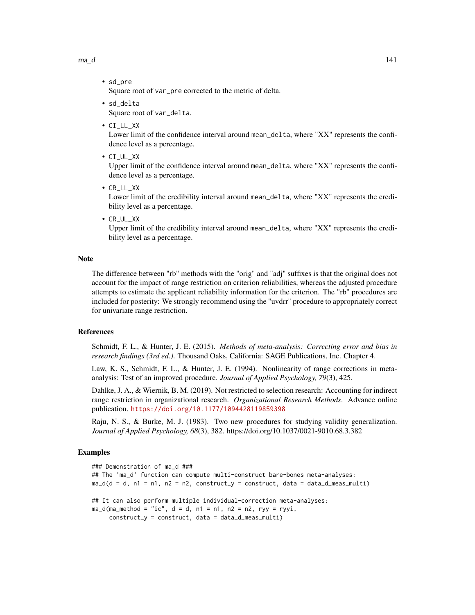$ma_d$   $141$ 

• sd\_pre

Square root of var\_pre corrected to the metric of delta.

- sd\_delta Square root of var\_delta.
- CI\_LL\_XX

Lower limit of the confidence interval around mean\_delta, where "XX" represents the confidence level as a percentage.

• CI\_UL\_XX

Upper limit of the confidence interval around mean\_delta, where "XX" represents the confidence level as a percentage.

• CR\_LL\_XX

Lower limit of the credibility interval around mean\_delta, where "XX" represents the credibility level as a percentage.

• CR\_UL\_XX

Upper limit of the credibility interval around mean\_delta, where "XX" represents the credibility level as a percentage.

#### Note

The difference between "rb" methods with the "orig" and "adj" suffixes is that the original does not account for the impact of range restriction on criterion reliabilities, whereas the adjusted procedure attempts to estimate the applicant reliability information for the criterion. The "rb" procedures are included for posterity: We strongly recommend using the "uvdrr" procedure to appropriately correct for univariate range restriction.

#### References

Schmidt, F. L., & Hunter, J. E. (2015). *Methods of meta-analysis: Correcting error and bias in research findings (3rd ed.)*. Thousand Oaks, California: SAGE Publications, Inc. Chapter 4.

Law, K. S., Schmidt, F. L., & Hunter, J. E. (1994). Nonlinearity of range corrections in metaanalysis: Test of an improved procedure. *Journal of Applied Psychology, 79*(3), 425.

Dahlke, J. A., & Wiernik, B. M. (2019). Not restricted to selection research: Accounting for indirect range restriction in organizational research. *Organizational Research Methods*. Advance online publication. <https://doi.org/10.1177/1094428119859398>

Raju, N. S., & Burke, M. J. (1983). Two new procedures for studying validity generalization. *Journal of Applied Psychology, 68*(3), 382. https://doi.org/10.1037/0021-9010.68.3.382

```
### Demonstration of ma_d ###
## The 'ma_d' function can compute multi-construct bare-bones meta-analyses:
ma_d(d = d, n1 = n1, n2 = n2, construct_y = construct, data = data_d_mean_multi)## It can also perform multiple individual-correction meta-analyses:
ma_d(ma_method = "ic", d = d, n1 = n1, n2 = n2, ryy = ryyi,construct_y = construct, data = data_d_mean_multi)
```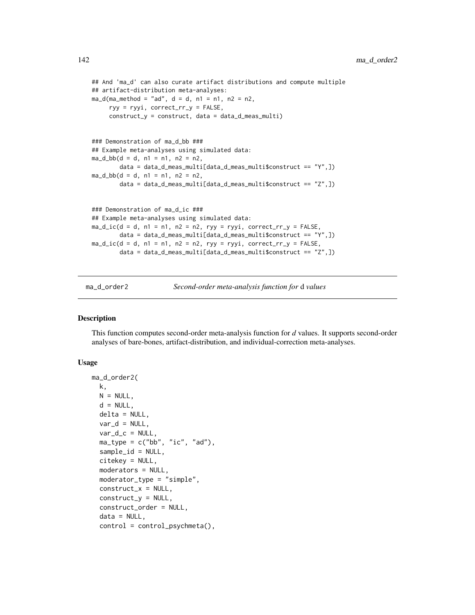```
## And 'ma_d' can also curate artifact distributions and compute multiple
## artifact-distribution meta-analyses:
ma_d(ma_method = "ad", d = d, n1 = n1, n2 = n2,ryy = ryyi, correct_rr_y = FALSE,
     construct_y = construct, data = data_d_meas_multi)
### Demonstration of ma_d_bb ###
## Example meta-analyses using simulated data:
ma_d_bbb(d = d, n1 = n1, n2 = n2)data = data_d_meas_multi[data_d_meas_multi$construct == "Y",])
ma_d_bbb(d = d, n1 = n1, n2 = n2,data = data_d_meas_multi[data_d_meas_multi$construct == "Z",])
### Demonstration of ma_d_ic ###
## Example meta-analyses using simulated data:
ma\_d\_ic(d = d, n1 = n1, n2 = n2, ryy = ryyi, correct\_rr_y = FALSE,data = data_d_meas_multi[data_d_meas_multi$construct == "Y",])
ma\_d\_ic(d = d, n1 = n1, n2 = n2, ryy = ryyi, correct_rry = FALSE,data = data_d_meas_multi[data_d_meas_multi$construct == "Z",])
```
ma\_d\_order2 *Second-order meta-analysis function for* d *values*

#### Description

This function computes second-order meta-analysis function for *d* values. It supports second-order analyses of bare-bones, artifact-distribution, and individual-correction meta-analyses.

#### Usage

```
ma_d_order2(
 k,
 N = NULL,d = NULL,delta = NULL,
 var_d = NULL,var_d_c = NULL,ma_type = c("bb", "ic", "ad"),sample_id = NULL,
 citekey = NULL,
 moderators = NULL,
 moderator_type = "simple",
 construct_x = NULL,construct_Y = NULL,
  construct_order = NULL,
  data = NULL,control = control_psychmeta(),
```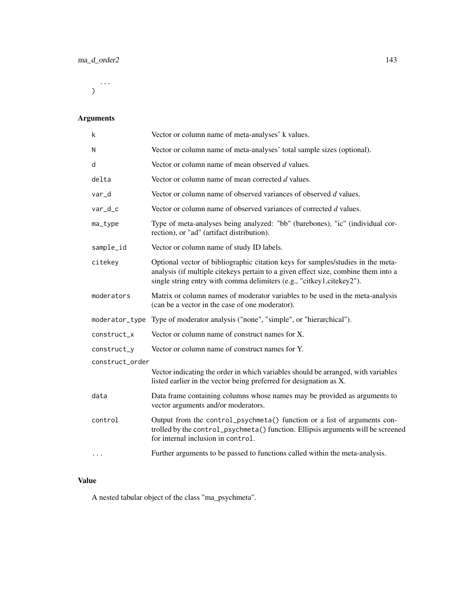...  $\mathcal{L}$ 

# Arguments

| k               | Vector or column name of meta-analyses' k values.                                                                                                                                                                                              |
|-----------------|------------------------------------------------------------------------------------------------------------------------------------------------------------------------------------------------------------------------------------------------|
| N               | Vector or column name of meta-analyses' total sample sizes (optional).                                                                                                                                                                         |
| d               | Vector or column name of mean observed d values.                                                                                                                                                                                               |
| delta           | Vector or column name of mean corrected d values.                                                                                                                                                                                              |
| var_d           | Vector or column name of observed variances of observed d values.                                                                                                                                                                              |
| $var_d$         | Vector or column name of observed variances of corrected d values.                                                                                                                                                                             |
| ma_type         | Type of meta-analyses being analyzed: "bb" (barebones), "ic" (individual cor-<br>rection), or "ad" (artifact distribution).                                                                                                                    |
| sample_id       | Vector or column name of study ID labels.                                                                                                                                                                                                      |
| citekey         | Optional vector of bibliographic citation keys for samples/studies in the meta-<br>analysis (if multiple citekeys pertain to a given effect size, combine them into a<br>single string entry with comma delimiters (e.g., "citkey1,citekey2"). |
| moderators      | Matrix or column names of moderator variables to be used in the meta-analysis<br>(can be a vector in the case of one moderator).                                                                                                               |
| moderator_type  | Type of moderator analysis ("none", "simple", or "hierarchical").                                                                                                                                                                              |
| construct_x     | Vector or column name of construct names for X.                                                                                                                                                                                                |
| construct_y     | Vector or column name of construct names for Y.                                                                                                                                                                                                |
| construct_order |                                                                                                                                                                                                                                                |
|                 | Vector indicating the order in which variables should be arranged, with variables<br>listed earlier in the vector being preferred for designation as X.                                                                                        |
| data            | Data frame containing columns whose names may be provided as arguments to<br>vector arguments and/or moderators.                                                                                                                               |
| control         | Output from the control_psychmeta() function or a list of arguments con-<br>trolled by the control_psychmeta() function. Ellipsis arguments will be screened<br>for internal inclusion in control.                                             |
| $\cdots$        | Further arguments to be passed to functions called within the meta-analysis.                                                                                                                                                                   |

# Value

A nested tabular object of the class "ma\_psychmeta".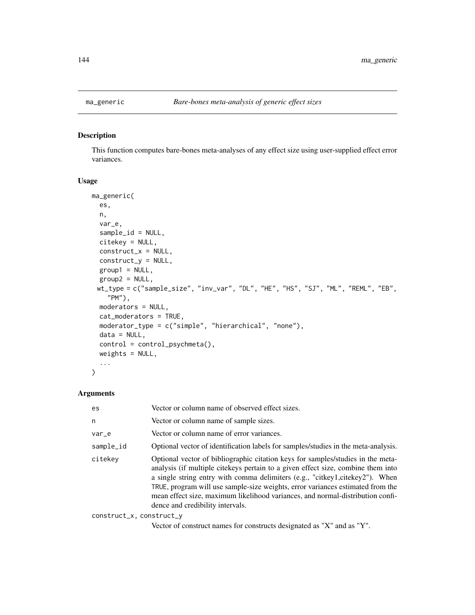This function computes bare-bones meta-analyses of any effect size using user-supplied effect error variances.

## Usage

```
ma_generic(
  es,
 n,
 var_e,
  sample_id = NULL,
 citekey = NULL,
  construct_x = NULL,construct_y = NULL,
  group1 = NULL,
  group2 = NULL,wt_type = c("sample_size", "inv_var", "DL", "HE", "HS", "SJ", "ML", "REML", "EB",
    "PM"),
 moderators = NULL,
  cat_moderators = TRUE,
 moderator_type = c("simple", "hierarchical", "none"),
 data = NULL,control = control_psychmeta(),
 weights = NULL,...
\mathcal{L}
```
# Arguments

| es                       | Vector or column name of observed effect sizes.                                                                                                                                                                                                                                                                                                                                                                                                             |
|--------------------------|-------------------------------------------------------------------------------------------------------------------------------------------------------------------------------------------------------------------------------------------------------------------------------------------------------------------------------------------------------------------------------------------------------------------------------------------------------------|
| n                        | Vector or column name of sample sizes.                                                                                                                                                                                                                                                                                                                                                                                                                      |
| var_e                    | Vector or column name of error variances.                                                                                                                                                                                                                                                                                                                                                                                                                   |
| sample_id                | Optional vector of identification labels for samples/studies in the meta-analysis.                                                                                                                                                                                                                                                                                                                                                                          |
| citekev                  | Optional vector of bibliographic citation keys for samples/studies in the meta-<br>analysis (if multiple citekeys pertain to a given effect size, combine them into<br>a single string entry with comma delimiters (e.g., "citkey1,citekey2"). When<br>TRUE, program will use sample-size weights, error variances estimated from the<br>mean effect size, maximum likelihood variances, and normal-distribution confi-<br>dence and credibility intervals. |
| construct_x, construct_y |                                                                                                                                                                                                                                                                                                                                                                                                                                                             |

Vector of construct names for constructs designated as "X" and as "Y".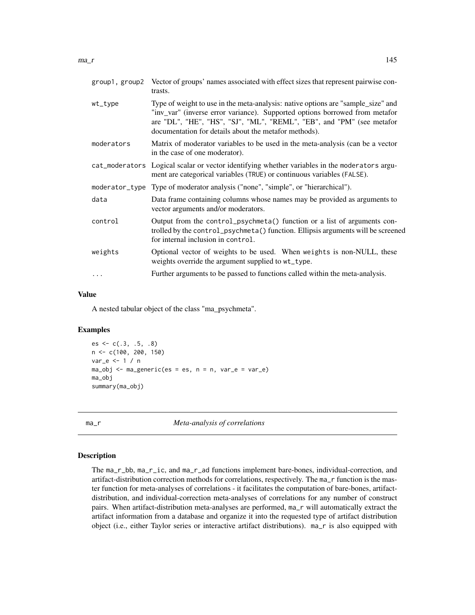|                                                                                                                                                                                                                                                                                                              | group1, group2 Vector of groups' names associated with effect sizes that represent pairwise con-<br>trasts.                                                             |
|--------------------------------------------------------------------------------------------------------------------------------------------------------------------------------------------------------------------------------------------------------------------------------------------------------------|-------------------------------------------------------------------------------------------------------------------------------------------------------------------------|
| Type of weight to use in the meta-analysis: native options are "sample_size" and<br>wt_type<br>"inv_var" (inverse error variance). Supported options borrowed from metafor<br>are "DL", "HE", "HS", "SJ", "ML", "REML", "EB", and "PM" (see metafor<br>documentation for details about the metafor methods). |                                                                                                                                                                         |
| moderators                                                                                                                                                                                                                                                                                                   | Matrix of moderator variables to be used in the meta-analysis (can be a vector<br>in the case of one moderator).                                                        |
|                                                                                                                                                                                                                                                                                                              | cat_moderators Logical scalar or vector identifying whether variables in the moderators argu-<br>ment are categorical variables (TRUE) or continuous variables (FALSE). |
|                                                                                                                                                                                                                                                                                                              | moderator_type Type of moderator analysis ("none", "simple", or "hierarchical").                                                                                        |
| data                                                                                                                                                                                                                                                                                                         | Data frame containing columns whose names may be provided as arguments to<br>vector arguments and/or moderators.                                                        |
|                                                                                                                                                                                                                                                                                                              |                                                                                                                                                                         |

- control Output from the control\_psychmeta() function or a list of arguments controlled by the control\_psychmeta() function. Ellipsis arguments will be screened for internal inclusion in control. weights Optional vector of weights to be used. When weights is non-NULL, these
- ... Further arguments to be passed to functions called within the meta-analysis.

weights override the argument supplied to wt\_type.

#### Value

A nested tabular object of the class "ma\_psychmeta".

#### Examples

 $es \leftarrow c(.3, .5, .8)$ n <- c(100, 200, 150) var\_e  $\leq -1$  / n  $ma_obj \leq ma_generic(es = es, n = n, var_e = var_e)$ ma\_obj summary(ma\_obj)

<span id="page-144-1"></span>

ma\_r *Meta-analysis of correlations*

#### <span id="page-144-0"></span>Description

The ma\_r\_bb, ma\_r\_ic, and ma\_r\_ad functions implement bare-bones, individual-correction, and artifact-distribution correction methods for correlations, respectively. The ma\_r function is the master function for meta-analyses of correlations - it facilitates the computation of bare-bones, artifactdistribution, and individual-correction meta-analyses of correlations for any number of construct pairs. When artifact-distribution meta-analyses are performed, ma\_r will automatically extract the artifact information from a database and organize it into the requested type of artifact distribution object (i.e., either Taylor series or interactive artifact distributions). ma\_r is also equipped with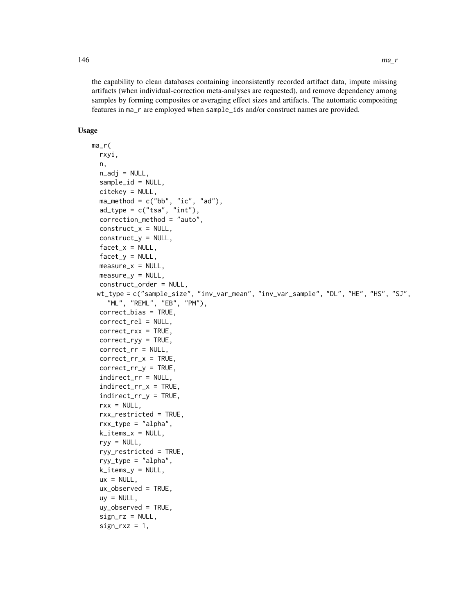the capability to clean databases containing inconsistently recorded artifact data, impute missing artifacts (when individual-correction meta-analyses are requested), and remove dependency among samples by forming composites or averaging effect sizes and artifacts. The automatic compositing features in ma\_r are employed when sample\_ids and/or construct names are provided.

```
ma_r(
  rxyi,
  n,
  n\_adj = NULL,sample_id = NULL,
  citekey = NULL,
  ma_method = c("bb", "ic", "ad"),
  ad_{type} = c("tsa", "int"),
  correction_method = "auto",
  construct_x = NULL,construct_y = NULL,
  factor_x = NULL,factor_y = NULL,measure_x = NULL,measure_y = NULL,construct_order = NULL,
 wt_type = c("sample_size", "inv_var_mean", "inv_var_sample", "DL", "HE", "HS", "SJ",
    "ML", "REML", "EB", "PM"),
  correct_bias = TRUE,
  correct_rel = NULL,
  correct_rxx = TRUE,
  correct_ryy = TRUE,
  correct_rr = NULL,
  correct_rr_x = TRUE,
  correct_rr_y = TRUE,
  indirect_rr = NULL,
  indirectrr_x = TRUE,indirect_rr_y = TRUE,
  rxx = NULL,rxx_restricted = TRUE,
  rxx_type = "alpha",
  k_items_x = NULL,
  ryy = NULL,ryy_restricted = TRUE,
  ryy_type = "alpha",
  k_items_y = NULL,
  ux = NULL,
  ux_observed = TRUE,
  uy = NULL,
  uy_observed = TRUE,
  sign_rz = NULL,sign_r xz = 1,
```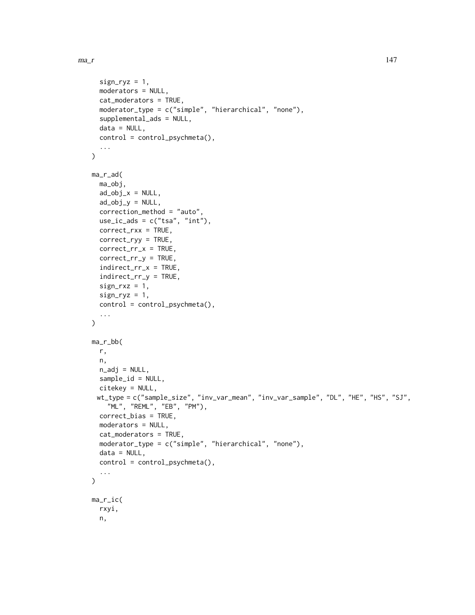```
sign_{ryz} = 1,
 moderators = NULL,
  cat_moderators = TRUE,
 moderator_type = c("simple", "hierarchical", "none"),
  supplemental_ads = NULL,
  data = NULL,control = control_psychmeta(),
  ...
\mathcal{L}ma_r_ad(
 ma_obj,
 ad\_obj_x = NULL,ad\_obj_y = NULL,correction_method = "auto",
  use\_ic\_ads = c("tsa", "int"),correct_rxx = TRUE,
  correct_ryy = TRUE,
  correct_rr_x = TRUE,
  correct\_rr_y = TRUE,indirect_rr_x = TRUE,
  indirect_rr_y = TRUE,
  sign_r xz = 1,
  sign_{ryz} = 1,
  control = control_psychmeta(),
  ...
\lambdama_r_bb(
 r,
 n,
 n\_adj = NULL,sample_id = NULL,
 citekey = NULL,
 wt_type = c("sample_size", "inv_var_mean", "inv_var_sample", "DL", "HE", "HS", "SJ",
    "ML", "REML", "EB", "PM"),
 correct_bias = TRUE,
 moderators = NULL,
  cat_moderators = TRUE,
 moderator_type = c("simple", "hierarchical", "none"),
 data = NULL,control = control_psychmeta(),
  ...
)
ma_r_ic(
 rxyi,
 n,
```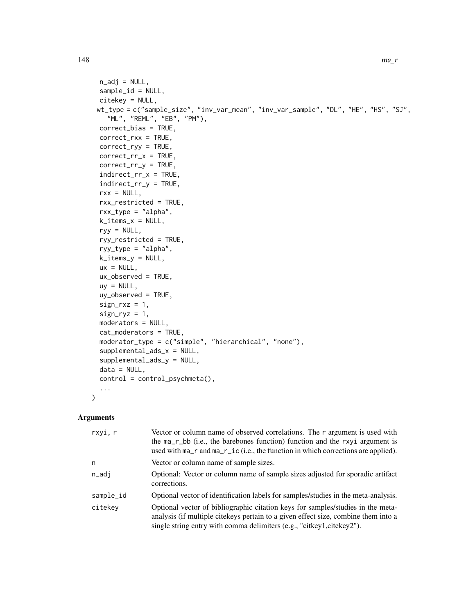```
n\_adj = NULL,sample_id = NULL,
 citekey = NULL,
 wt_type = c("sample_size", "inv_var_mean", "inv_var_sample", "DL", "HE", "HS", "SJ",
    "ML", "REML", "EB", "PM"),
 correct_bias = TRUE,
 correct_rxx = TRUE,
 correct_ryy = TRUE,
 correct_rr_x = TRUE,
  correct_rr_y = TRUE,
  indirect_rr_x = TRUE,
  indirect_rr_y = TRUE,
  rxx = NULL,rxx_restricted = TRUE,
  rxx_type = "alpha",
 k_items_x = NULL,
 ryy = NULL,
 ryy_restricted = TRUE,
  ryy_type = "alpha",k_items_y = NULL,
 ux = NULL,ux_observed = TRUE,
 uy = NULL,uy_observed = TRUE,
  sign_r xz = 1,
  sign_{ryz} = 1,
 moderators = NULL,
 cat_moderators = TRUE,
 moderator_type = c("simple", "hierarchical", "none"),
 supplemental_ads_x = NULL,
  supplemental_ads_y = NULL,
 data = NULL,control = control_psychmeta(),
  ...
\mathcal{L}
```
# Arguments

| rxyi, r                                                                                                                                                                                                                                                   | Vector or column name of observed correlations. The $r$ argument is used with<br>the ma_r_bb (i.e., the barebones function) function and the rxyi argument is<br>used with ma_r and ma_r_ic (i.e., the function in which corrections are applied). |
|-----------------------------------------------------------------------------------------------------------------------------------------------------------------------------------------------------------------------------------------------------------|----------------------------------------------------------------------------------------------------------------------------------------------------------------------------------------------------------------------------------------------------|
| n                                                                                                                                                                                                                                                         | Vector or column name of sample sizes.                                                                                                                                                                                                             |
| n_adj                                                                                                                                                                                                                                                     | Optional: Vector or column name of sample sizes adjusted for sporadic artifact<br>corrections.                                                                                                                                                     |
| sample_id                                                                                                                                                                                                                                                 | Optional vector of identification labels for samples/studies in the meta-analysis.                                                                                                                                                                 |
| citekey<br>Optional vector of bibliographic citation keys for samples/studies in the meta-<br>analysis (if multiple citekeys pertain to a given effect size, combine them into a<br>single string entry with comma delimiters (e.g., "citkey1,citekey2"). |                                                                                                                                                                                                                                                    |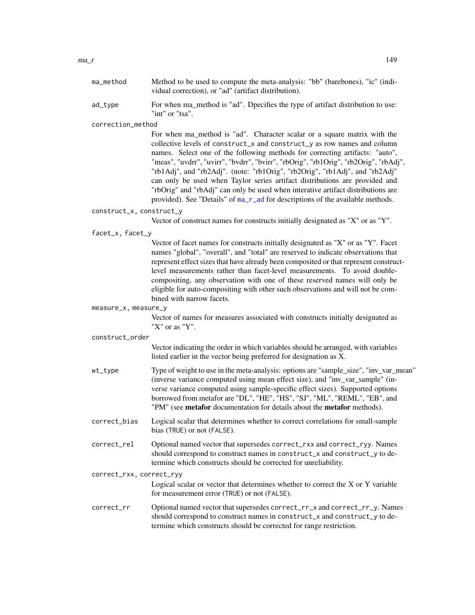| ma method | Method to be used to compute the meta-analysis: "bb" (barebones), "ic" (indi-   |
|-----------|---------------------------------------------------------------------------------|
|           | vidual correction), or "ad" (artifact distribution).                            |
| ad tvne   | For when ma method is "ad". Donecifies the type of artifact distribution to use |

Letype For when ma\_method is "ad". Dpecifies the type of artifact distribution to use  $\mathbf{u}$ "int" or "tsa".

correction\_method

For when ma\_method is "ad". Character scalar or a square matrix with the collective levels of construct\_x and construct\_y as row names and column names. Select one of the following methods for correcting artifacts: "auto", "meas", "uvdrr", "uvirr", "bvdrr", "bvirr", "rbOrig", "rb1Orig", "rb2Orig", "rbAdj", "rb1Adj", and "rb2Adj". (note: "rb1Orig", "rb2Orig", "rb1Adj", and "rb2Adj" can only be used when Taylor series artifact distributions are provided and "rbOrig" and "rbAdj" can only be used when interative artifact distributions are provided). See "Details" of [ma\\_r\\_ad](#page-144-0) for descriptions of the available methods.

#### construct\_x, construct\_y

Vector of construct names for constructs initially designated as "X" or as "Y".

facet\_x, facet\_y

Vector of facet names for constructs initially designated as "X" or as "Y". Facet names "global", "overall", and "total" are reserved to indicate observations that represent effect sizes that have already been composited or that represent constructlevel measurements rather than facet-level measurements. To avoid doublecompositing, any observation with one of these reserved names will only be eligible for auto-compositing with other such observations and will not be combined with narrow facets.

#### measure\_x, measure\_y

Vector of names for measures associated with constructs initially designated as "X" or as "Y".

#### construct\_order

Vector indicating the order in which variables should be arranged, with variables listed earlier in the vector being preferred for designation as X.

- wt\_type Type of weight to use in the meta-analysis: options are "sample\_size", "inv\_var\_mean" (inverse variance computed using mean effect size), and "inv\_var\_sample" (inverse variance computed using sample-specific effect sizes). Supported options borrowed from metafor are "DL", "HE", "HS", "SJ", "ML", "REML", "EB", and "PM" (see **metafor** documentation for details about the **metafor** methods).
- correct\_bias Logical scalar that determines whether to correct correlations for small-sample bias (TRUE) or not (FALSE).
- correct\_rel Optional named vector that supersedes correct\_rxx and correct\_ryy. Names should correspond to construct names in construct\_x and construct\_y to determine which constructs should be corrected for unreliability.
- correct\_rxx, correct\_ryy

Logical scalar or vector that determines whether to correct the X or Y variable for measurement error (TRUE) or not (FALSE).

# correct\_rr Optional named vector that supersedes correct\_rr\_x and correct\_rr\_y. Names should correspond to construct names in construct\_x and construct\_y to determine which constructs should be corrected for range restriction.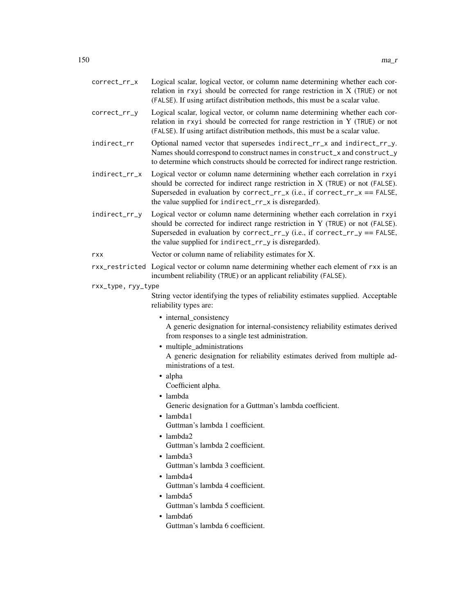| correct_rr_x       | Logical scalar, logical vector, or column name determining whether each cor-<br>relation in rxyi should be corrected for range restriction in $X$ (TRUE) or not<br>(FALSE). If using artifact distribution methods, this must be a scalar value.                                                     |
|--------------------|------------------------------------------------------------------------------------------------------------------------------------------------------------------------------------------------------------------------------------------------------------------------------------------------------|
| correct_rr_y       | Logical scalar, logical vector, or column name determining whether each cor-<br>relation in rxyi should be corrected for range restriction in Y (TRUE) or not<br>(FALSE). If using artifact distribution methods, this must be a scalar value.                                                       |
| indirect_rr        | Optional named vector that supersedes indirect_rr_x and indirect_rr_y.<br>Names should correspond to construct names in construct_x and construct_y<br>to determine which constructs should be corrected for indirect range restriction.                                                             |
| indirect_rr_x      | Logical vector or column name determining whether each correlation in rxyi<br>should be corrected for indirect range restriction in $X$ (TRUE) or not (FALSE).<br>Superseded in evaluation by correct_rr_x (i.e., if correct_rr_x == FALSE,<br>the value supplied for indirect_rr_x is disregarded). |
| indirect_rr_y      | Logical vector or column name determining whether each correlation in rxyi<br>should be corrected for indirect range restriction in Y (TRUE) or not (FALSE).<br>Superseded in evaluation by correct_rr_y (i.e., if correct_rr_y == FALSE,<br>the value supplied for indirect_rr_y is disregarded).   |
| rxx                | Vector or column name of reliability estimates for X.                                                                                                                                                                                                                                                |
|                    | rxx_restricted Logical vector or column name determining whether each element of rxx is an<br>incumbent reliability (TRUE) or an applicant reliability (FALSE).                                                                                                                                      |
| rxx_type, ryy_type |                                                                                                                                                                                                                                                                                                      |
|                    | String vector identifying the types of reliability estimates supplied. Acceptable<br>reliability types are:                                                                                                                                                                                          |
|                    | • internal_consistency<br>A generic designation for internal-consistency reliability estimates derived<br>from responses to a single test administration.                                                                                                                                            |
|                    | • multiple_administrations<br>A generic designation for reliability estimates derived from multiple ad-<br>ministrations of a test.                                                                                                                                                                  |
|                    | • alpha<br>Coefficient alpha.                                                                                                                                                                                                                                                                        |
|                    | · lambda                                                                                                                                                                                                                                                                                             |
|                    | Generic designation for a Guttman's lambda coefficient.                                                                                                                                                                                                                                              |
|                    | · lambda1                                                                                                                                                                                                                                                                                            |
|                    | Guttman's lambda 1 coefficient.<br>• lambda2                                                                                                                                                                                                                                                         |
|                    | Guttman's lambda 2 coefficient.                                                                                                                                                                                                                                                                      |
|                    | $\bullet$ lambda3                                                                                                                                                                                                                                                                                    |
|                    | Guttman's lambda 3 coefficient.                                                                                                                                                                                                                                                                      |
|                    | $\bullet$ lambda4<br>Guttman's lambda 4 coefficient.                                                                                                                                                                                                                                                 |
|                    | $\bullet$ lambda5                                                                                                                                                                                                                                                                                    |
|                    | Guttman's lambda 5 coefficient.                                                                                                                                                                                                                                                                      |
|                    | • lambda6<br>Guttman's lambda 6 coefficient.                                                                                                                                                                                                                                                         |
|                    |                                                                                                                                                                                                                                                                                                      |
|                    |                                                                                                                                                                                                                                                                                                      |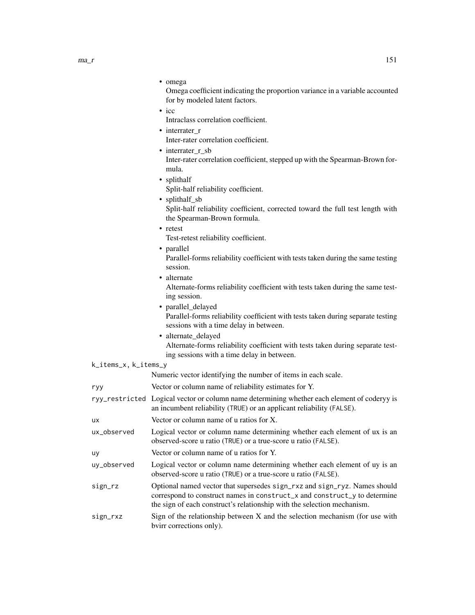| ma_r | 151 |
|------|-----|
|------|-----|

| пт<br>۱۴ |  |
|----------|--|
|----------|--|

Omega coefficient indicating the proportion variance in a variable accounted for by modeled latent factors.

• icc

Intraclass correlation coefficient.

- interrater r Inter-rater correlation coefficient.
- interrater r sb Inter-rater correlation coefficient, stepped up with the Spearman-Brown formula.
- splithalf

Split-half reliability coefficient.

- splithalf sb Split-half reliability coefficient, corrected toward the full test length with the Spearman-Brown formula.
- retest

Test-retest reliability coefficient.

• parallel

Parallel-forms reliability coefficient with tests taken during the same testing session.

• alternate

Alternate-forms reliability coefficient with tests taken during the same testing session.

- parallel delayed Parallel-forms reliability coefficient with tests taken during separate testing sessions with a time delay in between.
- alternate delayed Alternate-forms reliability coefficient with tests taken during separate testing sessions with a time delay in between.

| k_items_x, k_items_y |  |  |
|----------------------|--|--|
|----------------------|--|--|

Numeric vector identifying the number of items in each scale.

| ryy | Vector or column name of reliability estimates for Y. |  |  |
|-----|-------------------------------------------------------|--|--|
|     |                                                       |  |  |

- ryy\_restricted Logical vector or column name determining whether each element of coderyy is an incumbent reliability (TRUE) or an applicant reliability (FALSE).
- ux Vector or column name of u ratios for X.
- ux\_observed Logical vector or column name determining whether each element of ux is an observed-score u ratio (TRUE) or a true-score u ratio (FALSE).
- uy Vector or column name of u ratios for Y.
- uy\_observed Logical vector or column name determining whether each element of uy is an observed-score u ratio (TRUE) or a true-score u ratio (FALSE).
- sign\_rz Optional named vector that supersedes sign\_rxz and sign\_ryz. Names should correspond to construct names in construct\_x and construct\_y to determine the sign of each construct's relationship with the selection mechanism.
- sign\_rxz Sign of the relationship between X and the selection mechanism (for use with bvirr corrections only).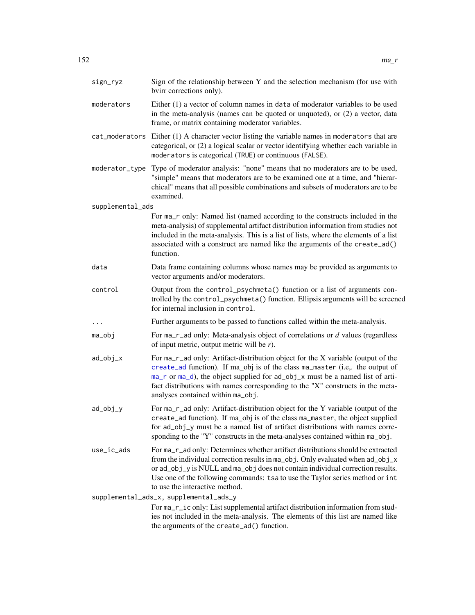| sign_ryz         | Sign of the relationship between Y and the selection mechanism (for use with<br>bvirr corrections only).                                                                                                                                                                                                                                                                  |
|------------------|---------------------------------------------------------------------------------------------------------------------------------------------------------------------------------------------------------------------------------------------------------------------------------------------------------------------------------------------------------------------------|
| moderators       | Either (1) a vector of column names in data of moderator variables to be used<br>in the meta-analysis (names can be quoted or unquoted), or (2) a vector, data<br>frame, or matrix containing moderator variables.                                                                                                                                                        |
|                  | cat_moderators Either (1) A character vector listing the variable names in moderators that are<br>categorical, or (2) a logical scalar or vector identifying whether each variable in<br>moderators is categorical (TRUE) or continuous (FALSE).                                                                                                                          |
| moderator_type   | Type of moderator analysis: "none" means that no moderators are to be used,<br>"simple" means that moderators are to be examined one at a time, and "hierar-<br>chical" means that all possible combinations and subsets of moderators are to be<br>examined.                                                                                                             |
| supplemental_ads |                                                                                                                                                                                                                                                                                                                                                                           |
|                  | For ma_r only: Named list (named according to the constructs included in the<br>meta-analysis) of supplemental artifact distribution information from studies not<br>included in the meta-analysis. This is a list of lists, where the elements of a list<br>associated with a construct are named like the arguments of the create_ad()<br>function.                     |
| data             | Data frame containing columns whose names may be provided as arguments to<br>vector arguments and/or moderators.                                                                                                                                                                                                                                                          |
| control          | Output from the control_psychmeta() function or a list of arguments con-<br>trolled by the control_psychmeta() function. Ellipsis arguments will be screened<br>for internal inclusion in control.                                                                                                                                                                        |
| $\cdots$         | Further arguments to be passed to functions called within the meta-analysis.                                                                                                                                                                                                                                                                                              |
| ma_obj           | For $ma_r$ and only: Meta-analysis object of correlations or $d$ values (regardless<br>of input metric, output metric will be $r$ ).                                                                                                                                                                                                                                      |
| ad_obj_x         | For ma_r_ad only: Artifact-distribution object for the X variable (output of the<br>create_ad function). If ma_obj is of the class ma_master (i.e,. the output of<br>ma_r or ma_d), the object supplied for ad_obj_x must be a named list of arti-<br>fact distributions with names corresponding to the "X" constructs in the meta-<br>analyses contained within ma_obj. |
| ad_obj_y         | For ma_r_ad only: Artifact-distribution object for the Y variable (output of the<br>create_ad function). If ma_obj is of the class ma_master, the object supplied<br>for ad_obj_y must be a named list of artifact distributions with names corre-<br>sponding to the "Y" constructs in the meta-analyses contained within ma_obj.                                        |
| use_ic_ads       | For ma_r_ad only: Determines whether artifact distributions should be extracted<br>from the individual correction results in ma_obj. Only evaluated when ad_obj_x<br>or ad_obj_y is NULL and ma_obj does not contain individual correction results.<br>Use one of the following commands: tsa to use the Taylor series method or int<br>to use the interactive method.    |
|                  | supplemental_ads_x, supplemental_ads_y                                                                                                                                                                                                                                                                                                                                    |
|                  | For ma_r_ic only: List supplemental artifact distribution information from stud-<br>ies not included in the meta-analysis. The elements of this list are named like<br>the arguments of the create_ad() function.                                                                                                                                                         |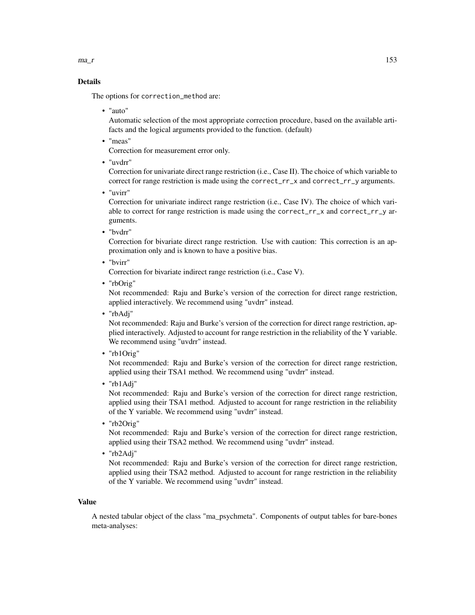$ma_r$  153

# Details

The options for correction\_method are:

• "auto"

Automatic selection of the most appropriate correction procedure, based on the available artifacts and the logical arguments provided to the function. (default)

• "meas"

Correction for measurement error only.

• "uvdrr"

Correction for univariate direct range restriction (i.e., Case II). The choice of which variable to correct for range restriction is made using the correct\_rr\_x and correct\_rr\_y arguments.

• "uvirr"

Correction for univariate indirect range restriction (i.e., Case IV). The choice of which variable to correct for range restriction is made using the correct\_rr\_x and correct\_rr\_y arguments.

• "bvdrr"

Correction for bivariate direct range restriction. Use with caution: This correction is an approximation only and is known to have a positive bias.

• "bvirr"

Correction for bivariate indirect range restriction (i.e., Case V).

• "rbOrig"

Not recommended: Raju and Burke's version of the correction for direct range restriction, applied interactively. We recommend using "uvdrr" instead.

• "rbAdj"

Not recommended: Raju and Burke's version of the correction for direct range restriction, applied interactively. Adjusted to account for range restriction in the reliability of the Y variable. We recommend using "uvdrr" instead.

• "rb1Orig"

Not recommended: Raju and Burke's version of the correction for direct range restriction, applied using their TSA1 method. We recommend using "uvdrr" instead.

• "rb1Adj"

Not recommended: Raju and Burke's version of the correction for direct range restriction, applied using their TSA1 method. Adjusted to account for range restriction in the reliability of the Y variable. We recommend using "uvdrr" instead.

• "rb2Orig"

Not recommended: Raju and Burke's version of the correction for direct range restriction, applied using their TSA2 method. We recommend using "uvdrr" instead.

• "rb2Adj"

Not recommended: Raju and Burke's version of the correction for direct range restriction, applied using their TSA2 method. Adjusted to account for range restriction in the reliability of the Y variable. We recommend using "uvdrr" instead.

#### Value

A nested tabular object of the class "ma\_psychmeta". Components of output tables for bare-bones meta-analyses: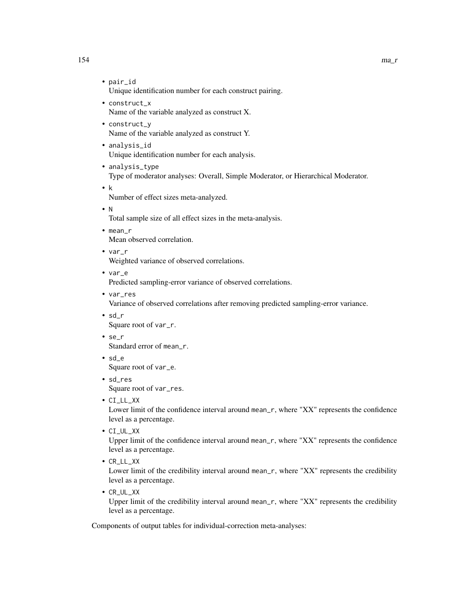- pair\_id Unique identification number for each construct pairing.
- construct\_x Name of the variable analyzed as construct X.
- construct\_y Name of the variable analyzed as construct Y.
- analysis\_id Unique identification number for each analysis.
- analysis\_type Type of moderator analyses: Overall, Simple Moderator, or Hierarchical Moderator.
- k

Number of effect sizes meta-analyzed.

• N

Total sample size of all effect sizes in the meta-analysis.

- mean\_r Mean observed correlation.
- var\_r

Weighted variance of observed correlations.

• var\_e

Predicted sampling-error variance of observed correlations.

- var\_res Variance of observed correlations after removing predicted sampling-error variance.
- sd\_r

Square root of var\_r.

- se\_r Standard error of mean\_r.
- sd\_e Square root of var\_e.
- sd\_res Square root of var\_res.
- CI\_LL\_XX

Lower limit of the confidence interval around mean\_r, where "XX" represents the confidence level as a percentage.

• CI\_UL\_XX

Upper limit of the confidence interval around mean\_r, where "XX" represents the confidence level as a percentage.

• CR\_LL\_XX

Lower limit of the credibility interval around mean\_r, where "XX" represents the credibility level as a percentage.

• CR\_UL\_XX

Upper limit of the credibility interval around mean\_r, where "XX" represents the credibility level as a percentage.

Components of output tables for individual-correction meta-analyses: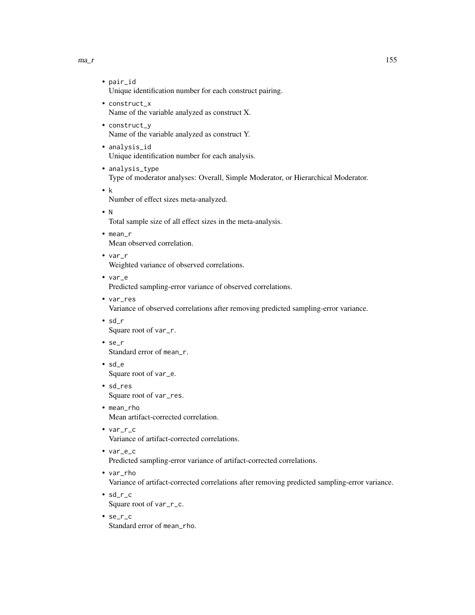$ma_r$  155

- pair\_id Unique identification number for each construct pairing.
- construct\_x Name of the variable analyzed as construct X.
- construct\_y Name of the variable analyzed as construct Y.
- analysis\_id Unique identification number for each analysis.
- analysis\_type Type of moderator analyses: Overall, Simple Moderator, or Hierarchical Moderator.
- k

Number of effect sizes meta-analyzed.

• N

Total sample size of all effect sizes in the meta-analysis.

- mean\_r Mean observed correlation.
- var\_r Weighted variance of observed correlations.
- var\_e Predicted sampling-error variance of observed correlations.
- var\_res Variance of observed correlations after removing predicted sampling-error variance.
- sd\_r Square root of var\_r.
- se\_r Standard error of mean\_r.
- sd\_e Square root of var\_e.
- sd\_res Square root of var\_res.
- mean rho Mean artifact-corrected correlation.
- var\_r\_c Variance of artifact-corrected correlations.
- var\_e\_c Predicted sampling-error variance of artifact-corrected correlations.
- var\_rho Variance of artifact-corrected correlations after removing predicted sampling-error variance.
- sd\_r\_c Square root of var\_r\_c.
- se\_r\_c Standard error of mean\_rho.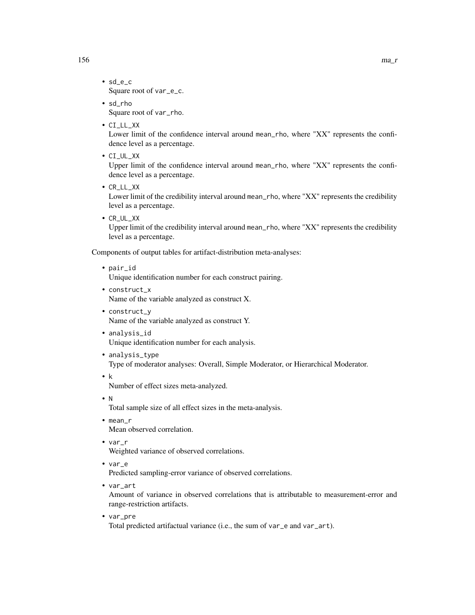- sd\_e\_c Square root of var\_e\_c.
- sd\_rho Square root of var\_rho.
- CI\_LL\_XX

Lower limit of the confidence interval around mean\_rho, where "XX" represents the confidence level as a percentage.

• CI\_UL\_XX

Upper limit of the confidence interval around mean\_rho, where "XX" represents the confidence level as a percentage.

• CR\_LL\_XX

Lower limit of the credibility interval around mean\_rho, where "XX" represents the credibility level as a percentage.

• CR\_UL\_XX

Upper limit of the credibility interval around mean\_rho, where "XX" represents the credibility level as a percentage.

Components of output tables for artifact-distribution meta-analyses:

• pair\_id

Unique identification number for each construct pairing.

- construct\_x Name of the variable analyzed as construct X.
- construct\_y Name of the variable analyzed as construct Y.
- analysis\_id Unique identification number for each analysis.
- analysis\_type

Type of moderator analyses: Overall, Simple Moderator, or Hierarchical Moderator.

• k

Number of effect sizes meta-analyzed.

• N

Total sample size of all effect sizes in the meta-analysis.

- mean\_r Mean observed correlation.
- var\_r

Weighted variance of observed correlations.

• var\_e

Predicted sampling-error variance of observed correlations.

• var\_art

Amount of variance in observed correlations that is attributable to measurement-error and range-restriction artifacts.

• var\_pre

Total predicted artifactual variance (i.e., the sum of var\_e and var\_art).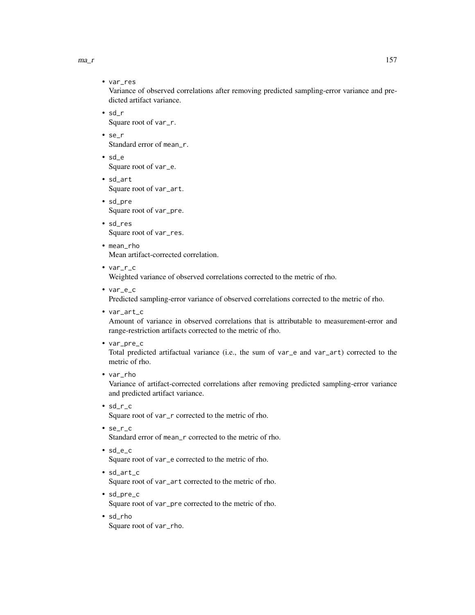$ma_r$  157

• var\_res

Variance of observed correlations after removing predicted sampling-error variance and predicted artifact variance.

- sd\_r Square root of var\_r.
- se\_r Standard error of mean\_r.
- sd\_e Square root of var\_e.
- sd\_art Square root of var\_art.
- sd\_pre Square root of var\_pre.
- sd\_res Square root of var\_res.
- mean\_rho Mean artifact-corrected correlation.
- var\_r\_c Weighted variance of observed correlations corrected to the metric of rho.
- var\_e\_c

Predicted sampling-error variance of observed correlations corrected to the metric of rho.

• var\_art\_c

Amount of variance in observed correlations that is attributable to measurement-error and range-restriction artifacts corrected to the metric of rho.

- var\_pre\_c Total predicted artifactual variance (i.e., the sum of var\_e and var\_art) corrected to the metric of rho.
- var\_rho

Variance of artifact-corrected correlations after removing predicted sampling-error variance and predicted artifact variance.

- sd\_r\_c Square root of var\_r corrected to the metric of rho.
- se\_r\_c Standard error of mean\_r corrected to the metric of rho.
- sd\_e\_c

Square root of var\_e corrected to the metric of rho.

- sd\_art\_c Square root of var\_art corrected to the metric of rho.
- sd\_pre\_c Square root of var\_pre corrected to the metric of rho.
- sd\_rho Square root of var\_rho.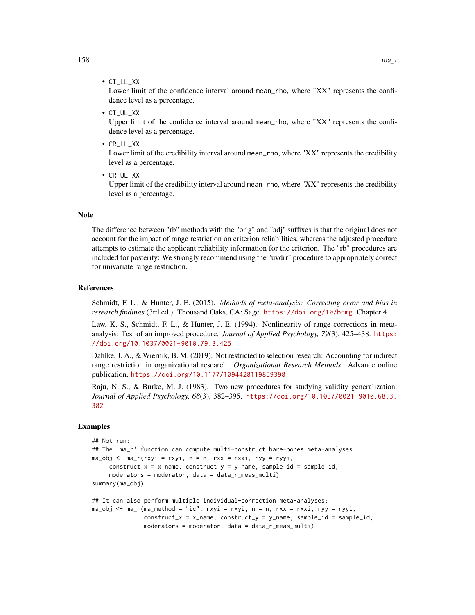• CI\_LL\_XX

Lower limit of the confidence interval around mean\_rho, where "XX" represents the confidence level as a percentage.

• CI\_UL\_XX

Upper limit of the confidence interval around mean\_rho, where "XX" represents the confidence level as a percentage.

• CR\_LL\_XX

Lower limit of the credibility interval around mean\_rho, where "XX" represents the credibility level as a percentage.

• CR\_UL\_XX

Upper limit of the credibility interval around mean\_rho, where "XX" represents the credibility level as a percentage.

#### **Note**

The difference between "rb" methods with the "orig" and "adj" suffixes is that the original does not account for the impact of range restriction on criterion reliabilities, whereas the adjusted procedure attempts to estimate the applicant reliability information for the criterion. The "rb" procedures are included for posterity: We strongly recommend using the "uvdrr" procedure to appropriately correct for univariate range restriction.

#### References

Schmidt, F. L., & Hunter, J. E. (2015). *Methods of meta-analysis: Correcting error and bias in research findings* (3rd ed.). Thousand Oaks, CA: Sage. <https://doi.org/10/b6mg>. Chapter 4.

Law, K. S., Schmidt, F. L., & Hunter, J. E. (1994). Nonlinearity of range corrections in metaanalysis: Test of an improved procedure. *Journal of Applied Psychology, 79*(3), 425–438. [https:](https://doi.org/10.1037/0021-9010.79.3.425) [//doi.org/10.1037/0021-9010.79.3.425](https://doi.org/10.1037/0021-9010.79.3.425)

Dahlke, J. A., & Wiernik, B. M. (2019). Not restricted to selection research: Accounting for indirect range restriction in organizational research. *Organizational Research Methods*. Advance online publication. <https://doi.org/10.1177/1094428119859398>

Raju, N. S., & Burke, M. J. (1983). Two new procedures for studying validity generalization. *Journal of Applied Psychology, 68*(3), 382–395. [https://doi.org/10.1037/0021-9010.68.3.](https://doi.org/10.1037/0021-9010.68.3.382) [382](https://doi.org/10.1037/0021-9010.68.3.382)

#### Examples

```
## Not run:
## The 'ma_r' function can compute multi-construct bare-bones meta-analyses:
ma\_obj \leq ma_r(rxyi = rxyi, n = n, rxx = rxxi, ryy = ryyi,construct_x = x_name, construct_y = y_name, sample_id = sample_id,
     moderators = moderator, data = data_r_meas_multi)
summary(ma_obj)
## It can also perform multiple individual-correction meta-analyses:
ma\_obj \leq ma_r(ma\_method = "ic", rxyi = rxyi, n = n, rxx = rxxi, ryy = ryyi,construct_x = x_name, construct_y = y_name, sample_id = sample_id,
```

```
moderators = moderator, data = data_r_meas_multi)
```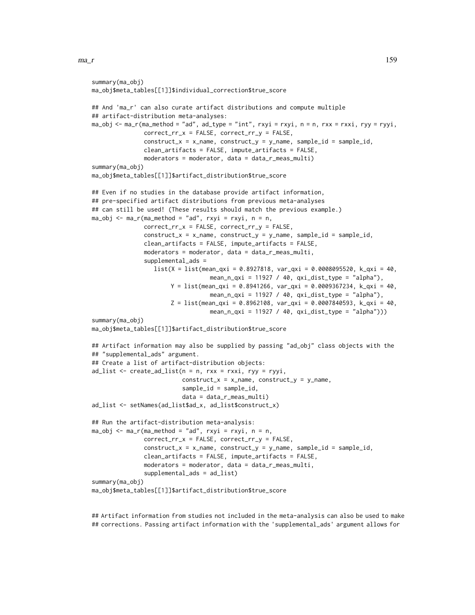```
summary(ma_obj)
ma_obj$meta_tables[[1]]$individual_correction$true_score
## And 'ma_r' can also curate artifact distributions and compute multiple
## artifact-distribution meta-analyses:
ma_obj \leq ma_r(ma_method = "ad", ad_type = "int", rxyi = rxyi, n = n, rxx = rxxi, ryy = ryyi,correct_rr_x = FALSE, correct_rr_y = FALSE,
               construct_x = x_name, construct_y = y_name, sample_id = sample_id,
               clean_artifacts = FALSE, impute_artifacts = FALSE,
               moderators = moderator, data = data_r_meas_multi)
summary(ma_obj)
ma_obj$meta_tables[[1]]$artifact_distribution$true_score
## Even if no studies in the database provide artifact information,
## pre-specified artifact distributions from previous meta-analyses
## can still be used! (These results should match the previous example.)
ma_obj \leq ma_r(max_method = "ad", rxyi = rxyi, n = n,correct_rr_x = FALSE, correct_rr_y = FALSE,
               construct_x = x_name, construct_y = y_name, sample_id = sample_id,clean_artifacts = FALSE, impute_artifacts = FALSE,
               moderators = moderator, data = data_r_meas_multi,
               supplemental_ads =
                  list(X = list(mean_qxi = 0.8927818, var_qxi = 0.0008095520, k_qxi = 40,
                                   mean_n_qxi = 11927 / 40, qxi_dist_type = "alpha"),
                       Y = list(mean_{\text{axi}} = 0.8941266, \text{var}_{\text{axi}} = 0.0009367234, \text{ k}_{\text{axi}} = 40,mean_n_qxi = 11927 / 40, qxi_dist_type = "alpha",Z = list(mean_{\text{axi}} = 0.8962108, \text{var}_{\text{axi}} = 0.0007840593, \text{ k}_{\text{axi}} = 40,mean_n_qxi = 11927 / 40, qxi_dist_type = "alpha")summary(ma_obj)
ma_obj$meta_tables[[1]]$artifact_distribution$true_score
## Artifact information may also be supplied by passing "ad_obj" class objects with the
## "supplemental_ads" argument.
## Create a list of artifact-distribution objects:
ad\_list \le - create_ad_list(n = n, rxx = rxxi, ryy = ryyi,
                           construct_x = x_name, construct_y = y_name,sample_id = sample_id,
                           data = data_r_meas_multi)
ad_list <- setNames(ad_list$ad_x, ad_list$construct_x)
## Run the artifact-distribution meta-analysis:
ma\_obj \leq ma_r(max\_method = "ad", rxyi = rxyi, n = n,correct_rr_x = FALSE, correct_rr_y = FALSE,
               construct_x = x_name, construct_y = y_name, sample_id = sample_id,clean_artifacts = FALSE, impute_artifacts = FALSE,
               moderators = moderator, data = data_r_meas_multi,
               supplemental_ads = ad_list)
summary(ma_obj)
ma_obj$meta_tables[[1]]$artifact_distribution$true_score
```
## Artifact information from studies not included in the meta-analysis can also be used to make ## corrections. Passing artifact information with the 'supplemental\_ads' argument allows for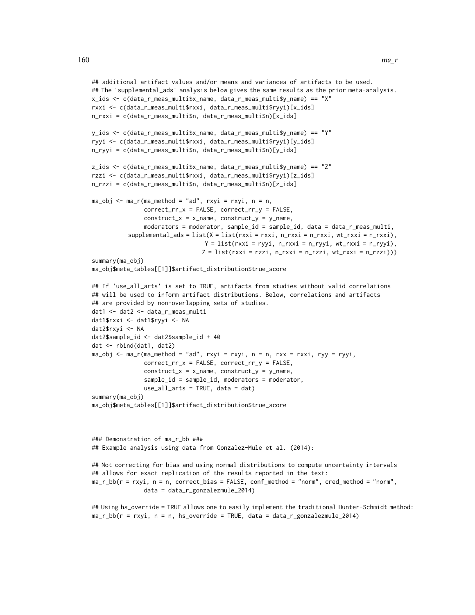```
## additional artifact values and/or means and variances of artifacts to be used.
## The 'supplemental_ads' analysis below gives the same results as the prior meta-analysis.
x_ids <- c(data_r_meas_multi$x_name, data_r_meas_multi$y_name) == "X"
rxxi <- c(data_r_meas_multi$rxxi, data_r_meas_multi$ryyi)[x_ids]
n_rxxi = c(data_r_meas_multi$n, data_r_meas_multi$n)[x_ids]
y_ids <- c(data_r_meas_multi$x_name, data_r_meas_multi$y_name) == "Y"
ryyi <- c(data_r_meas_multi$rxxi, data_r_meas_multi$ryyi)[y_ids]
n_ryyi = c(data_r_meas_multi$n, data_r_meas_multi$n)[y_ids]
z_ids <- c(data_r_meas_multi$x_name, data_r_meas_multi$y_name) == "Z"
rzzi <- c(data_r_meas_multi$rxxi, data_r_meas_multi$ryyi)[z_ids]
n_rzzi = c(data_r_meas_multi$n, data_r_meas_multi$n)[z_ids]
ma_obj \leq ma_r(max_method = "ad", rxyi = rxyi, n = n,correct_rr_x = FALSE, correct_rr_y = FALSE,
               construct_x = x_name, construct_y = y_name,
               moderators = moderator, sample_id = sample_id, data = data_r_meas_multi,
          supplemental\_ads = list(X = list(rxxi = rxxi, n_rxxi = n_rxxxi, wt_rxxxi = n_rxxxi),Y = list(rxxi = ryyi, n_rxxi = n_ryyi, wt_rxxi = n_ryyi),Z = list(rxxi = rzzi, n_rxxi = n_rzzi, wt_rxxi = n_rzzi))summary(ma_obj)
ma_obj$meta_tables[[1]]$artifact_distribution$true_score
## If 'use_all_arts' is set to TRUE, artifacts from studies without valid correlations
## will be used to inform artifact distributions. Below, correlations and artifacts
## are provided by non-overlapping sets of studies.
dat1 <- dat2 <- data_r_meas_multi
dat1$rxxi <- dat1$ryyi <- NA
dat2$rxyi <- NA
dat2$sample_id <- dat2$sample_id + 40
dat <- rbind(dat1, dat2)
ma_obj < - ma_r(maxmethod = "ad", rxyi = rxyi, n = n, rxx = rxxi, ryy = ryyi,correct_rr_x = FALSE, correct_rr_y = FALSE,
               construct_x = x_name, construct_y = y_name,sample_id = sample_id, moderators = moderator,
               use_all_arts = TRUE, data = dat)
summary(ma_obj)
ma_obj$meta_tables[[1]]$artifact_distribution$true_score
### Demonstration of ma_r_bb ###
## Example analysis using data from Gonzalez-Mule et al. (2014):
## Not correcting for bias and using normal distributions to compute uncertainty intervals
## allows for exact replication of the results reported in the text:
```

```
ma_r_bb(r = rxyi, n = n, correct_bias = FALSE, conf_method = "norm", cred_method = "norm",
               data = data_r_gonzalezmule_2014)
```

```
## Using hs_override = TRUE allows one to easily implement the traditional Hunter-Schmidt method:
ma_r_bb(r = rxyi, n = n, hs_override = TRUE, data = data_r_gonzalezmule_2014)
```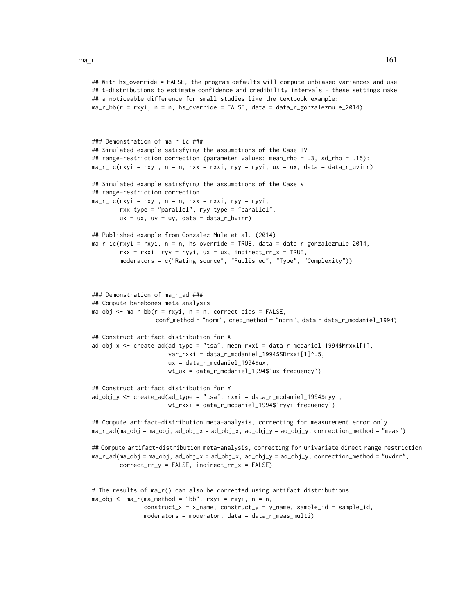```
## With hs_override = FALSE, the program defaults will compute unbiased variances and use
## t-distributions to estimate confidence and credibility intervals - these settings make
## a noticeable difference for small studies like the textbook example:
ma_r_bbb(r = rxyi, n = n, hs_override = FALSE, data = data_r_gonzalezmule_2014)
### Demonstration of ma_r_ic ###
## Simulated example satisfying the assumptions of the Case IV
## range-restriction correction (parameter values: mean_rho = .3, sd_rho = .15):
ma_r_ic(rxyi = rxyi, n = n, rxx = rxxi, ryy = ryyi, ux = ux, data = data_r_uvirr)
## Simulated example satisfying the assumptions of the Case V
## range-restriction correction
ma\_r\_ic(rxyi = rxyi, n = n, rxx = rxxi, ryy = ryyi,rxx_type = "parallel", ryy_type = "parallel",
        ux = ux, uy = uy, data = data_r_bvirr)
## Published example from Gonzalez-Mule et al. (2014)
ma_r_ic(rxyi = rxyi, n = n, hs_override = TRUE, data = data_r_gonzalezmule_2014,
        rxx = rxxi, ryy = ryyi, ux = ux, indirect_rrx = TRUE,
        moderators = c("Rating source", "Published", "Type", "Complexity"))
### Demonstration of ma_r_ad ###
## Compute barebones meta-analysis
ma\_obj \leq ma_r_bbc(r = rxyi, n = n, correct_bias = FALSE,conf_method = "norm", cred_method = "norm", data = data_r_mcdaniel_1994)
## Construct artifact distribution for X
ad_obj_x <- create_ad(ad_type = "tsa", mean_rxxi = data_r_mcdaniel_1994$Mrxxi[1],
                      var_rxxi = data_r_mcdaniel_1994$SDrxxi[1]^.5,
                      ux = data_r_mcdaniel_1994$ux,
                      wt_ux = data_r_mcdaniel_1994$`ux frequency`)
## Construct artifact distribution for Y
ad_obj_y <- create_ad(ad_type = "tsa", rxxi = data_r_mcdaniel_1994$ryyi,
                      wt_rxxi = data_r_mcdaniel_1994$`ryyi frequency`)
## Compute artifact-distribution meta-analysis, correcting for measurement error only
ma_r_ad(ma_obj = ma_obj, ad_obj_x = ad_obj_x, ad_obj_y = ad_obj_y, correction_method = "meas")
## Compute artifact-distribution meta-analysis, correcting for univariate direct range restriction
ma_r_ad(ma_obj = ma_obj, ad_obj_x = ad_obj_x, ad_obj_y = ad_obj_y, correction_method = "uvdrr",
        correct_rr_y = FALSE, indirect_rr_x = FALSE)
# The results of ma_r() can also be corrected using artifact distributions
ma_obj \leq ma_r(max_method = "bb", rxyi = rxyi, n = n,construct_x = x_name, construct_y = y_name, sample_id = sample_id,moderators = moderator, data = data_r_meas_multi)
```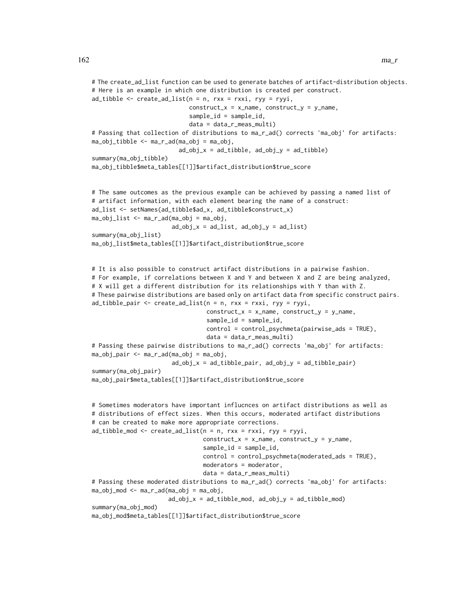```
# The create_ad_list function can be used to generate batches of artifact-distribution objects.
# Here is an example in which one distribution is created per construct.
ad_tibble \leq create_ad_tist(n = n, rxx = rxxi, ryy = ryyi,construct_x = x_name, construct_y = y_name,sample_id = sample_id,
                            data = data_r_meas_multi)
# Passing that collection of distributions to ma_r_ad() corrects 'ma_obj' for artifacts:
ma_obj_tibble <- ma_r_ad(ma_obj = ma_obj,
                         ad\_obj_x = ad\_tibble, ad\_obj_y = ad\_tibble)summary(ma_obj_tibble)
ma_obj_tibble$meta_tables[[1]]$artifact_distribution$true_score
# The same outcomes as the previous example can be achieved by passing a named list of
# artifact information, with each element bearing the name of a construct:
ad_list <- setNames(ad_tibble$ad_x, ad_tibble$construct_x)
ma_obj_list <- ma_r_ad(ma_obj = ma_obj,
                       ad\_obj_x = ad\_list, ad\_obj_y = ad\_list)summary(ma_obj_list)
ma_obj_list$meta_tables[[1]]$artifact_distribution$true_score
# It is also possible to construct artifact distributions in a pairwise fashion.
# For example, if correlations between X and Y and between X and Z are being analyzed,
# X will get a different distribution for its relationships with Y than with Z.
# These pairwise distributions are based only on artifact data from specific construct pairs.
ad\_tibble\_pair \leftarrow create\_ad\_list(n = n, rxx = rxxi, ryy = ryyi,construct_x = x_name, construct_y = y_name,
                                 sample_id = sample_id,
                                 control = control_psychmeta(pairwise_ads = TRUE),
                                 data = data_r_meas_multi)
# Passing these pairwise distributions to ma_r_ad() corrects 'ma_obj' for artifacts:
ma_obj_pair <- ma_r_ad(ma_obj = ma_obj,
                       ad\_obj_x = ad\_tibble\_pair, ad\_obj_y = ad\_tibble\_pair)summary(ma_obj_pair)
ma_obj_pair$meta_tables[[1]]$artifact_distribution$true_score
# Sometimes moderators have important influcnces on artifact distributions as well as
# distributions of effect sizes. When this occurs, moderated artifact distributions
# can be created to make more appropriate corrections.
ad_tibble_mod <- create_ad_list(n = n, rxx = rxxi, ryy = ryyi,
                                construct_x = x_name, construct_y = y_name,
                                sample_id = sample_id,
                                control = control_psychmeta(moderated_ads = TRUE),
                                moderators = moderator,
                                data = data_r_meas_multi)
# Passing these moderated distributions to ma_r_ad() corrects 'ma_obj' for artifacts:
ma_obj_mod <- ma_r_ad(ma_obj = ma_obj,
                      ad\_obj\_x = ad\_tibble\_mod, ad\_obj\_y = ad\_tibble\_mod)summary(ma_obj_mod)
ma_obj_mod$meta_tables[[1]]$artifact_distribution$true_score
```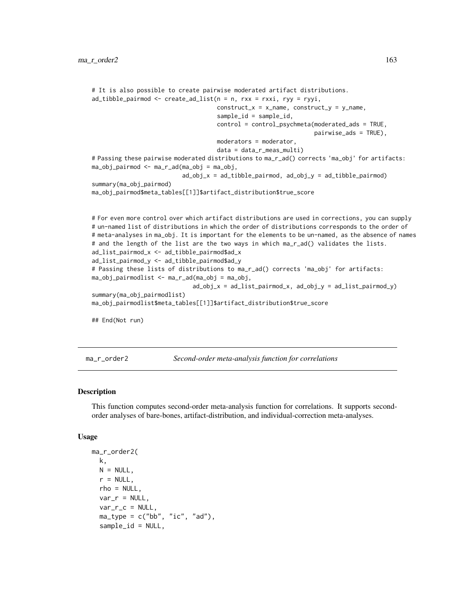```
# It is also possible to create pairwise moderated artifact distributions.
ad_tibble_pairmod <- create_ad_list(n = n, rxx = rxxi, ryy = ryyi,
                                    construct_x = x_name, construct_y = y_name,sample_id = sample_id,
                                    control = control_psychmeta(moderated_ads = TRUE,
                                                                 pairwise_ads = TRUE),
                                    moderators = moderator,
                                    data = data_r_meas_multi)
# Passing these pairwise moderated distributions to ma_r_ad() corrects 'ma_obj' for artifacts:
ma_obj_pairmod <- ma_r_ad(ma_obj = ma_obj,
                          ad_obj_x = ad_tibble_pairmod, ad_obj_y = ad_tibble_pairmod)
summary(ma_obj_pairmod)
ma_obj_pairmod$meta_tables[[1]]$artifact_distribution$true_score
# For even more control over which artifact distributions are used in corrections, you can supply
# un-named list of distributions in which the order of distributions corresponds to the order of
# meta-analyses in ma_obj. It is important for the elements to be un-named, as the absence of names
# and the length of the list are the two ways in which ma_r_ad() validates the lists.
ad_list_pairmod_x <- ad_tibble_pairmod$ad_x
ad_list_pairmod_y <- ad_tibble_pairmod$ad_y
# Passing these lists of distributions to ma_r_ad() corrects 'ma_obj' for artifacts:
ma_obj_pairmodlist <- ma_r_ad(ma_obj = ma_obj,
                             ad_obj_x = ad_list_pairmod_x, ad_obj_y = ad_list_pairmod_y)
summary(ma_obj_pairmodlist)
ma_obj_pairmodlist$meta_tables[[1]]$artifact_distribution$true_score
```
## End(Not run)

ma\_r\_order2 *Second-order meta-analysis function for correlations*

#### Description

This function computes second-order meta-analysis function for correlations. It supports secondorder analyses of bare-bones, artifact-distribution, and individual-correction meta-analyses.

```
ma_r_order2(
 k,
 N = NULL,
  r = NULL,
  rho = NULL,
  var_r = NULL,
  var_r_c = NULL,ma_type = c("bb", "ic", "ad"),sample_id = NULL,
```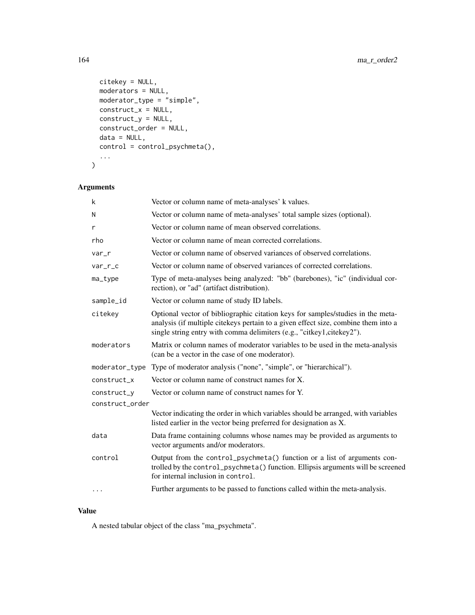```
citekey = NULL,
 moderators = NULL,
 moderator_type = "simple",
 construct_x = NULL,
 construct_y = NULL,
 construct_order = NULL,
 data = NULL,control = control_psychmeta(),
  ...
\mathcal{L}
```
# Arguments

| Vector or column name of meta-analyses' k values.<br>k                                                                                                                                                        |                                                                                                                                                                                                                                                |
|---------------------------------------------------------------------------------------------------------------------------------------------------------------------------------------------------------------|------------------------------------------------------------------------------------------------------------------------------------------------------------------------------------------------------------------------------------------------|
| Vector or column name of meta-analyses' total sample sizes (optional).<br>N                                                                                                                                   |                                                                                                                                                                                                                                                |
| r                                                                                                                                                                                                             | Vector or column name of mean observed correlations.                                                                                                                                                                                           |
| rho                                                                                                                                                                                                           | Vector or column name of mean corrected correlations.                                                                                                                                                                                          |
| var_r                                                                                                                                                                                                         | Vector or column name of observed variances of observed correlations.                                                                                                                                                                          |
| var_r_c                                                                                                                                                                                                       | Vector or column name of observed variances of corrected correlations.                                                                                                                                                                         |
| ma_type                                                                                                                                                                                                       | Type of meta-analyses being analyzed: "bb" (barebones), "ic" (individual cor-<br>rection), or "ad" (artifact distribution).                                                                                                                    |
| sample_id                                                                                                                                                                                                     | Vector or column name of study ID labels.                                                                                                                                                                                                      |
| citekey                                                                                                                                                                                                       | Optional vector of bibliographic citation keys for samples/studies in the meta-<br>analysis (if multiple citekeys pertain to a given effect size, combine them into a<br>single string entry with comma delimiters (e.g., "citkey1,citekey2"). |
| moderators                                                                                                                                                                                                    | Matrix or column names of moderator variables to be used in the meta-analysis<br>(can be a vector in the case of one moderator).                                                                                                               |
| moderator_type                                                                                                                                                                                                | Type of moderator analysis ("none", "simple", or "hierarchical").                                                                                                                                                                              |
| construct x                                                                                                                                                                                                   | Vector or column name of construct names for X.                                                                                                                                                                                                |
| construct_y                                                                                                                                                                                                   | Vector or column name of construct names for Y.                                                                                                                                                                                                |
| construct_order                                                                                                                                                                                               |                                                                                                                                                                                                                                                |
|                                                                                                                                                                                                               | Vector indicating the order in which variables should be arranged, with variables<br>listed earlier in the vector being preferred for designation as X.                                                                                        |
| data                                                                                                                                                                                                          | Data frame containing columns whose names may be provided as arguments to<br>vector arguments and/or moderators.                                                                                                                               |
| Output from the control_psychmeta() function or a list of arguments con-<br>control<br>trolled by the control_psychmeta() function. Ellipsis arguments will be screened<br>for internal inclusion in control. |                                                                                                                                                                                                                                                |
| $\cdots$                                                                                                                                                                                                      | Further arguments to be passed to functions called within the meta-analysis.                                                                                                                                                                   |

# Value

A nested tabular object of the class "ma\_psychmeta".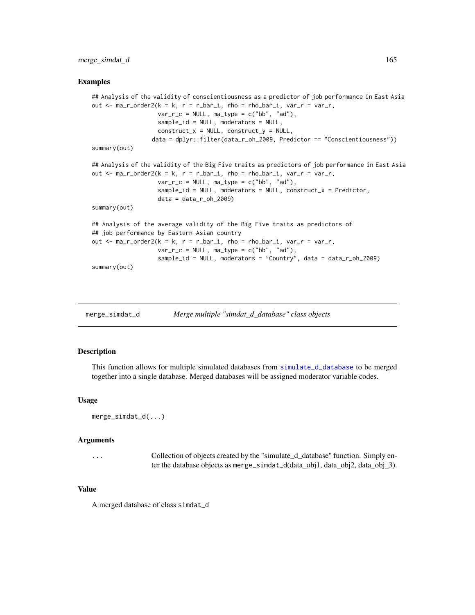#### merge\_simdat\_d 165

#### Examples

```
## Analysis of the validity of conscientiousness as a predictor of job performance in East Asia
out \le ma_r_order2(k = k, r = r_bar_i, rho = rho_bar_i, var_r = var_r,
                   var_r_c = NULL, ma_type = c("bb", "ad"),sample_id = NULL, moderators = NULL,
                   construct_x = NULL, construct_y = NULL,
                 data = dplyr::filter(data_r_oh_2009, Predictor == "Conscientiousness"))
summary(out)
## Analysis of the validity of the Big Five traits as predictors of job performance in East Asia
out \le ma_r_order2(k = k, r = r_bar_i, rho = rho_bar_i, var_r = var_r,
                   var_r_c = NULL, ma_type = c("bb", "ad"),sample_id = NULL, moderators = NULL, construct_x = Predictor,
                   data = data_r_oh_2009summary(out)
## Analysis of the average validity of the Big Five traits as predictors of
## job performance by Eastern Asian country
out \leq ma_r_order2(k = k, r = r_bar_i, rho = rho_bar_i, var_r = var_r,
                   var_r_c = NULL, ma_type = c("bb", "ad"),
                   sample_id = NULL, moderators = "Country", data = data_r_oh_2009)
summary(out)
```
merge\_simdat\_d *Merge multiple "simdat\_d\_database" class objects*

#### **Description**

This function allows for multiple simulated databases from [simulate\\_d\\_database](#page-190-0) to be merged together into a single database. Merged databases will be assigned moderator variable codes.

#### Usage

```
merge_simdat_d(...)
```
#### Arguments

```
... Collection of objects created by the "simulate_d_database" function. Simply en-
                 ter the database objects as merge_simdat_d(data_obj1, data_obj2, data_obj_3).
```
### Value

A merged database of class simdat\_d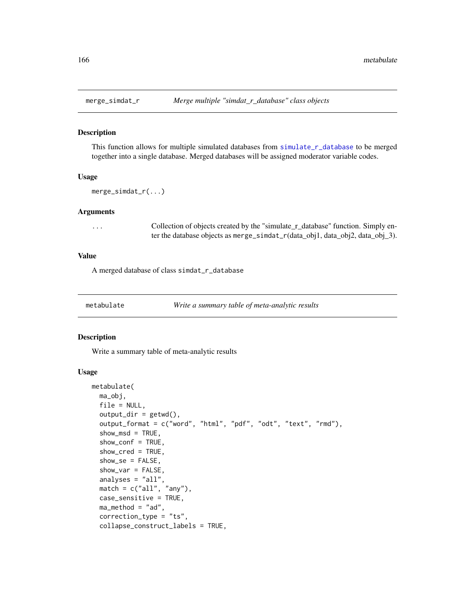#### Description

This function allows for multiple simulated databases from [simulate\\_r\\_database](#page-197-0) to be merged together into a single database. Merged databases will be assigned moderator variable codes.

#### Usage

```
merge_simdat_r(...)
```
### Arguments

... Collection of objects created by the "simulate\_r\_database" function. Simply enter the database objects as merge\_simdat\_r(data\_obj1, data\_obj2, data\_obj\_3).

#### Value

A merged database of class simdat\_r\_database

<span id="page-165-0"></span>

metabulate *Write a summary table of meta-analytic results*

#### Description

Write a summary table of meta-analytic results

```
metabulate(
  ma_obj,
  file = NULL,
  output\_dir = getwd(),
  output_format = c("word", "html", "pdf", "odt", "text", "rmd"),
  show_msd = TRUE,show_conf = TRUE,
  show_cred = TRUE,
  show\_se = FALSE,show_var = FALSE,
  analyses = "all",
  match = c("all", "any"),
  case_sensitive = TRUE,
  ma_method = "ad",correction_type = "ts",
  collapse_construct_labels = TRUE,
```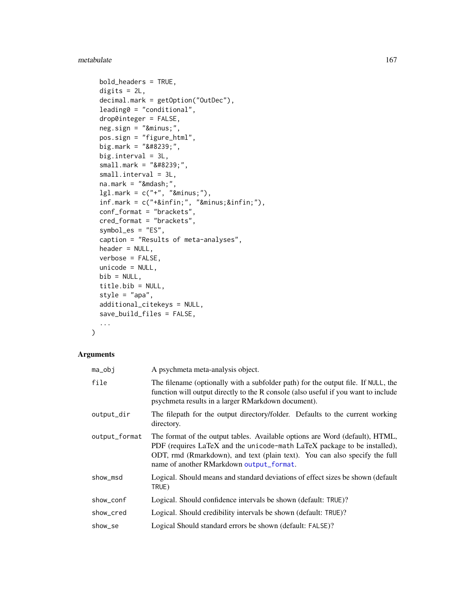#### metabulate the contract of the contract of the contract of the contract of the contract of the contract of the contract of the contract of the contract of the contract of the contract of the contract of the contract of the

```
bold_headers = TRUE,
digits = 2L,
decimal.mark = getOption("OutDec"),
leading0 = "conditional",
drop0integer = FALSE,
neg.sizen = "−",
pos.sign = "figure_html",
big.mark = " ",
big.interval = 3L,
small. mark = " ",small.interval = 3L,
na.mark = "Qmdash,"lgl.mark = c("+", "−"),inf.maxk = c("+∞", "−∞"),conf_format = "brackets",
cred_format = "brackets",
symbol_es = "ES",
caption = "Results of meta-analyses",
header = NULL,
verbose = FALSE,
unicode = NULL,
bib = NULL,title.bib = NULL,
style = "apa",
additional_citekeys = NULL,
save_build_files = FALSE,
...
```
### Arguments

 $\mathcal{L}$ 

| ma_obj        | A psychmeta meta-analysis object.                                                                                                                                                                                                                                                  |
|---------------|------------------------------------------------------------------------------------------------------------------------------------------------------------------------------------------------------------------------------------------------------------------------------------|
| file          | The filename (optionally with a subfolder path) for the output file. If NULL, the<br>function will output directly to the R console (also useful if you want to include<br>psychmeta results in a larger RMarkdown document).                                                      |
| output_dir    | The filepath for the output directory/folder. Defaults to the current working<br>directory.                                                                                                                                                                                        |
| output_format | The format of the output tables. Available options are Word (default), HTML,<br>PDF (requires LaTeX and the unicode-math LaTeX package to be installed),<br>ODT, rmd (Rmarkdown), and text (plain text). You can also specify the full<br>name of another RMarkdown output_format. |
| show_msd      | Logical. Should means and standard deviations of effect sizes be shown (default<br>TRUE)                                                                                                                                                                                           |
| show_conf     | Logical. Should confidence intervals be shown (default: TRUE)?                                                                                                                                                                                                                     |
| show cred     | Logical. Should credibility intervals be shown (default: TRUE)?                                                                                                                                                                                                                    |
| show_se       | Logical Should standard errors be shown (default: FALSE)?                                                                                                                                                                                                                          |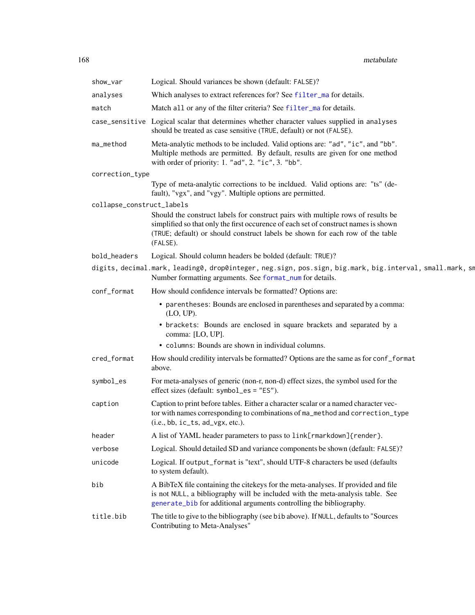| show_var                  | Logical. Should variances be shown (default: FALSE)?                                                                                                                                                                                                                 |
|---------------------------|----------------------------------------------------------------------------------------------------------------------------------------------------------------------------------------------------------------------------------------------------------------------|
| analyses                  | Which analyses to extract references for? See filter_ma for details.                                                                                                                                                                                                 |
| match                     | Match all or any of the filter criteria? See filter_ma for details.                                                                                                                                                                                                  |
|                           | case_sensitive Logical scalar that determines whether character values supplied in analyses<br>should be treated as case sensitive (TRUE, default) or not (FALSE).                                                                                                   |
| ma_method                 | Meta-analytic methods to be included. Valid options are: "ad", "ic", and "bb".<br>Multiple methods are permitted. By default, results are given for one method<br>with order of priority: 1. "ad", 2. "ic", 3. "bb".                                                 |
| correction_type           |                                                                                                                                                                                                                                                                      |
|                           | Type of meta-analytic corrections to be incldued. Valid options are: "ts" (de-<br>fault), "vgx", and "vgy". Multiple options are permitted.                                                                                                                          |
| collapse_construct_labels |                                                                                                                                                                                                                                                                      |
|                           | Should the construct labels for construct pairs with multiple rows of results be<br>simplified so that only the first occurence of each set of construct names is shown<br>(TRUE; default) or should construct labels be shown for each row of the table<br>(FALSE). |
| bold_headers              | Logical. Should column headers be bolded (default: TRUE)?                                                                                                                                                                                                            |
|                           | digits, decimal.mark, leading0, drop0integer, neg.sign, pos.sign, big.mark, big.interval, small.mark, sm<br>Number formatting arguments. See format_num for details.                                                                                                 |
| conf_format               | How should confidence intervals be formatted? Options are:                                                                                                                                                                                                           |
|                           | • parentheses: Bounds are enclosed in parentheses and separated by a comma:<br>$(LO, UP)$ .                                                                                                                                                                          |
|                           | • brackets: Bounds are enclosed in square brackets and separated by a<br>comma: [LO, UP].                                                                                                                                                                            |
|                           | • columns: Bounds are shown in individual columns.                                                                                                                                                                                                                   |
| cred_format               | How should credility intervals be formatted? Options are the same as for conf_format<br>above.                                                                                                                                                                       |
| symbol_es                 | For meta-analyses of generic (non-r, non-d) effect sizes, the symbol used for the<br>effect sizes (default: symbol_es = "ES").                                                                                                                                       |
| caption                   | Caption to print before tables. Either a character scalar or a named character vec-<br>tor with names corresponding to combinations of ma_method and correction_type<br>$(i.e., bb, ic_t, ad_vgx, etc.).$                                                            |
| header                    | A list of YAML header parameters to pass to link[rmarkdown]{render}.                                                                                                                                                                                                 |
| verbose                   | Logical. Should detailed SD and variance components be shown (default: FALSE)?                                                                                                                                                                                       |
| unicode                   | Logical. If output_format is "text", should UTF-8 characters be used (defaults<br>to system default).                                                                                                                                                                |
| bib                       | A BibTeX file containing the citekeys for the meta-analyses. If provided and file<br>is not NULL, a bibliography will be included with the meta-analysis table. See<br>generate_bib for additional arguments controlling the bibliography.                           |
| title.bib                 | The title to give to the bibliography (see bib above). If NULL, defaults to "Sources<br>Contributing to Meta-Analyses"                                                                                                                                               |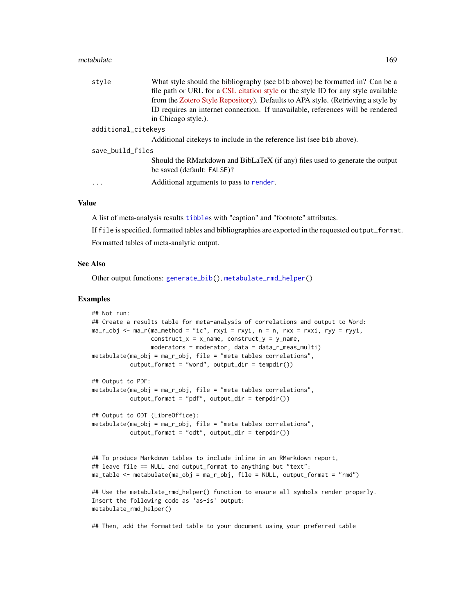#### metabulate the contract of the contract of the contract of the contract of the contract of the contract of the contract of the contract of the contract of the contract of the contract of the contract of the contract of the

| style               | What style should the bibliography (see bib above) be formatted in? Can be a                               |  |
|---------------------|------------------------------------------------------------------------------------------------------------|--|
|                     | file path or URL for a CSL citation style or the style ID for any style available                          |  |
|                     | from the Zotero Style Repository). Defaults to APA style. (Retrieving a style by                           |  |
|                     | ID requires an internet connection. If unavailable, references will be rendered                            |  |
|                     | in Chicago style.).                                                                                        |  |
| additional_citekeys |                                                                                                            |  |
|                     | Additional citekeys to include in the reference list (see bib above).                                      |  |
| save_build_files    |                                                                                                            |  |
|                     | Should the RMarkdown and BibLaTeX (if any) files used to generate the output<br>be saved (default: FALSE)? |  |
| $\cdots$            | Additional arguments to pass to render.                                                                    |  |
|                     |                                                                                                            |  |

#### Value

A list of meta-analysis results [tibble](#page-0-0)s with "caption" and "footnote" attributes.

If file is specified, formatted tables and bibliographies are exported in the requested output\_format. Formatted tables of meta-analytic output.

#### See Also

Other output functions: [generate\\_bib\(](#page-113-0)), [metabulate\\_rmd\\_helper\(](#page-169-0))

#### Examples

```
## Not run:
## Create a results table for meta-analysis of correlations and output to Word:
ma_r<sub>o</sub>bj <- ma_r(ma_method = "ic", rxyi = rxyi, n = n, rxx = rxxi, ryy = ryyi,
                 construct_x = x_name, construct_y = y_name,
                 moderators = moderator, data = data_r_meas_multi)
metabulate(ma_obj = ma_r_obj, file = "meta tables correlations",
           output_format = "word", output_dir = tempdir())
## Output to PDF:
metabulate(ma_obj = ma_r_obj, file = "meta tables correlations",
           output_format = "pdf", output_dir = tempdir())
## Output to ODT (LibreOffice):
metabulate(ma_obj = ma_r_obj, file = "meta tables correlations",output_format = "odt", output_dir = tempdir())## To produce Markdown tables to include inline in an RMarkdown report,
## leave file == NULL and output_format to anything but "text":
ma_table <- metabulate(ma_obj = ma_r_obj, file = NULL, output_format = "rmd")
## Use the metabulate_rmd_helper() function to ensure all symbols render properly.
Insert the following code as 'as-is' output:
metabulate_rmd_helper()
```
## Then, add the formatted table to your document using your preferred table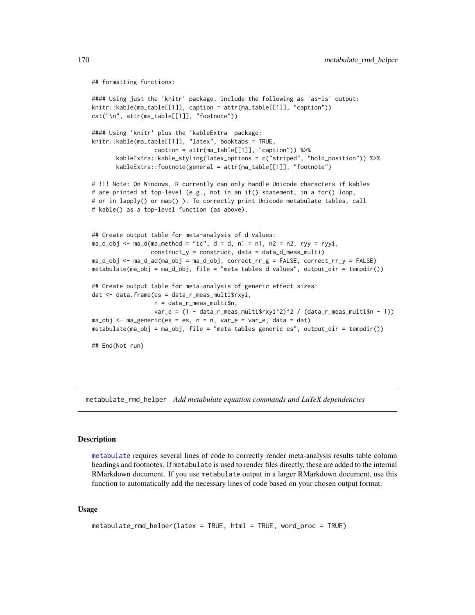```
## formatting functions:
```

```
#### Using just the 'knitr' package, include the following as 'as-is' output:
knitr::kable(ma_table[[1]], caption = attr(ma_table[[1]], "caption"))
cat("\n", attr(ma_table[[1]], "footnote"))
#### Using 'knitr' plus the 'kableExtra' package:
knitr::kable(ma_table[[1]], "latex", booktabs = TRUE,
                  caption = attr(ma_table[[1]], "caption")) %>%
       kableExtra::kable_styling(latex_options = c("striped", "hold_position")) %>%
       kableExtra::footnote(general = attr(ma_table[[1]], "footnote")
# !!! Note: On Windows, R currently can only handle Unicode characters if kables
# are printed at top-level (e.g., not in an if() statement, in a for() loop,
# or in lapply() or map() ). To correctly print Unicode metabulate tables, call
# kable() as a top-level function (as above).
## Create output table for meta-analysis of d values:
ma_d_obj \leq ma_d(ma_method = "ic", d = d, n1 = n1, n2 = n2, ryy = ryyi,construct_y = construct, data = data_d_meas_multi)
ma_d_obj \leftarrow ma_d_ad(ma_obj = ma_d_obj, correct\_rr_g = FALSE, correct\_rr_y = FALSE)metabulate(ma_obj = ma_d_obj, file = "meta tables d values", output_dir = tempdir())
## Create output table for meta-analysis of generic effect sizes:
dat <- data.frame(es = data_r_meas_multi$rxyi,
                  n = data_r_meas_multi$n,
                  var_e = (1 - data_r_meas_multi$rxyi^2)^2 / (data_r_meas_multi$n - 1))
ma\_obj \leq ma\_generic(es = es, n = n, var_e = var_e, data = dat)metabulate(ma_obj = ma_obj, file = "meta tables generic es", output_dir = tempdir())
## End(Not run)
```
<span id="page-169-0"></span>metabulate\_rmd\_helper *Add metabulate equation commands and LaTeX dependencies*

#### Description

[metabulate](#page-165-0) requires several lines of code to correctly render meta-analysis results table column headings and footnotes. If metabulate is used to render files directly, these are added to the internal RMarkdown document. If you use metabulate output in a larger RMarkdown document, use this function to automatically add the necessary lines of code based on your chosen output format.

```
metabulate_rmd_helper(latex = TRUE, html = TRUE, word_proc = TRUE)
```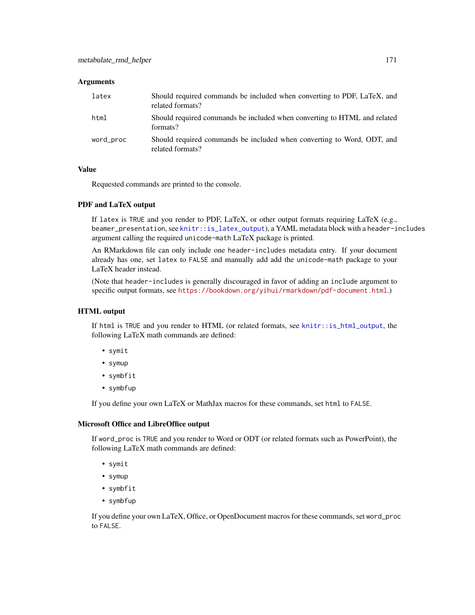#### **Arguments**

| latex     | Should required commands be included when converting to PDF, LaTeX, and<br>related formats? |
|-----------|---------------------------------------------------------------------------------------------|
| html      | Should required commands be included when converting to HTML and related<br>formats?        |
| word_proc | Should required commands be included when converting to Word, ODT, and<br>related formats?  |

# Value

Requested commands are printed to the console.

#### PDF and LaTeX output

If latex is TRUE and you render to PDF, LaTeX, or other output formats requiring LaTeX (e.g., beamer\_presentation, see [knitr::is\\_latex\\_output](#page-0-0)), a YAML metadata block with a header-includes argument calling the required unicode-math LaTeX package is printed.

An RMarkdown file can only include one header-includes metadata entry. If your document already has one, set latex to FALSE and manually add add the unicode-math package to your LaTeX header instead.

(Note that header-includes is generally discouraged in favor of adding an include argument to specific output formats, see <https://bookdown.org/yihui/rmarkdown/pdf-document.html>.)

#### HTML output

If html is TRUE and you render to HTML (or related formats, see [knitr::is\\_html\\_output](#page-0-0), the following LaTeX math commands are defined:

- symit
- symup
- symbfit
- symbfup

If you define your own LaTeX or MathJax macros for these commands, set html to FALSE.

#### Microsoft Office and LibreOffice output

If word\_proc is TRUE and you render to Word or ODT (or related formats such as PowerPoint), the following LaTeX math commands are defined:

- symit
- symup
- symbfit
- symbfup

If you define your own LaTeX, Office, or OpenDocument macros for these commands, set word\_proc to FALSE.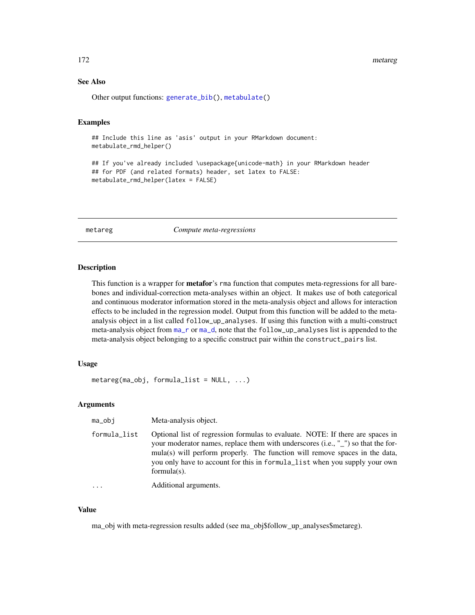#### 172 metareg

# See Also

Other output functions: [generate\\_bib\(](#page-113-0)), [metabulate\(](#page-165-0))

#### Examples

```
## Include this line as 'asis' output in your RMarkdown document:
metabulate_rmd_helper()
```
## If you've already included \usepackage{unicode-math} in your RMarkdown header ## for PDF (and related formats) header, set latex to FALSE: metabulate\_rmd\_helper(latex = FALSE)

metareg *Compute meta-regressions*

#### Description

This function is a wrapper for **metafor**'s rma function that computes meta-regressions for all barebones and individual-correction meta-analyses within an object. It makes use of both categorical and continuous moderator information stored in the meta-analysis object and allows for interaction effects to be included in the regression model. Output from this function will be added to the metaanalysis object in a list called follow\_up\_analyses. If using this function with a multi-construct meta-analysis object from [ma\\_r](#page-144-1) or [ma\\_d](#page-128-0), note that the follow\_up\_analyses list is appended to the meta-analysis object belonging to a specific construct pair within the construct\_pairs list.

# Usage

```
metareg(ma_obj, formula_list = NULL, ...)
```
### Arguments

| ma_obi       | Meta-analysis object.                                                                                                                                                                                                                                                                                                                             |
|--------------|---------------------------------------------------------------------------------------------------------------------------------------------------------------------------------------------------------------------------------------------------------------------------------------------------------------------------------------------------|
| formula_list | Optional list of regression formulas to evaluate. NOTE: If there are spaces in<br>your moderator names, replace them with underscores (i.e., "") so that the for-<br>mula(s) will perform properly. The function will remove spaces in the data,<br>you only have to account for this in formula_list when you supply your own<br>formula $(s)$ . |
| .            | Additional arguments.                                                                                                                                                                                                                                                                                                                             |

#### Value

ma\_obj with meta-regression results added (see ma\_obj\$follow\_up\_analyses\$metareg).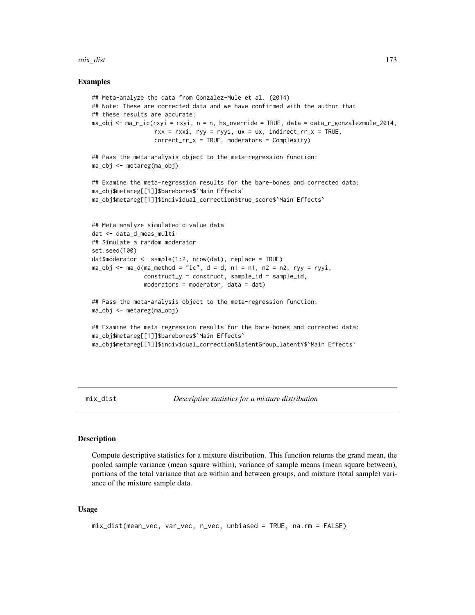#### mix\_dist 173

#### Examples

```
## Meta-analyze the data from Gonzalez-Mule et al. (2014)
## Note: These are corrected data and we have confirmed with the author that
## these results are accurate:
ma_obj <- ma_r_ic(rxyi = rxyi, n = n, hs_override = TRUE, data = data_r_gonzalezmule_2014,
                  rxx = rxxi, ryy = ryyi, ux = ux, indirect_rrx = TRUE,
                  correct_rr_x = TRUE, moderators = Complexity)
## Pass the meta-analysis object to the meta-regression function:
ma_obj <- metareg(ma_obj)
## Examine the meta-regression results for the bare-bones and corrected data:
ma_obj$metareg[[1]]$barebones$`Main Effects`
ma_obj$metareg[[1]]$individual_correction$true_score$`Main Effects`
## Meta-analyze simulated d-value data
dat <- data_d_meas_multi
## Simulate a random moderator
set.seed(100)
dat$moderator <- sample(1:2, nrow(dat), replace = TRUE)
ma_obj <- ma_d(ma_method = "ic", d = d, n1 = n1, n2 = n2, ryy = ryyi,
               construct_y = construct, sample_id = sample_id,moderators = moderator, data = dat)
## Pass the meta-analysis object to the meta-regression function:
ma_obj <- metareg(ma_obj)
## Examine the meta-regression results for the bare-bones and corrected data:
ma_obj$metareg[[1]]$barebones$`Main Effects`
ma_obj$metareg[[1]]$individual_correction$latentGroup_latentY$`Main Effects`
```
mix\_dist *Descriptive statistics for a mixture distribution*

#### Description

Compute descriptive statistics for a mixture distribution. This function returns the grand mean, the pooled sample variance (mean square within), variance of sample means (mean square between), portions of the total variance that are within and between groups, and mixture (total sample) variance of the mixture sample data.

```
mix_dist(mean_vec, var_vec, n_vec, unbiased = TRUE, na.rm = FALSE)
```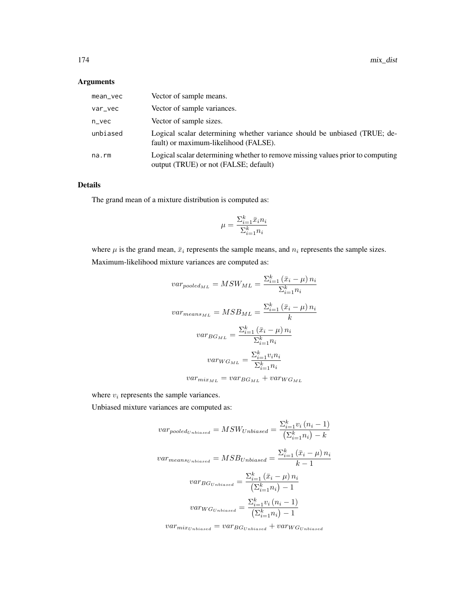# Arguments

| mean_vec | Vector of sample means.                                                                                                 |
|----------|-------------------------------------------------------------------------------------------------------------------------|
| var_vec  | Vector of sample variances.                                                                                             |
| $n$ vec  | Vector of sample sizes.                                                                                                 |
| unbiased | Logical scalar determining whether variance should be unbiased (TRUE; de-<br>fault) or maximum-likelihood (FALSE).      |
| na.rm    | Logical scalar determining whether to remove missing values prior to computing<br>output (TRUE) or not (FALSE; default) |

# Details

The grand mean of a mixture distribution is computed as:

$$
\mu = \frac{\Sigma_{i=1}^k \bar{x}_i n_i}{\Sigma_{i=1}^k n_i}
$$

where  $\mu$  is the grand mean,  $\bar{x}_i$  represents the sample means, and  $n_i$  represents the sample sizes. Maximum-likelihood mixture variances are computed as:

$$
var_{pooled_{ML}} = MSW_{ML} = \frac{\sum_{i=1}^{k} (\bar{x}_i - \mu) n_i}{\sum_{i=1}^{k} n_i}
$$

$$
var_{means_{ML}} = MSB_{ML} = \frac{\sum_{i=1}^{k} (\bar{x}_i - \mu) n_i}{k}
$$

$$
var_{BG_{ML}} = \frac{\sum_{i=1}^{k} (\bar{x}_i - \mu) n_i}{\sum_{i=1}^{k} n_i}
$$

$$
var_{WG_{ML}} = \frac{\sum_{i=1}^{k} v_i n_i}{\sum_{i=1}^{k} n_i}
$$

$$
var_{mix_{ML}} = var_{BG_{ML}} + var_{WG_{ML}}
$$

where  $v_i$  represents the sample variances.

Unbiased mixture variances are computed as:

$$
var_{pooled_{Unbiased}} = MSW_{Unbiased} = \frac{\sum_{i=1}^{k} v_i (n_i - 1)}{\left(\sum_{i=1}^{k} n_i\right) - k}
$$

$$
var_{means_{Unbiased}} = MSB_{Unbiased} = \frac{\sum_{i=1}^{k} (\bar{x}_i - \mu) n_i}{k - 1}
$$

$$
var_{BG_{Unbiased}} = \frac{\sum_{i=1}^{k} (\bar{x}_i - \mu) n_i}{\left(\sum_{i=1}^{k} n_i\right) - 1}
$$

$$
var_{WG_{Unbiased}} = \frac{\sum_{i=1}^{k} v_i (n_i - 1)}{\left(\sum_{i=1}^{k} n_i\right) - 1}
$$

 $var_{mix_{Unbiased}} = var_{BG_{Unbiased}} + var_{WG_{Unbiased}}$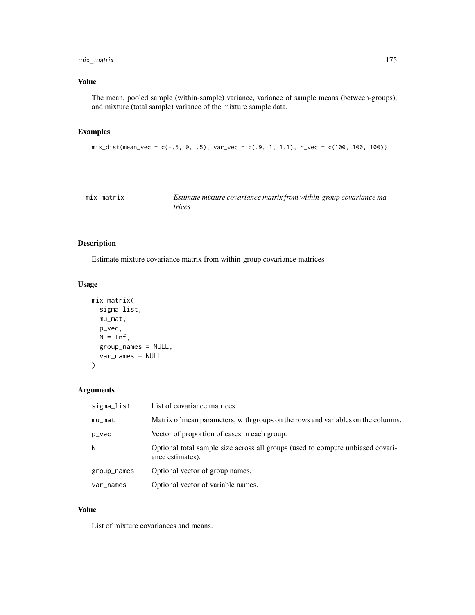# mix\_matrix 175

# Value

The mean, pooled sample (within-sample) variance, variance of sample means (between-groups), and mixture (total sample) variance of the mixture sample data.

# Examples

```
mix\_dist(mean\_vec = c(-.5, 0, .5), var\_vec = c(.9, 1, 1.1), n\_vec = c(100, 100, 100))
```

| mix matrix | Estimate mixture covariance matrix from within-group covariance ma- |
|------------|---------------------------------------------------------------------|
|            | <i>trices</i>                                                       |

# Description

Estimate mixture covariance matrix from within-group covariance matrices

# Usage

```
mix_matrix(
  sigma_list,
  mu_mat,
  p_vec,
  N = Inf,
  group_names = NULL,
  var_names = NULL
)
```
# Arguments

| sigma_list  | List of covariance matrices.                                                                       |
|-------------|----------------------------------------------------------------------------------------------------|
| mu_mat      | Matrix of mean parameters, with groups on the rows and variables on the columns.                   |
| p_vec       | Vector of proportion of cases in each group.                                                       |
| N           | Optional total sample size across all groups (used to compute unbiased covari-<br>ance estimates). |
| group_names | Optional vector of group names.                                                                    |
| var_names   | Optional vector of variable names.                                                                 |

### Value

List of mixture covariances and means.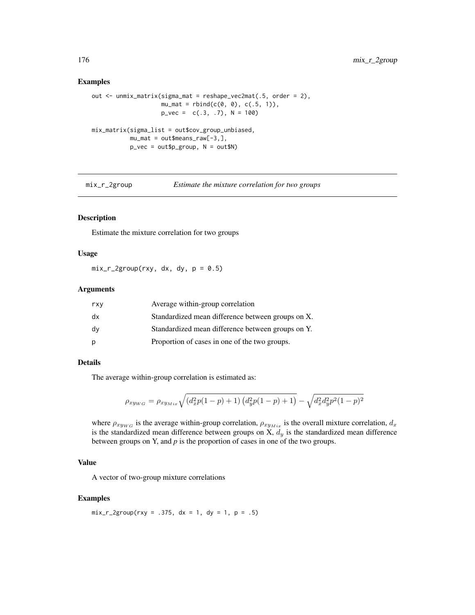#### Examples

```
out <- unmix_matrix(sigma_mat = reshape_vec2mat(.5, order = 2),
                    mu_mat = rbind(c(0, 0), c(.5, 1)),
                    p_{\text{v}}vec = c(.3, .7), N = 100)
mix_matrix(sigma_list = out$cov_group_unbiased,
           mu_mat = out$means_raw[-3,],
           p_vec = out$p_group, N = out$N)
```
mix\_r\_2group *Estimate the mixture correlation for two groups*

# Description

Estimate the mixture correlation for two groups

### Usage

 $mix_r_2group(rxy, dx, dy, p = 0.5)$ 

#### Arguments

| rxy | Average within-group correlation                  |
|-----|---------------------------------------------------|
| dx  | Standardized mean difference between groups on X. |
| dv  | Standardized mean difference between groups on Y. |
| р   | Proportion of cases in one of the two groups.     |

# Details

The average within-group correlation is estimated as:

$$
\rho_{xy_{WG}} = \rho_{xy_{Mix}} \sqrt{(d_x^2 p(1-p) + 1) (d_y^2 p(1-p) + 1)} - \sqrt{d_x^2 d_y^2 p^2 (1-p)^2}
$$

where  $\rho_{xy_{WG}}$  is the average within-group correlation,  $\rho_{xy_{Mix}}$  is the overall mixture correlation,  $d_x$ is the standardized mean difference between groups on X,  $d<sub>y</sub>$  is the standardized mean difference between groups on Y, and *p* is the proportion of cases in one of the two groups.

# Value

A vector of two-group mixture correlations

# Examples

 $mix_r_2group(rxy = .375, dx = 1, dy = 1, p = .5)$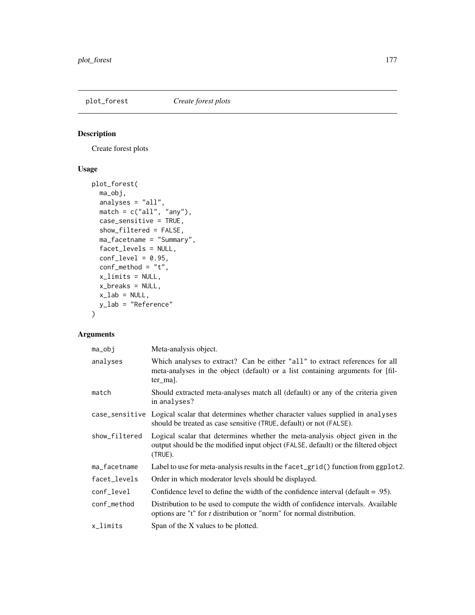# Description

Create forest plots

# Usage

```
plot_forest(
 ma_obj,
  analyses = "all",
  match = c("all", "any"),case_sensitive = TRUE,
  show_filtered = FALSE,
 ma_facetname = "Summary",
 facet_levels = NULL,
  conf\_level = 0.95,
  conf\_method = "t",x_limits = NULL,
 x_breaks = NULL,
 x<sup>-</sup>lab = NULL,
 y_lab = "Reference"
\mathcal{L}
```
# Arguments

| $ma_obj$      | Meta-analysis object.                                                                                                                                                         |
|---------------|-------------------------------------------------------------------------------------------------------------------------------------------------------------------------------|
| analyses      | Which analyses to extract? Can be either "all" to extract references for all<br>meta-analyses in the object (default) or a list containing arguments for [fil-<br>ter mal.    |
| match         | Should extracted meta-analyses match all (default) or any of the criteria given<br>in analyses?                                                                               |
|               | case_sensitive Logical scalar that determines whether character values supplied in analyses<br>should be treated as case sensitive (TRUE, default) or not (FALSE).            |
| show_filtered | Logical scalar that determines whether the meta-analysis object given in the<br>output should be the modified input object (FALSE, default) or the filtered object<br>(TRUE). |
| ma_facetname  | Label to use for meta-analysis results in the $f$ acet_grid() function from ggplot2.                                                                                          |
| facet levels  | Order in which moderator levels should be displayed.                                                                                                                          |
| conf_level    | Confidence level to define the width of the confidence interval (default $= .95$ ).                                                                                           |
| conf_method   | Distribution to be used to compute the width of confidence intervals. Available<br>options are "t" for <i>t</i> distribution or "norm" for normal distribution.               |
| x_limits      | Span of the X values to be plotted.                                                                                                                                           |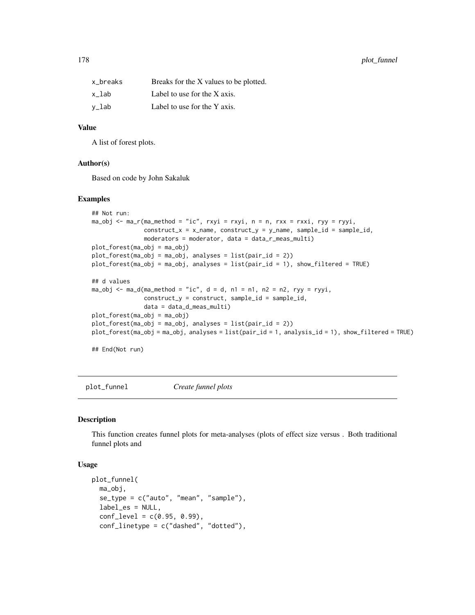# 178 plot\_funnel

| x breaks | Breaks for the X values to be plotted. |
|----------|----------------------------------------|
| x lab    | Label to use for the X axis.           |
| v_lab    | Label to use for the Y axis.           |

# Value

A list of forest plots.

#### Author(s)

Based on code by John Sakaluk

#### Examples

```
## Not run:
ma_obj <- ma_r(ma_method = "ic", rxyi = rxyi, n = n, rxx = rxxi, ryy = ryyi,
               construct_x = x_name, construct_y = y_name, sample_id = sample_id,
               moderators = moderator, data = data_r_meas_multi)
plot_forest(ma_obj = ma_obj)
plot_forest(ma_obj = ma_obj, analyses = list(pair_id = 2))
plot_forest(ma_obj = ma_obj, analyses = list(pair_id = 1), show_filtered = TRUE)
## d values
ma_obj \le ma_d(ma_method = "ic", d = d, n1 = n1, n2 = n2, ryy = ryyi,construct_y = construct, sample_id = sample_id,
               data = data_d_meas_multi)
plot_forest(ma_obj = ma_obj)
plot_forest(ma_obj = ma_obj, analyses = list(pair_id = 2))
plot_forest(ma_obj = ma_obj, analyses = list(pair_id = 1, analysis_id = 1), show_filtered = TRUE)
```
## End(Not run)

plot\_funnel *Create funnel plots*

#### Description

This function creates funnel plots for meta-analyses (plots of effect size versus . Both traditional funnel plots and

```
plot_funnel(
 ma_obj,
  se_type = c("auto", "mean", "sample"),
  label_es = NULL,
  conf\_level = c(0.95, 0.99),
  conf_linetype = c("dashed", "dotted"),
```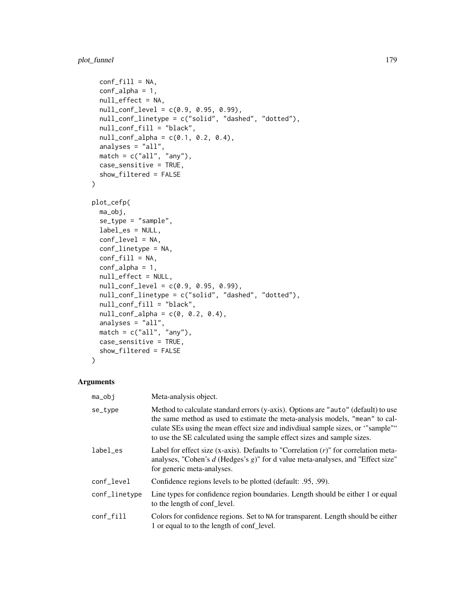```
conf\_fill = NA,
  conf_alpha = 1,
  null_effect = NA,
  null_conf_level = c(0.9, 0.95, 0.99),
  null_conf_linetype = c("solid", "dashed", "dotted"),
  null_conf_fill = "black",
  null_{conf_{all}} = c(0.1, 0.2, 0.4),
 analyses = "all",
 match = c("all", "any"),case_sensitive = TRUE,
  show_filtered = FALSE
\mathcal{L}plot_cefp(
 ma_obj,
  se_type = "sample",
  label_es = NULL,
  conf_level = NA,
  conf_linetype = NA,
  conf\_fill = NA,
  conf_alpha = 1,
  null_effect = NULL,
  null_conf_level = c(0.9, 0.95, 0.99),
  null_conf_linetype = c("solid", "dashed", "dotted"),
  null_conf_fill = "black",
  null_{conf_{all}} = c(0, 0.2, 0.4),
  analyses = "all",
  match = c("all", "any"),case_sensitive = TRUE,
 show_filtered = FALSE
\mathcal{L}
```
# Arguments

| ma_obj        | Meta-analysis object.                                                                                                                                                                                                                                                                                                               |
|---------------|-------------------------------------------------------------------------------------------------------------------------------------------------------------------------------------------------------------------------------------------------------------------------------------------------------------------------------------|
| se_type       | Method to calculate standard errors ( $y$ -axis). Options are "auto" (default) to use<br>the same method as used to estimate the meta-analysis models, "mean" to cal-<br>culate SEs using the mean effect size and individual sample sizes, or "sample"<br>to use the SE calculated using the sample effect sizes and sample sizes. |
| label_es      | Label for effect size (x-axis). Defaults to "Correlation $(r)$ " for correlation meta-<br>analyses, "Cohen's d (Hedges's $g$ )" for d value meta-analyses, and "Effect size"<br>for generic meta-analyses.                                                                                                                          |
| conf_level    | Confidence regions levels to be plotted (default: .95, .99).                                                                                                                                                                                                                                                                        |
| conf_linetype | Line types for confidence region boundaries. Length should be either 1 or equal<br>to the length of conf level.                                                                                                                                                                                                                     |
| conf_fill     | Colors for confidence regions. Set to NA for transparent. Length should be either<br>1 or equal to to the length of conf level.                                                                                                                                                                                                     |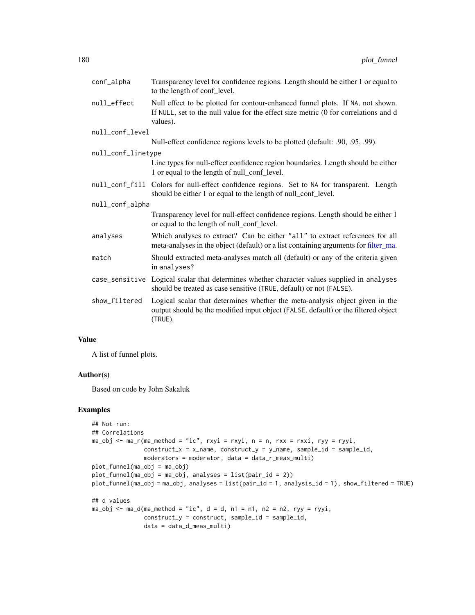| conf_alpha         | Transparency level for confidence regions. Length should be either 1 or equal to<br>to the length of conf_level.                                                                  |
|--------------------|-----------------------------------------------------------------------------------------------------------------------------------------------------------------------------------|
| null_effect        | Null effect to be plotted for contour-enhanced funnel plots. If NA, not shown.<br>If NULL, set to the null value for the effect size metric (0 for correlations and d<br>values). |
| null_conf_level    |                                                                                                                                                                                   |
|                    | Null-effect confidence regions levels to be plotted (default: .90, .95, .99).                                                                                                     |
| null_conf_linetype |                                                                                                                                                                                   |
|                    | Line types for null-effect confidence region boundaries. Length should be either<br>1 or equal to the length of null_conf_level.                                                  |
|                    | null_conf_fill Colors for null-effect confidence regions. Set to NA for transparent. Length<br>should be either 1 or equal to the length of null_conf_level.                      |
| null_conf_alpha    |                                                                                                                                                                                   |
|                    | Transparency level for null-effect confidence regions. Length should be either 1<br>or equal to the length of null_conf_level.                                                    |
| analyses           | Which analyses to extract? Can be either "all" to extract references for all<br>meta-analyses in the object (default) or a list containing arguments for filter_ma.               |
| match              | Should extracted meta-analyses match all (default) or any of the criteria given<br>in analyses?                                                                                   |
|                    | case_sensitive Logical scalar that determines whether character values supplied in analyses<br>should be treated as case sensitive (TRUE, default) or not (FALSE).                |
| show_filtered      | Logical scalar that determines whether the meta-analysis object given in the<br>output should be the modified input object (FALSE, default) or the filtered object<br>(TRUE).     |

#### Value

A list of funnel plots.

### Author(s)

Based on code by John Sakaluk

# Examples

```
## Not run:
## Correlations
ma_obj <- ma_r(ma_method = "ic", rxyi = rxyi, n = n, rxx = rxxi, ryy = ryyi,
               construct_x = x_name, construct_y = y_name, sample_id = sample_id,moderators = moderator, data = data_r_meas_multi)
plot_funnel(ma_obj = ma_obj)
plot_funnel(ma_obj = ma_obj, analyses = list(pair_id = 2))
plot_funnel(ma_obj = ma_obj, analyses = list(pair_id = 1, analysis_id = 1), show_filtered = TRUE)
## d values
ma_obj \le ma_d(ma_method = "ic", d = d, n1 = n1, n2 = n2, ryy = ryyi,construct_y = construct, sample_id = sample_id,
               data = data_d_meas_multi)
```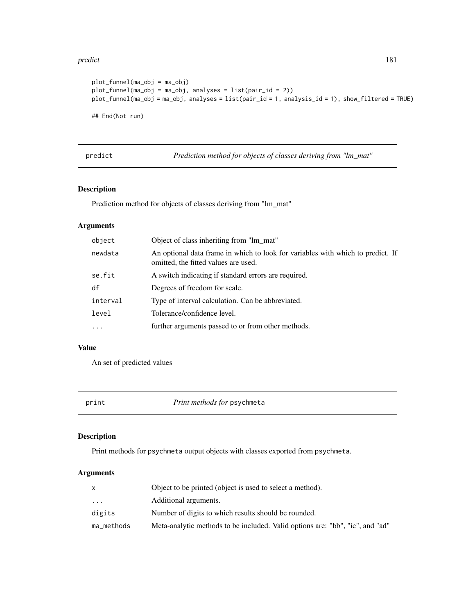#### predict the contract of the contract of the contract of the contract of the contract of the contract of the contract of the contract of the contract of the contract of the contract of the contract of the contract of the co

```
plot_funnel(ma_obj = ma_obj)
plot_funnel(ma_obj = ma_obj, analyses = list(pair_id = 2))
plot_funnel(ma_obj = ma_obj, analyses = list(pair_id = 1, analysis_id = 1), show_filtered = TRUE)
## End(Not run)
```
predict *Prediction method for objects of classes deriving from "lm\_mat"*

# Description

Prediction method for objects of classes deriving from "lm\_mat"

# Arguments

| object   | Object of class inheriting from "lm mat"                                                                                |
|----------|-------------------------------------------------------------------------------------------------------------------------|
| newdata  | An optional data frame in which to look for variables with which to predict. If<br>omitted, the fitted values are used. |
| se.fit   | A switch indicating if standard errors are required.                                                                    |
| df       | Degrees of freedom for scale.                                                                                           |
| interval | Type of interval calculation. Can be abbreviated.                                                                       |
| level    | Tolerance/confidence level.                                                                                             |
| $\cdots$ | further arguments passed to or from other methods.                                                                      |

## Value

An set of predicted values

print *Print methods for* psychmeta

# Description

Print methods for psychmeta output objects with classes exported from psychmeta.

|            | Object to be printed (object is used to select a method).                     |
|------------|-------------------------------------------------------------------------------|
| .          | Additional arguments.                                                         |
| digits     | Number of digits to which results should be rounded.                          |
| ma_methods | Meta-analytic methods to be included. Valid options are: "bb", "ic", and "ad" |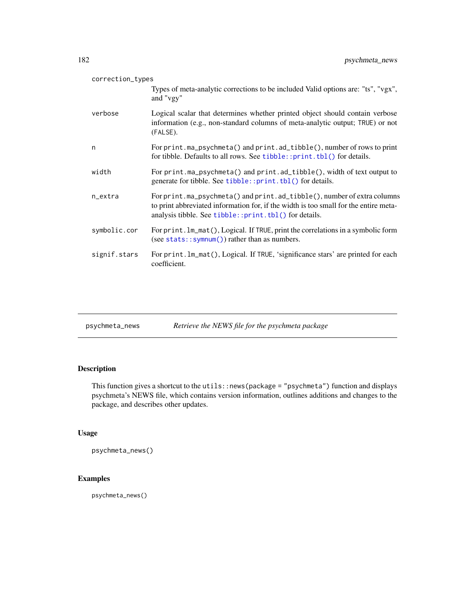| correction_types |                                                                                                                                                                                                                          |
|------------------|--------------------------------------------------------------------------------------------------------------------------------------------------------------------------------------------------------------------------|
|                  | Types of meta-analytic corrections to be included Valid options are: "ts", "vgx",<br>and "vgy"                                                                                                                           |
| verbose          | Logical scalar that determines whether printed object should contain verbose<br>information (e.g., non-standard columns of meta-analytic output; TRUE) or not<br>(FALSE).                                                |
| n                | For print.ma_psychmeta() and print.ad_tibble(), number of rows to print<br>for tibble. Defaults to all rows. See tibble::print.tbl() for details.                                                                        |
| width            | For print.ma_psychmeta() and print.ad_tibble(), width of text output to<br>generate for tibble. See tibble:: print. tbl() for details.                                                                                   |
| n_extra          | For print.ma_psychmeta() and print.ad_tibble(), number of extra columns<br>to print abbreviated information for, if the width is too small for the entire meta-<br>analysis tibble. See tibble::print.tbl() for details. |
| symbolic.cor     | For print. lm_mat(), Logical. If TRUE, print the correlations in a symbolic form<br>(see stats:: symnum()) rather than as numbers.                                                                                       |
| signif.stars     | For print. Im_mat(), Logical. If TRUE, 'significance stars' are printed for each<br>coefficient.                                                                                                                         |
|                  |                                                                                                                                                                                                                          |

| psychmeta_news | Retrieve the NEWS file for the psychmeta package |  |  |
|----------------|--------------------------------------------------|--|--|
|                |                                                  |  |  |

# Description

This function gives a shortcut to the utils::news(package = "psychmeta") function and displays psychmeta's NEWS file, which contains version information, outlines additions and changes to the package, and describes other updates.

# Usage

```
psychmeta_news()
```
# Examples

psychmeta\_news()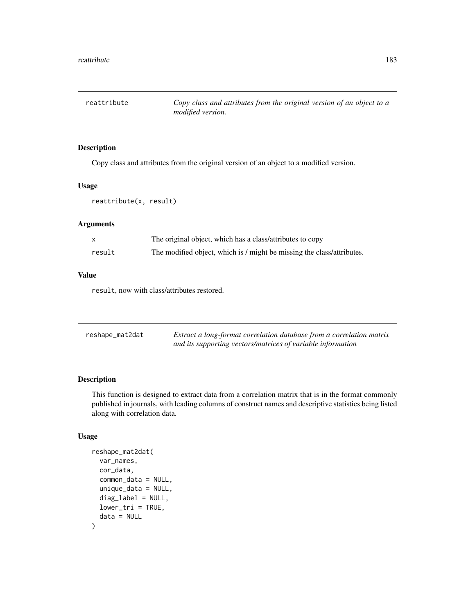reattribute *Copy class and attributes from the original version of an object to a modified version.*

# Description

Copy class and attributes from the original version of an object to a modified version.

## Usage

reattribute(x, result)

# Arguments

|        | The original object, which has a class/attributes to copy              |
|--------|------------------------------------------------------------------------|
| result | The modified object, which is / might be missing the class/attributes. |

## Value

result, now with class/attributes restored.

| reshape_mat2dat | Extract a long-format correlation database from a correlation matrix |
|-----------------|----------------------------------------------------------------------|
|                 | and its supporting vectors/matrices of variable information          |

# Description

This function is designed to extract data from a correlation matrix that is in the format commonly published in journals, with leading columns of construct names and descriptive statistics being listed along with correlation data.

# Usage

```
reshape_mat2dat(
 var_names,
 cor_data,
  common_data = NULL,
 unique_data = NULL,
  diag_label = NULL,
 lower\_tri = TRUE,data = NULL
)
```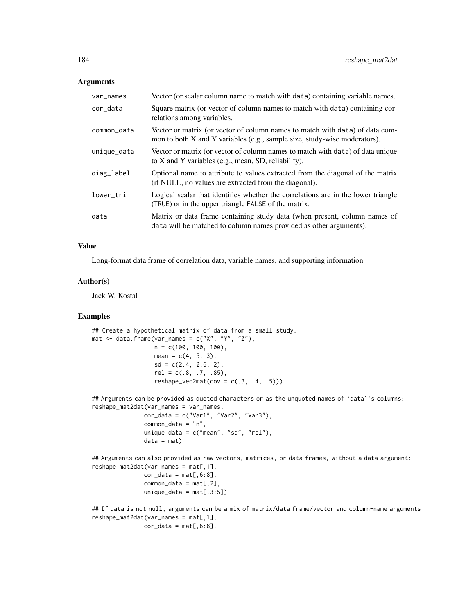#### **Arguments**

| var_names   | Vector (or scalar column name to match with data) containing variable names.                                                                              |
|-------------|-----------------------------------------------------------------------------------------------------------------------------------------------------------|
| cor_data    | Square matrix (or vector of column names to match with data) containing cor-<br>relations among variables.                                                |
| common_data | Vector or matrix (or vector of column names to match with data) of data com-<br>mon to both X and Y variables (e.g., sample size, study-wise moderators). |
| unique_data | Vector or matrix (or vector of column names to match with data) of data unique<br>to X and Y variables (e.g., mean, SD, reliability).                     |
| diag_label  | Optional name to attribute to values extracted from the diagonal of the matrix<br>(if NULL, no values are extracted from the diagonal).                   |
| lower_tri   | Logical scalar that identifies whether the correlations are in the lower triangle<br>(TRUE) or in the upper triangle FALSE of the matrix.                 |
| data        | Matrix or data frame containing study data (when present, column names of<br>data will be matched to column names provided as other arguments).           |

#### Value

Long-format data frame of correlation data, variable names, and supporting information

## Author(s)

Jack W. Kostal

## Examples

```
## Create a hypothetical matrix of data from a small study:
mat \le data.frame(var_names = c("X", "Y", "Z"),
                  n = c(100, 100, 100),
                  mean = c(4, 5, 3),
                  sd = c(2.4, 2.6, 2),
                  rel = c(.8, .7, .85),reshape\_vec2mat(cov = c(.3, .4, .5)))
```
## Arguments can be provided as quoted characters or as the unquoted names of 'data''s columns: reshape\_mat2dat(var\_names = var\_names,

```
cor\_data = c("Var1", "Var2", "Var3"),common_data = "n",
unique_data = c("mean", "sd", "rel"),
data = mat)
```

```
## Arguments can also provided as raw vectors, matrices, or data frames, without a data argument:
reshape_mat2dat(var_names = mat[,1],
               cor\_data = mat[, 6:8],common_data = mat[, 2],unique_data = mat[, 3:5])
```

```
## If data is not null, arguments can be a mix of matrix/data frame/vector and column-name arguments
reshape_mat2dat(var_names = mat[,1],
               cor\_data = mat[, 6:8],
```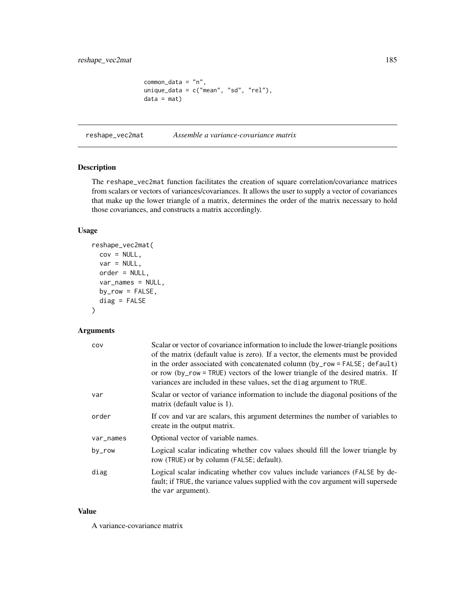```
common_data = "n",unique_data = c("mean", "sd", "rel"),
data = mat)
```
reshape\_vec2mat *Assemble a variance-covariance matrix*

## Description

The reshape\_vec2mat function facilitates the creation of square correlation/covariance matrices from scalars or vectors of variances/covariances. It allows the user to supply a vector of covariances that make up the lower triangle of a matrix, determines the order of the matrix necessary to hold those covariances, and constructs a matrix accordingly.

# Usage

```
reshape_vec2mat(
 cov = NULL,var = NULL,order = NULL,
 var_names = NULL,
 by_row = FALSE,
 diag = FALSE
)
```
## Arguments

| COV       | Scalar or vector of covariance information to include the lower-triangle positions<br>of the matrix (default value is zero). If a vector, the elements must be provided<br>in the order associated with concatenated column (by_row = FALSE; default)<br>or row (by_row = TRUE) vectors of the lower triangle of the desired matrix. If<br>variances are included in these values, set the diag argument to TRUE. |
|-----------|-------------------------------------------------------------------------------------------------------------------------------------------------------------------------------------------------------------------------------------------------------------------------------------------------------------------------------------------------------------------------------------------------------------------|
| var       | Scalar or vector of variance information to include the diagonal positions of the<br>matrix (default value is 1).                                                                                                                                                                                                                                                                                                 |
| order     | If cov and var are scalars, this argument determines the number of variables to<br>create in the output matrix.                                                                                                                                                                                                                                                                                                   |
| var_names | Optional vector of variable names.                                                                                                                                                                                                                                                                                                                                                                                |
| by_row    | Logical scalar indicating whether cov values should fill the lower triangle by<br>row (TRUE) or by column (FALSE; default).                                                                                                                                                                                                                                                                                       |
| diag      | Logical scalar indicating whether cov values include variances (FALSE by de-<br>fault; if TRUE, the variance values supplied with the cov argument will supersede<br>the var argument).                                                                                                                                                                                                                           |

## Value

A variance-covariance matrix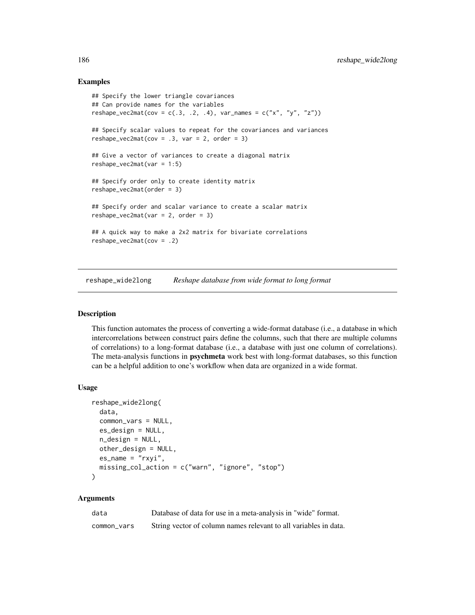#### Examples

```
## Specify the lower triangle covariances
## Can provide names for the variables
reshape_vec2mat(cov = c(.3, .2, .4), var_names = c("x", "y", "z"))
## Specify scalar values to repeat for the covariances and variances
reshape_vec2mat(cov = .3, var = 2, order = 3)
## Give a vector of variances to create a diagonal matrix
reshape_vec2mat(var = 1:5)
## Specify order only to create identity matrix
reshape_vec2mat(order = 3)
## Specify order and scalar variance to create a scalar matrix
reshape_vec2mat(var = 2, order = 3)
## A quick way to make a 2x2 matrix for bivariate correlations
reshape_vec2mat(cov = .2)
```
reshape\_wide2long *Reshape database from wide format to long format*

## Description

This function automates the process of converting a wide-format database (i.e., a database in which intercorrelations between construct pairs define the columns, such that there are multiple columns of correlations) to a long-format database (i.e., a database with just one column of correlations). The meta-analysis functions in **psychmeta** work best with long-format databases, so this function can be a helpful addition to one's workflow when data are organized in a wide format.

#### Usage

```
reshape_wide2long(
  data,
  common_vars = NULL,
  es_design = NULL,
  n_design = NULL,
  other_design = NULL,
  es_name = "rxyi",
  missing_col_action = c("warn", "ignore", "stop")
)
```

| data        | Database of data for use in a meta-analysis in "wide" format.    |
|-------------|------------------------------------------------------------------|
| common_vars | String vector of column names relevant to all variables in data. |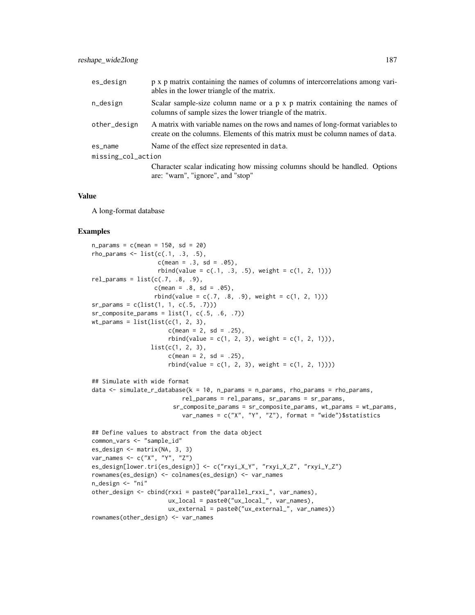| es_design          | p x p matrix containing the names of columns of intercorrelations among vari-<br>ables in the lower triangle of the matrix.                                    |  |
|--------------------|----------------------------------------------------------------------------------------------------------------------------------------------------------------|--|
| n_design           | Scalar sample-size column name or $a \, p \, x \, p$ matrix containing the names of<br>columns of sample sizes the lower triangle of the matrix.               |  |
| other_design       | A matrix with variable names on the rows and names of long-format variables to<br>create on the columns. Elements of this matrix must be column names of data. |  |
| es_name            | Name of the effect size represented in data.                                                                                                                   |  |
| missing_col_action |                                                                                                                                                                |  |
|                    | Character scalar indicating how missing columns should be handled. Options                                                                                     |  |
|                    | are: "warn", "ignore", and "stop"                                                                                                                              |  |

#### Value

A long-format database

#### Examples

```
n_{\text{params}} = c(\text{mean} = 150, \text{ sd} = 20)rho_params \le list(c(.1, .3, .5),
                   c(mean = .3, sd = .05),
                   rbind(value = c(.1, .3, .5), weight = c(1, 2, 1)))rel\_params = list(c(.7, .8, .9),c(mean = .8, sd = .05),
                  rbind(value = c(.7, .8, .9), weight = c(1, 2, 1)))sr_params = c(list(1, 1, c(.5, .7)))sr\_composite\_params = list(1, c(.5, .6, .7))wt_params = list(list(c(1, 2, 3)),c(mean = 2, sd = .25),
                      rbind(value = c(1, 2, 3), weight = c(1, 2, 1)),
                 list(c(1, 2, 3),c(mean = 2, sd = .25),
                      rbind(value = c(1, 2, 3), weight = c(1, 2, 1))))## Simulate with wide format
data \le simulate_r_database(k = 10, n_params = n_params, rho_params = rho_params,
                          rel_params = rel_params, sr_params = sr_params,
                        sr_composite_params = sr_composite_params, wt_params = wt_params,
                          var_names = c("X", "Y", "Z"), format = "wide")$statistics
## Define values to abstract from the data object
common_vars <- "sample_id"
es_design <- matrix(NA, 3, 3)
var_names <- c("X", "Y", "Z")
es_design[lower.tri(es_design)] <- c("rxyi_X_Y", "rxyi_X_Z", "rxyi_Y_Z")
rownames(es_design) <- colnames(es_design) <- var_names
n_design <- "ni"
other_design <- cbind(rxxi = paste0("parallel_rxxi_", var_names),
                      ux_local = paste0("ux_local_", var_names),
                      ux_external = paste0("ux_external_", var_names))
rownames(other_design) <- var_names
```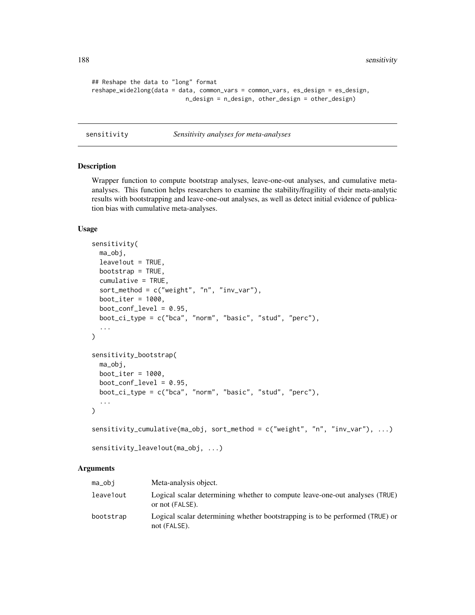188 sensitivity and the contract of the contract of the contract of the contract of the contract of the contract of the contract of the contract of the contract of the contract of the contract of the contract of the contra

```
## Reshape the data to "long" format
reshape_wide2long(data = data, common_vars = common_vars, es_design = es_design,
                          n_design = n_design, other_design = other_design)
```
sensitivity *Sensitivity analyses for meta-analyses*

# Description

Wrapper function to compute bootstrap analyses, leave-one-out analyses, and cumulative metaanalyses. This function helps researchers to examine the stability/fragility of their meta-analytic results with bootstrapping and leave-one-out analyses, as well as detect initial evidence of publication bias with cumulative meta-analyses.

#### Usage

```
sensitivity(
 ma_obj,
 leave1out = TRUE,
 bootstrap = TRUE,
 cumulative = TRUE,
  sort_method = c("weight", "n", "inv_var"),
 boot_iter = 1000,
 boot_conf_level = 0.95,
 boot_ci_type = c("bca", "norm", "basic", "stud", "perc"),
  ...
)
sensitivity_bootstrap(
 ma_obj,
 boot_iter = 1000,
 boot_conf_level = 0.95,
 boot_ci_type = c("bca", "norm", "basic", "stud", "perc"),
  ...
\mathcal{L}sensitivity_cumulative(ma_obj, sort_method = c("weight", "n", "inv_var"), ...)
```

```
sensitivity_leave1out(ma_obj, ...)
```

| $ma_$     | Meta-analysis object.                                                                          |
|-----------|------------------------------------------------------------------------------------------------|
| leave1out | Logical scalar determining whether to compute leave-one-out analyses (TRUE)<br>or not (FALSE). |
| bootstrap | Logical scalar determining whether bootstrapping is to be performed (TRUE) or<br>not (FALSE).  |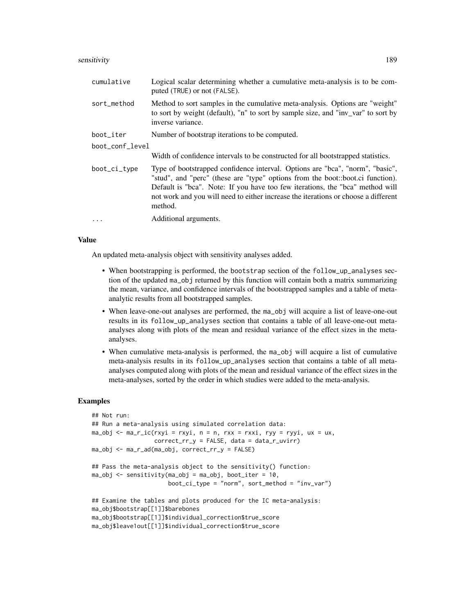#### sensitivity 189

| cumulative      | Logical scalar determining whether a cumulative meta-analysis is to be com-<br>puted (TRUE) or not (FALSE).                                                                                                                                                                                                                                       |  |
|-----------------|---------------------------------------------------------------------------------------------------------------------------------------------------------------------------------------------------------------------------------------------------------------------------------------------------------------------------------------------------|--|
| sort_method     | Method to sort samples in the cumulative meta-analysis. Options are "weight"<br>to sort by weight (default), "n" to sort by sample size, and "inv_var" to sort by<br>inverse variance.                                                                                                                                                            |  |
| boot_iter       | Number of bootstrap iterations to be computed.                                                                                                                                                                                                                                                                                                    |  |
| boot_conf_level |                                                                                                                                                                                                                                                                                                                                                   |  |
|                 | Width of confidence intervals to be constructed for all bootstrapped statistics.                                                                                                                                                                                                                                                                  |  |
| boot_ci_type    | Type of bootstrapped confidence interval. Options are "bca", "norm", "basic",<br>"stud", and "perc" (these are "type" options from the boot::boot.ci function).<br>Default is "bca". Note: If you have too few iterations, the "bca" method will<br>not work and you will need to either increase the iterations or choose a different<br>method. |  |
| $\cdots$        | Additional arguments.                                                                                                                                                                                                                                                                                                                             |  |

#### Value

An updated meta-analysis object with sensitivity analyses added.

- When bootstrapping is performed, the bootstrap section of the follow\_up\_analyses section of the updated ma\_obj returned by this function will contain both a matrix summarizing the mean, variance, and confidence intervals of the bootstrapped samples and a table of metaanalytic results from all bootstrapped samples.
- When leave-one-out analyses are performed, the ma\_obj will acquire a list of leave-one-out results in its follow\_up\_analyses section that contains a table of all leave-one-out metaanalyses along with plots of the mean and residual variance of the effect sizes in the metaanalyses.
- When cumulative meta-analysis is performed, the ma\_obj will acquire a list of cumulative meta-analysis results in its follow\_up\_analyses section that contains a table of all metaanalyses computed along with plots of the mean and residual variance of the effect sizes in the meta-analyses, sorted by the order in which studies were added to the meta-analysis.

# Examples

```
## Not run:
## Run a meta-analysis using simulated correlation data:
ma_obj \leq ma_r_ic(rxyi = rxyi, n = n, rxx = rxxi, ryy = ryyi, ux = ux,correct\_rr_y = FALSE, data = data_r\_uvirma_obj <- ma_r_ad(ma_obj, correct_rr_y = FALSE)
## Pass the meta-analysis object to the sensitivity() function:
ma_obj \leq sensitivity(ma_obj = ma_obj, boot_iter = 10,
                     boot_ci_type = "norm", sort_method = "inv_var")
## Examine the tables and plots produced for the IC meta-analysis:
ma_obj$bootstrap[[1]]$barebones
ma_obj$bootstrap[[1]]$individual_correction$true_score
ma_obj$leave1out[[1]]$individual_correction$true_score
```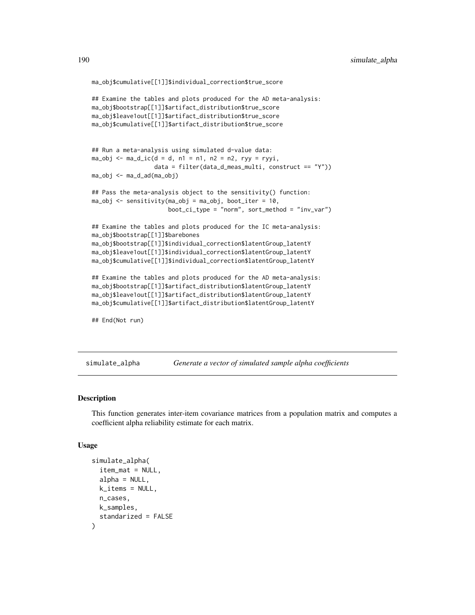```
ma_obj$cumulative[[1]]$individual_correction$true_score
## Examine the tables and plots produced for the AD meta-analysis:
ma_obj$bootstrap[[1]]$artifact_distribution$true_score
ma_obj$leave1out[[1]]$artifact_distribution$true_score
ma_obj$cumulative[[1]]$artifact_distribution$true_score
## Run a meta-analysis using simulated d-value data:
ma\_obj \leq ma\_d\_ic(d = d, n1 = n1, n2 = n2, ryy = ryyi,data = filter(data_d_meas_multi, construct == "Y"))
ma_obj <- ma_d_ad(ma_obj)
## Pass the meta-analysis object to the sensitivity() function:
ma\_obj \le sensitivity(ma\_obj = ma\_obj, boot_iter = 10,
                      boot_ci_type = "norm", sort_method = "inv_var")
## Examine the tables and plots produced for the IC meta-analysis:
ma_obj$bootstrap[[1]]$barebones
ma_obj$bootstrap[[1]]$individual_correction$latentGroup_latentY
ma_obj$leave1out[[1]]$individual_correction$latentGroup_latentY
ma_obj$cumulative[[1]]$individual_correction$latentGroup_latentY
## Examine the tables and plots produced for the AD meta-analysis:
ma_obj$bootstrap[[1]]$artifact_distribution$latentGroup_latentY
ma_obj$leave1out[[1]]$artifact_distribution$latentGroup_latentY
ma_obj$cumulative[[1]]$artifact_distribution$latentGroup_latentY
## End(Not run)
```
simulate\_alpha *Generate a vector of simulated sample alpha coefficients*

# **Description**

This function generates inter-item covariance matrices from a population matrix and computes a coefficient alpha reliability estimate for each matrix.

#### Usage

```
simulate_alpha(
  item_mat = NULL,
  alpha = NULL,k<sup>-</sup>items = NULL,
  n_cases,
  k_samples,
  standarized = FALSE
)
```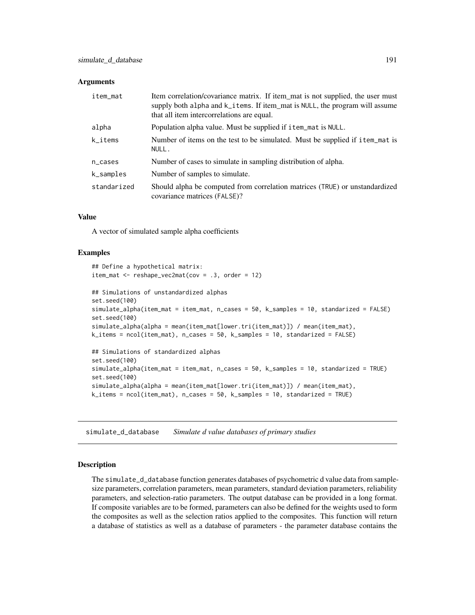#### **Arguments**

| item_mat             | Item correlation/covariance matrix. If item_mat is not supplied, the user must<br>supply both alpha and k_items. If item_mat is NULL, the program will assume<br>that all item intercorrelations are equal. |
|----------------------|-------------------------------------------------------------------------------------------------------------------------------------------------------------------------------------------------------------|
| alpha                | Population alpha value. Must be supplied if item_mat is NULL.                                                                                                                                               |
| k_items              | Number of items on the test to be simulated. Must be supplied if item_mat is<br>NULL.                                                                                                                       |
| $n$ <sub>cases</sub> | Number of cases to simulate in sampling distribution of alpha.                                                                                                                                              |
| $k$ _samples         | Number of samples to simulate.                                                                                                                                                                              |
| standarized          | Should alpha be computed from correlation matrices (TRUE) or unstandardized<br>covariance matrices (FALSE)?                                                                                                 |

#### Value

A vector of simulated sample alpha coefficients

## Examples

```
## Define a hypothetical matrix:
item_mat \leq reshape_vec2mat(cov = .3, order = 12)
## Simulations of unstandardized alphas
set.seed(100)
simulate_alpha(item_mat = item_mat, n_cases = 50, k_samples = 10, standarized = FALSE)
set.seed(100)
simulate_alpha(alpha = mean(item_mat[lower.tri(item_mat)]) / mean(item_mat),
k_items = ncol(item_mat), n_cases = 50, k_samples = 10, standarized = FALSE)
## Simulations of standardized alphas
set.seed(100)
simulate_alpha(item_mat = item_mat, n_cases = 50, k_samples = 10, standarized = TRUE)
set.seed(100)
simulate_alpha(alpha = mean(item_mat[lower.tri(item_mat)]) / mean(item_mat),
k_items = ncol(item_mat), n_cases = 50, k_samples = 10, standarized = TRUE)
```
<span id="page-190-0"></span>simulate\_d\_database *Simulate d value databases of primary studies*

#### Description

The simulate\_d\_database function generates databases of psychometric d value data from samplesize parameters, correlation parameters, mean parameters, standard deviation parameters, reliability parameters, and selection-ratio parameters. The output database can be provided in a long format. If composite variables are to be formed, parameters can also be defined for the weights used to form the composites as well as the selection ratios applied to the composites. This function will return a database of statistics as well as a database of parameters - the parameter database contains the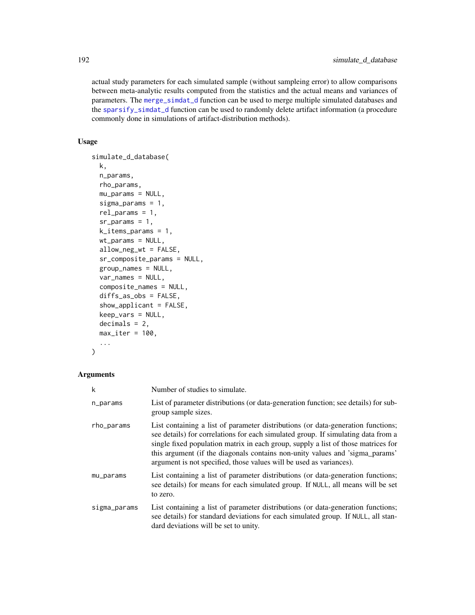actual study parameters for each simulated sample (without sampleing error) to allow comparisons between meta-analytic results computed from the statistics and the actual means and variances of parameters. The [merge\\_simdat\\_d](#page-164-0) function can be used to merge multiple simulated databases and the [sparsify\\_simdat\\_d](#page-202-0) function can be used to randomly delete artifact information (a procedure commonly done in simulations of artifact-distribution methods).

# Usage

```
simulate_d_database(
 k,
  n_params,
  rho_params,
 mu_params = NULL,
  sigma_params = 1,
  rel_params = 1,
  sr_params = 1,
  k_items_params = 1,
 wt_params = NULL,
  allow_neg_wt = FALSE,
  sr_composite_params = NULL,
  group_names = NULL,
  var_names = NULL,
  composite_names = NULL,
  diffs_as_obs = FALSE,
  show_applicant = FALSE,
  keep_vars = NULL,
  decimals = 2,
 max\_iter = 100,
  ...
)
```

| k            | Number of studies to simulate.                                                                                                                                                                                                                                                                                                                                                                                    |
|--------------|-------------------------------------------------------------------------------------------------------------------------------------------------------------------------------------------------------------------------------------------------------------------------------------------------------------------------------------------------------------------------------------------------------------------|
| n_params     | List of parameter distributions (or data-generation function; see details) for sub-<br>group sample sizes.                                                                                                                                                                                                                                                                                                        |
| rho_params   | List containing a list of parameter distributions (or data-generation functions;<br>see details) for correlations for each simulated group. If simulating data from a<br>single fixed population matrix in each group, supply a list of those matrices for<br>this argument (if the diagonals contains non-unity values and 'sigma_params'<br>argument is not specified, those values will be used as variances). |
| mu_params    | List containing a list of parameter distributions (or data-generation functions;<br>see details) for means for each simulated group. If NULL, all means will be set<br>to zero.                                                                                                                                                                                                                                   |
| sigma_params | List containing a list of parameter distributions (or data-generation functions;<br>see details) for standard deviations for each simulated group. If NULL, all stan-<br>dard deviations will be set to unity.                                                                                                                                                                                                    |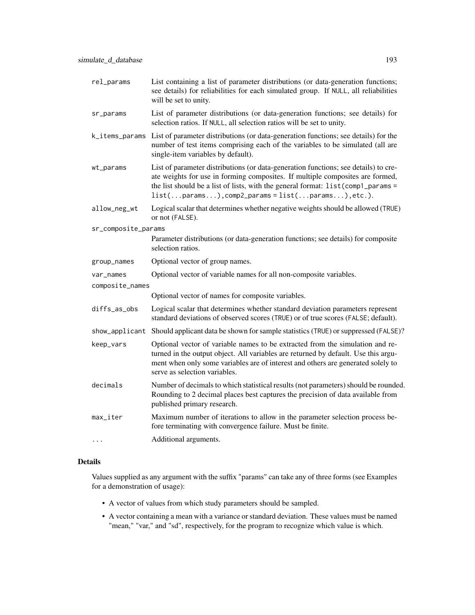- sr\_params List of parameter distributions (or data-generation functions; see details) for selection ratios. If NULL, all selection ratios will be set to unity.
- k\_items\_params List of parameter distributions (or data-generation functions; see details) for the number of test items comprising each of the variables to be simulated (all are single-item variables by default).
- wt\_params List of parameter distributions (or data-generation functions; see details) to create weights for use in forming composites. If multiple composites are formed, the list should be a list of lists, with the general format:  $list$ (comp1\_params =  $list(...params...), comp2-params = list(...params...), etc.).$
- allow\_neg\_wt Logical scalar that determines whether negative weights should be allowed (TRUE) or not (FALSE).
- sr\_composite\_params
	- Parameter distributions (or data-generation functions; see details) for composite selection ratios.
- group\_names Optional vector of group names.

will be set to unity.

- var\_names Optional vector of variable names for all non-composite variables.
- composite\_names
	- Optional vector of names for composite variables.
- diffs\_as\_obs Logical scalar that determines whether standard deviation parameters represent standard deviations of observed scores (TRUE) or of true scores (FALSE; default).
- show\_applicant Should applicant data be shown for sample statistics (TRUE) or suppressed (FALSE)?
- keep\_vars Optional vector of variable names to be extracted from the simulation and returned in the output object. All variables are returned by default. Use this argument when only some variables are of interest and others are generated solely to serve as selection variables.
- decimals Number of decimals to which statistical results (not parameters) should be rounded. Rounding to 2 decimal places best captures the precision of data available from published primary research.
- max\_iter Maximum number of iterations to allow in the parameter selection process before terminating with convergence failure. Must be finite.
- ... Additional arguments.

## Details

Values supplied as any argument with the suffix "params" can take any of three forms (see Examples for a demonstration of usage):

- A vector of values from which study parameters should be sampled.
- A vector containing a mean with a variance or standard deviation. These values must be named "mean," "var," and "sd", respectively, for the program to recognize which value is which.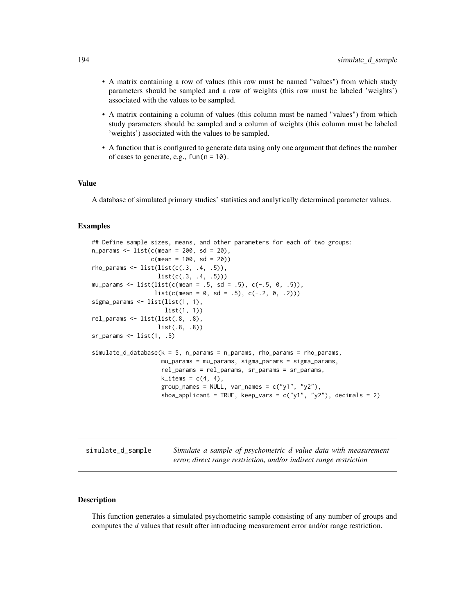- A matrix containing a row of values (this row must be named "values") from which study parameters should be sampled and a row of weights (this row must be labeled 'weights') associated with the values to be sampled.
- A matrix containing a column of values (this column must be named "values") from which study parameters should be sampled and a column of weights (this column must be labeled 'weights') associated with the values to be sampled.
- A function that is configured to generate data using only one argument that defines the number of cases to generate, e.g.,  $fun(n = 10)$ .

## Value

A database of simulated primary studies' statistics and analytically determined parameter values.

# Examples

```
## Define sample sizes, means, and other parameters for each of two groups:
n_{\text{params}} \leftarrow \text{list}(c(\text{mean} = 200, \text{ sd} = 20),c(mean = 100, sd = 20)rho_{params} \leftarrow list(list(c(.3, .4, .5)),list(c(.3, .4, .5)))mu_params <- list(list(c(mean = .5, sd = .5), c(-.5, 0, .5)),
                               list(c(mean = 0, sd = .5), c(-.2, 0, .2)))sigma_params <- list(list(1, 1),
                                    list(1, 1))
rel_params <- list(list(.8, .8),
                                 list(.8, .8))
sr_arams \leftarrow list(1, .5)simulate_d_database(k = 5, n_params = n_params, rho_params = rho_params,mu_params = mu_params, sigma_params = sigma_params,
                                   rel_params = rel_params, sr_params = sr_params,
                                   k<sup>1</sup>/<sub>1</sub> k<sup>2</sup>/<sub>1</sub> k<sup>3</sup>/<sub>1</sub> k<sup>3</sup>/<sub>1</sub> k<sup>3</sup>/<sub>1</sub> k<sup>3</sup>k<sup>3</sup>k<sup>3</sup>k<sup>3</sup>k<sup>3</sup>k<sup>3</sup>k<sup>3</sup>k<sup>3</sup>k<sup>3</sup>k<sup>3</sup>k<sup>3</sup>k<sup>3</sup>k<sup>3</sup>k<sup>3</sup>k<sup>3</sup>k<sup>3</sup>k<sup>3</sup>k<sup>3</sup>k<sup>3</sup>k<sup>3</sup>k<sup>3</sup>k<sup>3</sup>k<sup>3</sup>k<sup>3</sup>k<sup>3</sup>k<sup>3</sup>k<sup>3</sup>k<sup></sup>
                                   group_names = NULL, var_names = c("y1", "y2"),
                                   show_applicant = TRUE, keep_vars = c("y1", "y2"), decimals = 2)
```

| simulate_d_sample | Simulate a sample of psychometric d value data with measurement    |
|-------------------|--------------------------------------------------------------------|
|                   | error, direct range restriction, and/or indirect range restriction |

#### Description

This function generates a simulated psychometric sample consisting of any number of groups and computes the *d* values that result after introducing measurement error and/or range restriction.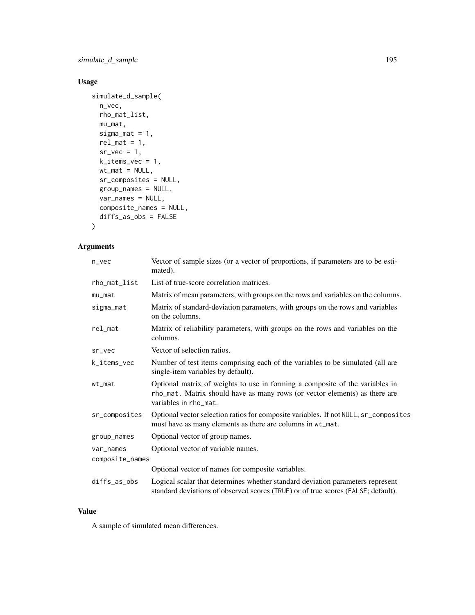simulate\_d\_sample 195

# Usage

```
simulate_d_sample(
 n_vec,
  rho_mat_list,
 mu_mat,
 sigma_mat = 1,
  rel\_mat = 1,
 sr\_vec = 1,
 k\_items\_vec = 1,
 wt\_mat = NULL,sr_composites = NULL,
 group_names = NULL,
 var_names = NULL,
 composite_names = NULL,
  diffs_as_obs = FALSE
)
```
# Arguments

| $n$ vec         | Vector of sample sizes (or a vector of proportions, if parameters are to be esti-<br>mated).                                                                                        |
|-----------------|-------------------------------------------------------------------------------------------------------------------------------------------------------------------------------------|
| rho_mat_list    | List of true-score correlation matrices.                                                                                                                                            |
| $mu_m$ at       | Matrix of mean parameters, with groups on the rows and variables on the columns.                                                                                                    |
| sigma_mat       | Matrix of standard-deviation parameters, with groups on the rows and variables<br>on the columns.                                                                                   |
| rel_mat         | Matrix of reliability parameters, with groups on the rows and variables on the<br>columns.                                                                                          |
| sr_vec          | Vector of selection ratios.                                                                                                                                                         |
| k_items_vec     | Number of test items comprising each of the variables to be simulated (all are<br>single-item variables by default).                                                                |
| $wt_m$ at       | Optional matrix of weights to use in forming a composite of the variables in<br>rho_mat. Matrix should have as many rows (or vector elements) as there are<br>variables in rho_mat. |
| sr_composites   | Optional vector selection ratios for composite variables. If not NULL, sr_composites<br>must have as many elements as there are columns in wt_mat.                                  |
| group_names     | Optional vector of group names.                                                                                                                                                     |
| var_names       | Optional vector of variable names.                                                                                                                                                  |
| composite_names |                                                                                                                                                                                     |
|                 | Optional vector of names for composite variables.                                                                                                                                   |
| diffs_as_obs    | Logical scalar that determines whether standard deviation parameters represent<br>standard deviations of observed scores (TRUE) or of true scores (FALSE; default).                 |

## Value

A sample of simulated mean differences.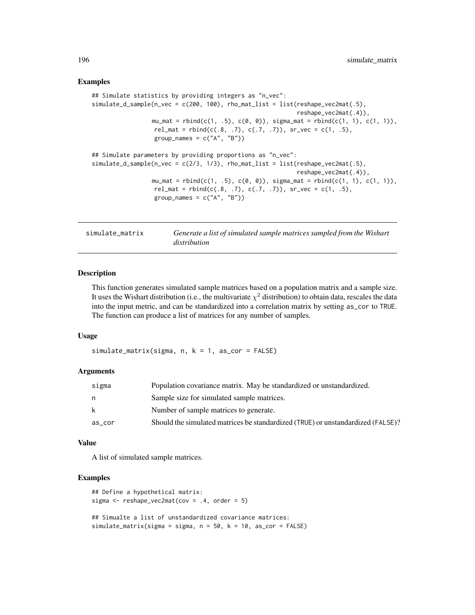#### Examples

```
## Simulate statistics by providing integers as "n_vec":
simulate_d\_sample(n\_vec = c(200, 100), rho\_mat\_list = list(reshape\_vec2mat(.5),reshape_vec2mat(.4)),
                 mu_mat = rbind(c(1, .5), c(0, 0)), sigma_mat = rbind(c(1, 1), c(1, 1)),
                  rel_mat = rbind(c(.8, .7), c(.7, .7)), sr\_vec = c(1, .5),
                  group_names = c("A", "B")## Simulate parameters by providing proportions as "n_vec":
simulate_d_sample(n_vec = c(2/3, 1/3), rho_mat_list = list(reshape_vec2mat(.5),
                                                           reshape_vec2mat(.4)),
                 mu_mat = rbind(c(1, .5), c(0, 0)), sigma_mat = rbind(c(1, 1), c(1, 1)),
                  rel_mat = rbind(c(.8, .7), c(.7, .7)), sr\_vec = c(1, .5),
                  group_names = c("A", "B")
```
simulate\_matrix *Generate a list of simulated sample matrices sampled from the Wishart distribution*

## Description

This function generates simulated sample matrices based on a population matrix and a sample size. It uses the Wishart distribution (i.e., the multivariate  $\chi^2$  distribution) to obtain data, rescales the data into the input metric, and can be standardized into a correlation matrix by setting as\_cor to TRUE. The function can produce a list of matrices for any number of samples.

## Usage

simulate\_matrix(sigma, n, k = 1, as\_cor = FALSE)

#### Arguments

| sigma  | Population covariance matrix. May be standardized or unstandardized.            |
|--------|---------------------------------------------------------------------------------|
| n      | Sample size for simulated sample matrices.                                      |
| k      | Number of sample matrices to generate.                                          |
| as cor | Should the simulated matrices be standardized (TRUE) or unstandardized (FALSE)? |

#### Value

A list of simulated sample matrices.

# Examples

```
## Define a hypothetical matrix:
sigma \leq reshape_vec2mat(cov = .4, order = 5)
## Simualte a list of unstandardized covariance matrices:
simulate_matrix(sigma = sigma, n = 50, k = 10, as_cor = FALSE)
```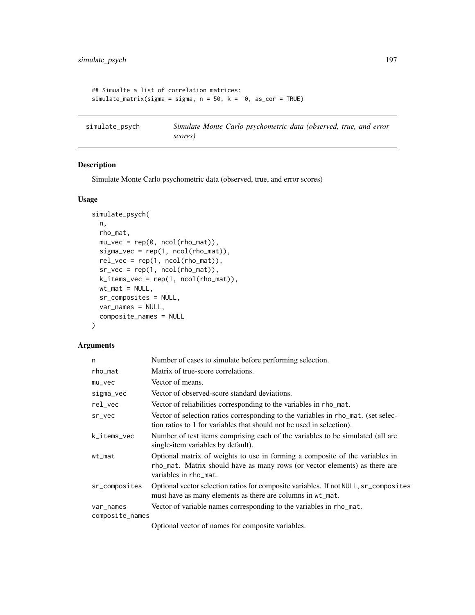```
## Simualte a list of correlation matrices:
simulate_matrix(sigma = sigma, n = 50, k = 10, as_cor = TRUE)
```
simulate\_psych *Simulate Monte Carlo psychometric data (observed, true, and error scores)*

## Description

Simulate Monte Carlo psychometric data (observed, true, and error scores)

#### Usage

```
simulate_psych(
 n,
 rho_mat,
 mu\_vec = rep(0, ncol(rho\_mat)),signa\_vec = rep(1, ncol(rho\_mat)),rel\_vec = rep(1, ncol(rho\_mat)),sr\_vec = rep(1, ncol(rho_matrix)),k_items_vec = rep(1, ncol(rho_mat)),
 wt\_mat = NULL,sr_composites = NULL,
 var_names = NULL,
 composite_names = NULL
\lambda
```
# Arguments

| n               | Number of cases to simulate before performing selection.                                                                                                                            |
|-----------------|-------------------------------------------------------------------------------------------------------------------------------------------------------------------------------------|
| rho_mat         | Matrix of true-score correlations.                                                                                                                                                  |
| $mu\_vec$       | Vector of means.                                                                                                                                                                    |
| sigma_vec       | Vector of observed-score standard deviations.                                                                                                                                       |
| rel_vec         | Vector of reliabilities corresponding to the variables in rho_mat.                                                                                                                  |
| sr_vec          | Vector of selection ratios corresponding to the variables in rho_mat. (set selec-<br>tion ratios to 1 for variables that should not be used in selection).                          |
| k_items_vec     | Number of test items comprising each of the variables to be simulated (all are<br>single-item variables by default).                                                                |
| wt_mat          | Optional matrix of weights to use in forming a composite of the variables in<br>rho_mat. Matrix should have as many rows (or vector elements) as there are<br>variables in rho_mat. |
| sr_composites   | Optional vector selection ratios for composite variables. If not NULL, sr_composites<br>must have as many elements as there are columns in wt_mat.                                  |
| var_names       | Vector of variable names corresponding to the variables in rho_mat.                                                                                                                 |
| composite_names |                                                                                                                                                                                     |
|                 |                                                                                                                                                                                     |

Optional vector of names for composite variables.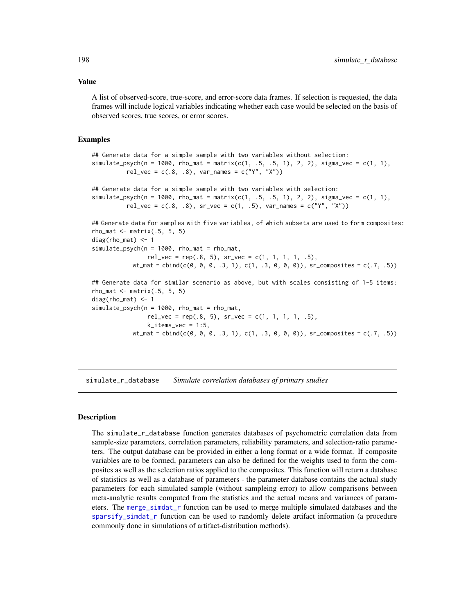Value

A list of observed-score, true-score, and error-score data frames. If selection is requested, the data frames will include logical variables indicating whether each case would be selected on the basis of observed scores, true scores, or error scores.

#### Examples

```
## Generate data for a simple sample with two variables without selection:
simulate\_psych(n = 1000, rho\_mat = matrix(c(1, .5, .5, 1), 2, 2), sigma\_vec = c(1, 1),rel\_vec = c(.8, .8), var\_names = c("Y", "X"))## Generate data for a simple sample with two variables with selection:
simulate_psych(n = 1000, rho_mat = matrix(c(1, .5, .5, 1), 2, 2), sigma_vec = c(1, 1),
          rel_vec = c(.8, .8), sr_vec = c(1, .5), var_names = c("Y", "X")## Generate data for samples with five variables, of which subsets are used to form composites:
rho_matrix(.5, 5, 5)diag(rho_mat) <- 1
simulate\_psych(n = 1000, rho\_mat = rho\_mat,rel\_vec = rep(.8, 5), sr\_vec = c(1, 1, 1, 1, .5),wt_mat = \text{cbind}(c(0, 0, 0, .3, 1), c(1, .3, 0, 0, 0)), sr\_composites = c(.7, .5))## Generate data for similar scenario as above, but with scales consisting of 1-5 items:
rho_mat \leq matrix(.5, 5, 5)diag(rho_mat) <- 1
simulate_psych(n = 1000, rho_mat = rho_mat,
                rel\_vec = rep(.8, 5), sr\_vec = c(1, 1, 1, 1, .5),k<sub>_i</sub>tems_vec = 1:5,
           wt_mat = \text{cbind}(c(0, 0, 0, .3, 1), c(1, .3, 0, 0, 0)), sr\_composites = c(.7, .5))
```
<span id="page-197-0"></span>simulate\_r\_database *Simulate correlation databases of primary studies*

#### Description

The simulate\_r\_database function generates databases of psychometric correlation data from sample-size parameters, correlation parameters, reliability parameters, and selection-ratio parameters. The output database can be provided in either a long format or a wide format. If composite variables are to be formed, parameters can also be defined for the weights used to form the composites as well as the selection ratios applied to the composites. This function will return a database of statistics as well as a database of parameters - the parameter database contains the actual study parameters for each simulated sample (without sampleing error) to allow comparisons between meta-analytic results computed from the statistics and the actual means and variances of parameters. The [merge\\_simdat\\_r](#page-165-0) function can be used to merge multiple simulated databases and the [sparsify\\_simdat\\_r](#page-203-0) function can be used to randomly delete artifact information (a procedure commonly done in simulations of artifact-distribution methods).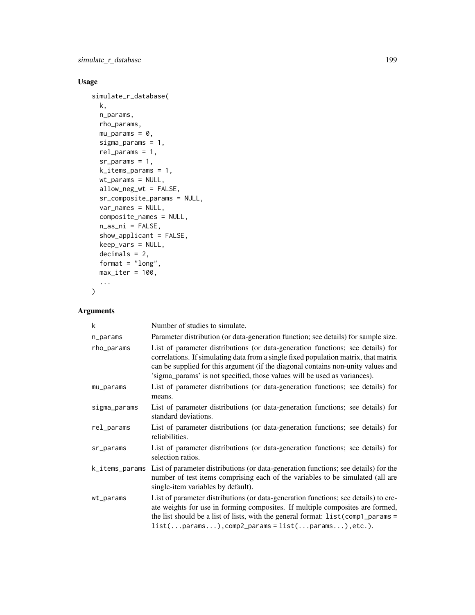simulate\_r\_database 199

# Usage

```
simulate_r_database(
 k,
 n_params,
 rho_params,
 mu_params = \theta,
  sigma_params = 1,
  rel_params = 1,
  sr\_params = 1,
  k_items_params = 1,
 wt_params = NULL,
 allow_neg_wt = FALSE,
  sr_composite_params = NULL,
 var_names = NULL,
  composite_names = NULL,
 n_as_ni = FALSE,
  show_applicant = FALSE,
 keep_vars = NULL,
  decimals = 2,
 format = "long",
 max\_iter = 100,
  ...
\mathcal{L}
```

| k              | Number of studies to simulate.                                                                                                                                                                                                                                                                                                          |
|----------------|-----------------------------------------------------------------------------------------------------------------------------------------------------------------------------------------------------------------------------------------------------------------------------------------------------------------------------------------|
| n_params       | Parameter distribution (or data-generation function; see details) for sample size.                                                                                                                                                                                                                                                      |
| rho_params     | List of parameter distributions (or data-generation functions; see details) for<br>correlations. If simulating data from a single fixed population matrix, that matrix<br>can be supplied for this argument (if the diagonal contains non-unity values and<br>'sigma_params' is not specified, those values will be used as variances). |
| mu_params      | List of parameter distributions (or data-generation functions; see details) for<br>means.                                                                                                                                                                                                                                               |
| sigma_params   | List of parameter distributions (or data-generation functions; see details) for<br>standard deviations.                                                                                                                                                                                                                                 |
| rel_params     | List of parameter distributions (or data-generation functions; see details) for<br>reliabilities.                                                                                                                                                                                                                                       |
| sr_params      | List of parameter distributions (or data-generation functions; see details) for<br>selection ratios.                                                                                                                                                                                                                                    |
| k_items_params | List of parameter distributions (or data-generation functions; see details) for the<br>number of test items comprising each of the variables to be simulated (all are<br>single-item variables by default).                                                                                                                             |
| wt_params      | List of parameter distributions (or data-generation functions; see details) to cre-<br>ate weights for use in forming composites. If multiple composites are formed,<br>the list should be a list of lists, with the general format: $list$ (comp1_params =<br>$list(params), comp2-params = list(params), etc.).$                      |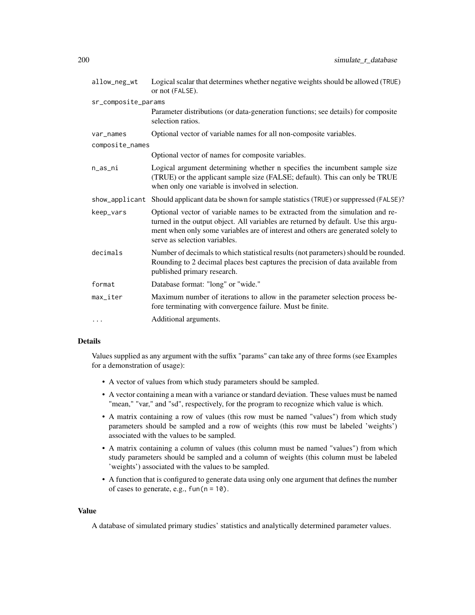| allow_neg_wt        | Logical scalar that determines whether negative weights should be allowed (TRUE)<br>or not (FALSE).                                                                                                                                                                                      |
|---------------------|------------------------------------------------------------------------------------------------------------------------------------------------------------------------------------------------------------------------------------------------------------------------------------------|
| sr_composite_params |                                                                                                                                                                                                                                                                                          |
|                     | Parameter distributions (or data-generation functions; see details) for composite<br>selection ratios.                                                                                                                                                                                   |
| var_names           | Optional vector of variable names for all non-composite variables.                                                                                                                                                                                                                       |
| composite_names     |                                                                                                                                                                                                                                                                                          |
|                     | Optional vector of names for composite variables.                                                                                                                                                                                                                                        |
| n_as_ni             | Logical argument determining whether n specifies the incumbent sample size<br>(TRUE) or the applicant sample size (FALSE; default). This can only be TRUE<br>when only one variable is involved in selection.                                                                            |
|                     | show_applicant Should applicant data be shown for sample statistics (TRUE) or suppressed (FALSE)?                                                                                                                                                                                        |
| keep_vars           | Optional vector of variable names to be extracted from the simulation and re-<br>turned in the output object. All variables are returned by default. Use this argu-<br>ment when only some variables are of interest and others are generated solely to<br>serve as selection variables. |
| decimals            | Number of decimals to which statistical results (not parameters) should be rounded.<br>Rounding to 2 decimal places best captures the precision of data available from<br>published primary research.                                                                                    |
| format              | Database format: "long" or "wide."                                                                                                                                                                                                                                                       |
| max_iter            | Maximum number of iterations to allow in the parameter selection process be-<br>fore terminating with convergence failure. Must be finite.                                                                                                                                               |
| $\cdots$            | Additional arguments.                                                                                                                                                                                                                                                                    |

## Details

Values supplied as any argument with the suffix "params" can take any of three forms (see Examples for a demonstration of usage):

- A vector of values from which study parameters should be sampled.
- A vector containing a mean with a variance or standard deviation. These values must be named "mean," "var," and "sd", respectively, for the program to recognize which value is which.
- A matrix containing a row of values (this row must be named "values") from which study parameters should be sampled and a row of weights (this row must be labeled 'weights') associated with the values to be sampled.
- A matrix containing a column of values (this column must be named "values") from which study parameters should be sampled and a column of weights (this column must be labeled 'weights') associated with the values to be sampled.
- A function that is configured to generate data using only one argument that defines the number of cases to generate, e.g.,  $fun(n = 10)$ .

#### Value

A database of simulated primary studies' statistics and analytically determined parameter values.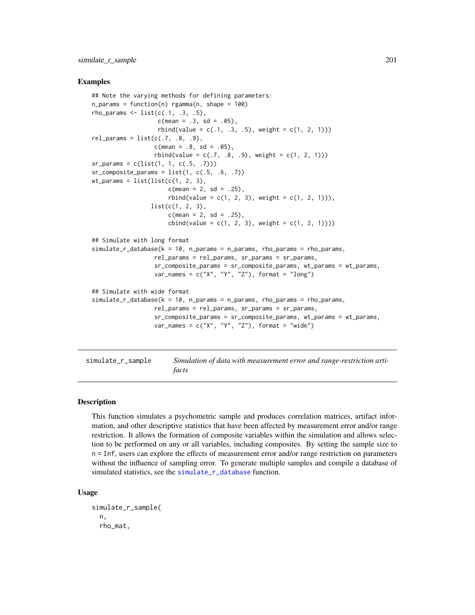#### Examples

```
## Note the varying methods for defining parameters:
n_{\text{params}} = function(n) rgamma(n, \text{ shape} = 100)rho_params \le list(c(.1, .3, .5),
                   c(mean = .3, sd = .05),
                   rbind(value = c(.1, .3, .5), weight = c(1, 2, 1)))rel\_params = list(c(.7, .8, .9),c(mean = .8, sd = .05),
                  rbind(value = c(.7, .8, .9), weight = c(1, 2, 1)))sr_ = c(list(1, 1, c(.5, .7)))
sr\_composite\_params = list(1, c(.5, .6, .7))wt_params = list(list(c(1, 2, 3),
                      c(mean = 2, sd = .25),
                      rbind(value = c(1, 2, 3), weight = c(1, 2, 1)),
                 list(c(1, 2, 3)),c(mean = 2, sd = .25),
                      cbind(value = c(1, 2, 3), weight = c(1, 2, 1))))## Simulate with long format
simulate_r_database(k = 10, n_parameters = n_parameters, rho_params = rho_params,rel_params = rel_params, sr_params = sr_params,
                  sr_composite_params = sr_composite_params, wt_params = wt_params,
                  var_names = c("X", "Y", "Z"), format = "long")
## Simulate with wide format
simulate_r_database(k = 10, n_parameters = n_parameters, rho_params = rho_params,rel_params = rel_params, sr_params = sr_params,
                  sr_composite_params = sr_composite_params, wt_params = wt_params,
                  var_names = c("X", "Y", "Z"), format = "wide")
```
simulate\_r\_sample *Simulation of data with measurement error and range-restriction artifacts*

## Description

This function simulates a psychometric sample and produces correlation matrices, artifact information, and other descriptive statistics that have been affected by measurement error and/or range restriction. It allows the formation of composite variables within the simulation and allows selection to be performed on any or all variables, including composites. By setting the sample size to n = Inf, users can explore the effects of measurement error and/or range restriction on parameters without the influence of sampling error. To generate multiple samples and compile a database of simulated statistics, see the [simulate\\_r\\_database](#page-197-0) function.

#### Usage

```
simulate_r_sample(
 n,
  rho_mat,
```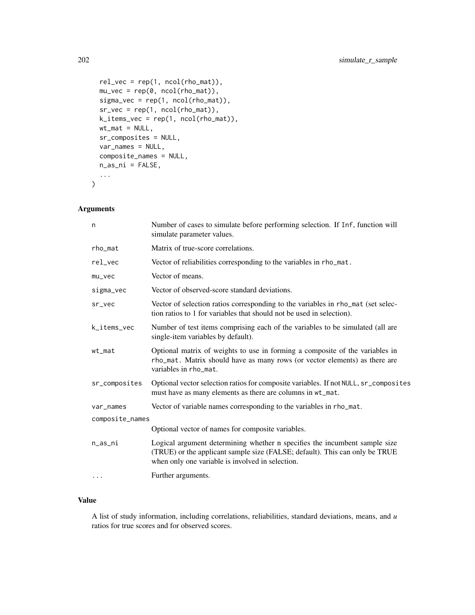```
rel\_vec = rep(1, ncol(rho\_mat)),mu\_vec = rep(0, ncol(rho\_mat)),sigma_{vec} = rep(1, ncol(rho_mat)),sr\_vec = rep(1, ncol(rho_matrix)),k_i tems_vec = rep(1, ncol(rho_mat)),
 wt\_mat = NULL,sr_composites = NULL,
 var_names = NULL,
 composite_names = NULL,
 n_as_ni = FALSE,
  ...
)
```
# Arguments

| n                     | Number of cases to simulate before performing selection. If Inf, function will<br>simulate parameter values.                                                                                                  |
|-----------------------|---------------------------------------------------------------------------------------------------------------------------------------------------------------------------------------------------------------|
| rho_mat               | Matrix of true-score correlations.                                                                                                                                                                            |
| $rel_{\text{--}}$ vec | Vector of reliabilities corresponding to the variables in rho_mat.                                                                                                                                            |
| $mu\_vec$             | Vector of means.                                                                                                                                                                                              |
| sigma_vec             | Vector of observed-score standard deviations.                                                                                                                                                                 |
| sr_vec                | Vector of selection ratios corresponding to the variables in rho_mat (set selec-<br>tion ratios to 1 for variables that should not be used in selection).                                                     |
| k_items_vec           | Number of test items comprising each of the variables to be simulated (all are<br>single-item variables by default).                                                                                          |
| $wt_m$ at             | Optional matrix of weights to use in forming a composite of the variables in<br>rho_mat. Matrix should have as many rows (or vector elements) as there are<br>variables in rho_mat.                           |
| sr_composites         | Optional vector selection ratios for composite variables. If not NULL, sr_composites<br>must have as many elements as there are columns in wt_mat.                                                            |
| var_names             | Vector of variable names corresponding to the variables in rho_mat.                                                                                                                                           |
| composite_names       |                                                                                                                                                                                                               |
|                       | Optional vector of names for composite variables.                                                                                                                                                             |
| n_as_ni               | Logical argument determining whether n specifies the incumbent sample size<br>(TRUE) or the applicant sample size (FALSE; default). This can only be TRUE<br>when only one variable is involved in selection. |
| $\cdots$              | Further arguments.                                                                                                                                                                                            |

## Value

A list of study information, including correlations, reliabilities, standard deviations, means, and *u* ratios for true scores and for observed scores.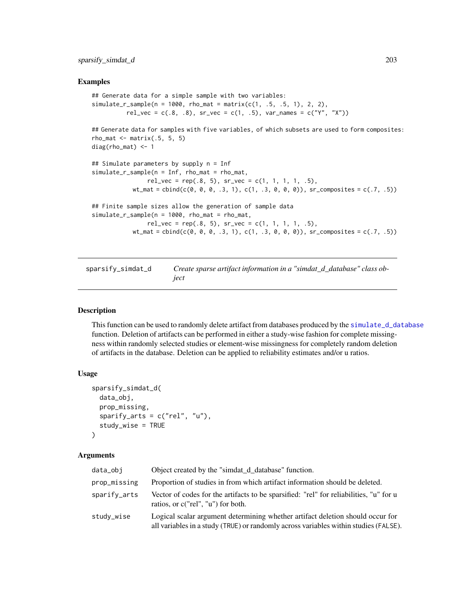#### Examples

```
## Generate data for a simple sample with two variables:
simulate_r_sample(n = 1000, rho_mat = matrix(c(1, .5, .5, 1), 2, 2),
          rel\_vec = c(.8, .8), sr\_vec = c(1, .5), var\_names = c("Y", "X"))## Generate data for samples with five variables, of which subsets are used to form composites:
rho_mat \leq matrix(.5, 5, 5)
diag(rho_mat) <- 1
## Simulate parameters by supply n = Inf
simulate_r_sample(n = Inf, rho_mat = rho_mat,
                rel\_vec = rep(.8, 5), sr\_vec = c(1, 1, 1, 1, .5),wt_mat = \text{cbind}(c(0, 0, 0, .3, 1), c(1, .3, 0, 0, 0)), sr_composites = c(.7, .5))
## Finite sample sizes allow the generation of sample data
simulate_r_sample(n = 1000, rho_mat = rho_mat,
                rel_vec = rep(.8, 5), sr_vec = c(1, 1, 1, 1, .5),
            wt_mat = \text{cbind}(c(0, 0, 0, 0, 0, 1), c(1, 0.3, 0, 0, 0)), sr\_composites = c(.7, .5))
```
<span id="page-202-0"></span>sparsify\_simdat\_d *Create sparse artifact information in a "simdat\_d\_database" class object*

#### Description

This function can be used to randomly delete artifact from databases produced by the [simulate\\_d\\_database](#page-190-0) function. Deletion of artifacts can be performed in either a study-wise fashion for complete missingness within randomly selected studies or element-wise missingness for completely random deletion of artifacts in the database. Deletion can be applied to reliability estimates and/or u ratios.

## Usage

```
sparsify_simdat_d(
  data_obj,
 prop_missing,
  sparify_arts = c("rel", "u"),study_wise = TRUE
)
```

| data_obi     | Object created by the "simiat d database" function.                                                                                                                    |
|--------------|------------------------------------------------------------------------------------------------------------------------------------------------------------------------|
| prop_missing | Proportion of studies in from which artifact information should be deleted.                                                                                            |
| sparify_arts | Vector of codes for the artifacts to be sparsified: "rel" for reliabilities, "u" for u<br>ratios, or c("rel", "u") for both.                                           |
| study_wise   | Logical scalar argument determining whether artifact deletion should occur for<br>all variables in a study (TRUE) or randomly across variables within studies (FALSE). |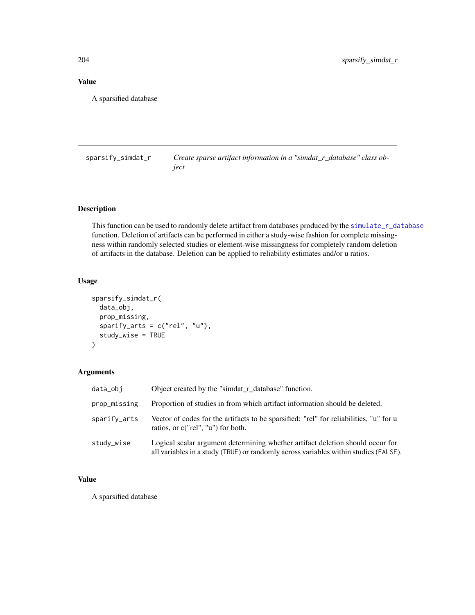# Value

A sparsified database

<span id="page-203-0"></span>sparsify\_simdat\_r *Create sparse artifact information in a "simdat\_r\_database" class object*

# Description

This function can be used to randomly delete artifact from databases produced by the [simulate\\_r\\_database](#page-197-0) function. Deletion of artifacts can be performed in either a study-wise fashion for complete missingness within randomly selected studies or element-wise missingness for completely random deletion of artifacts in the database. Deletion can be applied to reliability estimates and/or u ratios.

# Usage

```
sparsify_simdat_r(
  data_obj,
 prop_missing,
  sparify_arts = c("rel", "u"),
  study_wise = TRUE
)
```
# Arguments

| data_obi     | Object created by the "simdat_r_database" function.                                                                                                                    |
|--------------|------------------------------------------------------------------------------------------------------------------------------------------------------------------------|
| prop_missing | Proportion of studies in from which artifact information should be deleted.                                                                                            |
| sparify_arts | Vector of codes for the artifacts to be sparsified: "rel" for reliabilities, "u" for u<br>ratios, or c("rel", "u") for both.                                           |
| study_wise   | Logical scalar argument determining whether artifact deletion should occur for<br>all variables in a study (TRUE) or randomly across variables within studies (FALSE). |

# Value

A sparsified database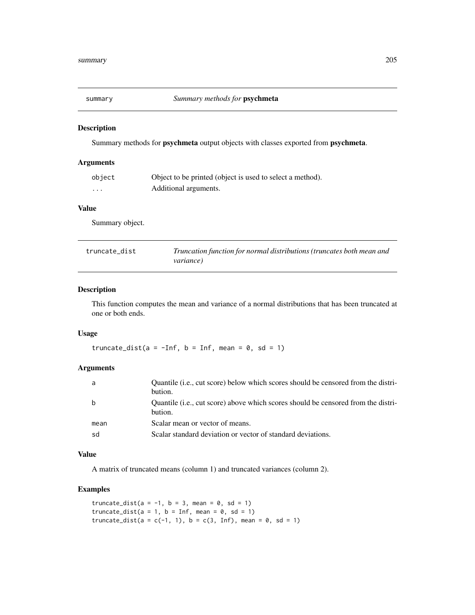# Description

Summary methods for psychmeta output objects with classes exported from psychmeta.

## Arguments

| object   | Object to be printed (object is used to select a method). |
|----------|-----------------------------------------------------------|
| $\cdots$ | Additional arguments.                                     |

#### Value

Summary object.

| truncate dist | Truncation function for normal distributions (truncates both mean and |
|---------------|-----------------------------------------------------------------------|
|               | <i>variance</i> )                                                     |

# Description

This function computes the mean and variance of a normal distributions that has been truncated at one or both ends.

# Usage

truncate\_dist(a =  $-Inf$ , b = Inf, mean = 0, sd = 1)

# Arguments

| a    | Quantile (i.e., cut score) below which scores should be censored from the distri-<br>bution. |
|------|----------------------------------------------------------------------------------------------|
| b    | Quantile (i.e., cut score) above which scores should be censored from the distri-<br>bution. |
| mean | Scalar mean or vector of means.                                                              |
| sd   | Scalar standard deviation or vector of standard deviations.                                  |

## Value

A matrix of truncated means (column 1) and truncated variances (column 2).

# Examples

```
truncate_dist(a = -1, b = 3, mean = 0, sd = 1)
truncate_dist(a = 1, b = Inf, mean = 0, sd = 1)
truncate_dist(a = c(-1, 1), b = c(3, Inf), mean = 0, sd = 1)
```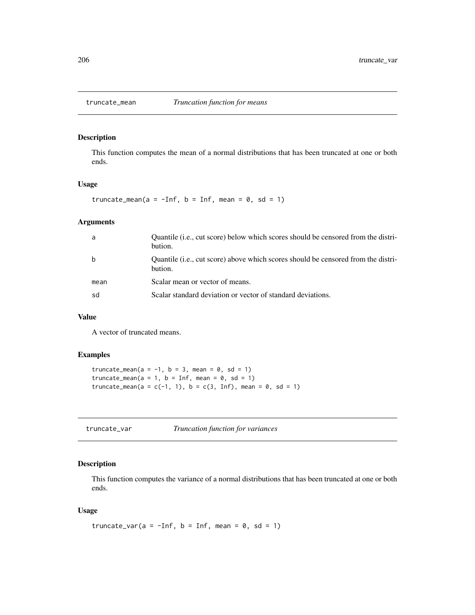## Description

This function computes the mean of a normal distributions that has been truncated at one or both ends.

## Usage

truncate\_mean(a =  $-Inf$ , b = Inf, mean = 0, sd = 1)

# Arguments

| a    | Quantile ( <i>i.e.</i> , cut score) below which scores should be censored from the distri-<br>bution. |
|------|-------------------------------------------------------------------------------------------------------|
| b    | Quantile (i.e., cut score) above which scores should be censored from the distri-<br>bution.          |
| mean | Scalar mean or vector of means.                                                                       |
| sd   | Scalar standard deviation or vector of standard deviations.                                           |

# Value

A vector of truncated means.

## Examples

```
truncate_mean(a = -1, b = 3, mean = 0, sd = 1)
truncate_mean(a = 1, b = Inf, mean = 0, sd = 1)
truncate_mean(a = c(-1, 1), b = c(3, Inf), mean = 0, sd = 1)
```
truncate\_var *Truncation function for variances*

# Description

This function computes the variance of a normal distributions that has been truncated at one or both ends.

#### Usage

truncate\_var(a =  $-Inf$ , b = Inf, mean = 0, sd = 1)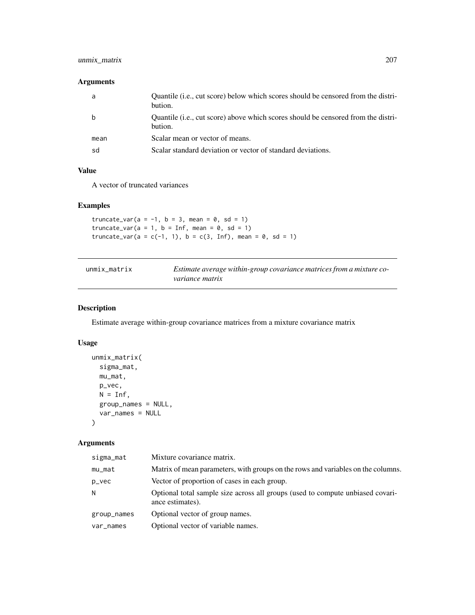# unmix\_matrix 207

# Arguments

| a    | Quantile (i.e., cut score) below which scores should be censored from the distri-<br>bution. |
|------|----------------------------------------------------------------------------------------------|
|      | Quantile (i.e., cut score) above which scores should be censored from the distri-<br>bution. |
| mean | Scalar mean or vector of means.                                                              |
| sd   | Scalar standard deviation or vector of standard deviations.                                  |

## Value

A vector of truncated variances

# Examples

truncate\_var(a =  $-1$ , b = 3, mean = 0, sd = 1) truncate\_var( $a = 1$ ,  $b = Inf$ , mean = 0, sd = 1) truncate\_var(a = c(-1, 1), b = c(3, Inf), mean =  $0$ , sd = 1)

| unmix matrix | Estimate average within-group covariance matrices from a mixture co- |
|--------------|----------------------------------------------------------------------|
|              | <i>variance matrix</i>                                               |

# Description

Estimate average within-group covariance matrices from a mixture covariance matrix

# Usage

```
unmix_matrix(
 sigma_mat,
 mu_mat,
 p_vec,
 N = Inf,
 group_names = NULL,
 var_names = NULL
)
```

| sigma_mat   | Mixture covariance matrix.                                                                         |
|-------------|----------------------------------------------------------------------------------------------------|
| mu_mat      | Matrix of mean parameters, with groups on the rows and variables on the columns.                   |
| p_vec       | Vector of proportion of cases in each group.                                                       |
| N           | Optional total sample size across all groups (used to compute unbiased covari-<br>ance estimates). |
| group_names | Optional vector of group names.                                                                    |
| var_names   | Optional vector of variable names.                                                                 |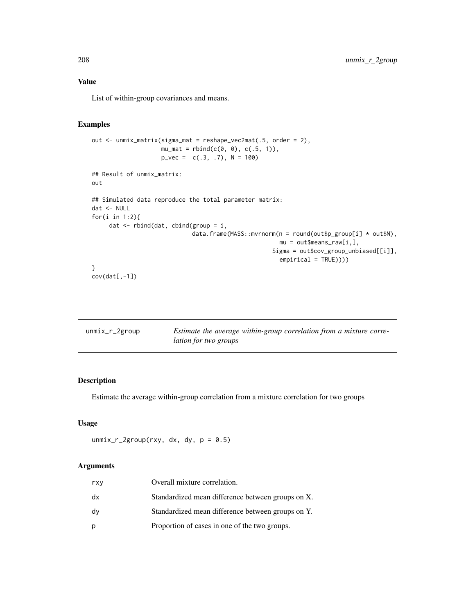## Value

List of within-group covariances and means.

## Examples

```
out <- unmix_matrix(sigma_mat = reshape_vec2mat(.5, order = 2),
                    mu_mat = rbind(c(0, 0), c(.5, 1)),p_{\text{v}}vec = c(.3, .7), N = 100)
## Result of unmix_matrix:
out
## Simulated data reproduce the total parameter matrix:
dat <- NULL
for(i in 1:2){
     dat \leq rbind(dat, cbind(group = i,
                              data.frame(MASS::mvrnorm(n = round(out$p\_group[i] * out$N),mu = out$means_raw[i,],
                                                      Sigma = out$cov_group_unbiased[[i]],
                                                        empirical = TRUE))))
}
cov(data[, -1])
```

| unmix_r_2group | Estimate the average within-group correlation from a mixture corre- |
|----------------|---------------------------------------------------------------------|
|                | <i>lation for two groups</i>                                        |

# Description

Estimate the average within-group correlation from a mixture correlation for two groups

## Usage

unmix\_r\_2group(rxy, dx, dy,  $p = 0.5$ )

| rxy | Overall mixture correlation.                      |
|-----|---------------------------------------------------|
| dx  | Standardized mean difference between groups on X. |
| dy  | Standardized mean difference between groups on Y. |
| р   | Proportion of cases in one of the two groups.     |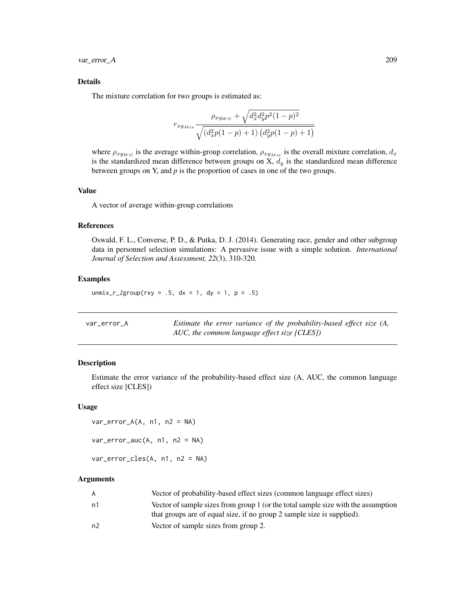var\_error\_A 209

## Details

The mixture correlation for two groups is estimated as:

$$
r_{xy_{Mix}} \frac{\rho_{xy_{WG}} + \sqrt{d_x^2 d_y^2 p^2 (1-p)^2}}{\sqrt{(d_x^2 p(1-p) + 1) (d_y^2 p(1-p) + 1)}}
$$

where  $\rho_{xy_{WG}}$  is the average within-group correlation,  $\rho_{xy_{Mix}}$  is the overall mixture correlation,  $d_x$ is the standardized mean difference between groups on X,  $d_y$  is the standardized mean difference between groups on Y, and *p* is the proportion of cases in one of the two groups.

#### Value

A vector of average within-group correlations

### References

Oswald, F. L., Converse, P. D., & Putka, D. J. (2014). Generating race, gender and other subgroup data in personnel selection simulations: A pervasive issue with a simple solution. *International Journal of Selection and Assessment, 22*(3), 310-320.

## Examples

```
unmix_r_2group(rxy = .5, dx = 1, dy = 1, p = .5)
```

| var error A | Estimate the error variance of the probability-based effect size (A, |
|-------------|----------------------------------------------------------------------|
|             | AUC, the common language effect size [CLES])                         |

# Description

Estimate the error variance of the probability-based effect size (A, AUC, the common language effect size [CLES])

#### Usage

```
var_error_A(A, n1, n2 = NA)var_error_auc(A, n1, n2 = NA)var_error_cles(A, n1, n2 = NA)
```

| A              | Vector of probability-based effect sizes (common language effect sizes)           |
|----------------|-----------------------------------------------------------------------------------|
| n1             | Vector of sample sizes from group 1 (or the total sample size with the assumption |
|                | that groups are of equal size, if no group 2 sample size is supplied).            |
| n <sub>2</sub> | Vector of sample sizes from group 2.                                              |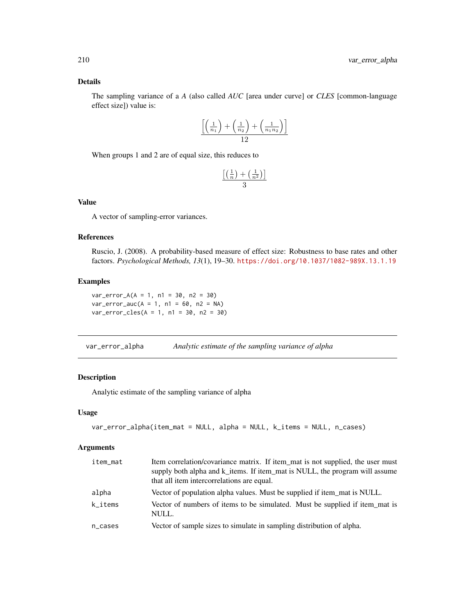## Details

The sampling variance of a *A* (also called *AUC* [area under curve] or *CLES* [common-language effect size]) value is:

$$
\frac{\left[\left(\frac{1}{n_1}\right) + \left(\frac{1}{n_2}\right) + \left(\frac{1}{n_1 n_2}\right)\right]}{12}
$$

When groups 1 and 2 are of equal size, this reduces to

$$
\frac{\left[\left(\frac{1}{n}\right) + \left(\frac{1}{n^2}\right)\right]}{3}
$$

# Value

A vector of sampling-error variances.

## References

Ruscio, J. (2008). A probability-based measure of effect size: Robustness to base rates and other factors. *Psychological Methods, 13*(1), 19–30. <https://doi.org/10.1037/1082-989X.13.1.19>

# Examples

 $var_error_A(A = 1, n1 = 30, n2 = 30)$  $var_error_auc(A = 1, n1 = 60, n2 = NA)$  $var_error_{c}$ les(A = 1, n1 = 30, n2 = 30)

var\_error\_alpha *Analytic estimate of the sampling variance of alpha*

# Description

Analytic estimate of the sampling variance of alpha

#### Usage

```
var_error_alpha(item_mat = NULL, alpha = NULL, k_items = NULL, n_cases)
```

| item_mat | Item correlation/covariance matrix. If item_mat is not supplied, the user must<br>supply both alpha and k_items. If item_mat is NULL, the program will assume<br>that all item intercorrelations are equal. |
|----------|-------------------------------------------------------------------------------------------------------------------------------------------------------------------------------------------------------------|
| alpha    | Vector of population alpha values. Must be supplied if item mat is NULL.                                                                                                                                    |
| k items  | Vector of numbers of items to be simulated. Must be supplied if item mat is<br>NULL.                                                                                                                        |
| n_cases  | Vector of sample sizes to simulate in sampling distribution of alpha.                                                                                                                                       |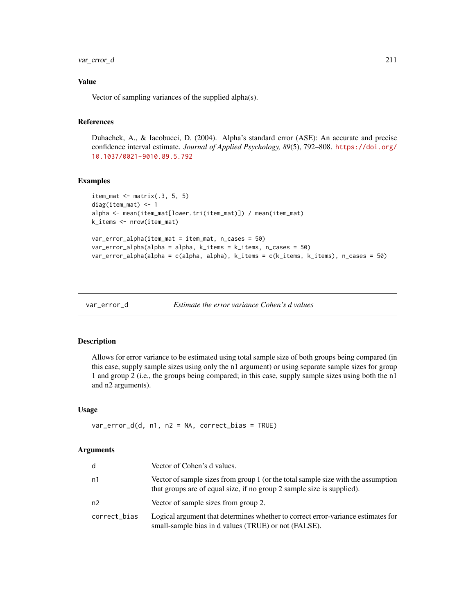# var\_error\_d 211

## Value

Vector of sampling variances of the supplied alpha(s).

# References

Duhachek, A., & Iacobucci, D. (2004). Alpha's standard error (ASE): An accurate and precise confidence interval estimate. *Journal of Applied Psychology, 89*(5), 792–808. [https://doi.org/](https://doi.org/10.1037/0021-9010.89.5.792) [10.1037/0021-9010.89.5.792](https://doi.org/10.1037/0021-9010.89.5.792)

## Examples

```
item_mat \leq matrix(.3, 5, 5)
diag(item_mat) <- 1
alpha <- mean(item_mat[lower.tri(item_mat)]) / mean(item_mat)
k_items <- nrow(item_mat)
var_error_alpha(item_mat = item_mat, n_cases = 50)
var_error_alpha(alpha = alpha, k_items = k_items, n_cases = 50)
var_error_alpha(alpha = c(alpha, alpha), k_items = c(k_items, k_items), n_cases = 50)
```

```
var_error_d Estimate the error variance Cohen's d values
```
# Description

Allows for error variance to be estimated using total sample size of both groups being compared (in this case, supply sample sizes using only the n1 argument) or using separate sample sizes for group 1 and group 2 (i.e., the groups being compared; in this case, supply sample sizes using both the n1 and n2 arguments).

#### Usage

 $var_error_d(d, n1, n2 = NA, correct_bias = TRUE)$ 

| d              | Vector of Cohen's d values.                                                                                                                                 |
|----------------|-------------------------------------------------------------------------------------------------------------------------------------------------------------|
| n1             | Vector of sample sizes from group 1 (or the total sample size with the assumption<br>that groups are of equal size, if no group 2 sample size is supplied). |
| n <sub>2</sub> | Vector of sample sizes from group 2.                                                                                                                        |
| correct_bias   | Logical argument that determines whether to correct error-variance estimates for<br>small-sample bias in d values (TRUE) or not (FALSE).                    |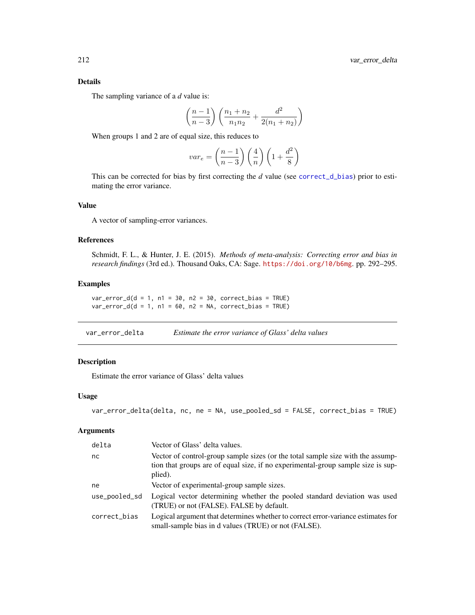# Details

The sampling variance of a *d* value is:

$$
\left(\frac{n-1}{n-3}\right)\left(\frac{n_1+n_2}{n_1n_2} + \frac{d^2}{2(n_1+n_2)}\right)
$$

When groups 1 and 2 are of equal size, this reduces to

$$
var_e = \left(\frac{n-1}{n-3}\right) \left(\frac{4}{n}\right) \left(1 + \frac{d^2}{8}\right)
$$

This can be corrected for bias by first correcting the *d* value (see [correct\\_d\\_bias](#page-42-0)) prior to estimating the error variance.

# Value

A vector of sampling-error variances.

## References

Schmidt, F. L., & Hunter, J. E. (2015). *Methods of meta-analysis: Correcting error and bias in research findings* (3rd ed.). Thousand Oaks, CA: Sage. <https://doi.org/10/b6mg>. pp. 292–295.

## Examples

 $var_error_d(d = 1, n1 = 30, n2 = 30, correct_bias = TRUE)$  $var_error_d(d = 1, n1 = 60, n2 = NA, correct_bias = TRUE)$ 

| var_error_delta | Estimate the error variance of Glass' delta values |  |  |
|-----------------|----------------------------------------------------|--|--|
|-----------------|----------------------------------------------------|--|--|

# Description

Estimate the error variance of Glass' delta values

#### Usage

```
var_error_delta(delta, nc, ne = NA, use_pooled_sd = FALSE, correct_bias = TRUE)
```

| delta         | Vector of Glass' delta values.                                                                                                                                                 |
|---------------|--------------------------------------------------------------------------------------------------------------------------------------------------------------------------------|
| nc.           | Vector of control-group sample sizes (or the total sample size with the assump-<br>tion that groups are of equal size, if no experimental-group sample size is sup-<br>plied). |
| ne            | Vector of experimental-group sample sizes.                                                                                                                                     |
| use_pooled_sd | Logical vector determining whether the pooled standard deviation was used<br>(TRUE) or not (FALSE). FALSE by default.                                                          |
| correct_bias  | Logical argument that determines whether to correct error-variance estimates for<br>small-sample bias in d values (TRUE) or not (FALSE).                                       |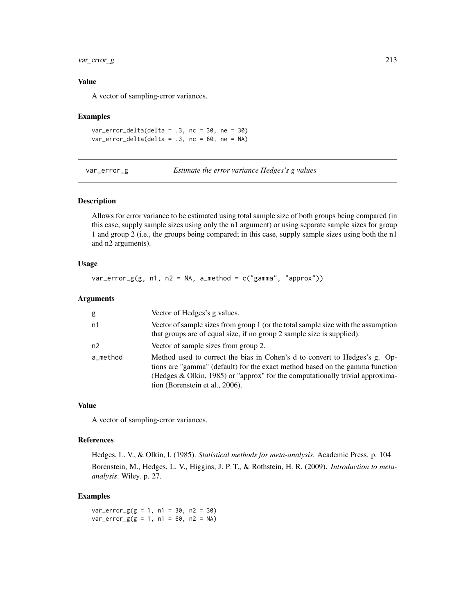# var\_error\_g 213

## Value

A vector of sampling-error variances.

#### Examples

var\_error\_delta(delta = .3, nc = 30, ne = 30)  $var_error$  delta(delta = .3, nc = 60, ne = NA)

var\_error\_g *Estimate the error variance Hedges's g values*

## Description

Allows for error variance to be estimated using total sample size of both groups being compared (in this case, supply sample sizes using only the n1 argument) or using separate sample sizes for group 1 and group 2 (i.e., the groups being compared; in this case, supply sample sizes using both the n1 and n2 arguments).

#### Usage

 $var_error_g(g, n1, n2 = NA, a_method = c("gamma", "approx")$ 

#### Arguments

| g              | Vector of Hedges's g values.                                                                                                                                                                                                                                                   |
|----------------|--------------------------------------------------------------------------------------------------------------------------------------------------------------------------------------------------------------------------------------------------------------------------------|
| n1             | Vector of sample sizes from group 1 (or the total sample size with the assumption<br>that groups are of equal size, if no group 2 sample size is supplied).                                                                                                                    |
| n <sub>2</sub> | Vector of sample sizes from group 2.                                                                                                                                                                                                                                           |
| a method       | Method used to correct the bias in Cohen's d to convert to Hedges's g. Op-<br>tions are "gamma" (default) for the exact method based on the gamma function<br>(Hedges & Olkin, 1985) or "approx" for the computationally trivial approxima-<br>tion (Borenstein et al., 2006). |

#### Value

A vector of sampling-error variances.

#### References

Hedges, L. V., & Olkin, I. (1985). *Statistical methods for meta-analysis*. Academic Press. p. 104 Borenstein, M., Hedges, L. V., Higgins, J. P. T., & Rothstein, H. R. (2009). *Introduction to metaanalysis*. Wiley. p. 27.

## Examples

 $var_error_g(g = 1, n1 = 30, n2 = 30)$  $var_error_g(g = 1, n1 = 60, n2 = NA)$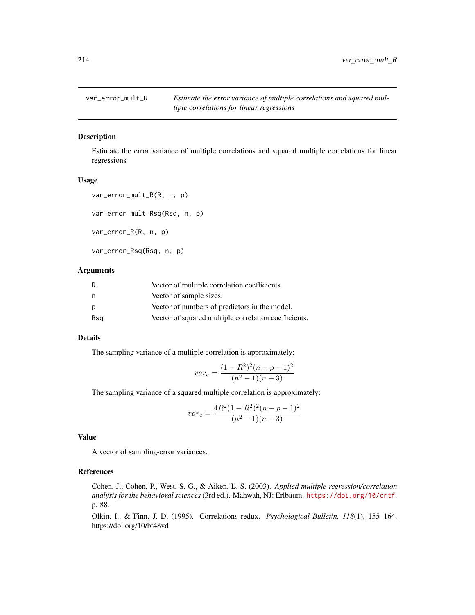# Description

Estimate the error variance of multiple correlations and squared multiple correlations for linear regressions

#### Usage

```
var_error_mult_R(R, n, p)
var_error_mult_Rsq(Rsq, n, p)
var_error_R(R, n, p)
var_error_Rsq(Rsq, n, p)
```
#### Arguments

| R   | Vector of multiple correlation coefficients.         |
|-----|------------------------------------------------------|
| n   | Vector of sample sizes.                              |
| p   | Vector of numbers of predictors in the model.        |
| Rsg | Vector of squared multiple correlation coefficients. |

## Details

The sampling variance of a multiple correlation is approximately:

$$
var_e = \frac{(1 - R^2)^2 (n - p - 1)^2}{(n^2 - 1)(n + 3)}
$$

The sampling variance of a squared multiple correlation is approximately:

$$
var_e = \frac{4R^2(1 - R^2)^2(n - p - 1)^2}{(n^2 - 1)(n + 3)}
$$

## Value

A vector of sampling-error variances.

#### References

Cohen, J., Cohen, P., West, S. G., & Aiken, L. S. (2003). *Applied multiple regression/correlation analysis for the behavioral sciences* (3rd ed.). Mahwah, NJ: Erlbaum. <https://doi.org/10/crtf>. p. 88.

Olkin, I., & Finn, J. D. (1995). Correlations redux. *Psychological Bulletin, 118*(1), 155–164. https://doi.org/10/bt48vd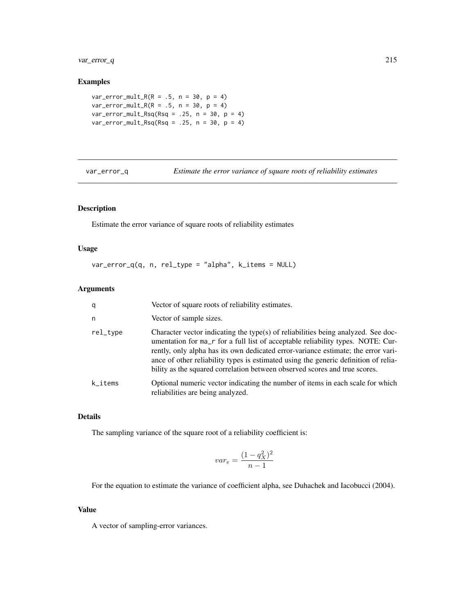var\_error\_q 215

## Examples

```
var_error_mult_R(R = .5, n = 30, p = 4)var_error_mult_R(R = .5, n = 30, p = 4)var_error_mult_Rsq(Rsq = .25, n = 30, p = 4)var_error_mult_Rsq(Rsq = .25, n = 30, p = 4)
```
var\_error\_q *Estimate the error variance of square roots of reliability estimates*

# Description

Estimate the error variance of square roots of reliability estimates

## Usage

var\_error\_q(q, n, rel\_type = "alpha", k\_items = NULL)

#### Arguments

| q        | Vector of square roots of reliability estimates.                                                                                                                                                                                                                                                                                                                                                                               |
|----------|--------------------------------------------------------------------------------------------------------------------------------------------------------------------------------------------------------------------------------------------------------------------------------------------------------------------------------------------------------------------------------------------------------------------------------|
| n        | Vector of sample sizes.                                                                                                                                                                                                                                                                                                                                                                                                        |
| rel_type | Character vector indicating the type(s) of reliabilities being analyzed. See doc-<br>umentation for ma_r for a full list of acceptable reliability types. NOTE: Cur-<br>rently, only alpha has its own dedicated error-variance estimate; the error vari-<br>ance of other reliability types is estimated using the generic definition of relia-<br>bility as the squared correlation between observed scores and true scores. |
| k_items  | Optional numeric vector indicating the number of items in each scale for which<br>reliabilities are being analyzed.                                                                                                                                                                                                                                                                                                            |

## Details

The sampling variance of the square root of a reliability coefficient is:

$$
var_e = \frac{(1 - q_X^2)^2}{n - 1}
$$

For the equation to estimate the variance of coefficient alpha, see Duhachek and Iacobucci (2004).

#### Value

A vector of sampling-error variances.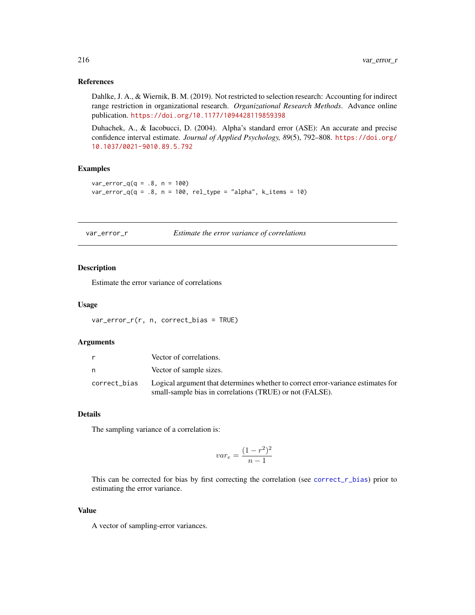#### References

Dahlke, J. A., & Wiernik, B. M. (2019). Not restricted to selection research: Accounting for indirect range restriction in organizational research. *Organizational Research Methods*. Advance online publication. <https://doi.org/10.1177/1094428119859398>

Duhachek, A., & Iacobucci, D. (2004). Alpha's standard error (ASE): An accurate and precise confidence interval estimate. *Journal of Applied Psychology, 89*(5), 792–808. [https://doi.org/](https://doi.org/10.1037/0021-9010.89.5.792) [10.1037/0021-9010.89.5.792](https://doi.org/10.1037/0021-9010.89.5.792)

# Examples

```
var_error_q(q = .8, n = 100)var_error_q(q = .8, n = 100, rel_type = "alpha", k.items = 10)
```
var\_error\_r *Estimate the error variance of correlations*

## Description

Estimate the error variance of correlations

#### Usage

var\_error\_r(r, n, correct\_bias = TRUE)

#### Arguments

| Vector of correlations.                                                                                                                                   |
|-----------------------------------------------------------------------------------------------------------------------------------------------------------|
| Vector of sample sizes.                                                                                                                                   |
| correct_bias Logical argument that determines whether to correct error-variance estimates for<br>small-sample bias in correlations (TRUE) or not (FALSE). |

# Details

The sampling variance of a correlation is:

$$
var_e = \frac{(1 - r^2)^2}{n - 1}
$$

This can be corrected for bias by first correcting the correlation (see [correct\\_r\\_bias](#page-50-0)) prior to estimating the error variance.

#### Value

A vector of sampling-error variances.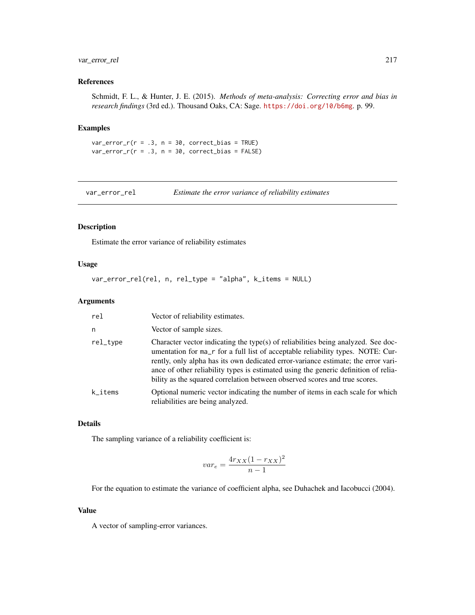# <span id="page-216-0"></span>var\_error\_rel 217

# References

Schmidt, F. L., & Hunter, J. E. (2015). *Methods of meta-analysis: Correcting error and bias in research findings* (3rd ed.). Thousand Oaks, CA: Sage. <https://doi.org/10/b6mg>. p. 99.

# Examples

```
var_error_r(r = .3, n = 30, correct_bias = TRUE)var_error_r(r = .3, n = 30, correct_bias = FALSE)
```
var\_error\_rel *Estimate the error variance of reliability estimates*

# Description

Estimate the error variance of reliability estimates

## Usage

var\_error\_rel(rel, n, rel\_type = "alpha", k\_items = NULL)

## Arguments

| rel      | Vector of reliability estimates.                                                                                                                                                                                                                                                                                                                                                                                               |
|----------|--------------------------------------------------------------------------------------------------------------------------------------------------------------------------------------------------------------------------------------------------------------------------------------------------------------------------------------------------------------------------------------------------------------------------------|
| n        | Vector of sample sizes.                                                                                                                                                                                                                                                                                                                                                                                                        |
| rel_type | Character vector indicating the type(s) of reliabilities being analyzed. See doc-<br>umentation for ma_r for a full list of acceptable reliability types. NOTE: Cur-<br>rently, only alpha has its own dedicated error-variance estimate; the error vari-<br>ance of other reliability types is estimated using the generic definition of relia-<br>bility as the squared correlation between observed scores and true scores. |
| k_items  | Optional numeric vector indicating the number of items in each scale for which<br>reliabilities are being analyzed.                                                                                                                                                                                                                                                                                                            |

# Details

The sampling variance of a reliability coefficient is:

$$
var_e = \frac{4r_{XX}(1 - r_{XX})^2}{n - 1}
$$

For the equation to estimate the variance of coefficient alpha, see Duhachek and Iacobucci (2004).

#### Value

A vector of sampling-error variances.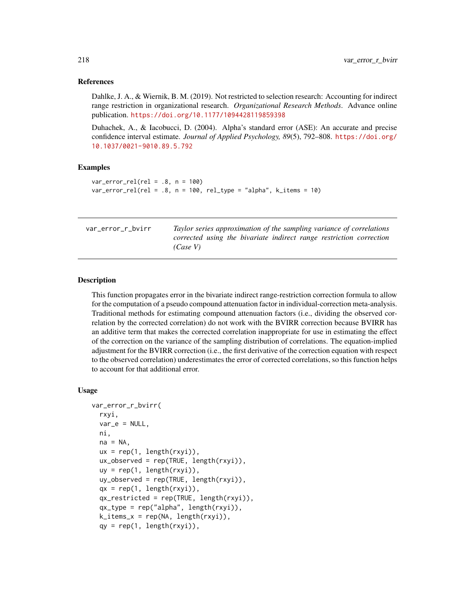## <span id="page-217-0"></span>References

Dahlke, J. A., & Wiernik, B. M. (2019). Not restricted to selection research: Accounting for indirect range restriction in organizational research. *Organizational Research Methods*. Advance online publication. <https://doi.org/10.1177/1094428119859398>

Duhachek, A., & Iacobucci, D. (2004). Alpha's standard error (ASE): An accurate and precise confidence interval estimate. *Journal of Applied Psychology, 89*(5), 792–808. [https://doi.org/](https://doi.org/10.1037/0021-9010.89.5.792) [10.1037/0021-9010.89.5.792](https://doi.org/10.1037/0021-9010.89.5.792)

## Examples

```
var_error_{rel}(rel = .8, n = 100)var_error_{rel}(rel = .8, n = 100, rel_type = "alpha", k_items = 10)
```
var\_error\_r\_bvirr *Taylor series approximation of the sampling variance of correlations corrected using the bivariate indirect range restriction correction (Case V)*

#### Description

This function propagates error in the bivariate indirect range-restriction correction formula to allow for the computation of a pseudo compound attenuation factor in individual-correction meta-analysis. Traditional methods for estimating compound attenuation factors (i.e., dividing the observed correlation by the corrected correlation) do not work with the BVIRR correction because BVIRR has an additive term that makes the corrected correlation inappropriate for use in estimating the effect of the correction on the variance of the sampling distribution of correlations. The equation-implied adjustment for the BVIRR correction (i.e., the first derivative of the correction equation with respect to the observed correlation) underestimates the error of corrected correlations, so this function helps to account for that additional error.

#### Usage

```
var_error_r_bvirr(
  rxyi,
  var_e = NULL,
 ni,
  na = NA,
  ux = rep(1, length(rxyi)),ux_observed = rep(TRUE, length(rxyi)),
  uy = rep(1, length(rxyi)),
  uy\_observed = rep(TRUE, length(rxyi)).qx = rep(1, length(rxyi)),qx_restricted = rep(TRUE, length(rxyi)),
  qx_type = rep("alpha", length(rxyi)),
  k_items_x = rep(NA, length(rxyi)),
  qy = rep(1, length(rxyi)),
```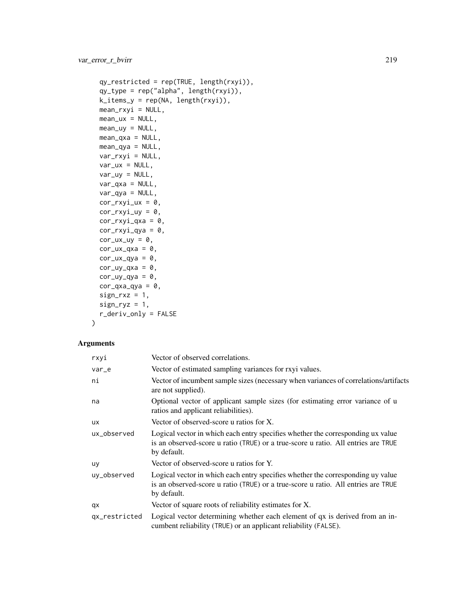```
qy_restricted = rep(TRUE, length(rxyi)),
qy_type = rep("alpha", length(rxyi)),
k\_items_y = rep(NA, length(rxyi)),mean_rxyi = NULL,
mean_lux = NULL,mean_{uy} = NULL,mean_{\text{axa}} = NULL,mean_qya = NULL,
var_rxyi = NULL,
var_{ux} = NULL,
var_{uy} = NULL,
var_qxa = NULL,var_qya = NULL,
cor_rxyi_lxx = 0,
cor_rxyi_uy = 0,
cor_rxyi_qxa = 0,
cor_rxyi_qya = 0,
cor_lux_luy = 0,
cor_lxx_qxa = 0,
cor_lux_qya = 0,
cor_{uy_qxa} = 0,
cor_{uy_qya} = 0,
cor_{\text{qxa-qya}} = 0,
sign_r xz = 1,
sign_ryz = 1,
r_deriv_only = FALSE
```

```
\mathcal{L}
```
## Arguments

| rxyi          | Vector of observed correlations.                                                                                                                                                    |  |
|---------------|-------------------------------------------------------------------------------------------------------------------------------------------------------------------------------------|--|
| var_e         | Vector of estimated sampling variances for rxyi values.                                                                                                                             |  |
| ni            | Vector of incumbent sample sizes (necessary when variances of correlations/artifacts<br>are not supplied).                                                                          |  |
| na            | Optional vector of applicant sample sizes (for estimating error variance of u<br>ratios and applicant reliabilities).                                                               |  |
| <b>ux</b>     | Vector of observed-score u ratios for X.                                                                                                                                            |  |
| ux_observed   | Logical vector in which each entry specifies whether the corresponding ux value<br>is an observed-score u ratio (TRUE) or a true-score u ratio. All entries are TRUE<br>by default. |  |
| uy            | Vector of observed-score u ratios for Y.                                                                                                                                            |  |
| uy_observed   | Logical vector in which each entry specifies whether the corresponding uy value<br>is an observed-score u ratio (TRUE) or a true-score u ratio. All entries are TRUE<br>by default. |  |
| qx            | Vector of square roots of reliability estimates for X.                                                                                                                              |  |
| qx_restricted | Logical vector determining whether each element of qx is derived from an in-<br>cumbent reliability (TRUE) or an applicant reliability (FALSE).                                     |  |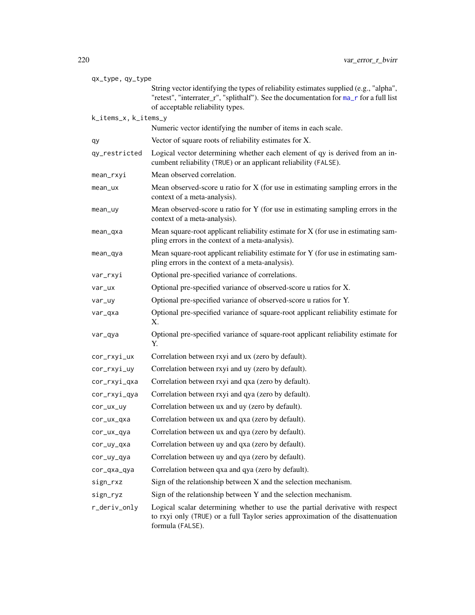<span id="page-219-0"></span>

| qx_type, qy_type     |                                                                                                                                                                                                                     |  |
|----------------------|---------------------------------------------------------------------------------------------------------------------------------------------------------------------------------------------------------------------|--|
|                      | String vector identifying the types of reliability estimates supplied (e.g., "alpha",<br>"retest", "interrater_r", "splithalf"). See the documentation for ma_r for a full list<br>of acceptable reliability types. |  |
| k_items_x, k_items_y |                                                                                                                                                                                                                     |  |
|                      | Numeric vector identifying the number of items in each scale.                                                                                                                                                       |  |
| qу                   | Vector of square roots of reliability estimates for X.                                                                                                                                                              |  |
| qy_restricted        | Logical vector determining whether each element of qy is derived from an in-<br>cumbent reliability (TRUE) or an applicant reliability (FALSE).                                                                     |  |
| mean_rxyi            | Mean observed correlation.                                                                                                                                                                                          |  |
| mean_ux              | Mean observed-score u ratio for $X$ (for use in estimating sampling errors in the<br>context of a meta-analysis).                                                                                                   |  |
| mean_uy              | Mean observed-score u ratio for Y (for use in estimating sampling errors in the<br>context of a meta-analysis).                                                                                                     |  |
| mean_qxa             | Mean square-root applicant reliability estimate for X (for use in estimating sam-<br>pling errors in the context of a meta-analysis).                                                                               |  |
| mean_qya             | Mean square-root applicant reliability estimate for Y (for use in estimating sam-<br>pling errors in the context of a meta-analysis).                                                                               |  |
| var_rxyi             | Optional pre-specified variance of correlations.                                                                                                                                                                    |  |
| var_ux               | Optional pre-specified variance of observed-score u ratios for X.                                                                                                                                                   |  |
| var_uy               | Optional pre-specified variance of observed-score u ratios for Y.                                                                                                                                                   |  |
| var_qxa              | Optional pre-specified variance of square-root applicant reliability estimate for<br>Х.                                                                                                                             |  |
| var_qya              | Optional pre-specified variance of square-root applicant reliability estimate for<br>Υ.                                                                                                                             |  |
| cor_rxyi_ux          | Correlation between rxyi and ux (zero by default).                                                                                                                                                                  |  |
| cor_rxyi_uy          | Correlation between rxyi and uy (zero by default).                                                                                                                                                                  |  |
| cor_rxyi_qxa         | Correlation between rxyi and qxa (zero by default).                                                                                                                                                                 |  |
| cor_rxyi_qya         | Correlation between rxyi and qya (zero by default).                                                                                                                                                                 |  |
| cor_ux_uy            | Correlation between ux and uy (zero by default).                                                                                                                                                                    |  |
| cor_ux_qxa           | Correlation between ux and qxa (zero by default).                                                                                                                                                                   |  |
| cor_ux_qya           | Correlation between ux and qya (zero by default).                                                                                                                                                                   |  |
| cor_uy_qxa           | Correlation between uy and qxa (zero by default).                                                                                                                                                                   |  |
| cor_uy_qya           | Correlation between uy and qya (zero by default).                                                                                                                                                                   |  |
| cor_qxa_qya          | Correlation between qxa and qya (zero by default).                                                                                                                                                                  |  |
| sign_rxz             | Sign of the relationship between X and the selection mechanism.                                                                                                                                                     |  |
| sign_ryz             | Sign of the relationship between Y and the selection mechanism.                                                                                                                                                     |  |
| r_deriv_only         | Logical scalar determining whether to use the partial derivative with respect<br>to rxyi only (TRUE) or a full Taylor series approximation of the disattenuation<br>formula (FALSE).                                |  |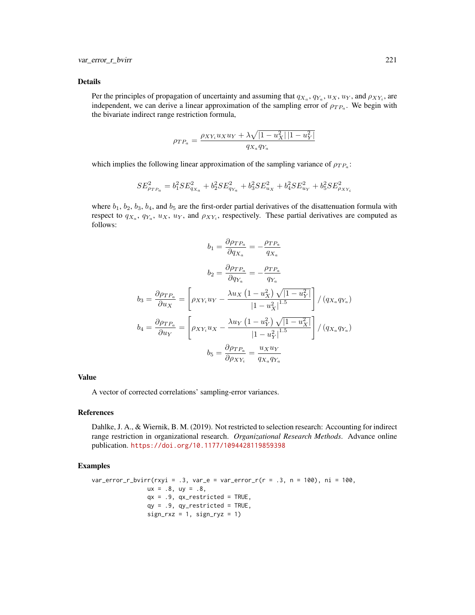## Details

Per the principles of propagation of uncertainty and assuming that  $q_{X_a}, q_{Y_a}, u_X, u_Y$ , and  $\rho_{XY_i}$ , are independent, we can derive a linear approximation of the sampling error of  $\rho_{TP_a}$ . We begin with the bivariate indirect range restriction formula,

$$
\rho_{TP_a} = \frac{\rho_{XY_i} u_X u_Y + \lambda \sqrt{|1 - u_X^2| |1 - u_Y^2|}}{q_{X_a} q_{Y_a}}
$$

which implies the following linear approximation of the sampling variance of  $\rho_{TP_a}$ :

$$
SE_{\rho_{TP_a}}^2 = b_1^2 SE_{q_{X_a}}^2 + b_2^2 SE_{q_{Y_a}}^2 + b_3^2 SE_{u_X}^2 + b_4^2 SE_{u_Y}^2 + b_5^2 SE_{\rho_{XY_i}}^2
$$

where  $b_1$ ,  $b_2$ ,  $b_3$ ,  $b_4$ , and  $b_5$  are the first-order partial derivatives of the disattenuation formula with respect to  $q_{X_a}$ ,  $q_{Y_a}$ ,  $u_X$ ,  $u_Y$ , and  $\rho_{XY_i}$ , respectively. These partial derivatives are computed as follows:

$$
b_1 = \frac{\partial \rho_{TP_a}}{\partial q_{X_a}} = -\frac{\rho_{TP_a}}{q_{X_a}}
$$

$$
b_2 = \frac{\partial \rho_{TP_a}}{\partial q_{Y_a}} = -\frac{\rho_{TP_a}}{q_{Y_a}}
$$

$$
b_3 = \frac{\partial \rho_{TP_a}}{\partial u_X} = \left[\rho_{XY_i}u_Y - \frac{\lambda u_X (1 - u_X^2) \sqrt{|1 - u_Y^2|}}{|1 - u_X^2|^{1.5}}\right] / (q_{X_a}q_{Y_a})
$$

$$
b_4 = \frac{\partial \rho_{TP_a}}{\partial u_Y} = \left[\rho_{XY_i}u_X - \frac{\lambda u_Y (1 - u_Y^2) \sqrt{|1 - u_X^2|}}{|1 - u_Y^2|^{1.5}}\right] / (q_{X_a}q_{Y_a})
$$

$$
b_5 = \frac{\partial \rho_{TP_a}}{\partial \rho_{XY_i}} = \frac{u_Xu_Y}{q_{X_a}q_{Y_a}}
$$

#### Value

A vector of corrected correlations' sampling-error variances.

#### References

Dahlke, J. A., & Wiernik, B. M. (2019). Not restricted to selection research: Accounting for indirect range restriction in organizational research. *Organizational Research Methods*. Advance online publication. <https://doi.org/10.1177/1094428119859398>

## Examples

```
var_error_r_bvir(rxyi = .3, var_e = var_error_r(r = .3, n = 100), ni = 100,ux = .8, uy = .8,qx = .9, qx\_restricted = TRUE,
                qy = .9, qy_r restricted = TRUE,
                sign_r xz = 1, sign_r yz = 1)
```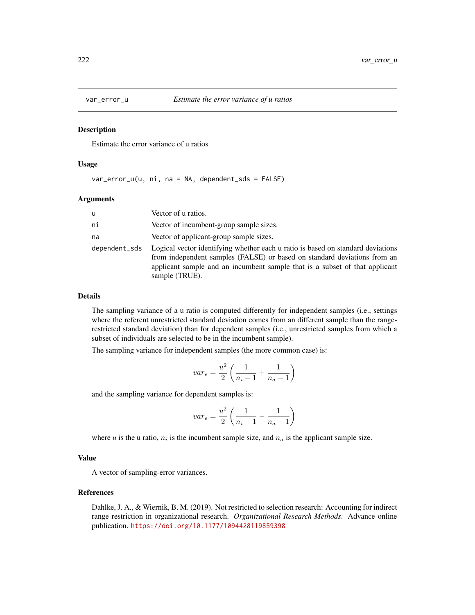<span id="page-221-0"></span>

## Description

Estimate the error variance of u ratios

## Usage

var\_error\_u(u, ni, na = NA, dependent\_sds = FALSE)

## Arguments

| u             | Vector of u ratios.                                                                                                                                                                                                                                          |  |
|---------------|--------------------------------------------------------------------------------------------------------------------------------------------------------------------------------------------------------------------------------------------------------------|--|
| ni            | Vector of incumbent-group sample sizes.                                                                                                                                                                                                                      |  |
| na            | Vector of applicant-group sample sizes.                                                                                                                                                                                                                      |  |
| dependent sds | Logical vector identifying whether each u ratio is based on standard deviations<br>from independent samples (FALSE) or based on standard deviations from an<br>applicant sample and an incumbent sample that is a subset of that applicant<br>sample (TRUE). |  |

# Details

The sampling variance of a u ratio is computed differently for independent samples (i.e., settings where the referent unrestricted standard deviation comes from an different sample than the rangerestricted standard deviation) than for dependent samples (i.e., unrestricted samples from which a subset of individuals are selected to be in the incumbent sample).

The sampling variance for independent samples (the more common case) is:

$$
var_e = \frac{u^2}{2} \left( \frac{1}{n_i - 1} + \frac{1}{n_a - 1} \right)
$$

and the sampling variance for dependent samples is:

$$
var_e = \frac{u^2}{2} \left( \frac{1}{n_i - 1} - \frac{1}{n_a - 1} \right)
$$

where  $u$  is the u ratio,  $n_i$  is the incumbent sample size, and  $n_a$  is the applicant sample size.

## Value

A vector of sampling-error variances.

# References

Dahlke, J. A., & Wiernik, B. M. (2019). Not restricted to selection research: Accounting for indirect range restriction in organizational research. *Organizational Research Methods*. Advance online publication. <https://doi.org/10.1177/1094428119859398>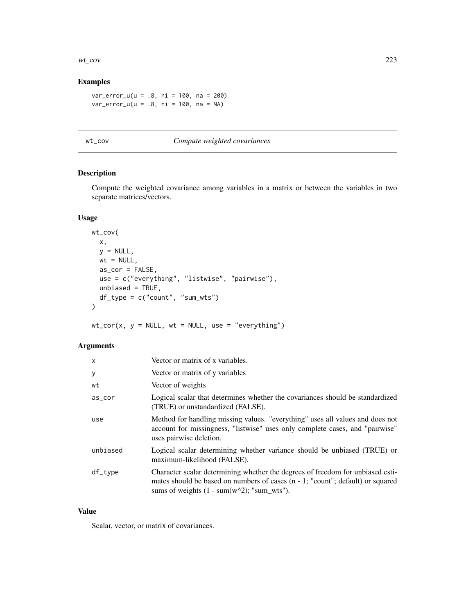#### <span id="page-222-0"></span>wt\_cov 223

# Examples

var\_error\_u(u = .8, ni = 100, na = 200)  $var_error_u(u = .8, ni = 100, na = NA)$ 

# wt\_cov *Compute weighted covariances*

# Description

Compute the weighted covariance among variables in a matrix or between the variables in two separate matrices/vectors.

# Usage

```
wt_cov(
 x,
 y = NULL,wt = NULL,as_cor = FALSE,
 use = c("everything", "listwise", "pairwise"),
 unbiased = TRUE,
 df_type = c("count", "sum_wts")
)
```
 $wt\_cor(x, y = NULL, wt = NULL, use = "everything")$ 

# Arguments

| x        | Vector or matrix of x variables.                                                                                                                                                                                            |  |
|----------|-----------------------------------------------------------------------------------------------------------------------------------------------------------------------------------------------------------------------------|--|
| у        | Vector or matrix of y variables                                                                                                                                                                                             |  |
| wt       | Vector of weights                                                                                                                                                                                                           |  |
| as_cor   | Logical scalar that determines whether the covariances should be standardized<br>(TRUE) or unstandardized (FALSE).                                                                                                          |  |
| use      | Method for handling missing values. "everything" uses all values and does not<br>account for missingness, "listwise" uses only complete cases, and "pairwise"<br>uses pairwise deletion.                                    |  |
| unbiased | Logical scalar determining whether variance should be unbiased (TRUE) or<br>maximum-likelihood (FALSE).                                                                                                                     |  |
| df_type  | Character scalar determining whether the degrees of freedom for unbiased esti-<br>mates should be based on numbers of cases $(n - 1; "count";$ default) or squared<br>sums of weights $(1 - \text{sum}(w^2))$ ; "sum wts"). |  |

# Value

Scalar, vector, or matrix of covariances.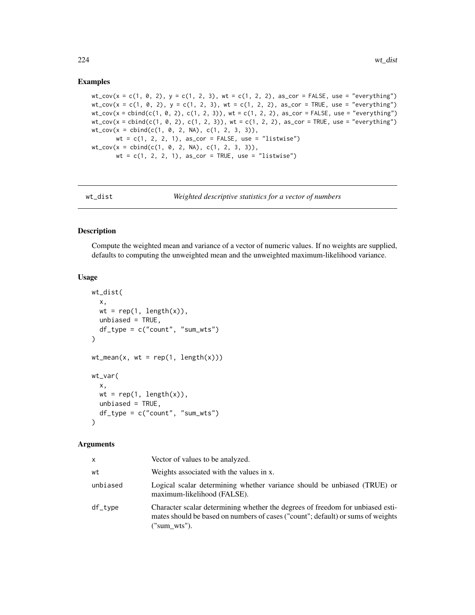## Examples

 $wt_{\texttt{-cov}}(x = c(1, 0, 2), y = c(1, 2, 3), wt = c(1, 2, 2), as_{\texttt{-cor}} = FALSE, use = "everything")$  $wt_{\texttt{cov}}(x = c(1, 0, 2), y = c(1, 2, 3), wt = c(1, 2, 2), as_{\texttt{cov}} = TRUE, use = "everything")$  $wt_{\texttt{cov}}(x = \text{cbind}(c(1, 0, 2), c(1, 2, 3)), wt = c(1, 2, 2), as_{\texttt{cov}} = FALSE, use = "everything")$  $wt_{cov}(x = \text{cbind}(c(1, 0, 2), c(1, 2, 3)), wt = c(1, 2, 2), as_{corr} = TRUE, use = "everything")$  $wt_{cov}(x = \text{cbind}(c(1, 0, 2, NA), c(1, 2, 3, 3)),$  $wt = c(1, 2, 2, 1),$  as\_cor = FALSE, use = "listwise")  $wt_{cov}(x = \text{cbind}(c(1, 0, 2, NA), c(1, 2, 3, 3)),$  $wt = c(1, 2, 2, 1),$  as\_cor = TRUE, use = "listwise")

| wt dist |  |
|---------|--|
|         |  |

dist *Weighted descriptive statistics for a vector of numbers* 

#### Description

Compute the weighted mean and variance of a vector of numeric values. If no weights are supplied, defaults to computing the unweighted mean and the unweighted maximum-likelihood variance.

# Usage

```
wt_dist(
  x,
  wt = rep(1, length(x)),unbiased = TRUE,
  df_type = c("count", "sum_wts")\lambdawt_mean(x, wt = rep(1, length(x)))wt_var(
  x,
 wt = rep(1, length(x)),unbiased = TRUE,
  df_type = c("count", "sum_wts")\lambda
```
#### Arguments

| X.       | Vector of values to be analyzed.                                                                                                                                                  |
|----------|-----------------------------------------------------------------------------------------------------------------------------------------------------------------------------------|
| wt       | Weights associated with the values in x.                                                                                                                                          |
| unbiased | Logical scalar determining whether variance should be unbiased (TRUE) or<br>maximum-likelihood (FALSE).                                                                           |
| df_type  | Character scalar determining whether the degrees of freedom for unbiased esti-<br>mates should be based on numbers of cases ("count"; default) or sums of weights<br>("sum wts"). |

<span id="page-223-0"></span>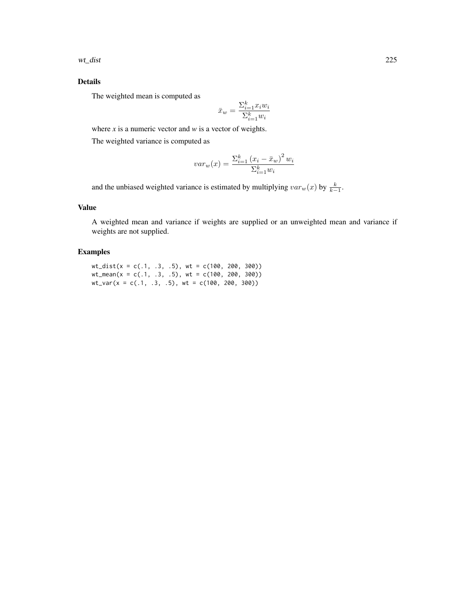wt\_dist 225

# Details

The weighted mean is computed as

$$
\bar{x}_w = \frac{\Sigma_{i=1}^k x_i w_i}{\Sigma_{i=1}^k w_i}
$$

where *x* is a numeric vector and *w* is a vector of weights.

The weighted variance is computed as

$$
var_w(x) = \frac{\sum_{i=1}^{k} (x_i - \bar{x}_w)^2 w_i}{\sum_{i=1}^{k} w_i}
$$

and the unbiased weighted variance is estimated by multiplying  $var_w(x)$  by  $\frac{k}{k-1}$ .

# Value

A weighted mean and variance if weights are supplied or an unweighted mean and variance if weights are not supplied.

# Examples

wt\_dist(x = c(.1, .3, .5), wt = c(100, 200, 300)) wt\_mean(x = c(.1, .3, .5), wt = c(100, 200, 300)) wt\_var(x = c(.1, .3, .5), wt = c(100, 200, 300))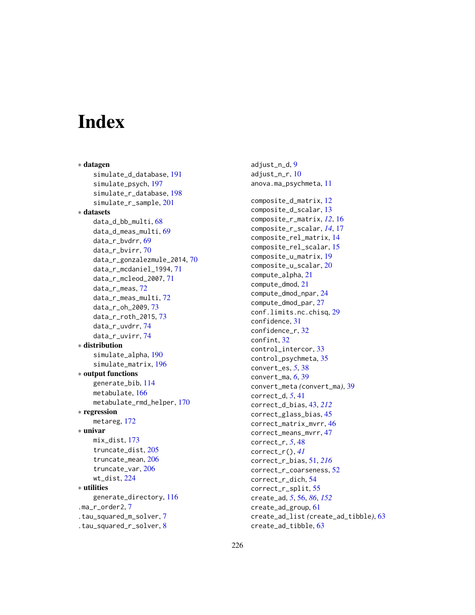# **Index**

∗ datagen simulate\_d\_database, [191](#page-190-0) simulate\_psych, [197](#page-196-0) simulate\_r\_database, [198](#page-197-0) simulate\_r\_sample, [201](#page-200-0) ∗ datasets data\_d\_bb\_multi, [68](#page-67-0) data\_d\_meas\_multi, [69](#page-68-0) data\_r\_bvdrr, [69](#page-68-0) data\_r\_bvirr, [70](#page-69-0) data\_r\_gonzalezmule\_2014, [70](#page-69-0) data\_r\_mcdaniel\_1994, [71](#page-70-0) data\_r\_mcleod\_2007, [71](#page-70-0) data\_r\_meas, [72](#page-71-0) data\_r\_meas\_multi, [72](#page-71-0) data\_r\_oh\_2009, [73](#page-72-0) data\_r\_roth\_2015, [73](#page-72-0) data\_r\_uvdrr, [74](#page-73-0) data\_r\_uvirr, [74](#page-73-0) ∗ distribution simulate\_alpha, [190](#page-189-0) simulate\_matrix, [196](#page-195-0) ∗ output functions generate\_bib, [114](#page-113-0) metabulate, [166](#page-165-0) metabulate\_rmd\_helper, [170](#page-169-0) ∗ regression metareg, [172](#page-171-0) ∗ univar mix\_dist, [173](#page-172-0) truncate\_dist, [205](#page-204-0) truncate\_mean, [206](#page-205-0) truncate\_var, [206](#page-205-0) wt\_dist, [224](#page-223-0) ∗ utilities generate\_directory, [116](#page-115-0) .ma\_r\_order2, [7](#page-6-0) .tau\_squared\_m\_solver, [7](#page-6-0) .tau\_squared\_r\_solver, [8](#page-7-0)

adjust\_n\_d, [9](#page-8-0) adjust\_n\_r, [10](#page-9-0) anova.ma\_psychmeta, [11](#page-10-0) composite\_d\_matrix, [12](#page-11-0) composite\_d\_scalar, [13](#page-12-0) composite\_r\_matrix, *[12](#page-11-0)*, [16](#page-15-0) composite\_r\_scalar, *[14](#page-13-0)*, [17](#page-16-0) composite\_rel\_matrix, [14](#page-13-0) composite\_rel\_scalar, [15](#page-14-0) composite\_u\_matrix, [19](#page-18-0) composite\_u\_scalar, [20](#page-19-0) compute\_alpha, [21](#page-20-0) compute\_dmod, [21](#page-20-0) compute\_dmod\_npar, [24](#page-23-0) compute\_dmod\_par, [27](#page-26-0) conf.limits.nc.chisq, [29](#page-28-0) confidence, [31](#page-30-0) confidence\_r, [32](#page-31-0) confint, [32](#page-31-0) control\_intercor, [33](#page-32-0) control\_psychmeta, [35](#page-34-0) convert\_es, *[5](#page-4-0)*, [38](#page-37-0) convert\_ma, *[6](#page-5-0)*, [39](#page-38-0) convert\_meta *(*convert\_ma*)*, [39](#page-38-0) correct\_d, *[5](#page-4-0)*, [41](#page-40-0) correct\_d\_bias, [43,](#page-42-0) *[212](#page-211-0)* correct\_glass\_bias, [45](#page-44-0) correct\_matrix\_mvrr, [46](#page-45-0) correct\_means\_mvrr, [47](#page-46-0) correct\_r, *[5](#page-4-0)*, [48](#page-47-0) correct\_r(), *[41](#page-40-0)* correct\_r\_bias, [51,](#page-50-0) *[216](#page-215-0)* correct\_r\_coarseness, [52](#page-51-0) correct\_r\_dich, [54](#page-53-0) correct\_r\_split, [55](#page-54-0) create\_ad, *[5](#page-4-0)*, [56,](#page-55-0) *[86](#page-85-0)*, *[152](#page-151-0)* create\_ad\_group, [61](#page-60-0) create\_ad\_list *(*create\_ad\_tibble*)*, [63](#page-62-0) create\_ad\_tibble, [63](#page-62-0)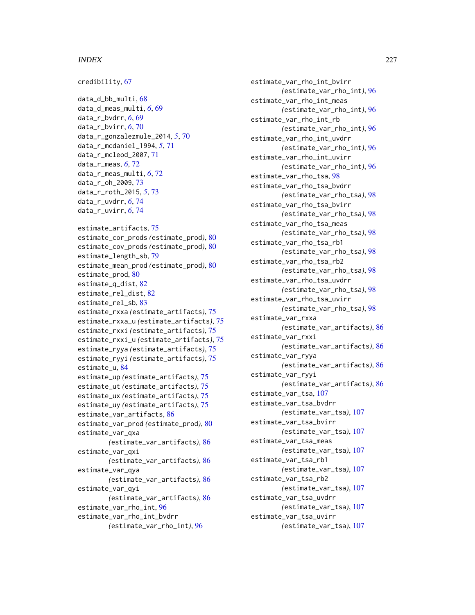## INDEX 227

```
credibility, 67
data_d_bb_multi, 68
data_d_meas_multi, 6, 69
data_r_bvdrr, 6, 69
data_r_bvirr, 6, 70
data_r_gonzalezmule_2014, 5, 70
data_r_mcdaniel_1994, 5, 71
data_r_mcleod_2007, 71
data_r_meas, 6, 72
data_r_meas_multi, 6, 72
data_r_oh_2009, 73
data_r_roth_2015, 5, 73
data_r_uvdrr, 6, 74
data_r_uvirr, 6, 74
estimate_artifacts, 75
estimate_cor_prods (estimate_prod), 80
estimate_cov_prods (estimate_prod), 80
estimate_length_sb, 79
estimate_mean_prod (estimate_prod), 80
estimate_prod, 80
estimate_q_dist, 82
estimate_rel_dist, 82
estimate_rel_sb, 83
estimate_rxxa (estimate_artifacts), 75
estimate_rxxa_u (estimate_artifacts), 75
estimate_rxxi (estimate_artifacts), 75
estimate_rxxi_u (estimate_artifacts), 75
estimate_ryya (estimate_artifacts), 75
estimate_ryyi (estimate_artifacts), 75
estimate_u, 84
estimate_up (estimate_artifacts), 75
estimate_ut (estimate_artifacts), 75
estimate_ux (estimate_artifacts), 75
estimate_uy (estimate_artifacts), 75
estimate_var_artifacts, 86
estimate_var_prod (estimate_prod), 80
estimate_var_qxa
        (estimate_var_artifacts), 86
estimate_var_qxi
        (estimate_var_artifacts), 86
estimate_var_qya
        (estimate_var_artifacts), 86
estimate_var_qyi
        (estimate_var_artifacts), 86
estimate_var_rho_int, 96
estimate_var_rho_int_bvdrr
        (estimate_var_rho_int), 96
```
estimate\_var\_rho\_int\_bvirr *(*estimate\_var\_rho\_int*)*, [96](#page-95-0) estimate\_var\_rho\_int\_meas *(*estimate\_var\_rho\_int*)*, [96](#page-95-0) estimate\_var\_rho\_int\_rb *(*estimate\_var\_rho\_int*)*, [96](#page-95-0) estimate\_var\_rho\_int\_uvdrr *(*estimate\_var\_rho\_int*)*, [96](#page-95-0) estimate\_var\_rho\_int\_uvirr *(*estimate\_var\_rho\_int*)*, [96](#page-95-0) estimate\_var\_rho\_tsa, [98](#page-97-0) estimate\_var\_rho\_tsa\_bvdrr *(*estimate\_var\_rho\_tsa*)*, [98](#page-97-0) estimate\_var\_rho\_tsa\_bvirr *(*estimate\_var\_rho\_tsa*)*, [98](#page-97-0) estimate\_var\_rho\_tsa\_meas *(*estimate\_var\_rho\_tsa*)*, [98](#page-97-0) estimate\_var\_rho\_tsa\_rb1 *(*estimate\_var\_rho\_tsa*)*, [98](#page-97-0) estimate\_var\_rho\_tsa\_rb2 *(*estimate\_var\_rho\_tsa*)*, [98](#page-97-0) estimate\_var\_rho\_tsa\_uvdrr *(*estimate\_var\_rho\_tsa*)*, [98](#page-97-0) estimate\_var\_rho\_tsa\_uvirr *(*estimate\_var\_rho\_tsa*)*, [98](#page-97-0) estimate\_var\_rxxa *(*estimate\_var\_artifacts*)*, [86](#page-85-0) estimate\_var\_rxxi *(*estimate\_var\_artifacts*)*, [86](#page-85-0) estimate\_var\_ryya *(*estimate\_var\_artifacts*)*, [86](#page-85-0) estimate\_var\_ryyi *(*estimate\_var\_artifacts*)*, [86](#page-85-0) estimate\_var\_tsa, [107](#page-106-0) estimate\_var\_tsa\_bvdrr *(*estimate\_var\_tsa*)*, [107](#page-106-0) estimate\_var\_tsa\_bvirr *(*estimate\_var\_tsa*)*, [107](#page-106-0) estimate\_var\_tsa\_meas *(*estimate\_var\_tsa*)*, [107](#page-106-0) estimate\_var\_tsa\_rb1 *(*estimate\_var\_tsa*)*, [107](#page-106-0) estimate\_var\_tsa\_rb2 *(*estimate\_var\_tsa*)*, [107](#page-106-0) estimate\_var\_tsa\_uvdrr *(*estimate\_var\_tsa*)*, [107](#page-106-0) estimate\_var\_tsa\_uvirr *(*estimate\_var\_tsa*)*, [107](#page-106-0)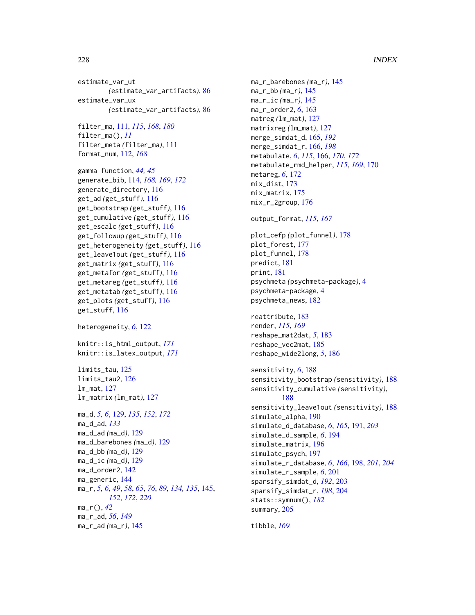estimate\_var\_ut *(*estimate\_var\_artifacts*)*, [86](#page-85-0) estimate\_var\_ux *(*estimate\_var\_artifacts*)*, [86](#page-85-0)

```
filter_ma, 111, 115, 168, 180
filter_ma(), 11
filter_meta (filter_ma), 111
format_num, 112, 168
```
gamma function, *[44,](#page-43-0) [45](#page-44-0)* generate\_bib, [114,](#page-113-0) *[168,](#page-167-0) [169](#page-168-0)*, *[172](#page-171-0)* generate\_directory, [116](#page-115-0) get\_ad *(*get\_stuff*)*, [116](#page-115-0) get\_bootstrap *(*get\_stuff*)*, [116](#page-115-0) get\_cumulative *(*get\_stuff*)*, [116](#page-115-0) get\_escalc *(*get\_stuff*)*, [116](#page-115-0) get\_followup *(*get\_stuff*)*, [116](#page-115-0) get\_heterogeneity *(*get\_stuff*)*, [116](#page-115-0) get\_leave1out *(*get\_stuff*)*, [116](#page-115-0) get\_matrix *(*get\_stuff*)*, [116](#page-115-0) get\_metafor *(*get\_stuff*)*, [116](#page-115-0) get\_metareg *(*get\_stuff*)*, [116](#page-115-0) get\_metatab *(*get\_stuff*)*, [116](#page-115-0) get\_plots *(*get\_stuff*)*, [116](#page-115-0) get\_stuff, [116](#page-115-0)

heterogeneity, *[6](#page-5-0)*, [122](#page-121-0)

knitr::is\_html\_output, *[171](#page-170-0)* knitr::is\_latex\_output, *[171](#page-170-0)*

limits tau, [125](#page-124-0) limits\_tau2, [126](#page-125-0) lm\_mat, [127](#page-126-0) lm\_matrix *(*lm\_mat*)*, [127](#page-126-0)

```
ma_d, 5, 6, 129, 135, 152, 172
ma_d_ad, 133
ma_d_ad (ma_d), 129
ma_d_barebones (ma_d), 129
ma_d_bb (ma_d), 129
ma_d_ic (ma_d), 129
ma_d_order2, 142
ma_generic, 144
ma_r, 5, 6, 49, 58, 65, 76, 89, 134, 135, 145,
         152, 172, 220
ma_r(), 42
ma_r_ad, 56, 149
ma_r_ad (ma_r), 145
```
ma\_r\_barebones *(*ma\_r*)*, [145](#page-144-1) ma\_r\_bb *(*ma\_r*)*, [145](#page-144-1) ma\_r\_ic *(*ma\_r*)*, [145](#page-144-1) ma\_r\_order2, *[6](#page-5-0)*, [163](#page-162-0) matreg *(*lm\_mat*)*, [127](#page-126-0) matrixreg *(*lm\_mat*)*, [127](#page-126-0) merge\_simdat\_d, [165,](#page-164-0) *[192](#page-191-0)* merge\_simdat\_r, [166,](#page-165-0) *[198](#page-197-0)* metabulate, *[6](#page-5-0)*, *[115](#page-114-0)*, [166,](#page-165-0) *[170](#page-169-0)*, *[172](#page-171-0)* metabulate\_rmd\_helper, *[115](#page-114-0)*, *[169](#page-168-0)*, [170](#page-169-0) metareg, *[6](#page-5-0)*, [172](#page-171-0) mix\_dist, [173](#page-172-0) mix\_matrix, [175](#page-174-0) mix\_r\_2group, [176](#page-175-0)

output\_format, *[115](#page-114-0)*, *[167](#page-166-0)*

plot\_cefp *(*plot\_funnel*)*, [178](#page-177-0) plot\_forest, [177](#page-176-0) plot\_funnel, [178](#page-177-0) predict, [181](#page-180-0) print, [181](#page-180-0) psychmeta *(*psychmeta-package*)*, [4](#page-3-0) psychmeta-package, [4](#page-3-0) psychmeta\_news, [182](#page-181-0)

reattribute, [183](#page-182-0) render, *[115](#page-114-0)*, *[169](#page-168-0)* reshape\_mat2dat, *[5](#page-4-0)*, [183](#page-182-0) reshape\_vec2mat, [185](#page-184-0) reshape\_wide2long, *[5](#page-4-0)*, [186](#page-185-0)

```
sensitivity, 6, 188
sensitivity_bootstrap (sensitivity), 188
sensitivity_cumulative (sensitivity),
         188
sensitivity_leave1out (sensitivity), 188
simulate_alpha, 190
simulate_d_database, 6, 165, 191, 203
simulate_d_sample, 6, 194
simulate_matrix, 196
simulate_psych, 197
simulate_r_database, 6, 166, 198, 201, 204
simulate_r_sample, 6, 201
sparsify_simdat_d, 192, 203
sparsify_simdat_r, 198, 204
stats::symnum(), 182
summary, 205
```
tibble, *[169](#page-168-0)*